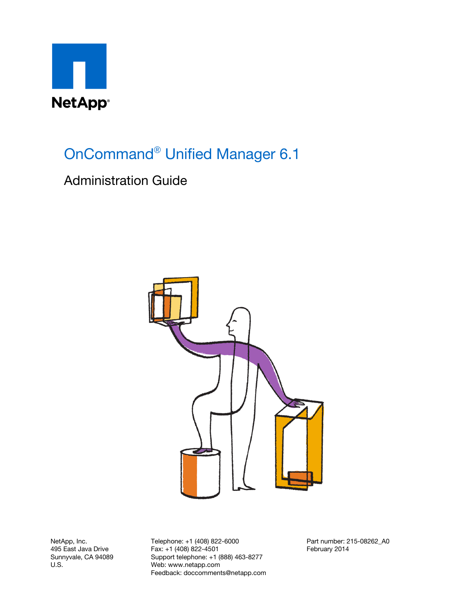

OnCommand® Unified Manager 6.1

# Administration Guide



NetApp, Inc. 495 East Java Drive Sunnyvale, CA 94089 U.S.

Telephone: +1 (408) 822-6000 Fax: +1 (408) 822-4501 Support telephone: +1 (888) 463-8277 Web: www.netapp.com Feedback: doccomments@netapp.com Part number: 215-08262\_A0 February 2014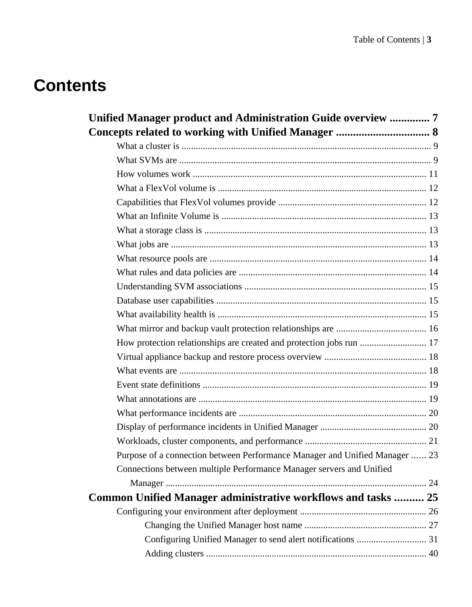# **Contents**

| Unified Manager product and Administration Guide overview  7                |  |
|-----------------------------------------------------------------------------|--|
|                                                                             |  |
|                                                                             |  |
|                                                                             |  |
|                                                                             |  |
|                                                                             |  |
|                                                                             |  |
|                                                                             |  |
|                                                                             |  |
|                                                                             |  |
|                                                                             |  |
|                                                                             |  |
|                                                                             |  |
|                                                                             |  |
|                                                                             |  |
|                                                                             |  |
| How protection relationships are created and protection jobs run  17        |  |
|                                                                             |  |
|                                                                             |  |
|                                                                             |  |
|                                                                             |  |
|                                                                             |  |
|                                                                             |  |
|                                                                             |  |
| Purpose of a connection between Performance Manager and Unified Manager  23 |  |
| Connections between multiple Performance Manager servers and Unified        |  |
|                                                                             |  |
| Common Unified Manager administrative workflows and tasks  25               |  |
|                                                                             |  |
|                                                                             |  |
| Configuring Unified Manager to send alert notifications  31                 |  |
|                                                                             |  |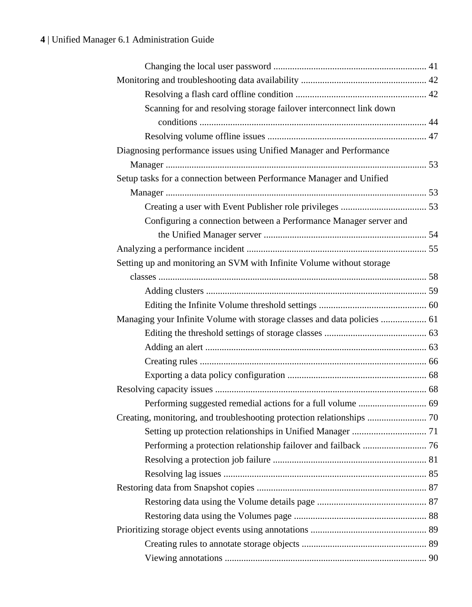| Scanning for and resolving storage failover interconnect link down       |  |
|--------------------------------------------------------------------------|--|
|                                                                          |  |
|                                                                          |  |
| Diagnosing performance issues using Unified Manager and Performance      |  |
|                                                                          |  |
| Setup tasks for a connection between Performance Manager and Unified     |  |
|                                                                          |  |
|                                                                          |  |
| Configuring a connection between a Performance Manager server and        |  |
|                                                                          |  |
|                                                                          |  |
| Setting up and monitoring an SVM with Infinite Volume without storage    |  |
|                                                                          |  |
|                                                                          |  |
|                                                                          |  |
| Managing your Infinite Volume with storage classes and data policies  61 |  |
|                                                                          |  |
|                                                                          |  |
|                                                                          |  |
|                                                                          |  |
|                                                                          |  |
| Performing suggested remedial actions for a full volume  69              |  |
|                                                                          |  |
|                                                                          |  |
|                                                                          |  |
|                                                                          |  |
|                                                                          |  |
|                                                                          |  |
|                                                                          |  |
|                                                                          |  |
|                                                                          |  |
|                                                                          |  |
|                                                                          |  |
|                                                                          |  |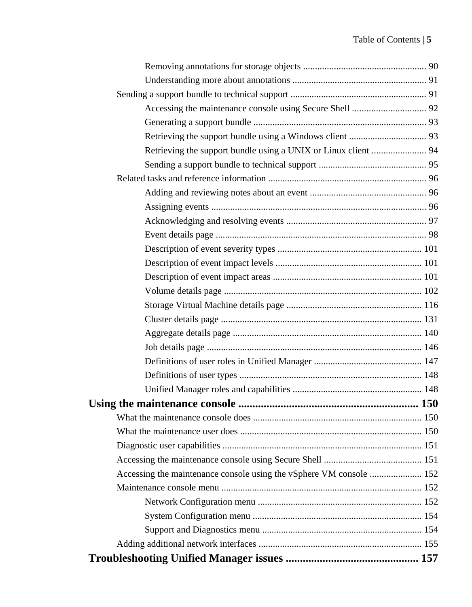| Retrieving the support bundle using a UNIX or Linux client  94      |  |
|---------------------------------------------------------------------|--|
|                                                                     |  |
|                                                                     |  |
|                                                                     |  |
|                                                                     |  |
|                                                                     |  |
|                                                                     |  |
|                                                                     |  |
|                                                                     |  |
|                                                                     |  |
|                                                                     |  |
|                                                                     |  |
|                                                                     |  |
|                                                                     |  |
|                                                                     |  |
|                                                                     |  |
|                                                                     |  |
|                                                                     |  |
|                                                                     |  |
|                                                                     |  |
|                                                                     |  |
|                                                                     |  |
|                                                                     |  |
| Accessing the maintenance console using the vSphere VM console  152 |  |
|                                                                     |  |
|                                                                     |  |
|                                                                     |  |
|                                                                     |  |
|                                                                     |  |
|                                                                     |  |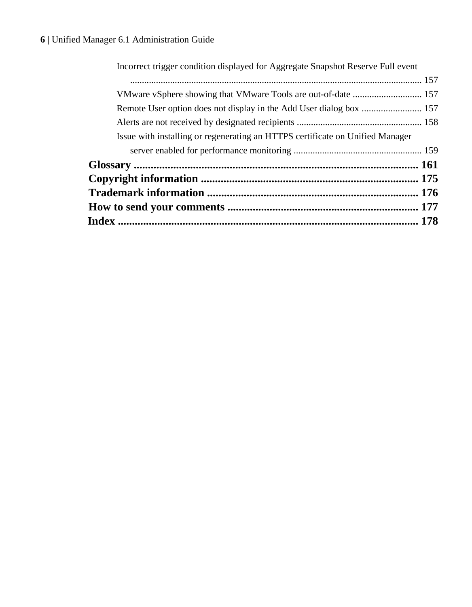| Incorrect trigger condition displayed for Aggregate Snapshot Reserve Full event |  |
|---------------------------------------------------------------------------------|--|
|                                                                                 |  |
|                                                                                 |  |
|                                                                                 |  |
|                                                                                 |  |
| Issue with installing or regenerating an HTTPS certificate on Unified Manager   |  |
|                                                                                 |  |
|                                                                                 |  |
|                                                                                 |  |
|                                                                                 |  |
|                                                                                 |  |
|                                                                                 |  |
|                                                                                 |  |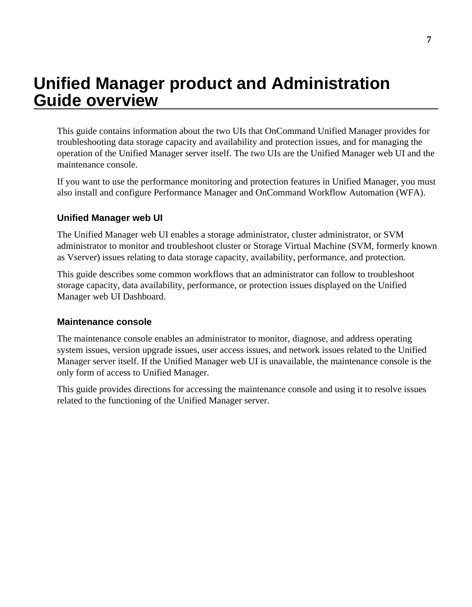# <span id="page-6-0"></span>**Unified Manager product and Administration Guide overview**

This guide contains information about the two UIs that OnCommand Unified Manager provides for troubleshooting data storage capacity and availability and protection issues, and for managing the operation of the Unified Manager server itself. The two UIs are the Unified Manager web UI and the maintenance console.

If you want to use the performance monitoring and protection features in Unified Manager, you must also install and configure Performance Manager and OnCommand Workflow Automation (WFA).

## **Unified Manager web UI**

The Unified Manager web UI enables a storage administrator, cluster administrator, or SVM administrator to monitor and troubleshoot cluster or Storage Virtual Machine (SVM, formerly known as Vserver) issues relating to data storage capacity, availability, performance, and protection.

This guide describes some common workflows that an administrator can follow to troubleshoot storage capacity, data availability, performance, or protection issues displayed on the Unified Manager web UI Dashboard.

#### **Maintenance console**

The maintenance console enables an administrator to monitor, diagnose, and address operating system issues, version upgrade issues, user access issues, and network issues related to the Unified Manager server itself. If the Unified Manager web UI is unavailable, the maintenance console is the only form of access to Unified Manager.

This guide provides directions for accessing the maintenance console and using it to resolve issues related to the functioning of the Unified Manager server.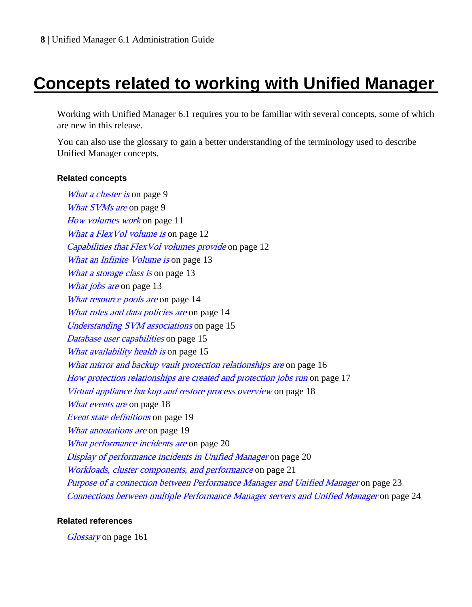# <span id="page-7-0"></span>**Concepts related to working with Unified Manager**

Working with Unified Manager 6.1 requires you to be familiar with several concepts, some of which are new in this release.

You can also use the glossary to gain a better understanding of the terminology used to describe Unified Manager concepts.

#### **Related concepts**

[What a cluster is](#page-8-0) on page 9 [What SVMs are](#page-8-0) on page 9 [How volumes work](#page-10-0) on page 11 [What a FlexVol volume is](#page-11-0) on page 12 [Capabilities that FlexVol volumes provide](#page-11-0) on page 12 [What an Infinite Volume is](#page-12-0) on page 13 [What a storage class is](#page-12-0) on page 13 [What jobs are](#page-12-0) on page 13 [What resource pools are](#page-13-0) on page 14 [What rules and data policies are](#page-13-0) on page 14 [Understanding SVM associations](#page-14-0) on page 15 [Database user capabilities](#page-14-0) on page 15 [What availability health is](#page-14-0) on page 15 [What mirror and backup vault protection relationships are](#page-15-0) on page 16 [How protection relationships are created and protection jobs run](#page-16-0) on page 17 [Virtual appliance backup and restore process overview](#page-17-0) on page 18 [What events are](#page-17-0) on page 18 [Event state definitions](#page-18-0) on page 19 [What annotations are](#page-18-0) on page 19 [What performance incidents are](#page-19-0) on page 20 [Display of performance incidents in Unified Manager](#page-19-0) on page 20 [Workloads, cluster components, and performance](#page-20-0) on page 21 [Purpose of a connection between Performance Manager and Unified Manager](#page-22-0) on page 23 [Connections between multiple Performance Manager servers and Unified Manager](#page-23-0) on page 24

#### **Related references**

[Glossary](#page-160-0) on page 161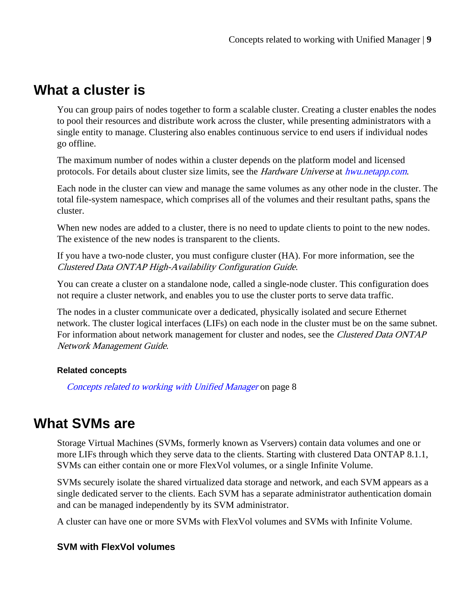# <span id="page-8-0"></span>**What a cluster is**

You can group pairs of nodes together to form a scalable cluster. Creating a cluster enables the nodes to pool their resources and distribute work across the cluster, while presenting administrators with a single entity to manage. Clustering also enables continuous service to end users if individual nodes go offline.

The maximum number of nodes within a cluster depends on the platform model and licensed protocols. For details about cluster size limits, see the *Hardware Universe* at *[hwu.netapp.com](https://hwu.netapp.com/).* 

Each node in the cluster can view and manage the same volumes as any other node in the cluster. The total file-system namespace, which comprises all of the volumes and their resultant paths, spans the cluster.

When new nodes are added to a cluster, there is no need to update clients to point to the new nodes. The existence of the new nodes is transparent to the clients.

If you have a two-node cluster, you must configure cluster (HA). For more information, see the Clustered Data ONTAP High-Availability Configuration Guide.

You can create a cluster on a standalone node, called a single-node cluster. This configuration does not require a cluster network, and enables you to use the cluster ports to serve data traffic.

The nodes in a cluster communicate over a dedicated, physically isolated and secure Ethernet network. The cluster logical interfaces (LIFs) on each node in the cluster must be on the same subnet. For information about network management for cluster and nodes, see the Clustered Data ONTAP Network Management Guide.

## **Related concepts**

[Concepts related to working with Unified Manager](#page-7-0) on page 8

# **What SVMs are**

Storage Virtual Machines (SVMs, formerly known as Vservers) contain data volumes and one or more LIFs through which they serve data to the clients. Starting with clustered Data ONTAP 8.1.1, SVMs can either contain one or more FlexVol volumes, or a single Infinite Volume.

SVMs securely isolate the shared virtualized data storage and network, and each SVM appears as a single dedicated server to the clients. Each SVM has a separate administrator authentication domain and can be managed independently by its SVM administrator.

A cluster can have one or more SVMs with FlexVol volumes and SVMs with Infinite Volume.

# **SVM with FlexVol volumes**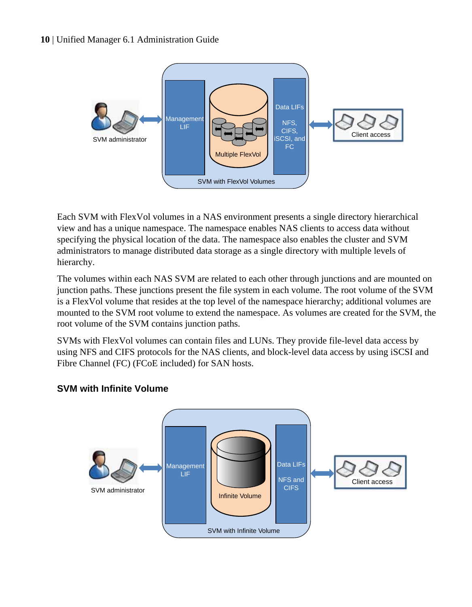

Each SVM with FlexVol volumes in a NAS environment presents a single directory hierarchical view and has a unique namespace. The namespace enables NAS clients to access data without specifying the physical location of the data. The namespace also enables the cluster and SVM administrators to manage distributed data storage as a single directory with multiple levels of hierarchy.

The volumes within each NAS SVM are related to each other through junctions and are mounted on junction paths. These junctions present the file system in each volume. The root volume of the SVM is a FlexVol volume that resides at the top level of the namespace hierarchy; additional volumes are mounted to the SVM root volume to extend the namespace. As volumes are created for the SVM, the root volume of the SVM contains junction paths.

SVMs with FlexVol volumes can contain files and LUNs. They provide file-level data access by using NFS and CIFS protocols for the NAS clients, and block-level data access by using iSCSI and Fibre Channel (FC) (FCoE included) for SAN hosts.



## **SVM with Infinite Volume**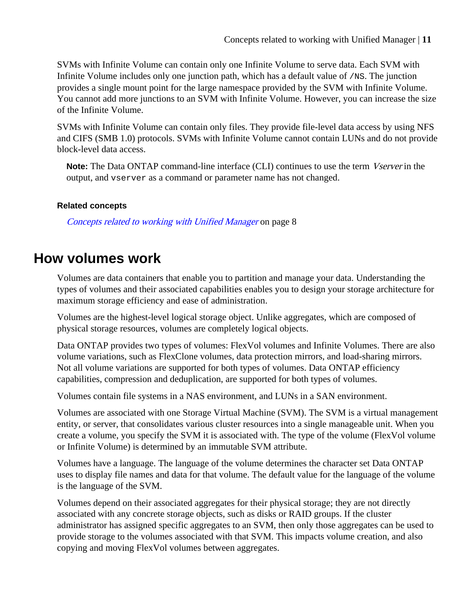<span id="page-10-0"></span>SVMs with Infinite Volume can contain only one Infinite Volume to serve data. Each SVM with Infinite Volume includes only one junction path, which has a default value of  $/NS$ . The junction provides a single mount point for the large namespace provided by the SVM with Infinite Volume. You cannot add more junctions to an SVM with Infinite Volume. However, you can increase the size of the Infinite Volume.

SVMs with Infinite Volume can contain only files. They provide file-level data access by using NFS and CIFS (SMB 1.0) protocols. SVMs with Infinite Volume cannot contain LUNs and do not provide block-level data access.

**Note:** The Data ONTAP command-line interface (CLI) continues to use the term *Vserver* in the output, and vserver as a command or parameter name has not changed.

## **Related concepts**

[Concepts related to working with Unified Manager](#page-7-0) on page 8

# **How volumes work**

Volumes are data containers that enable you to partition and manage your data. Understanding the types of volumes and their associated capabilities enables you to design your storage architecture for maximum storage efficiency and ease of administration.

Volumes are the highest-level logical storage object. Unlike aggregates, which are composed of physical storage resources, volumes are completely logical objects.

Data ONTAP provides two types of volumes: FlexVol volumes and Infinite Volumes. There are also volume variations, such as FlexClone volumes, data protection mirrors, and load-sharing mirrors. Not all volume variations are supported for both types of volumes. Data ONTAP efficiency capabilities, compression and deduplication, are supported for both types of volumes.

Volumes contain file systems in a NAS environment, and LUNs in a SAN environment.

Volumes are associated with one Storage Virtual Machine (SVM). The SVM is a virtual management entity, or server, that consolidates various cluster resources into a single manageable unit. When you create a volume, you specify the SVM it is associated with. The type of the volume (FlexVol volume or Infinite Volume) is determined by an immutable SVM attribute.

Volumes have a language. The language of the volume determines the character set Data ONTAP uses to display file names and data for that volume. The default value for the language of the volume is the language of the SVM.

Volumes depend on their associated aggregates for their physical storage; they are not directly associated with any concrete storage objects, such as disks or RAID groups. If the cluster administrator has assigned specific aggregates to an SVM, then only those aggregates can be used to provide storage to the volumes associated with that SVM. This impacts volume creation, and also copying and moving FlexVol volumes between aggregates.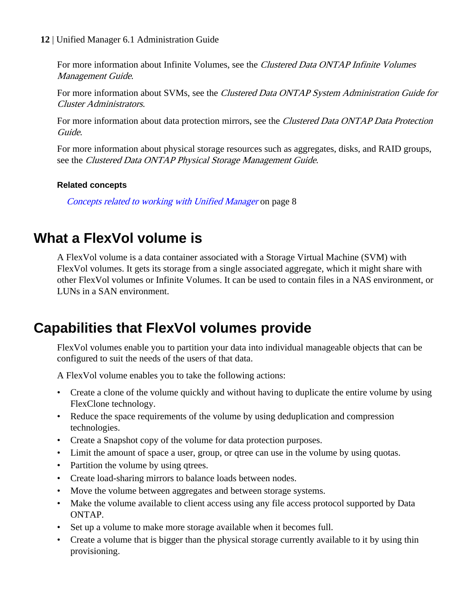<span id="page-11-0"></span>For more information about Infinite Volumes, see the *Clustered Data ONTAP Infinite Volumes* Management Guide.

For more information about SVMs, see the Clustered Data ONTAP System Administration Guide for Cluster Administrators.

For more information about data protection mirrors, see the Clustered Data ONTAP Data Protection Guide.

For more information about physical storage resources such as aggregates, disks, and RAID groups, see the Clustered Data ONTAP Physical Storage Management Guide.

## **Related concepts**

[Concepts related to working with Unified Manager](#page-7-0) on page 8

# **What a FlexVol volume is**

A FlexVol volume is a data container associated with a Storage Virtual Machine (SVM) with FlexVol volumes. It gets its storage from a single associated aggregate, which it might share with other FlexVol volumes or Infinite Volumes. It can be used to contain files in a NAS environment, or LUNs in a SAN environment.

# **Capabilities that FlexVol volumes provide**

FlexVol volumes enable you to partition your data into individual manageable objects that can be configured to suit the needs of the users of that data.

A FlexVol volume enables you to take the following actions:

- Create a clone of the volume quickly and without having to duplicate the entire volume by using FlexClone technology.
- Reduce the space requirements of the volume by using deduplication and compression technologies.
- Create a Snapshot copy of the volume for data protection purposes.
- Limit the amount of space a user, group, or qtree can use in the volume by using quotas.
- Partition the volume by using qtrees.
- Create load-sharing mirrors to balance loads between nodes.
- Move the volume between aggregates and between storage systems.
- Make the volume available to client access using any file access protocol supported by Data ONTAP.
- Set up a volume to make more storage available when it becomes full.
- Create a volume that is bigger than the physical storage currently available to it by using thin provisioning.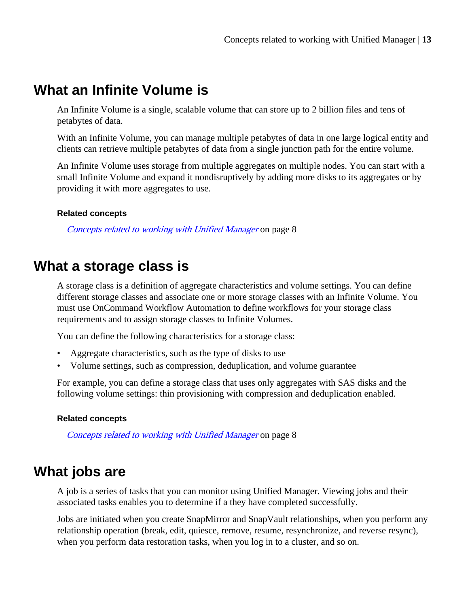# <span id="page-12-0"></span>**What an Infinite Volume is**

An Infinite Volume is a single, scalable volume that can store up to 2 billion files and tens of petabytes of data.

With an Infinite Volume, you can manage multiple petabytes of data in one large logical entity and clients can retrieve multiple petabytes of data from a single junction path for the entire volume.

An Infinite Volume uses storage from multiple aggregates on multiple nodes. You can start with a small Infinite Volume and expand it nondisruptively by adding more disks to its aggregates or by providing it with more aggregates to use.

#### **Related concepts**

[Concepts related to working with Unified Manager](#page-7-0) on page 8

# **What a storage class is**

A storage class is a definition of aggregate characteristics and volume settings. You can define different storage classes and associate one or more storage classes with an Infinite Volume. You must use OnCommand Workflow Automation to define workflows for your storage class requirements and to assign storage classes to Infinite Volumes.

You can define the following characteristics for a storage class:

- Aggregate characteristics, such as the type of disks to use
- Volume settings, such as compression, deduplication, and volume guarantee

For example, you can define a storage class that uses only aggregates with SAS disks and the following volume settings: thin provisioning with compression and deduplication enabled.

#### **Related concepts**

[Concepts related to working with Unified Manager](#page-7-0) on page 8

# **What jobs are**

A job is a series of tasks that you can monitor using Unified Manager. Viewing jobs and their associated tasks enables you to determine if a they have completed successfully.

Jobs are initiated when you create SnapMirror and SnapVault relationships, when you perform any relationship operation (break, edit, quiesce, remove, resume, resynchronize, and reverse resync), when you perform data restoration tasks, when you log in to a cluster, and so on.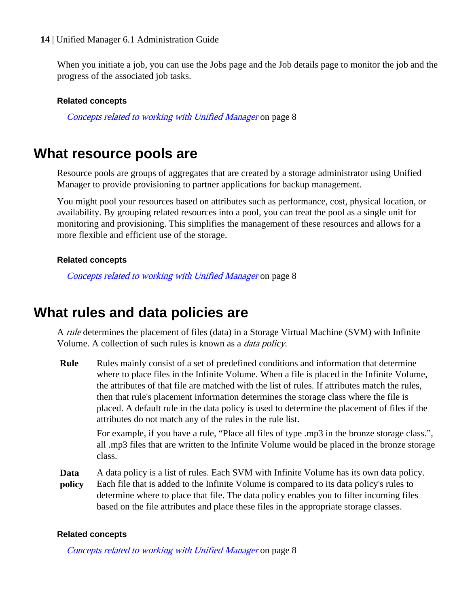<span id="page-13-0"></span>When you initiate a job, you can use the Jobs page and the Job details page to monitor the job and the progress of the associated job tasks.

#### **Related concepts**

[Concepts related to working with Unified Manager](#page-7-0) on page 8

# **What resource pools are**

Resource pools are groups of aggregates that are created by a storage administrator using Unified Manager to provide provisioning to partner applications for backup management.

You might pool your resources based on attributes such as performance, cost, physical location, or availability. By grouping related resources into a pool, you can treat the pool as a single unit for monitoring and provisioning. This simplifies the management of these resources and allows for a more flexible and efficient use of the storage.

#### **Related concepts**

[Concepts related to working with Unified Manager](#page-7-0) on page 8

# **What rules and data policies are**

A rule determines the placement of files (data) in a Storage Virtual Machine (SVM) with Infinite Volume. A collection of such rules is known as a data policy.

**Rule** Rules mainly consist of a set of predefined conditions and information that determine where to place files in the Infinite Volume. When a file is placed in the Infinite Volume, the attributes of that file are matched with the list of rules. If attributes match the rules, then that rule's placement information determines the storage class where the file is placed. A default rule in the data policy is used to determine the placement of files if the attributes do not match any of the rules in the rule list.

> For example, if you have a rule, "Place all files of type .mp3 in the bronze storage class.", all .mp3 files that are written to the Infinite Volume would be placed in the bronze storage class.

**Data** A data policy is a list of rules. Each SVM with Infinite Volume has its own data policy.

**policy** Each file that is added to the Infinite Volume is compared to its data policy's rules to determine where to place that file. The data policy enables you to filter incoming files based on the file attributes and place these files in the appropriate storage classes.

#### **Related concepts**

[Concepts related to working with Unified Manager](#page-7-0) on page 8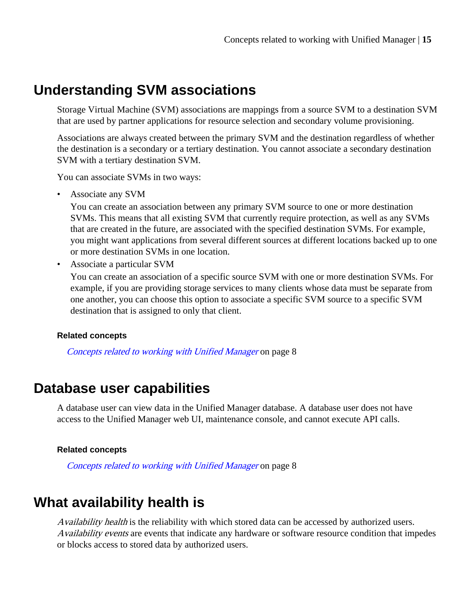# <span id="page-14-0"></span>**Understanding SVM associations**

Storage Virtual Machine (SVM) associations are mappings from a source SVM to a destination SVM that are used by partner applications for resource selection and secondary volume provisioning.

Associations are always created between the primary SVM and the destination regardless of whether the destination is a secondary or a tertiary destination. You cannot associate a secondary destination SVM with a tertiary destination SVM.

You can associate SVMs in two ways:

• Associate any SVM

You can create an association between any primary SVM source to one or more destination SVMs. This means that all existing SVM that currently require protection, as well as any SVMs that are created in the future, are associated with the specified destination SVMs. For example, you might want applications from several different sources at different locations backed up to one or more destination SVMs in one location.

• Associate a particular SVM

You can create an association of a specific source SVM with one or more destination SVMs. For example, if you are providing storage services to many clients whose data must be separate from one another, you can choose this option to associate a specific SVM source to a specific SVM destination that is assigned to only that client.

#### **Related concepts**

[Concepts related to working with Unified Manager](#page-7-0) on page 8

# **Database user capabilities**

A database user can view data in the Unified Manager database. A database user does not have access to the Unified Manager web UI, maintenance console, and cannot execute API calls.

#### **Related concepts**

[Concepts related to working with Unified Manager](#page-7-0) on page 8

# **What availability health is**

Availability health is the reliability with which stored data can be accessed by authorized users. Availability events are events that indicate any hardware or software resource condition that impedes or blocks access to stored data by authorized users.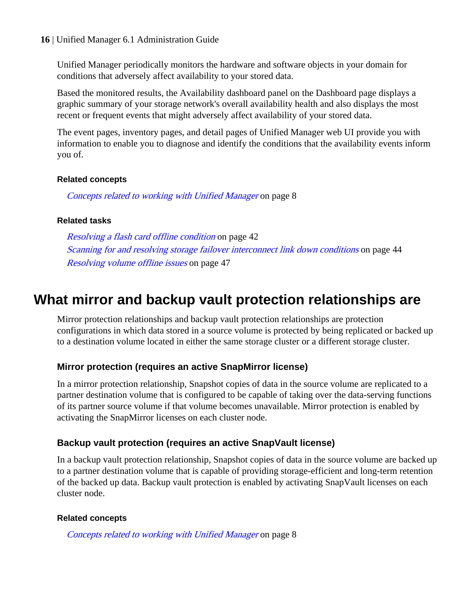<span id="page-15-0"></span>Unified Manager periodically monitors the hardware and software objects in your domain for conditions that adversely affect availability to your stored data.

Based the monitored results, the Availability dashboard panel on the Dashboard page displays a graphic summary of your storage network's overall availability health and also displays the most recent or frequent events that might adversely affect availability of your stored data.

The event pages, inventory pages, and detail pages of Unified Manager web UI provide you with information to enable you to diagnose and identify the conditions that the availability events inform you of.

#### **Related concepts**

[Concepts related to working with Unified Manager](#page-7-0) on page 8

## **Related tasks**

[Resolving a flash card offline condition](#page-41-0) on page 42 [Scanning for and resolving storage failover interconnect link down conditions](#page-43-0) on page 44 [Resolving volume offline issues](#page-46-0) on page 47

# **What mirror and backup vault protection relationships are**

Mirror protection relationships and backup vault protection relationships are protection configurations in which data stored in a source volume is protected by being replicated or backed up to a destination volume located in either the same storage cluster or a different storage cluster.

# **Mirror protection (requires an active SnapMirror license)**

In a mirror protection relationship, Snapshot copies of data in the source volume are replicated to a partner destination volume that is configured to be capable of taking over the data-serving functions of its partner source volume if that volume becomes unavailable. Mirror protection is enabled by activating the SnapMirror licenses on each cluster node.

# **Backup vault protection (requires an active SnapVault license)**

In a backup vault protection relationship, Snapshot copies of data in the source volume are backed up to a partner destination volume that is capable of providing storage-efficient and long-term retention of the backed up data. Backup vault protection is enabled by activating SnapVault licenses on each cluster node.

## **Related concepts**

[Concepts related to working with Unified Manager](#page-7-0) on page 8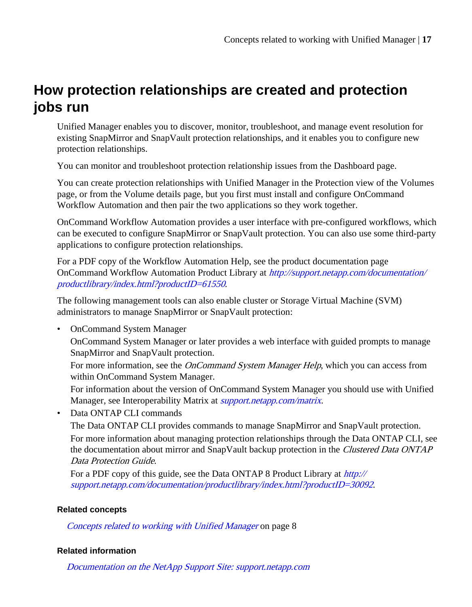# <span id="page-16-0"></span>**How protection relationships are created and protection jobs run**

Unified Manager enables you to discover, monitor, troubleshoot, and manage event resolution for existing SnapMirror and SnapVault protection relationships, and it enables you to configure new protection relationships.

You can monitor and troubleshoot protection relationship issues from the Dashboard page.

You can create protection relationships with Unified Manager in the Protection view of the Volumes page, or from the Volume details page, but you first must install and configure OnCommand Workflow Automation and then pair the two applications so they work together.

OnCommand Workflow Automation provides a user interface with pre-configured workflows, which can be executed to configure SnapMirror or SnapVault protection. You can also use some third-party applications to configure protection relationships.

For a PDF copy of the Workflow Automation Help, see the product documentation page OnCommand Workflow Automation Product Library at [http://support.netapp.com/documentation/](http://support.netapp.com/documentation/productlibrary/index.html?productID=61550) [productlibrary/index.html?productID=61550](http://support.netapp.com/documentation/productlibrary/index.html?productID=61550).

The following management tools can also enable cluster or Storage Virtual Machine (SVM) administrators to manage SnapMirror or SnapVault protection:

• OnCommand System Manager

OnCommand System Manager or later provides a web interface with guided prompts to manage SnapMirror and SnapVault protection.

For more information, see the *OnCommand System Manager Help*, which you can access from within OnCommand System Manager.

For information about the version of OnCommand System Manager you should use with Unified Manager, see Interoperability Matrix at *[support.netapp.com/matrix](http://support.netapp.com/matrix)*.

• Data ONTAP CLI commands

The Data ONTAP CLI provides commands to manage SnapMirror and SnapVault protection. For more information about managing protection relationships through the Data ONTAP CLI, see the documentation about mirror and SnapVault backup protection in the Clustered Data ONTAP Data Protection Guide.

For a PDF copy of this guide, see the Data ONTAP 8 Product Library at [http://](http://support.netapp.com/documentation/productlibrary/index.html?productID=30092) [support.netapp.com/documentation/productlibrary/index.html?productID=30092](http://support.netapp.com/documentation/productlibrary/index.html?productID=30092).

#### **Related concepts**

[Concepts related to working with Unified Manager](#page-7-0) on page 8

#### **Related information**

[Documentation on the NetApp Support Site: support.netapp.com](http://support.netapp.com/)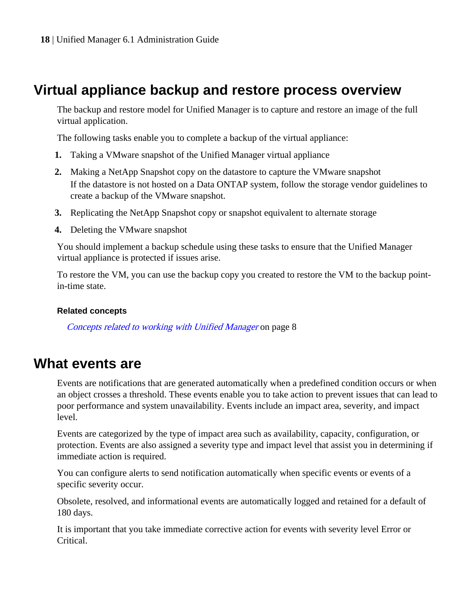# <span id="page-17-0"></span>**Virtual appliance backup and restore process overview**

The backup and restore model for Unified Manager is to capture and restore an image of the full virtual application.

The following tasks enable you to complete a backup of the virtual appliance:

- **1.** Taking a VMware snapshot of the Unified Manager virtual appliance
- **2.** Making a NetApp Snapshot copy on the datastore to capture the VMware snapshot If the datastore is not hosted on a Data ONTAP system, follow the storage vendor guidelines to create a backup of the VMware snapshot.
- **3.** Replicating the NetApp Snapshot copy or snapshot equivalent to alternate storage
- **4.** Deleting the VMware snapshot

You should implement a backup schedule using these tasks to ensure that the Unified Manager virtual appliance is protected if issues arise.

To restore the VM, you can use the backup copy you created to restore the VM to the backup pointin-time state.

## **Related concepts**

[Concepts related to working with Unified Manager](#page-7-0) on page 8

# **What events are**

Events are notifications that are generated automatically when a predefined condition occurs or when an object crosses a threshold. These events enable you to take action to prevent issues that can lead to poor performance and system unavailability. Events include an impact area, severity, and impact level.

Events are categorized by the type of impact area such as availability, capacity, configuration, or protection. Events are also assigned a severity type and impact level that assist you in determining if immediate action is required.

You can configure alerts to send notification automatically when specific events or events of a specific severity occur.

Obsolete, resolved, and informational events are automatically logged and retained for a default of 180 days.

It is important that you take immediate corrective action for events with severity level Error or Critical.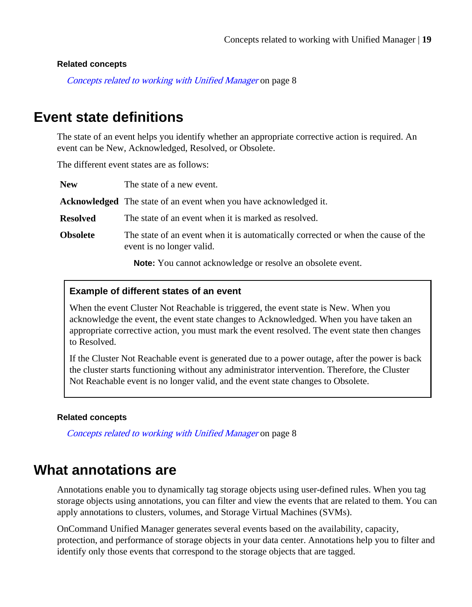#### <span id="page-18-0"></span>**Related concepts**

[Concepts related to working with Unified Manager](#page-7-0) on page 8

# **Event state definitions**

The state of an event helps you identify whether an appropriate corrective action is required. An event can be New, Acknowledged, Resolved, or Obsolete.

The different event states are as follows:

| <b>New</b>      | The state of a new event.                                                                                      |
|-----------------|----------------------------------------------------------------------------------------------------------------|
|                 | <b>Acknowledged</b> The state of an event when you have acknowledged it.                                       |
| <b>Resolved</b> | The state of an event when it is marked as resolved.                                                           |
| <b>Obsolete</b> | The state of an event when it is automatically corrected or when the cause of the<br>event is no longer valid. |
|                 | <b>Note:</b> You cannot acknowledge or resolve an obsolete event.                                              |

#### **Example of different states of an event**

When the event Cluster Not Reachable is triggered, the event state is New. When you acknowledge the event, the event state changes to Acknowledged. When you have taken an appropriate corrective action, you must mark the event resolved. The event state then changes to Resolved.

If the Cluster Not Reachable event is generated due to a power outage, after the power is back the cluster starts functioning without any administrator intervention. Therefore, the Cluster Not Reachable event is no longer valid, and the event state changes to Obsolete.

#### **Related concepts**

[Concepts related to working with Unified Manager](#page-7-0) on page 8

# **What annotations are**

Annotations enable you to dynamically tag storage objects using user-defined rules. When you tag storage objects using annotations, you can filter and view the events that are related to them. You can apply annotations to clusters, volumes, and Storage Virtual Machines (SVMs).

OnCommand Unified Manager generates several events based on the availability, capacity, protection, and performance of storage objects in your data center. Annotations help you to filter and identify only those events that correspond to the storage objects that are tagged.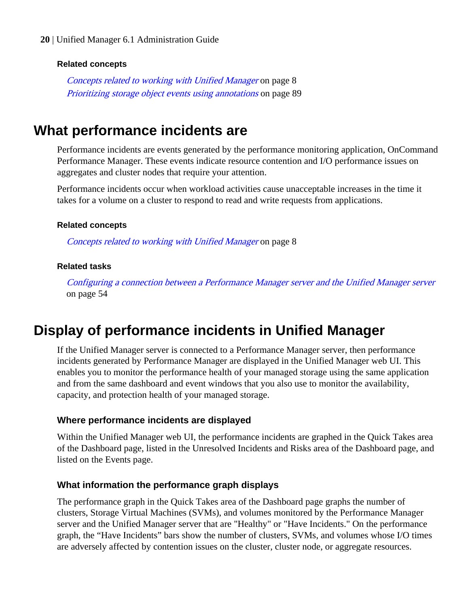#### <span id="page-19-0"></span>**Related concepts**

[Concepts related to working with Unified Manager](#page-7-0) on page 8 [Prioritizing storage object events using annotations](#page-88-0) on page 89

# **What performance incidents are**

Performance incidents are events generated by the performance monitoring application, OnCommand Performance Manager. These events indicate resource contention and I/O performance issues on aggregates and cluster nodes that require your attention.

Performance incidents occur when workload activities cause unacceptable increases in the time it takes for a volume on a cluster to respond to read and write requests from applications.

#### **Related concepts**

[Concepts related to working with Unified Manager](#page-7-0) on page 8

#### **Related tasks**

[Configuring a connection between a Performance Manager server and the Unified Manager server](#page-53-0) on page 54

# **Display of performance incidents in Unified Manager**

If the Unified Manager server is connected to a Performance Manager server, then performance incidents generated by Performance Manager are displayed in the Unified Manager web UI. This enables you to monitor the performance health of your managed storage using the same application and from the same dashboard and event windows that you also use to monitor the availability, capacity, and protection health of your managed storage.

#### **Where performance incidents are displayed**

Within the Unified Manager web UI, the performance incidents are graphed in the Quick Takes area of the Dashboard page, listed in the Unresolved Incidents and Risks area of the Dashboard page, and listed on the Events page.

#### **What information the performance graph displays**

The performance graph in the Quick Takes area of the Dashboard page graphs the number of clusters, Storage Virtual Machines (SVMs), and volumes monitored by the Performance Manager server and the Unified Manager server that are "Healthy" or "Have Incidents." On the performance graph, the "Have Incidents" bars show the number of clusters, SVMs, and volumes whose I/O times are adversely affected by contention issues on the cluster, cluster node, or aggregate resources.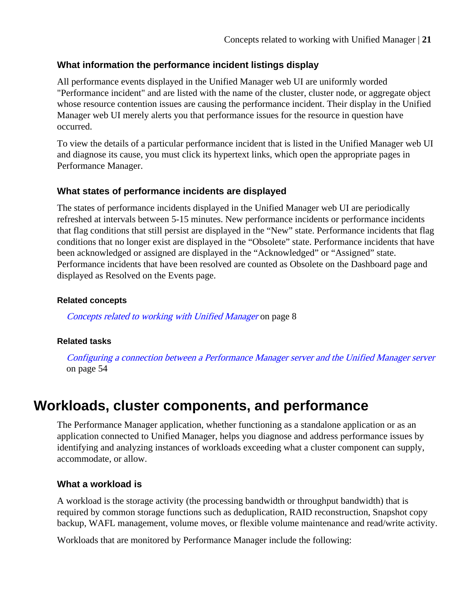# <span id="page-20-0"></span>**What information the performance incident listings display**

All performance events displayed in the Unified Manager web UI are uniformly worded "Performance incident" and are listed with the name of the cluster, cluster node, or aggregate object whose resource contention issues are causing the performance incident. Their display in the Unified Manager web UI merely alerts you that performance issues for the resource in question have occurred.

To view the details of a particular performance incident that is listed in the Unified Manager web UI and diagnose its cause, you must click its hypertext links, which open the appropriate pages in Performance Manager.

# **What states of performance incidents are displayed**

The states of performance incidents displayed in the Unified Manager web UI are periodically refreshed at intervals between 5-15 minutes. New performance incidents or performance incidents that flag conditions that still persist are displayed in the "New" state. Performance incidents that flag conditions that no longer exist are displayed in the "Obsolete" state. Performance incidents that have been acknowledged or assigned are displayed in the "Acknowledged" or "Assigned" state. Performance incidents that have been resolved are counted as Obsolete on the Dashboard page and displayed as Resolved on the Events page.

## **Related concepts**

[Concepts related to working with Unified Manager](#page-7-0) on page 8

## **Related tasks**

[Configuring a connection between a Performance Manager server and the Unified Manager server](#page-53-0) on page 54

# **Workloads, cluster components, and performance**

The Performance Manager application, whether functioning as a standalone application or as an application connected to Unified Manager, helps you diagnose and address performance issues by identifying and analyzing instances of workloads exceeding what a cluster component can supply, accommodate, or allow.

# **What a workload is**

A workload is the storage activity (the processing bandwidth or throughput bandwidth) that is required by common storage functions such as deduplication, RAID reconstruction, Snapshot copy backup, WAFL management, volume moves, or flexible volume maintenance and read/write activity.

Workloads that are monitored by Performance Manager include the following: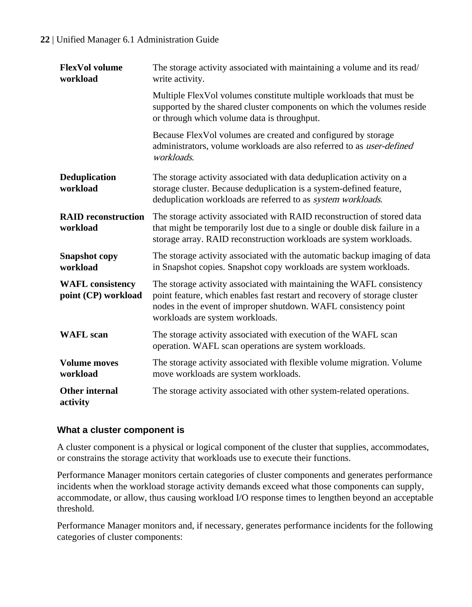| <b>FlexVol volume</b><br>workload              | The storage activity associated with maintaining a volume and its read/<br>write activity.                                                                                                                                                               |
|------------------------------------------------|----------------------------------------------------------------------------------------------------------------------------------------------------------------------------------------------------------------------------------------------------------|
|                                                | Multiple FlexVol volumes constitute multiple workloads that must be<br>supported by the shared cluster components on which the volumes reside<br>or through which volume data is throughput.                                                             |
|                                                | Because FlexVol volumes are created and configured by storage<br>administrators, volume workloads are also referred to as user-defined<br>workloads.                                                                                                     |
| <b>Deduplication</b><br>workload               | The storage activity associated with data deduplication activity on a<br>storage cluster. Because deduplication is a system-defined feature,<br>deduplication workloads are referred to as system workloads.                                             |
| <b>RAID</b> reconstruction<br>workload         | The storage activity associated with RAID reconstruction of stored data<br>that might be temporarily lost due to a single or double disk failure in a<br>storage array. RAID reconstruction workloads are system workloads.                              |
| <b>Snapshot</b> copy<br>workload               | The storage activity associated with the automatic backup imaging of data<br>in Snapshot copies. Snapshot copy workloads are system workloads.                                                                                                           |
| <b>WAFL</b> consistency<br>point (CP) workload | The storage activity associated with maintaining the WAFL consistency<br>point feature, which enables fast restart and recovery of storage cluster<br>nodes in the event of improper shutdown. WAFL consistency point<br>workloads are system workloads. |
| <b>WAFL</b> scan                               | The storage activity associated with execution of the WAFL scan<br>operation. WAFL scan operations are system workloads.                                                                                                                                 |
| <b>Volume moves</b><br>workload                | The storage activity associated with flexible volume migration. Volume<br>move workloads are system workloads.                                                                                                                                           |
| Other internal<br>activity                     | The storage activity associated with other system-related operations.                                                                                                                                                                                    |

# **What a cluster component is**

A cluster component is a physical or logical component of the cluster that supplies, accommodates, or constrains the storage activity that workloads use to execute their functions.

Performance Manager monitors certain categories of cluster components and generates performance incidents when the workload storage activity demands exceed what those components can supply, accommodate, or allow, thus causing workload I/O response times to lengthen beyond an acceptable threshold.

Performance Manager monitors and, if necessary, generates performance incidents for the following categories of cluster components: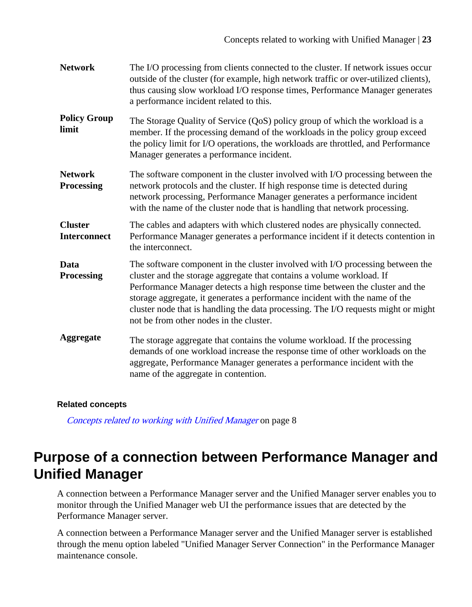<span id="page-22-0"></span>

| <b>Network</b>                        | The I/O processing from clients connected to the cluster. If network issues occur<br>outside of the cluster (for example, high network traffic or over-utilized clients),<br>thus causing slow workload I/O response times, Performance Manager generates<br>a performance incident related to this.                                                                                                                                                    |
|---------------------------------------|---------------------------------------------------------------------------------------------------------------------------------------------------------------------------------------------------------------------------------------------------------------------------------------------------------------------------------------------------------------------------------------------------------------------------------------------------------|
| <b>Policy Group</b><br>limit          | The Storage Quality of Service (QoS) policy group of which the workload is a<br>member. If the processing demand of the workloads in the policy group exceed<br>the policy limit for I/O operations, the workloads are throttled, and Performance<br>Manager generates a performance incident.                                                                                                                                                          |
| <b>Network</b><br>Processing          | The software component in the cluster involved with I/O processing between the<br>network protocols and the cluster. If high response time is detected during<br>network processing, Performance Manager generates a performance incident<br>with the name of the cluster node that is handling that network processing.                                                                                                                                |
| <b>Cluster</b><br><b>Interconnect</b> | The cables and adapters with which clustered nodes are physically connected.<br>Performance Manager generates a performance incident if it detects contention in<br>the interconnect.                                                                                                                                                                                                                                                                   |
| Data<br>Processing                    | The software component in the cluster involved with I/O processing between the<br>cluster and the storage aggregate that contains a volume workload. If<br>Performance Manager detects a high response time between the cluster and the<br>storage aggregate, it generates a performance incident with the name of the<br>cluster node that is handling the data processing. The I/O requests might or might<br>not be from other nodes in the cluster. |
| Aggregate                             | The storage aggregate that contains the volume workload. If the processing<br>demands of one workload increase the response time of other workloads on the<br>aggregate, Performance Manager generates a performance incident with the<br>name of the aggregate in contention.                                                                                                                                                                          |

## **Related concepts**

[Concepts related to working with Unified Manager](#page-7-0) on page 8

# **Purpose of a connection between Performance Manager and Unified Manager**

A connection between a Performance Manager server and the Unified Manager server enables you to monitor through the Unified Manager web UI the performance issues that are detected by the Performance Manager server.

A connection between a Performance Manager server and the Unified Manager server is established through the menu option labeled "Unified Manager Server Connection" in the Performance Manager maintenance console.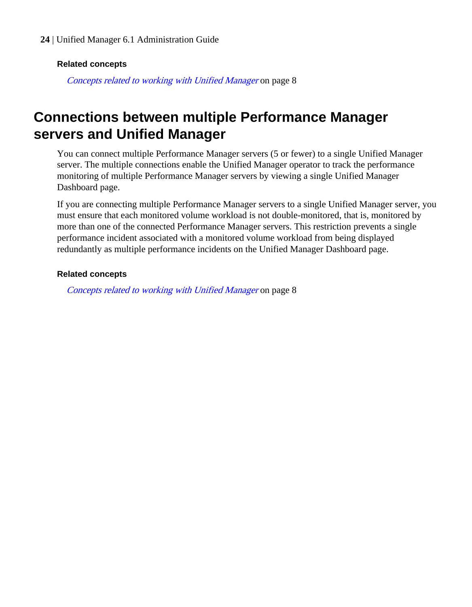#### <span id="page-23-0"></span>**Related concepts**

[Concepts related to working with Unified Manager](#page-7-0) on page 8

# **Connections between multiple Performance Manager servers and Unified Manager**

You can connect multiple Performance Manager servers (5 or fewer) to a single Unified Manager server. The multiple connections enable the Unified Manager operator to track the performance monitoring of multiple Performance Manager servers by viewing a single Unified Manager Dashboard page.

If you are connecting multiple Performance Manager servers to a single Unified Manager server, you must ensure that each monitored volume workload is not double-monitored, that is, monitored by more than one of the connected Performance Manager servers. This restriction prevents a single performance incident associated with a monitored volume workload from being displayed redundantly as multiple performance incidents on the Unified Manager Dashboard page.

#### **Related concepts**

[Concepts related to working with Unified Manager](#page-7-0) on page 8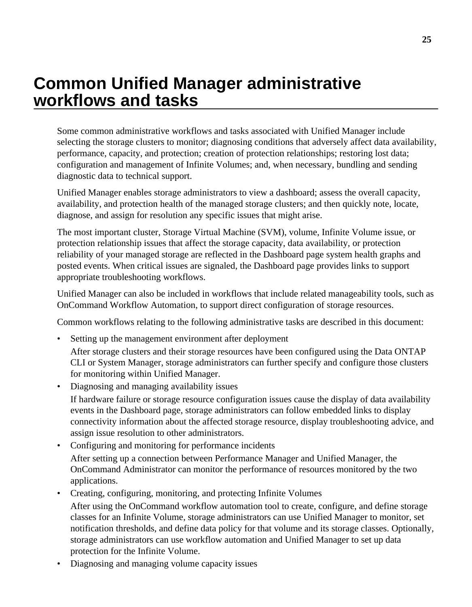# <span id="page-24-0"></span>**Common Unified Manager administrative workflows and tasks**

Some common administrative workflows and tasks associated with Unified Manager include selecting the storage clusters to monitor; diagnosing conditions that adversely affect data availability, performance, capacity, and protection; creation of protection relationships; restoring lost data; configuration and management of Infinite Volumes; and, when necessary, bundling and sending diagnostic data to technical support.

Unified Manager enables storage administrators to view a dashboard; assess the overall capacity, availability, and protection health of the managed storage clusters; and then quickly note, locate, diagnose, and assign for resolution any specific issues that might arise.

The most important cluster, Storage Virtual Machine (SVM), volume, Infinite Volume issue, or protection relationship issues that affect the storage capacity, data availability, or protection reliability of your managed storage are reflected in the Dashboard page system health graphs and posted events. When critical issues are signaled, the Dashboard page provides links to support appropriate troubleshooting workflows.

Unified Manager can also be included in workflows that include related manageability tools, such as OnCommand Workflow Automation, to support direct configuration of storage resources.

Common workflows relating to the following administrative tasks are described in this document:

- Setting up the management environment after deployment After storage clusters and their storage resources have been configured using the Data ONTAP CLI or System Manager, storage administrators can further specify and configure those clusters for monitoring within Unified Manager.
- Diagnosing and managing availability issues If hardware failure or storage resource configuration issues cause the display of data availability events in the Dashboard page, storage administrators can follow embedded links to display connectivity information about the affected storage resource, display troubleshooting advice, and assign issue resolution to other administrators.
- Configuring and monitoring for performance incidents After setting up a connection between Performance Manager and Unified Manager, the OnCommand Administrator can monitor the performance of resources monitored by the two applications.
- Creating, configuring, monitoring, and protecting Infinite Volumes After using the OnCommand workflow automation tool to create, configure, and define storage classes for an Infinite Volume, storage administrators can use Unified Manager to monitor, set notification thresholds, and define data policy for that volume and its storage classes. Optionally, storage administrators can use workflow automation and Unified Manager to set up data protection for the Infinite Volume.
- Diagnosing and managing volume capacity issues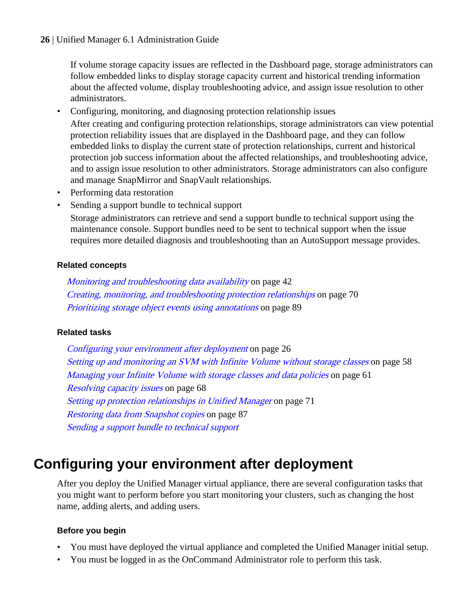<span id="page-25-0"></span>If volume storage capacity issues are reflected in the Dashboard page, storage administrators can follow embedded links to display storage capacity current and historical trending information about the affected volume, display troubleshooting advice, and assign issue resolution to other administrators.

• Configuring, monitoring, and diagnosing protection relationship issues After creating and configuring protection relationships, storage administrators can view potential protection reliability issues that are displayed in the Dashboard page, and they can follow embedded links to display the current state of protection relationships, current and historical protection job success information about the affected relationships, and troubleshooting advice, and to assign issue resolution to other administrators. Storage administrators can also configure and manage SnapMirror and SnapVault relationships.

- Performing data restoration
- Sending a support bundle to technical support

Storage administrators can retrieve and send a support bundle to technical support using the maintenance console. Support bundles need to be sent to technical support when the issue requires more detailed diagnosis and troubleshooting than an AutoSupport message provides.

#### **Related concepts**

[Monitoring and troubleshooting data availability](#page-41-0) on page 42 [Creating, monitoring, and troubleshooting protection relationships](#page-69-0) on page 70 [Prioritizing storage object events using annotations](#page-88-0) on page 89

## **Related tasks**

Configuring your environment after deployment on page 26 [Setting up and monitoring an SVM with Infinite Volume without storage classes](#page-57-0) on page 58 [Managing your Infinite Volume with storage classes and data policies](#page-60-0) on page 61 [Resolving capacity issues](#page-67-0) on page 68 [Setting up protection relationships in Unified Manager](#page-70-0) on page 71 [Restoring data from Snapshot copies](#page-86-0) on page 87 Sending a support bundle to technical support

# **Configuring your environment after deployment**

After you deploy the Unified Manager virtual appliance, there are several configuration tasks that you might want to perform before you start monitoring your clusters, such as changing the host name, adding alerts, and adding users.

## **Before you begin**

- You must have deployed the virtual appliance and completed the Unified Manager initial setup.
- You must be logged in as the OnCommand Administrator role to perform this task.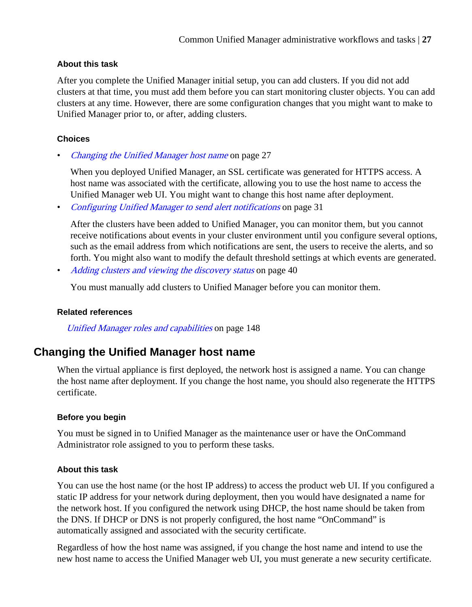## <span id="page-26-0"></span>**About this task**

After you complete the Unified Manager initial setup, you can add clusters. If you did not add clusters at that time, you must add them before you can start monitoring cluster objects. You can add clusters at any time. However, there are some configuration changes that you might want to make to Unified Manager prior to, or after, adding clusters.

# **Choices**

Changing the Unified Manager host name on page 27

When you deployed Unified Manager, an SSL certificate was generated for HTTPS access. A host name was associated with the certificate, allowing you to use the host name to access the Unified Manager web UI. You might want to change this host name after deployment.

• [Configuring Unified Manager to send alert notifications](#page-30-0) on page 31

After the clusters have been added to Unified Manager, you can monitor them, but you cannot receive notifications about events in your cluster environment until you configure several options, such as the email address from which notifications are sent, the users to receive the alerts, and so forth. You might also want to modify the default threshold settings at which events are generated.

• [Adding clusters and viewing the discovery status](#page-39-0) on page 40

You must manually add clusters to Unified Manager before you can monitor them.

## **Related references**

[Unified Manager roles and capabilities](#page-147-0) on page 148

# **Changing the Unified Manager host name**

When the virtual appliance is first deployed, the network host is assigned a name. You can change the host name after deployment. If you change the host name, you should also regenerate the HTTPS certificate.

## **Before you begin**

You must be signed in to Unified Manager as the maintenance user or have the OnCommand Administrator role assigned to you to perform these tasks.

## **About this task**

You can use the host name (or the host IP address) to access the product web UI. If you configured a static IP address for your network during deployment, then you would have designated a name for the network host. If you configured the network using DHCP, the host name should be taken from the DNS. If DHCP or DNS is not properly configured, the host name "OnCommand" is automatically assigned and associated with the security certificate.

Regardless of how the host name was assigned, if you change the host name and intend to use the new host name to access the Unified Manager web UI, you must generate a new security certificate.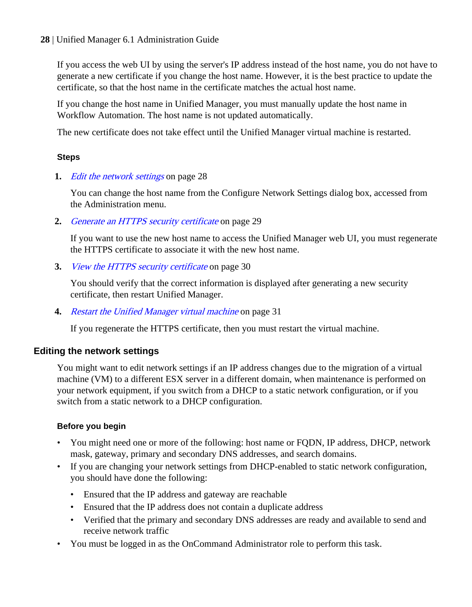If you access the web UI by using the server's IP address instead of the host name, you do not have to generate a new certificate if you change the host name. However, it is the best practice to update the certificate, so that the host name in the certificate matches the actual host name.

If you change the host name in Unified Manager, you must manually update the host name in Workflow Automation. The host name is not updated automatically.

The new certificate does not take effect until the Unified Manager virtual machine is restarted.

## **Steps**

**1.** *Edit the network settings* on page 28

You can change the host name from the Configure Network Settings dialog box, accessed from the Administration menu.

**2.** [Generate an HTTPS security certificate](#page-28-0) on page 29

If you want to use the new host name to access the Unified Manager web UI, you must regenerate the HTTPS certificate to associate it with the new host name.

**3.** [View the HTTPS security certificate](#page-29-0) on page 30

You should verify that the correct information is displayed after generating a new security certificate, then restart Unified Manager.

**4.** [Restart the Unified Manager virtual machine](#page-30-0) on page 31

If you regenerate the HTTPS certificate, then you must restart the virtual machine.

# **Editing the network settings**

You might want to edit network settings if an IP address changes due to the migration of a virtual machine (VM) to a different ESX server in a different domain, when maintenance is performed on your network equipment, if you switch from a DHCP to a static network configuration, or if you switch from a static network to a DHCP configuration.

# **Before you begin**

- You might need one or more of the following: host name or FODN, IP address, DHCP, network mask, gateway, primary and secondary DNS addresses, and search domains.
- If you are changing your network settings from DHCP-enabled to static network configuration, you should have done the following:
	- Ensured that the IP address and gateway are reachable
	- Ensured that the IP address does not contain a duplicate address
	- Verified that the primary and secondary DNS addresses are ready and available to send and receive network traffic
- You must be logged in as the OnCommand Administrator role to perform this task.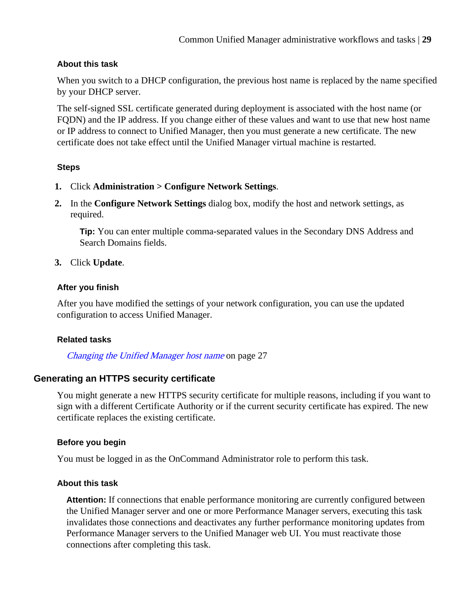## <span id="page-28-0"></span>**About this task**

When you switch to a DHCP configuration, the previous host name is replaced by the name specified by your DHCP server.

The self-signed SSL certificate generated during deployment is associated with the host name (or FQDN) and the IP address. If you change either of these values and want to use that new host name or IP address to connect to Unified Manager, then you must generate a new certificate. The new certificate does not take effect until the Unified Manager virtual machine is restarted.

## **Steps**

- **1.** Click **Administration > Configure Network Settings**.
- **2.** In the **Configure Network Settings** dialog box, modify the host and network settings, as required.

**Tip:** You can enter multiple comma-separated values in the Secondary DNS Address and Search Domains fields.

## **3.** Click **Update**.

## **After you finish**

After you have modified the settings of your network configuration, you can use the updated configuration to access Unified Manager.

## **Related tasks**

[Changing the Unified Manager host name](#page-26-0) on page 27

# **Generating an HTTPS security certificate**

You might generate a new HTTPS security certificate for multiple reasons, including if you want to sign with a different Certificate Authority or if the current security certificate has expired. The new certificate replaces the existing certificate.

## **Before you begin**

You must be logged in as the OnCommand Administrator role to perform this task.

## **About this task**

**Attention:** If connections that enable performance monitoring are currently configured between the Unified Manager server and one or more Performance Manager servers, executing this task invalidates those connections and deactivates any further performance monitoring updates from Performance Manager servers to the Unified Manager web UI. You must reactivate those connections after completing this task.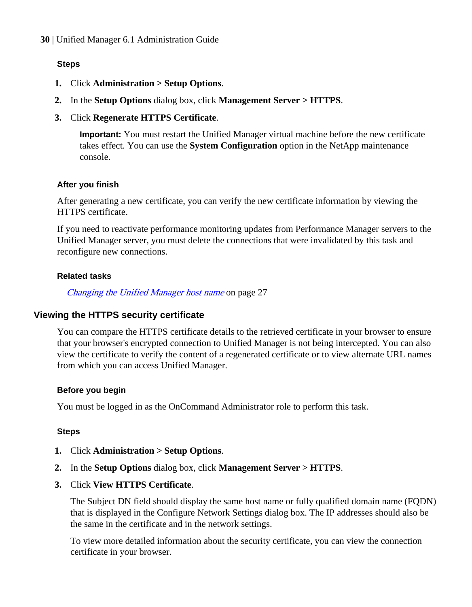## <span id="page-29-0"></span>**Steps**

- **1.** Click **Administration > Setup Options**.
- **2.** In the **Setup Options** dialog box, click **Management Server > HTTPS**.
- **3.** Click **Regenerate HTTPS Certificate**.

**Important:** You must restart the Unified Manager virtual machine before the new certificate takes effect. You can use the **System Configuration** option in the NetApp maintenance console.

#### **After you finish**

After generating a new certificate, you can verify the new certificate information by viewing the HTTPS certificate.

If you need to reactivate performance monitoring updates from Performance Manager servers to the Unified Manager server, you must delete the connections that were invalidated by this task and reconfigure new connections.

#### **Related tasks**

[Changing the Unified Manager host name](#page-26-0) on page 27

## **Viewing the HTTPS security certificate**

You can compare the HTTPS certificate details to the retrieved certificate in your browser to ensure that your browser's encrypted connection to Unified Manager is not being intercepted. You can also view the certificate to verify the content of a regenerated certificate or to view alternate URL names from which you can access Unified Manager.

#### **Before you begin**

You must be logged in as the OnCommand Administrator role to perform this task.

#### **Steps**

- **1.** Click **Administration > Setup Options**.
- **2.** In the **Setup Options** dialog box, click **Management Server > HTTPS**.
- **3.** Click **View HTTPS Certificate**.

The Subject DN field should display the same host name or fully qualified domain name (FQDN) that is displayed in the Configure Network Settings dialog box. The IP addresses should also be the same in the certificate and in the network settings.

To view more detailed information about the security certificate, you can view the connection certificate in your browser.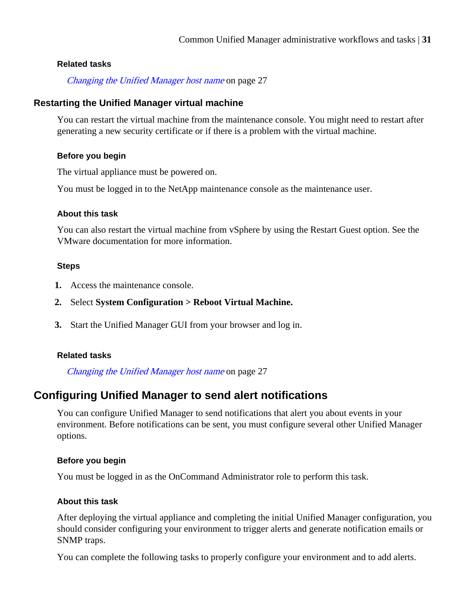#### <span id="page-30-0"></span>**Related tasks**

[Changing the Unified Manager host name](#page-26-0) on page 27

#### **Restarting the Unified Manager virtual machine**

You can restart the virtual machine from the maintenance console. You might need to restart after generating a new security certificate or if there is a problem with the virtual machine.

#### **Before you begin**

The virtual appliance must be powered on.

You must be logged in to the NetApp maintenance console as the maintenance user.

#### **About this task**

You can also restart the virtual machine from vSphere by using the Restart Guest option. See the VMware documentation for more information.

#### **Steps**

- **1.** Access the maintenance console.
- **2.** Select **System Configuration > Reboot Virtual Machine.**
- **3.** Start the Unified Manager GUI from your browser and log in.

## **Related tasks**

[Changing the Unified Manager host name](#page-26-0) on page 27

# **Configuring Unified Manager to send alert notifications**

You can configure Unified Manager to send notifications that alert you about events in your environment. Before notifications can be sent, you must configure several other Unified Manager options.

#### **Before you begin**

You must be logged in as the OnCommand Administrator role to perform this task.

## **About this task**

After deploying the virtual appliance and completing the initial Unified Manager configuration, you should consider configuring your environment to trigger alerts and generate notification emails or SNMP traps.

You can complete the following tasks to properly configure your environment and to add alerts.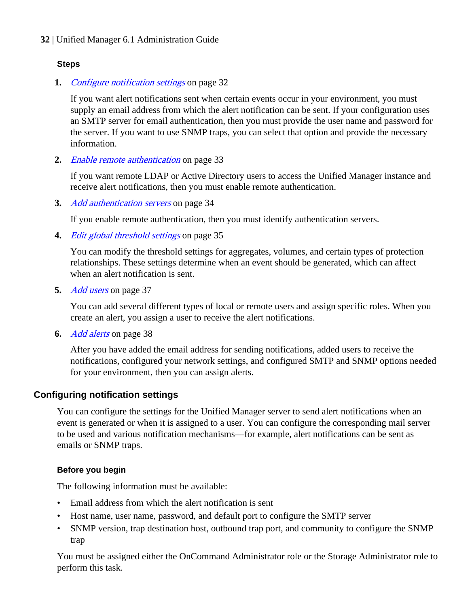## **Steps**

**1.** *Configure notification settings* on page 32

If you want alert notifications sent when certain events occur in your environment, you must supply an email address from which the alert notification can be sent. If your configuration uses an SMTP server for email authentication, then you must provide the user name and password for the server. If you want to use SNMP traps, you can select that option and provide the necessary information.

**2.** [Enable remote authentication](#page-32-0) on page 33

If you want remote LDAP or Active Directory users to access the Unified Manager instance and receive alert notifications, then you must enable remote authentication.

**3.** [Add authentication servers](#page-33-0) on page 34

If you enable remote authentication, then you must identify authentication servers.

**4.** [Edit global threshold settings](#page-34-0) on page 35

You can modify the threshold settings for aggregates, volumes, and certain types of protection relationships. These settings determine when an event should be generated, which can affect when an alert notification is sent.

**5.** [Add users](#page-36-0) on page 37

You can add several different types of local or remote users and assign specific roles. When you create an alert, you assign a user to receive the alert notifications.

**6.** [Add alerts](#page-37-0) on page 38

After you have added the email address for sending notifications, added users to receive the notifications, configured your network settings, and configured SMTP and SNMP options needed for your environment, then you can assign alerts.

# **Configuring notification settings**

You can configure the settings for the Unified Manager server to send alert notifications when an event is generated or when it is assigned to a user. You can configure the corresponding mail server to be used and various notification mechanisms—for example, alert notifications can be sent as emails or SNMP traps.

# **Before you begin**

The following information must be available:

- Email address from which the alert notification is sent
- Host name, user name, password, and default port to configure the SMTP server
- SNMP version, trap destination host, outbound trap port, and community to configure the SNMP trap

You must be assigned either the OnCommand Administrator role or the Storage Administrator role to perform this task.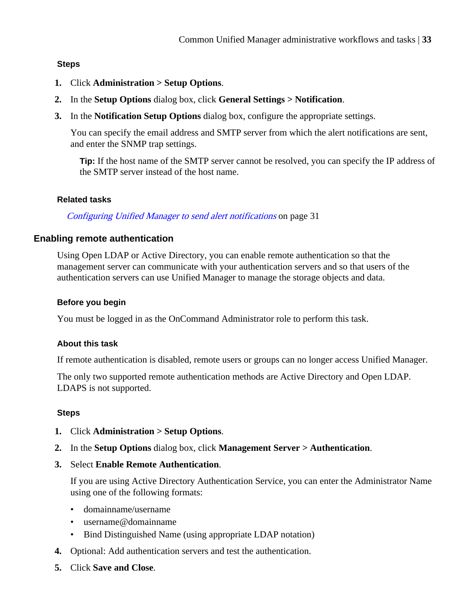## <span id="page-32-0"></span>**Steps**

- **1.** Click **Administration > Setup Options**.
- **2.** In the **Setup Options** dialog box, click **General Settings > Notification**.
- **3.** In the **Notification Setup Options** dialog box, configure the appropriate settings.

You can specify the email address and SMTP server from which the alert notifications are sent, and enter the SNMP trap settings.

**Tip:** If the host name of the SMTP server cannot be resolved, you can specify the IP address of the SMTP server instead of the host name.

#### **Related tasks**

[Configuring Unified Manager to send alert notifications](#page-30-0) on page 31

## **Enabling remote authentication**

Using Open LDAP or Active Directory, you can enable remote authentication so that the management server can communicate with your authentication servers and so that users of the authentication servers can use Unified Manager to manage the storage objects and data.

#### **Before you begin**

You must be logged in as the OnCommand Administrator role to perform this task.

#### **About this task**

If remote authentication is disabled, remote users or groups can no longer access Unified Manager.

The only two supported remote authentication methods are Active Directory and Open LDAP. LDAPS is not supported.

## **Steps**

- **1.** Click **Administration > Setup Options**.
- **2.** In the **Setup Options** dialog box, click **Management Server > Authentication**.
- **3.** Select **Enable Remote Authentication**.

If you are using Active Directory Authentication Service, you can enter the Administrator Name using one of the following formats:

- domainname/username
- username@domainname
- Bind Distinguished Name (using appropriate LDAP notation)
- **4.** Optional: Add authentication servers and test the authentication.
- **5.** Click **Save and Close**.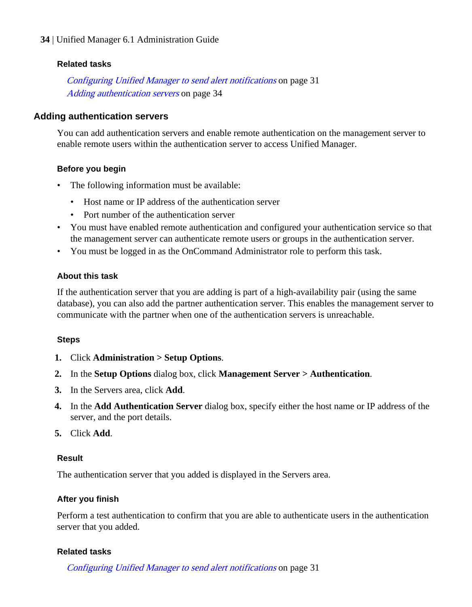#### <span id="page-33-0"></span>**Related tasks**

[Configuring Unified Manager to send alert notifications](#page-30-0) on page 31 Adding authentication servers on page 34

#### **Adding authentication servers**

You can add authentication servers and enable remote authentication on the management server to enable remote users within the authentication server to access Unified Manager.

#### **Before you begin**

- The following information must be available:
	- Host name or IP address of the authentication server
	- Port number of the authentication server
- You must have enabled remote authentication and configured your authentication service so that the management server can authenticate remote users or groups in the authentication server.
- You must be logged in as the OnCommand Administrator role to perform this task.

#### **About this task**

If the authentication server that you are adding is part of a high-availability pair (using the same database), you can also add the partner authentication server. This enables the management server to communicate with the partner when one of the authentication servers is unreachable.

#### **Steps**

- **1.** Click **Administration > Setup Options**.
- **2.** In the **Setup Options** dialog box, click **Management Server > Authentication**.
- **3.** In the Servers area, click **Add**.
- **4.** In the **Add Authentication Server** dialog box, specify either the host name or IP address of the server, and the port details.
- **5.** Click **Add**.

#### **Result**

The authentication server that you added is displayed in the Servers area.

#### **After you finish**

Perform a test authentication to confirm that you are able to authenticate users in the authentication server that you added.

#### **Related tasks**

[Configuring Unified Manager to send alert notifications](#page-30-0) on page 31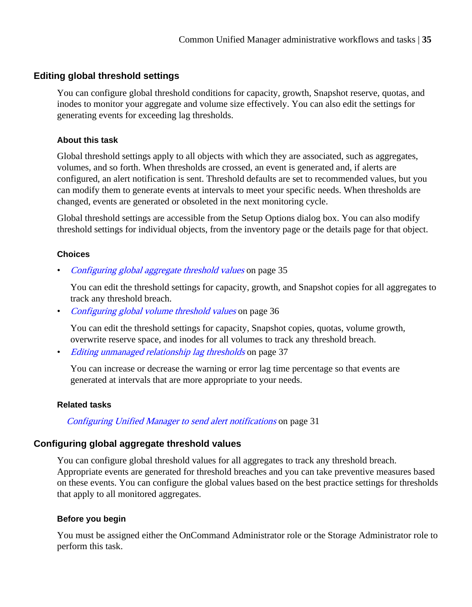# <span id="page-34-0"></span>**Editing global threshold settings**

You can configure global threshold conditions for capacity, growth, Snapshot reserve, quotas, and inodes to monitor your aggregate and volume size effectively. You can also edit the settings for generating events for exceeding lag thresholds.

#### **About this task**

Global threshold settings apply to all objects with which they are associated, such as aggregates, volumes, and so forth. When thresholds are crossed, an event is generated and, if alerts are configured, an alert notification is sent. Threshold defaults are set to recommended values, but you can modify them to generate events at intervals to meet your specific needs. When thresholds are changed, events are generated or obsoleted in the next monitoring cycle.

Global threshold settings are accessible from the Setup Options dialog box. You can also modify threshold settings for individual objects, from the inventory page or the details page for that object.

## **Choices**

• Configuring global aggregate threshold values on page 35

You can edit the threshold settings for capacity, growth, and Snapshot copies for all aggregates to track any threshold breach.

• [Configuring global volume threshold values](#page-35-0) on page 36

You can edit the threshold settings for capacity, Snapshot copies, quotas, volume growth, overwrite reserve space, and inodes for all volumes to track any threshold breach.

• [Editing unmanaged relationship lag thresholds](#page-36-0) on page 37

You can increase or decrease the warning or error lag time percentage so that events are generated at intervals that are more appropriate to your needs.

## **Related tasks**

[Configuring Unified Manager to send alert notifications](#page-30-0) on page 31

# **Configuring global aggregate threshold values**

You can configure global threshold values for all aggregates to track any threshold breach. Appropriate events are generated for threshold breaches and you can take preventive measures based on these events. You can configure the global values based on the best practice settings for thresholds that apply to all monitored aggregates.

## **Before you begin**

You must be assigned either the OnCommand Administrator role or the Storage Administrator role to perform this task.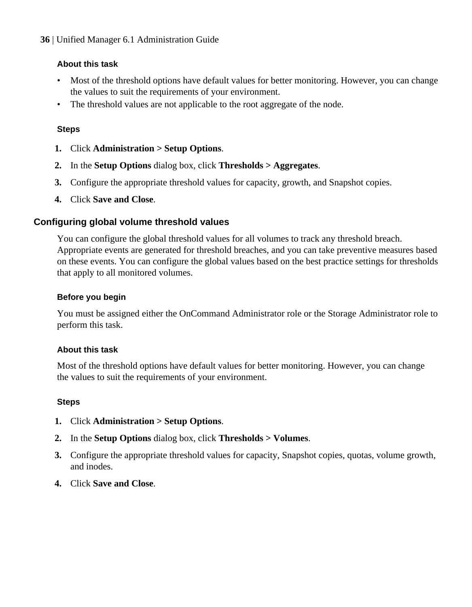# <span id="page-35-0"></span>**About this task**

- Most of the threshold options have default values for better monitoring. However, you can change the values to suit the requirements of your environment.
- The threshold values are not applicable to the root aggregate of the node.

# **Steps**

- **1.** Click **Administration > Setup Options**.
- **2.** In the **Setup Options** dialog box, click **Thresholds > Aggregates**.
- **3.** Configure the appropriate threshold values for capacity, growth, and Snapshot copies.
- **4.** Click **Save and Close**.

# **Configuring global volume threshold values**

You can configure the global threshold values for all volumes to track any threshold breach. Appropriate events are generated for threshold breaches, and you can take preventive measures based on these events. You can configure the global values based on the best practice settings for thresholds that apply to all monitored volumes.

## **Before you begin**

You must be assigned either the OnCommand Administrator role or the Storage Administrator role to perform this task.

## **About this task**

Most of the threshold options have default values for better monitoring. However, you can change the values to suit the requirements of your environment.

## **Steps**

- **1.** Click **Administration > Setup Options**.
- **2.** In the **Setup Options** dialog box, click **Thresholds > Volumes**.
- **3.** Configure the appropriate threshold values for capacity, Snapshot copies, quotas, volume growth, and inodes.
- **4.** Click **Save and Close**.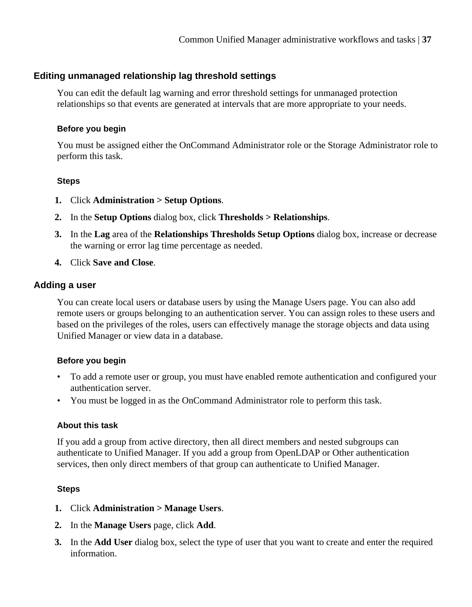# **Editing unmanaged relationship lag threshold settings**

You can edit the default lag warning and error threshold settings for unmanaged protection relationships so that events are generated at intervals that are more appropriate to your needs.

#### **Before you begin**

You must be assigned either the OnCommand Administrator role or the Storage Administrator role to perform this task.

#### **Steps**

- **1.** Click **Administration > Setup Options**.
- **2.** In the **Setup Options** dialog box, click **Thresholds > Relationships**.
- **3.** In the **Lag** area of the **Relationships Thresholds Setup Options** dialog box, increase or decrease the warning or error lag time percentage as needed.
- **4.** Click **Save and Close**.

# **Adding a user**

You can create local users or database users by using the Manage Users page. You can also add remote users or groups belonging to an authentication server. You can assign roles to these users and based on the privileges of the roles, users can effectively manage the storage objects and data using Unified Manager or view data in a database.

# **Before you begin**

- To add a remote user or group, you must have enabled remote authentication and configured your authentication server.
- You must be logged in as the OnCommand Administrator role to perform this task.

# **About this task**

If you add a group from active directory, then all direct members and nested subgroups can authenticate to Unified Manager. If you add a group from OpenLDAP or Other authentication services, then only direct members of that group can authenticate to Unified Manager.

# **Steps**

- **1.** Click **Administration > Manage Users**.
- **2.** In the **Manage Users** page, click **Add**.
- **3.** In the **Add User** dialog box, select the type of user that you want to create and enter the required information.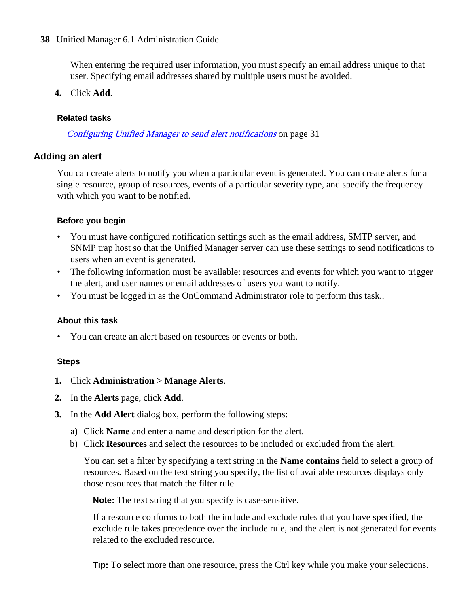<span id="page-37-0"></span>When entering the required user information, you must specify an email address unique to that user. Specifying email addresses shared by multiple users must be avoided.

**4.** Click **Add**.

#### **Related tasks**

[Configuring Unified Manager to send alert notifications](#page-30-0) on page 31

# **Adding an alert**

You can create alerts to notify you when a particular event is generated. You can create alerts for a single resource, group of resources, events of a particular severity type, and specify the frequency with which you want to be notified.

#### **Before you begin**

- You must have configured notification settings such as the email address, SMTP server, and SNMP trap host so that the Unified Manager server can use these settings to send notifications to users when an event is generated.
- The following information must be available: resources and events for which you want to trigger the alert, and user names or email addresses of users you want to notify.
- You must be logged in as the OnCommand Administrator role to perform this task..

#### **About this task**

• You can create an alert based on resources or events or both.

#### **Steps**

- **1.** Click **Administration > Manage Alerts**.
- **2.** In the **Alerts** page, click **Add**.
- **3.** In the **Add Alert** dialog box, perform the following steps:
	- a) Click **Name** and enter a name and description for the alert.
	- b) Click **Resources** and select the resources to be included or excluded from the alert.

You can set a filter by specifying a text string in the **Name contains** field to select a group of resources. Based on the text string you specify, the list of available resources displays only those resources that match the filter rule.

**Note:** The text string that you specify is case-sensitive.

If a resource conforms to both the include and exclude rules that you have specified, the exclude rule takes precedence over the include rule, and the alert is not generated for events related to the excluded resource.

**Tip:** To select more than one resource, press the Ctrl key while you make your selections.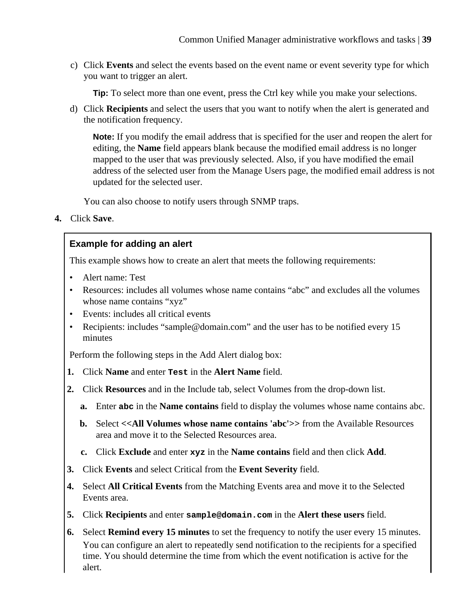c) Click **Events** and select the events based on the event name or event severity type for which you want to trigger an alert.

**Tip:** To select more than one event, press the Ctrl key while you make your selections.

d) Click **Recipients** and select the users that you want to notify when the alert is generated and the notification frequency.

**Note:** If you modify the email address that is specified for the user and reopen the alert for editing, the **Name** field appears blank because the modified email address is no longer mapped to the user that was previously selected. Also, if you have modified the email address of the selected user from the Manage Users page, the modified email address is not updated for the selected user.

You can also choose to notify users through SNMP traps.

**4.** Click **Save**.

# **Example for adding an alert**

This example shows how to create an alert that meets the following requirements:

- Alert name: Test
- Resources: includes all volumes whose name contains "abc" and excludes all the volumes whose name contains "xyz"
- Events: includes all critical events
- Recipients: includes "sample@domain.com" and the user has to be notified every 15 minutes

Perform the following steps in the Add Alert dialog box:

- **1.** Click **Name** and enter **Test** in the **Alert Name** field.
- **2.** Click **Resources** and in the Include tab, select Volumes from the drop-down list.
	- **a.** Enter **abc** in the **Name contains** field to display the volumes whose name contains abc.
	- **b.** Select <<**All Volumes whose name contains 'abc'>>** from the Available Resources area and move it to the Selected Resources area.
	- **c.** Click **Exclude** and enter **xyz** in the **Name contains** field and then click **Add**.
- **3.** Click **Events** and select Critical from the **Event Severity** field.
- **4.** Select **All Critical Events** from the Matching Events area and move it to the Selected Events area.
- **5.** Click **Recipients** and enter **sample@domain.com** in the **Alert these users** field.
- **6.** Select **Remind every 15 minutes** to set the frequency to notify the user every 15 minutes. You can configure an alert to repeatedly send notification to the recipients for a specified time. You should determine the time from which the event notification is active for the alert.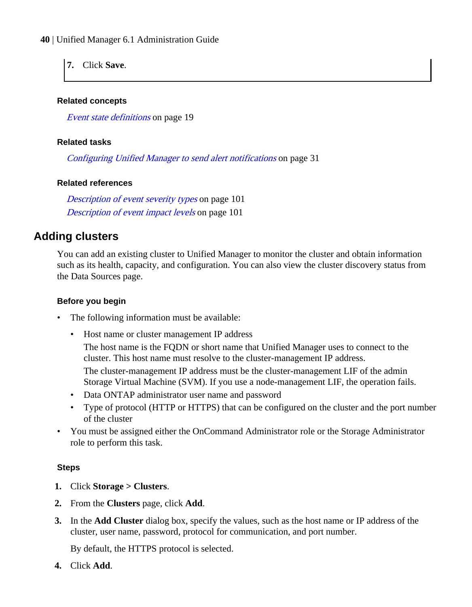<span id="page-39-0"></span>**7.** Click **Save**.

#### **Related concepts**

[Event state definitions](#page-18-0) on page 19

#### **Related tasks**

[Configuring Unified Manager to send alert notifications](#page-30-0) on page 31

# **Related references**

[Description of event severity types](#page-100-0) on page 101 [Description of event impact levels](#page-100-0) on page 101

# **Adding clusters**

You can add an existing cluster to Unified Manager to monitor the cluster and obtain information such as its health, capacity, and configuration. You can also view the cluster discovery status from the Data Sources page.

#### **Before you begin**

- The following information must be available:
	- Host name or cluster management IP address

The host name is the FQDN or short name that Unified Manager uses to connect to the cluster. This host name must resolve to the cluster-management IP address. The cluster-management IP address must be the cluster-management LIF of the admin Storage Virtual Machine (SVM). If you use a node-management LIF, the operation fails.

- Data ONTAP administrator user name and password
- Type of protocol (HTTP or HTTPS) that can be configured on the cluster and the port number of the cluster
- You must be assigned either the OnCommand Administrator role or the Storage Administrator role to perform this task.

# **Steps**

- **1.** Click **Storage > Clusters**.
- **2.** From the **Clusters** page, click **Add**.
- **3.** In the **Add Cluster** dialog box, specify the values, such as the host name or IP address of the cluster, user name, password, protocol for communication, and port number.

By default, the HTTPS protocol is selected.

**4.** Click **Add**.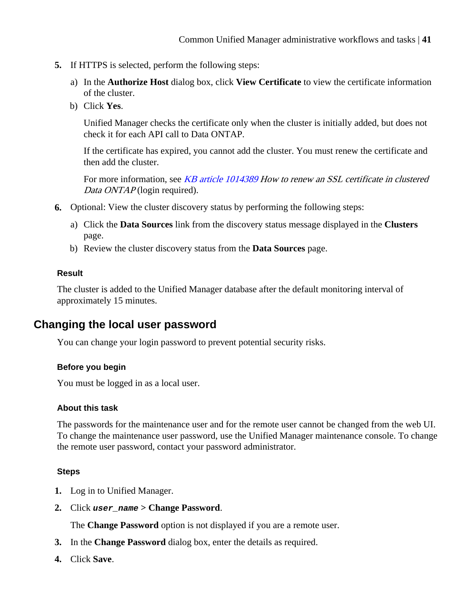- **5.** If HTTPS is selected, perform the following steps:
	- a) In the **Authorize Host** dialog box, click **View Certificate** to view the certificate information of the cluster.
	- b) Click **Yes**.

Unified Manager checks the certificate only when the cluster is initially added, but does not check it for each API call to Data ONTAP.

If the certificate has expired, you cannot add the cluster. You must renew the certificate and then add the cluster.

For more information, see [KB article 1014389](https://kb.netapp.com/support/index?page=content&id=1014389) How to renew an SSL certificate in clustered Data ONTAP (login required).

- **6.** Optional: View the cluster discovery status by performing the following steps:
	- a) Click the **Data Sources** link from the discovery status message displayed in the **Clusters** page.
	- b) Review the cluster discovery status from the **Data Sources** page.

#### **Result**

The cluster is added to the Unified Manager database after the default monitoring interval of approximately 15 minutes.

# **Changing the local user password**

You can change your login password to prevent potential security risks.

# **Before you begin**

You must be logged in as a local user.

#### **About this task**

The passwords for the maintenance user and for the remote user cannot be changed from the web UI. To change the maintenance user password, use the Unified Manager maintenance console. To change the remote user password, contact your password administrator.

#### **Steps**

- **1.** Log in to Unified Manager.
- **2.** Click **user\_name > Change Password**.

The **Change Password** option is not displayed if you are a remote user.

- **3.** In the **Change Password** dialog box, enter the details as required.
- **4.** Click **Save**.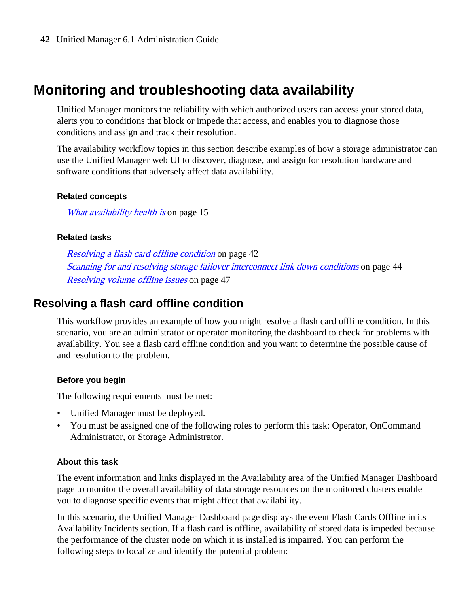# **Monitoring and troubleshooting data availability**

Unified Manager monitors the reliability with which authorized users can access your stored data, alerts you to conditions that block or impede that access, and enables you to diagnose those conditions and assign and track their resolution.

The availability workflow topics in this section describe examples of how a storage administrator can use the Unified Manager web UI to discover, diagnose, and assign for resolution hardware and software conditions that adversely affect data availability.

#### **Related concepts**

[What availability health is](#page-14-0) on page 15

#### **Related tasks**

Resolving a flash card offline condition on page 42 [Scanning for and resolving storage failover interconnect link down conditions](#page-43-0) on page 44 [Resolving volume offline issues](#page-46-0) on page 47

# **Resolving a flash card offline condition**

This workflow provides an example of how you might resolve a flash card offline condition. In this scenario, you are an administrator or operator monitoring the dashboard to check for problems with availability. You see a flash card offline condition and you want to determine the possible cause of and resolution to the problem.

# **Before you begin**

The following requirements must be met:

- Unified Manager must be deployed.
- You must be assigned one of the following roles to perform this task: Operator, OnCommand Administrator, or Storage Administrator.

# **About this task**

The event information and links displayed in the Availability area of the Unified Manager Dashboard page to monitor the overall availability of data storage resources on the monitored clusters enable you to diagnose specific events that might affect that availability.

In this scenario, the Unified Manager Dashboard page displays the event Flash Cards Offline in its Availability Incidents section. If a flash card is offline, availability of stored data is impeded because the performance of the cluster node on which it is installed is impaired. You can perform the following steps to localize and identify the potential problem: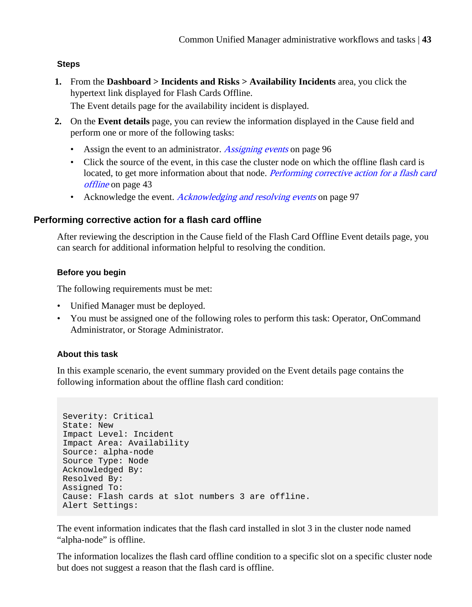# **Steps**

- **1.** From the **Dashboard > Incidents and Risks > Availability Incidents** area, you click the hypertext link displayed for Flash Cards Offline. The Event details page for the availability incident is displayed.
- **2.** On the **Event details** page, you can review the information displayed in the Cause field and perform one or more of the following tasks:
	- Assign the event to an administrator. [Assigning events](#page-95-0) on page 96
	- Click the source of the event, in this case the cluster node on which the offline flash card is located, to get more information about that node. Performing corrective action for a flash card offline on page 43
	- Acknowledge the event. *[Acknowledging and resolving events](#page-96-0)* on page 97

# **Performing corrective action for a flash card offline**

After reviewing the description in the Cause field of the Flash Card Offline Event details page, you can search for additional information helpful to resolving the condition.

# **Before you begin**

The following requirements must be met:

- Unified Manager must be deployed.
- You must be assigned one of the following roles to perform this task: Operator, OnCommand Administrator, or Storage Administrator.

# **About this task**

In this example scenario, the event summary provided on the Event details page contains the following information about the offline flash card condition:

```
Severity: Critical
State: New
Impact Level: Incident
Impact Area: Availability
Source: alpha-node
Source Type: Node
Acknowledged By:
Resolved By:
Assigned To:
Cause: Flash cards at slot numbers 3 are offline.
Alert Settings:
```
The event information indicates that the flash card installed in slot 3 in the cluster node named "alpha-node" is offline.

The information localizes the flash card offline condition to a specific slot on a specific cluster node but does not suggest a reason that the flash card is offline.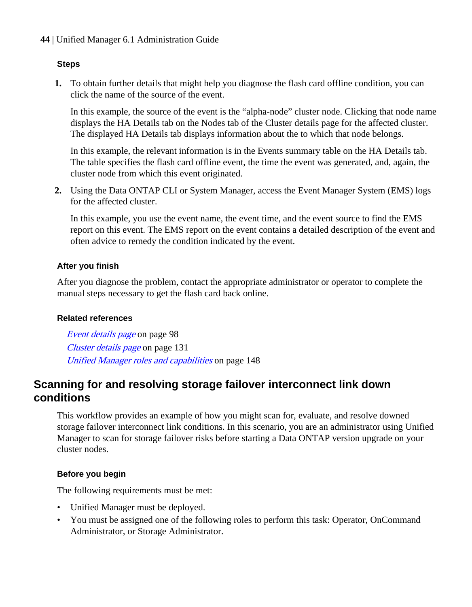#### <span id="page-43-0"></span>**Steps**

**1.** To obtain further details that might help you diagnose the flash card offline condition, you can click the name of the source of the event.

In this example, the source of the event is the "alpha-node" cluster node. Clicking that node name displays the HA Details tab on the Nodes tab of the Cluster details page for the affected cluster. The displayed HA Details tab displays information about the to which that node belongs.

In this example, the relevant information is in the Events summary table on the HA Details tab. The table specifies the flash card offline event, the time the event was generated, and, again, the cluster node from which this event originated.

**2.** Using the Data ONTAP CLI or System Manager, access the Event Manager System (EMS) logs for the affected cluster.

In this example, you use the event name, the event time, and the event source to find the EMS report on this event. The EMS report on the event contains a detailed description of the event and often advice to remedy the condition indicated by the event.

#### **After you finish**

After you diagnose the problem, contact the appropriate administrator or operator to complete the manual steps necessary to get the flash card back online.

#### **Related references**

[Event details page](#page-97-0) on page 98 [Cluster details page](#page-130-0) on page 131 [Unified Manager roles and capabilities](#page-147-0) on page 148

# **Scanning for and resolving storage failover interconnect link down conditions**

This workflow provides an example of how you might scan for, evaluate, and resolve downed storage failover interconnect link conditions. In this scenario, you are an administrator using Unified Manager to scan for storage failover risks before starting a Data ONTAP version upgrade on your cluster nodes.

# **Before you begin**

The following requirements must be met:

- Unified Manager must be deployed.
- You must be assigned one of the following roles to perform this task: Operator, OnCommand Administrator, or Storage Administrator.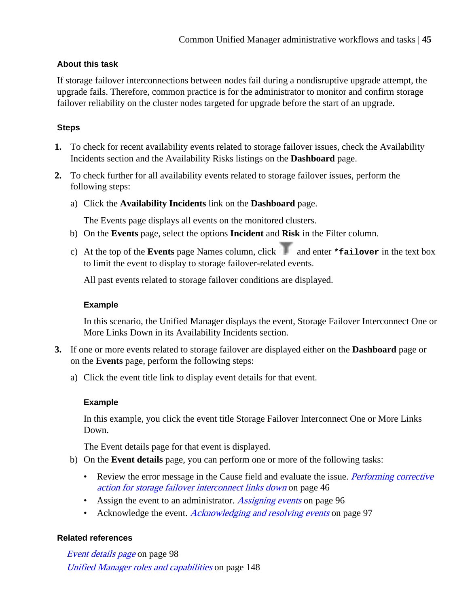# **About this task**

If storage failover interconnections between nodes fail during a nondisruptive upgrade attempt, the upgrade fails. Therefore, common practice is for the administrator to monitor and confirm storage failover reliability on the cluster nodes targeted for upgrade before the start of an upgrade.

# **Steps**

- **1.** To check for recent availability events related to storage failover issues, check the Availability Incidents section and the Availability Risks listings on the **Dashboard** page.
- **2.** To check further for all availability events related to storage failover issues, perform the following steps:
	- a) Click the **Availability Incidents** link on the **Dashboard** page.

The Events page displays all events on the monitored clusters.

- b) On the **Events** page, select the options **Incident** and **Risk** in the Filter column.
- c) At the top of the **Events** page Names column, click and enter **\*failover** in the text box to limit the event to display to storage failover-related events.

All past events related to storage failover conditions are displayed.

# **Example**

In this scenario, the Unified Manager displays the event, Storage Failover Interconnect One or More Links Down in its Availability Incidents section.

- **3.** If one or more events related to storage failover are displayed either on the **Dashboard** page or on the **Events** page, perform the following steps:
	- a) Click the event title link to display event details for that event.

# **Example**

In this example, you click the event title Storage Failover Interconnect One or More Links Down.

The Event details page for that event is displayed.

- b) On the **Event details** page, you can perform one or more of the following tasks:
	- Review the error message in the Cause field and evaluate the issue. *[Performing corrective](#page-45-0)* [action for storage failover interconnect links down](#page-45-0) on page 46
	- Assign the event to an administrator. [Assigning events](#page-95-0) on page 96
	- Acknowledge the event. *[Acknowledging and resolving events](#page-96-0)* on page 97

# **Related references**

[Event details page](#page-97-0) on page 98 [Unified Manager roles and capabilities](#page-147-0) on page 148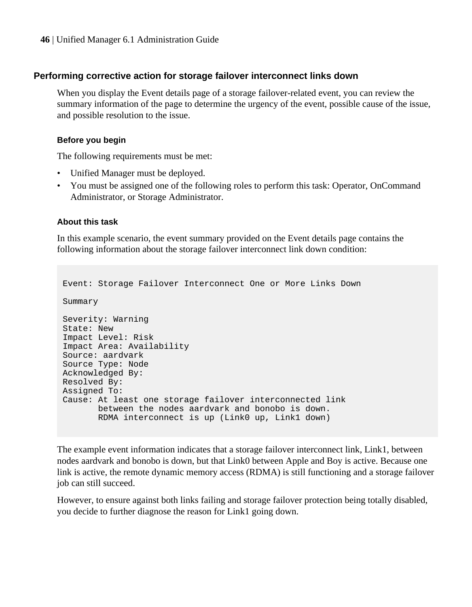#### <span id="page-45-0"></span>**Performing corrective action for storage failover interconnect links down**

When you display the Event details page of a storage failover-related event, you can review the summary information of the page to determine the urgency of the event, possible cause of the issue, and possible resolution to the issue.

#### **Before you begin**

The following requirements must be met:

- Unified Manager must be deployed.
- You must be assigned one of the following roles to perform this task: Operator, OnCommand Administrator, or Storage Administrator.

#### **About this task**

In this example scenario, the event summary provided on the Event details page contains the following information about the storage failover interconnect link down condition:

```
Event: Storage Failover Interconnect One or More Links Down
Summary
Severity: Warning
State: New
Impact Level: Risk
Impact Area: Availability
Source: aardvark
Source Type: Node
Acknowledged By:
Resolved By:
Assigned To:
Cause: At least one storage failover interconnected link 
        between the nodes aardvark and bonobo is down.
        RDMA interconnect is up (Link0 up, Link1 down)
```
The example event information indicates that a storage failover interconnect link, Link1, between nodes aardvark and bonobo is down, but that Link0 between Apple and Boy is active. Because one link is active, the remote dynamic memory access (RDMA) is still functioning and a storage failover job can still succeed.

However, to ensure against both links failing and storage failover protection being totally disabled, you decide to further diagnose the reason for Link1 going down.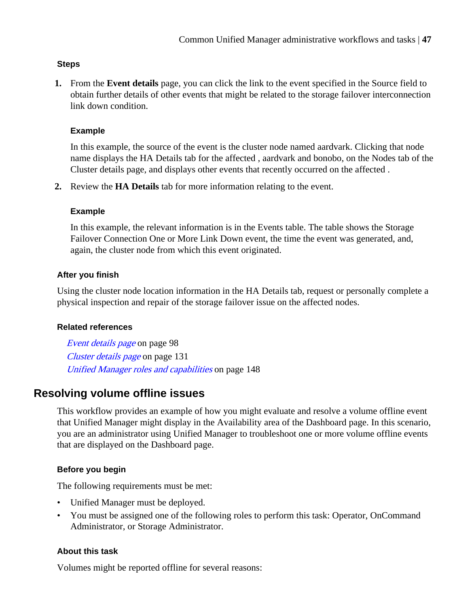# <span id="page-46-0"></span>**Steps**

**1.** From the **Event details** page, you can click the link to the event specified in the Source field to obtain further details of other events that might be related to the storage failover interconnection link down condition.

# **Example**

In this example, the source of the event is the cluster node named aardvark. Clicking that node name displays the HA Details tab for the affected , aardvark and bonobo, on the Nodes tab of the Cluster details page, and displays other events that recently occurred on the affected .

**2.** Review the **HA Details** tab for more information relating to the event.

# **Example**

In this example, the relevant information is in the Events table. The table shows the Storage Failover Connection One or More Link Down event, the time the event was generated, and, again, the cluster node from which this event originated.

# **After you finish**

Using the cluster node location information in the HA Details tab, request or personally complete a physical inspection and repair of the storage failover issue on the affected nodes.

# **Related references**

[Event details page](#page-97-0) on page 98 [Cluster details page](#page-130-0) on page 131 [Unified Manager roles and capabilities](#page-147-0) on page 148

# **Resolving volume offline issues**

This workflow provides an example of how you might evaluate and resolve a volume offline event that Unified Manager might display in the Availability area of the Dashboard page. In this scenario, you are an administrator using Unified Manager to troubleshoot one or more volume offline events that are displayed on the Dashboard page.

# **Before you begin**

The following requirements must be met:

- Unified Manager must be deployed.
- You must be assigned one of the following roles to perform this task: Operator, OnCommand Administrator, or Storage Administrator.

# **About this task**

Volumes might be reported offline for several reasons: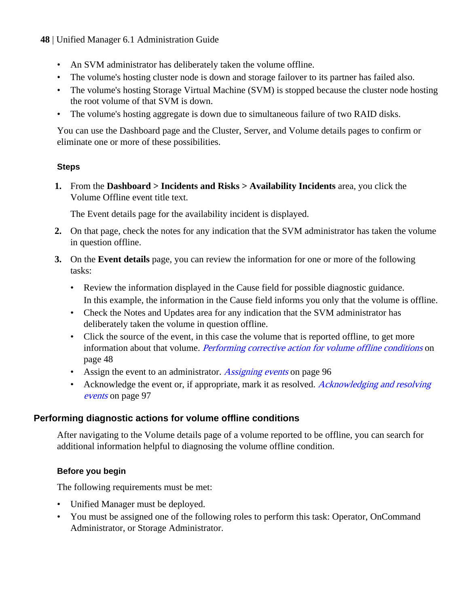- An SVM administrator has deliberately taken the volume offline.
- The volume's hosting cluster node is down and storage failover to its partner has failed also.
- The volume's hosting Storage Virtual Machine (SVM) is stopped because the cluster node hosting the root volume of that SVM is down.
- The volume's hosting aggregate is down due to simultaneous failure of two RAID disks.

You can use the Dashboard page and the Cluster, Server, and Volume details pages to confirm or eliminate one or more of these possibilities.

# **Steps**

**1.** From the **Dashboard > Incidents and Risks > Availability Incidents** area, you click the Volume Offline event title text.

The Event details page for the availability incident is displayed.

- **2.** On that page, check the notes for any indication that the SVM administrator has taken the volume in question offline.
- **3.** On the **Event details** page, you can review the information for one or more of the following tasks:
	- Review the information displayed in the Cause field for possible diagnostic guidance. In this example, the information in the Cause field informs you only that the volume is offline.
	- Check the Notes and Updates area for any indication that the SVM administrator has deliberately taken the volume in question offline.
	- Click the source of the event, in this case the volume that is reported offline, to get more information about that volume. Performing corrective action for volume offline conditions on page 48
	- Assign the event to an administrator. [Assigning events](#page-95-0) on page 96
	- Acknowledge the event or, if appropriate, mark it as resolved. [Acknowledging and resolving](#page-96-0) [events](#page-96-0) on page 97

# **Performing diagnostic actions for volume offline conditions**

After navigating to the Volume details page of a volume reported to be offline, you can search for additional information helpful to diagnosing the volume offline condition.

# **Before you begin**

The following requirements must be met:

- Unified Manager must be deployed.
- You must be assigned one of the following roles to perform this task: Operator, OnCommand Administrator, or Storage Administrator.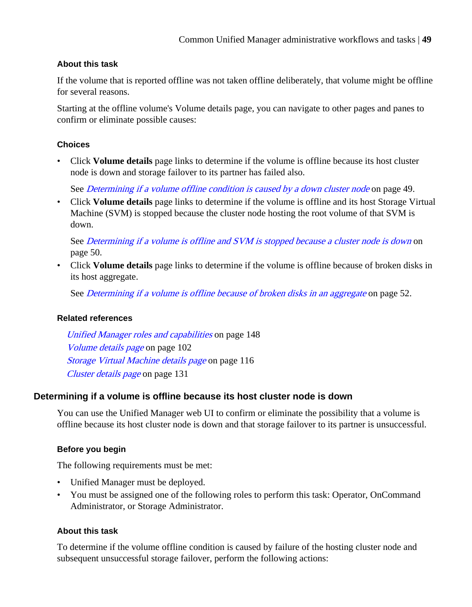# **About this task**

If the volume that is reported offline was not taken offline deliberately, that volume might be offline for several reasons.

Starting at the offline volume's Volume details page, you can navigate to other pages and panes to confirm or eliminate possible causes:

# **Choices**

• Click **Volume details** page links to determine if the volume is offline because its host cluster node is down and storage failover to its partner has failed also.

See *Determining if a volume offline condition is caused by a down cluster node* on page 49.

• Click **Volume details** page links to determine if the volume is offline and its host Storage Virtual Machine (SVM) is stopped because the cluster node hosting the root volume of that SVM is down.

See *[Determining if a volume is offline and SVM is stopped because a cluster node is down](#page-49-0)* on page 50.

• Click **Volume details** page links to determine if the volume is offline because of broken disks in its host aggregate.

See *[Determining if a volume is offline because of broken disks in an aggregate](#page-51-0)* on page 52.

# **Related references**

[Unified Manager roles and capabilities](#page-147-0) on page 148 [Volume details page](#page-101-0) on page 102 [Storage Virtual Machine details page](#page-115-0) on page 116 [Cluster details page](#page-130-0) on page 131

# **Determining if a volume is offline because its host cluster node is down**

You can use the Unified Manager web UI to confirm or eliminate the possibility that a volume is offline because its host cluster node is down and that storage failover to its partner is unsuccessful.

# **Before you begin**

The following requirements must be met:

- Unified Manager must be deployed.
- You must be assigned one of the following roles to perform this task: Operator, OnCommand Administrator, or Storage Administrator.

# **About this task**

To determine if the volume offline condition is caused by failure of the hosting cluster node and subsequent unsuccessful storage failover, perform the following actions: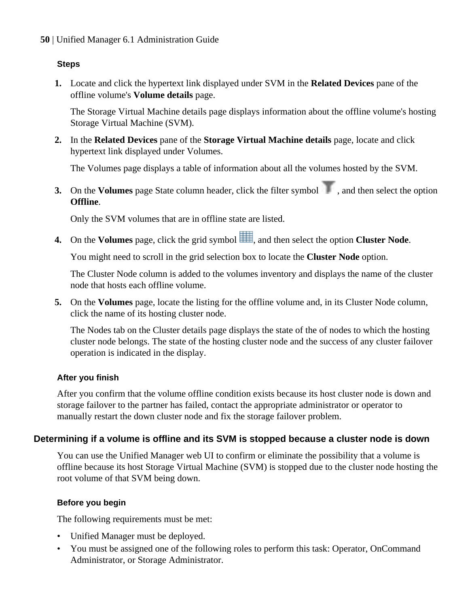# <span id="page-49-0"></span>**Steps**

**1.** Locate and click the hypertext link displayed under SVM in the **Related Devices** pane of the offline volume's **Volume details** page.

The Storage Virtual Machine details page displays information about the offline volume's hosting Storage Virtual Machine (SVM).

**2.** In the **Related Devices** pane of the **Storage Virtual Machine details** page, locate and click hypertext link displayed under Volumes.

The Volumes page displays a table of information about all the volumes hosted by the SVM.

**3.** On the **Volumes** page State column header, click the filter symbol  $\blacksquare$ , and then select the option **Offline**.

Only the SVM volumes that are in offline state are listed.

**4.** On the **Volumes** page, click the grid symbol , and then select the option **Cluster Node**.

You might need to scroll in the grid selection box to locate the **Cluster Node** option.

The Cluster Node column is added to the volumes inventory and displays the name of the cluster node that hosts each offline volume.

**5.** On the **Volumes** page, locate the listing for the offline volume and, in its Cluster Node column, click the name of its hosting cluster node.

The Nodes tab on the Cluster details page displays the state of the of nodes to which the hosting cluster node belongs. The state of the hosting cluster node and the success of any cluster failover operation is indicated in the display.

# **After you finish**

After you confirm that the volume offline condition exists because its host cluster node is down and storage failover to the partner has failed, contact the appropriate administrator or operator to manually restart the down cluster node and fix the storage failover problem.

# **Determining if a volume is offline and its SVM is stopped because a cluster node is down**

You can use the Unified Manager web UI to confirm or eliminate the possibility that a volume is offline because its host Storage Virtual Machine (SVM) is stopped due to the cluster node hosting the root volume of that SVM being down.

# **Before you begin**

The following requirements must be met:

- Unified Manager must be deployed.
- You must be assigned one of the following roles to perform this task: Operator, OnCommand Administrator, or Storage Administrator.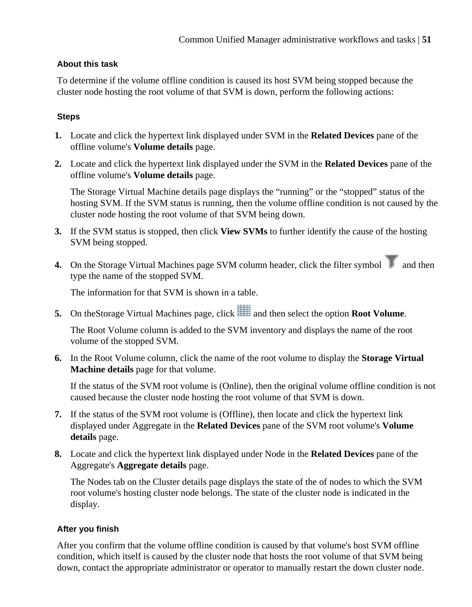# **About this task**

To determine if the volume offline condition is caused its host SVM being stopped because the cluster node hosting the root volume of that SVM is down, perform the following actions:

# **Steps**

- **1.** Locate and click the hypertext link displayed under SVM in the **Related Devices** pane of the offline volume's **Volume details** page.
- **2.** Locate and click the hypertext link displayed under the SVM in the **Related Devices** pane of the offline volume's **Volume details** page.

The Storage Virtual Machine details page displays the "running" or the "stopped" status of the hosting SVM. If the SVM status is running, then the volume offline condition is not caused by the cluster node hosting the root volume of that SVM being down.

- **3.** If the SVM status is stopped, then click **View SVMs** to further identify the cause of the hosting SVM being stopped.
- **4.** On the Storage Virtual Machines page SVM column header, click the filter symbol and then type the name of the stopped SVM.

The information for that SVM is shown in a table.

**5.** On the Storage Virtual Machines page, click and then select the option **Root Volume**.

The Root Volume column is added to the SVM inventory and displays the name of the root volume of the stopped SVM.

**6.** In the Root Volume column, click the name of the root volume to display the **Storage Virtual Machine details** page for that volume.

If the status of the SVM root volume is (Online), then the original volume offline condition is not caused because the cluster node hosting the root volume of that SVM is down.

- **7.** If the status of the SVM root volume is (Offline), then locate and click the hypertext link displayed under Aggregate in the **Related Devices** pane of the SVM root volume's **Volume details** page.
- **8.** Locate and click the hypertext link displayed under Node in the **Related Devices** pane of the Aggregate's **Aggregate details** page.

The Nodes tab on the Cluster details page displays the state of the of nodes to which the SVM root volume's hosting cluster node belongs. The state of the cluster node is indicated in the display.

# **After you finish**

After you confirm that the volume offline condition is caused by that volume's host SVM offline condition, which itself is caused by the cluster node that hosts the root volume of that SVM being down, contact the appropriate administrator or operator to manually restart the down cluster node.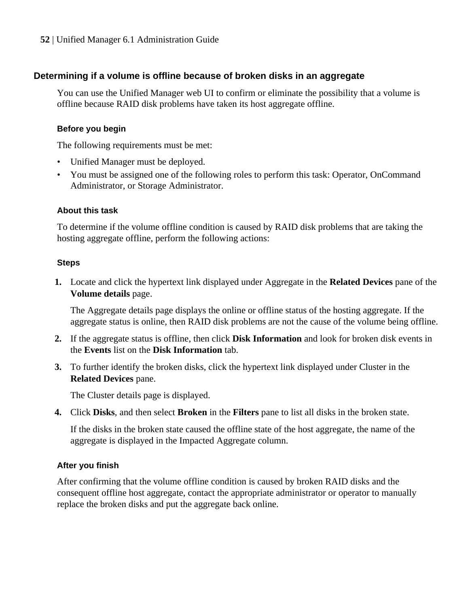# <span id="page-51-0"></span>**Determining if a volume is offline because of broken disks in an aggregate**

You can use the Unified Manager web UI to confirm or eliminate the possibility that a volume is offline because RAID disk problems have taken its host aggregate offline.

# **Before you begin**

The following requirements must be met:

- Unified Manager must be deployed.
- You must be assigned one of the following roles to perform this task: Operator, OnCommand Administrator, or Storage Administrator.

#### **About this task**

To determine if the volume offline condition is caused by RAID disk problems that are taking the hosting aggregate offline, perform the following actions:

#### **Steps**

**1.** Locate and click the hypertext link displayed under Aggregate in the **Related Devices** pane of the **Volume details** page.

The Aggregate details page displays the online or offline status of the hosting aggregate. If the aggregate status is online, then RAID disk problems are not the cause of the volume being offline.

- **2.** If the aggregate status is offline, then click **Disk Information** and look for broken disk events in the **Events** list on the **Disk Information** tab.
- **3.** To further identify the broken disks, click the hypertext link displayed under Cluster in the **Related Devices** pane.

The Cluster details page is displayed.

**4.** Click **Disks**, and then select **Broken** in the **Filters** pane to list all disks in the broken state.

If the disks in the broken state caused the offline state of the host aggregate, the name of the aggregate is displayed in the Impacted Aggregate column.

# **After you finish**

After confirming that the volume offline condition is caused by broken RAID disks and the consequent offline host aggregate, contact the appropriate administrator or operator to manually replace the broken disks and put the aggregate back online.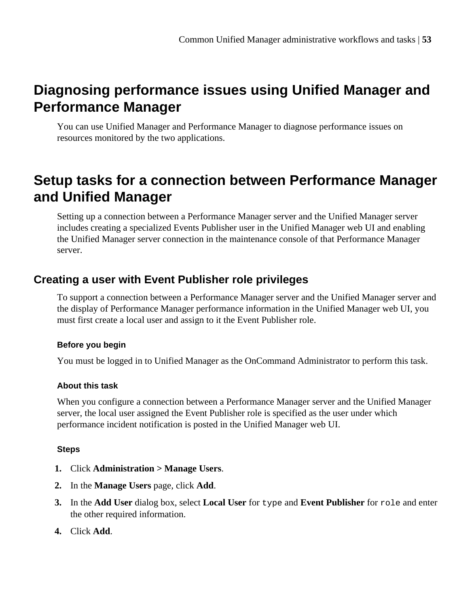# **Diagnosing performance issues using Unified Manager and Performance Manager**

You can use Unified Manager and Performance Manager to diagnose performance issues on resources monitored by the two applications.

# **Setup tasks for a connection between Performance Manager and Unified Manager**

Setting up a connection between a Performance Manager server and the Unified Manager server includes creating a specialized Events Publisher user in the Unified Manager web UI and enabling the Unified Manager server connection in the maintenance console of that Performance Manager server.

# **Creating a user with Event Publisher role privileges**

To support a connection between a Performance Manager server and the Unified Manager server and the display of Performance Manager performance information in the Unified Manager web UI, you must first create a local user and assign to it the Event Publisher role.

# **Before you begin**

You must be logged in to Unified Manager as the OnCommand Administrator to perform this task.

# **About this task**

When you configure a connection between a Performance Manager server and the Unified Manager server, the local user assigned the Event Publisher role is specified as the user under which performance incident notification is posted in the Unified Manager web UI.

# **Steps**

- **1.** Click **Administration > Manage Users**.
- **2.** In the **Manage Users** page, click **Add**.
- **3.** In the **Add User** dialog box, select **Local User** for type and **Event Publisher** for role and enter the other required information.
- **4.** Click **Add**.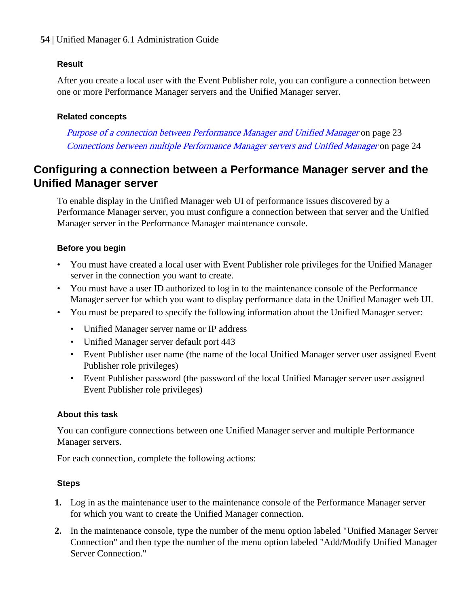# **Result**

After you create a local user with the Event Publisher role, you can configure a connection between one or more Performance Manager servers and the Unified Manager server.

# **Related concepts**

[Purpose of a connection between Performance Manager and Unified Manager](#page-22-0) on page 23 [Connections between multiple Performance Manager servers and Unified Manager](#page-23-0) on page 24

# **Configuring a connection between a Performance Manager server and the Unified Manager server**

To enable display in the Unified Manager web UI of performance issues discovered by a Performance Manager server, you must configure a connection between that server and the Unified Manager server in the Performance Manager maintenance console.

# **Before you begin**

- You must have created a local user with Event Publisher role privileges for the Unified Manager server in the connection you want to create.
- You must have a user ID authorized to log in to the maintenance console of the Performance Manager server for which you want to display performance data in the Unified Manager web UI.
- You must be prepared to specify the following information about the Unified Manager server:
	- Unified Manager server name or IP address
	- Unified Manager server default port 443
	- Event Publisher user name (the name of the local Unified Manager server user assigned Event Publisher role privileges)
	- Event Publisher password (the password of the local Unified Manager server user assigned Event Publisher role privileges)

# **About this task**

You can configure connections between one Unified Manager server and multiple Performance Manager servers.

For each connection, complete the following actions:

# **Steps**

- **1.** Log in as the maintenance user to the maintenance console of the Performance Manager server for which you want to create the Unified Manager connection.
- **2.** In the maintenance console, type the number of the menu option labeled "Unified Manager Server Connection" and then type the number of the menu option labeled "Add/Modify Unified Manager Server Connection."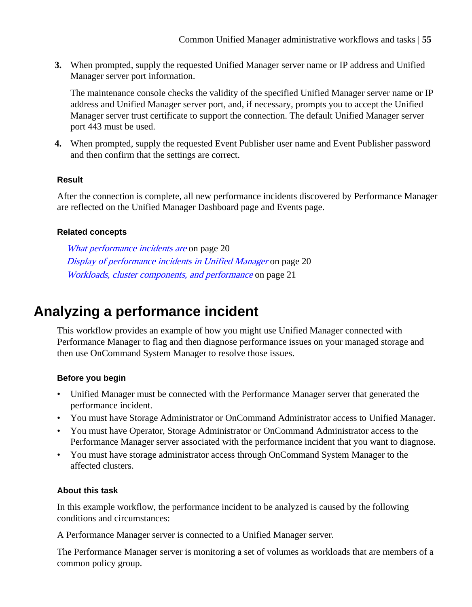**3.** When prompted, supply the requested Unified Manager server name or IP address and Unified Manager server port information.

The maintenance console checks the validity of the specified Unified Manager server name or IP address and Unified Manager server port, and, if necessary, prompts you to accept the Unified Manager server trust certificate to support the connection. The default Unified Manager server port 443 must be used.

**4.** When prompted, supply the requested Event Publisher user name and Event Publisher password and then confirm that the settings are correct.

# **Result**

After the connection is complete, all new performance incidents discovered by Performance Manager are reflected on the Unified Manager Dashboard page and Events page.

# **Related concepts**

[What performance incidents are](#page-19-0) on page 20 [Display of performance incidents in Unified Manager](#page-19-0) on page 20 [Workloads, cluster components, and performance](#page-20-0) on page 21

# **Analyzing a performance incident**

This workflow provides an example of how you might use Unified Manager connected with Performance Manager to flag and then diagnose performance issues on your managed storage and then use OnCommand System Manager to resolve those issues.

# **Before you begin**

- Unified Manager must be connected with the Performance Manager server that generated the performance incident.
- You must have Storage Administrator or OnCommand Administrator access to Unified Manager.
- You must have Operator, Storage Administrator or OnCommand Administrator access to the Performance Manager server associated with the performance incident that you want to diagnose.
- You must have storage administrator access through OnCommand System Manager to the affected clusters.

# **About this task**

In this example workflow, the performance incident to be analyzed is caused by the following conditions and circumstances:

A Performance Manager server is connected to a Unified Manager server.

The Performance Manager server is monitoring a set of volumes as workloads that are members of a common policy group.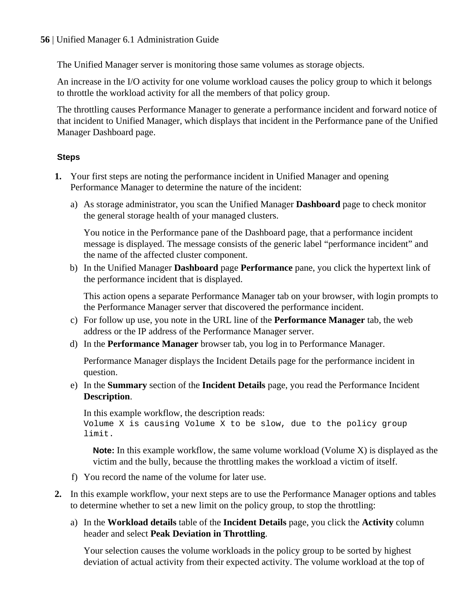The Unified Manager server is monitoring those same volumes as storage objects.

An increase in the I/O activity for one volume workload causes the policy group to which it belongs to throttle the workload activity for all the members of that policy group.

The throttling causes Performance Manager to generate a performance incident and forward notice of that incident to Unified Manager, which displays that incident in the Performance pane of the Unified Manager Dashboard page.

# **Steps**

- **1.** Your first steps are noting the performance incident in Unified Manager and opening Performance Manager to determine the nature of the incident:
	- a) As storage administrator, you scan the Unified Manager **Dashboard** page to check monitor the general storage health of your managed clusters.

You notice in the Performance pane of the Dashboard page, that a performance incident message is displayed. The message consists of the generic label "performance incident" and the name of the affected cluster component.

b) In the Unified Manager **Dashboard** page **Performance** pane, you click the hypertext link of the performance incident that is displayed.

This action opens a separate Performance Manager tab on your browser, with login prompts to the Performance Manager server that discovered the performance incident.

- c) For follow up use, you note in the URL line of the **Performance Manager** tab, the web address or the IP address of the Performance Manager server.
- d) In the **Performance Manager** browser tab, you log in to Performance Manager.

Performance Manager displays the Incident Details page for the performance incident in question.

e) In the **Summary** section of the **Incident Details** page, you read the Performance Incident **Description**.

```
In this example workflow, the description reads:
Volume X is causing Volume X to be slow, due to the policy group
limit.
```
**Note:** In this example workflow, the same volume workload (Volume X) is displayed as the victim and the bully, because the throttling makes the workload a victim of itself.

- f) You record the name of the volume for later use.
- **2.** In this example workflow, your next steps are to use the Performance Manager options and tables to determine whether to set a new limit on the policy group, to stop the throttling:
	- a) In the **Workload details** table of the **Incident Details** page, you click the **Activity** column header and select **Peak Deviation in Throttling**.

Your selection causes the volume workloads in the policy group to be sorted by highest deviation of actual activity from their expected activity. The volume workload at the top of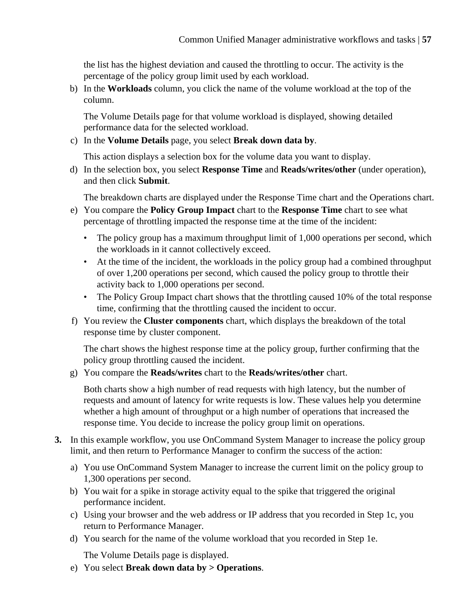the list has the highest deviation and caused the throttling to occur. The activity is the percentage of the policy group limit used by each workload.

b) In the **Workloads** column, you click the name of the volume workload at the top of the column.

The Volume Details page for that volume workload is displayed, showing detailed performance data for the selected workload.

c) In the **Volume Details** page, you select **Break down data by**.

This action displays a selection box for the volume data you want to display.

d) In the selection box, you select **Response Time** and **Reads/writes/other** (under operation), and then click **Submit**.

The breakdown charts are displayed under the Response Time chart and the Operations chart.

- e) You compare the **Policy Group Impact** chart to the **Response Time** chart to see what percentage of throttling impacted the response time at the time of the incident:
	- The policy group has a maximum throughput limit of 1,000 operations per second, which the workloads in it cannot collectively exceed.
	- At the time of the incident, the workloads in the policy group had a combined throughput of over 1,200 operations per second, which caused the policy group to throttle their activity back to 1,000 operations per second.
	- The Policy Group Impact chart shows that the throttling caused 10% of the total response time, confirming that the throttling caused the incident to occur.
- f) You review the **Cluster components** chart, which displays the breakdown of the total response time by cluster component.

The chart shows the highest response time at the policy group, further confirming that the policy group throttling caused the incident.

g) You compare the **Reads/writes** chart to the **Reads/writes/other** chart.

Both charts show a high number of read requests with high latency, but the number of requests and amount of latency for write requests is low. These values help you determine whether a high amount of throughput or a high number of operations that increased the response time. You decide to increase the policy group limit on operations.

- **3.** In this example workflow, you use OnCommand System Manager to increase the policy group limit, and then return to Performance Manager to confirm the success of the action:
	- a) You use OnCommand System Manager to increase the current limit on the policy group to 1,300 operations per second.
	- b) You wait for a spike in storage activity equal to the spike that triggered the original performance incident.
	- c) Using your browser and the web address or IP address that you recorded in Step 1c, you return to Performance Manager.
	- d) You search for the name of the volume workload that you recorded in Step 1e.

The Volume Details page is displayed.

e) You select **Break down data by > Operations**.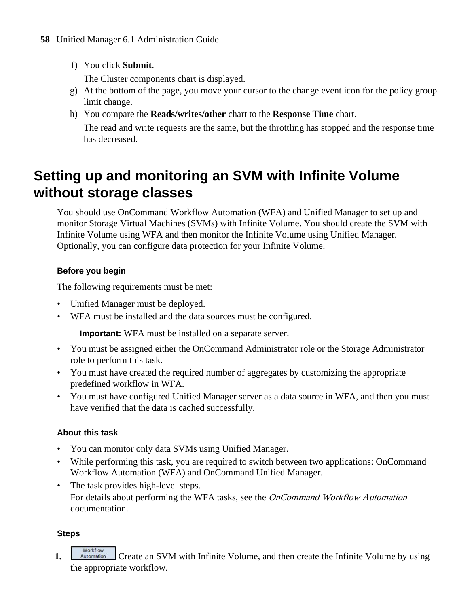f) You click **Submit**.

The Cluster components chart is displayed.

- g) At the bottom of the page, you move your cursor to the change event icon for the policy group limit change.
- h) You compare the **Reads/writes/other** chart to the **Response Time** chart.

The read and write requests are the same, but the throttling has stopped and the response time has decreased.

# **Setting up and monitoring an SVM with Infinite Volume without storage classes**

You should use OnCommand Workflow Automation (WFA) and Unified Manager to set up and monitor Storage Virtual Machines (SVMs) with Infinite Volume. You should create the SVM with Infinite Volume using WFA and then monitor the Infinite Volume using Unified Manager. Optionally, you can configure data protection for your Infinite Volume.

# **Before you begin**

The following requirements must be met:

- Unified Manager must be deployed.
- WFA must be installed and the data sources must be configured.

**Important:** WFA must be installed on a separate server.

- You must be assigned either the OnCommand Administrator role or the Storage Administrator role to perform this task.
- You must have created the required number of aggregates by customizing the appropriate predefined workflow in WFA.
- You must have configured Unified Manager server as a data source in WFA, and then you must have verified that the data is cached successfully.

# **About this task**

- You can monitor only data SVMs using Unified Manager.
- While performing this task, you are required to switch between two applications: OnCommand Workflow Automation (WFA) and OnCommand Unified Manager.
- The task provides high-level steps. For details about performing the WFA tasks, see the OnCommand Workflow Automation documentation.

# **Steps**

# Workflow

**1. Example 1.** Create an SVM with Infinite Volume, and then create the Infinite Volume by using the appropriate workflow.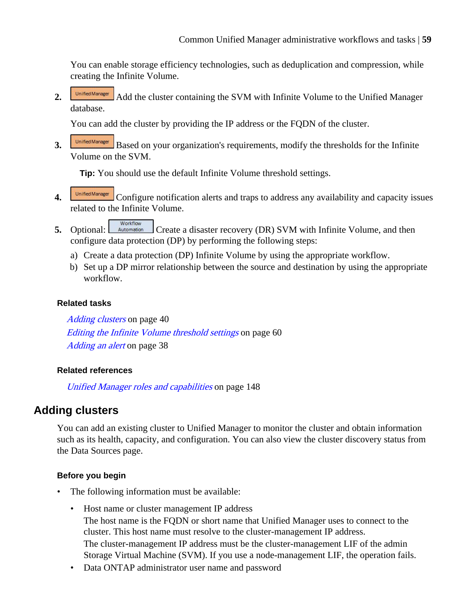You can enable storage efficiency technologies, such as deduplication and compression, while creating the Infinite Volume.

**2. Add** the cluster containing the SVM with Infinite Volume to the Unified Manager database.

You can add the cluster by providing the IP address or the FQDN of the cluster.

**3. Based on your organization**'s requirements, modify the thresholds for the Infinite Volume on the SVM.

**Tip:** You should use the default Infinite Volume threshold settings.

- **4. Configure notification alerts and traps to address any availability and capacity issues** related to the Infinite Volume.
- Workflow **5.** Optional:  $\frac{\text{Automation}}{\text{Create a disaster recovery (DR) SVM with Infinite Volume, and then}}$ configure data protection (DP) by performing the following steps:
	- a) Create a data protection (DP) Infinite Volume by using the appropriate workflow.
	- b) Set up a DP mirror relationship between the source and destination by using the appropriate workflow.

# **Related tasks**

[Adding clusters](#page-39-0) on page 40 [Editing the Infinite Volume threshold settings](#page-59-0) on page 60 [Adding an alert](#page-37-0) on page 38

# **Related references**

[Unified Manager roles and capabilities](#page-147-0) on page 148

# **Adding clusters**

You can add an existing cluster to Unified Manager to monitor the cluster and obtain information such as its health, capacity, and configuration. You can also view the cluster discovery status from the Data Sources page.

# **Before you begin**

- The following information must be available:
	- Host name or cluster management IP address The host name is the FQDN or short name that Unified Manager uses to connect to the cluster. This host name must resolve to the cluster-management IP address. The cluster-management IP address must be the cluster-management LIF of the admin Storage Virtual Machine (SVM). If you use a node-management LIF, the operation fails.
	- Data ONTAP administrator user name and password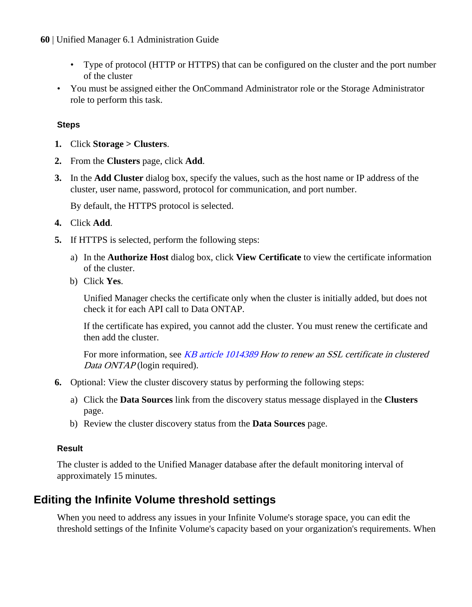- <span id="page-59-0"></span>• Type of protocol (HTTP or HTTPS) that can be configured on the cluster and the port number of the cluster
- You must be assigned either the OnCommand Administrator role or the Storage Administrator role to perform this task.

# **Steps**

- **1.** Click **Storage > Clusters**.
- **2.** From the **Clusters** page, click **Add**.
- **3.** In the **Add Cluster** dialog box, specify the values, such as the host name or IP address of the cluster, user name, password, protocol for communication, and port number.

By default, the HTTPS protocol is selected.

- **4.** Click **Add**.
- **5.** If HTTPS is selected, perform the following steps:
	- a) In the **Authorize Host** dialog box, click **View Certificate** to view the certificate information of the cluster.
	- b) Click **Yes**.

Unified Manager checks the certificate only when the cluster is initially added, but does not check it for each API call to Data ONTAP.

If the certificate has expired, you cannot add the cluster. You must renew the certificate and then add the cluster.

For more information, see [KB article 1014389](https://kb.netapp.com/support/index?page=content&id=1014389) How to renew an SSL certificate in clustered Data ONTAP (login required).

- **6.** Optional: View the cluster discovery status by performing the following steps:
	- a) Click the **Data Sources** link from the discovery status message displayed in the **Clusters** page.
	- b) Review the cluster discovery status from the **Data Sources** page.

# **Result**

The cluster is added to the Unified Manager database after the default monitoring interval of approximately 15 minutes.

# **Editing the Infinite Volume threshold settings**

When you need to address any issues in your Infinite Volume's storage space, you can edit the threshold settings of the Infinite Volume's capacity based on your organization's requirements. When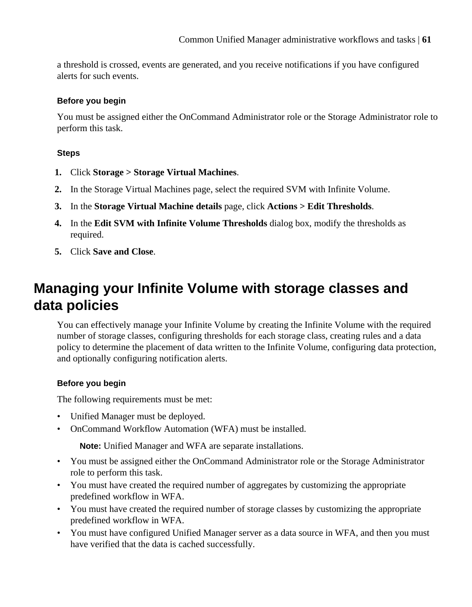a threshold is crossed, events are generated, and you receive notifications if you have configured alerts for such events.

# **Before you begin**

You must be assigned either the OnCommand Administrator role or the Storage Administrator role to perform this task.

# **Steps**

- **1.** Click **Storage > Storage Virtual Machines**.
- **2.** In the Storage Virtual Machines page, select the required SVM with Infinite Volume.
- **3.** In the **Storage Virtual Machine details** page, click **Actions > Edit Thresholds**.
- **4.** In the **Edit SVM with Infinite Volume Thresholds** dialog box, modify the thresholds as required.
- **5.** Click **Save and Close**.

# **Managing your Infinite Volume with storage classes and data policies**

You can effectively manage your Infinite Volume by creating the Infinite Volume with the required number of storage classes, configuring thresholds for each storage class, creating rules and a data policy to determine the placement of data written to the Infinite Volume, configuring data protection, and optionally configuring notification alerts.

# **Before you begin**

The following requirements must be met:

- Unified Manager must be deployed.
- OnCommand Workflow Automation (WFA) must be installed.

**Note:** Unified Manager and WFA are separate installations.

- You must be assigned either the OnCommand Administrator role or the Storage Administrator role to perform this task.
- You must have created the required number of aggregates by customizing the appropriate predefined workflow in WFA.
- You must have created the required number of storage classes by customizing the appropriate predefined workflow in WFA.
- You must have configured Unified Manager server as a data source in WFA, and then you must have verified that the data is cached successfully.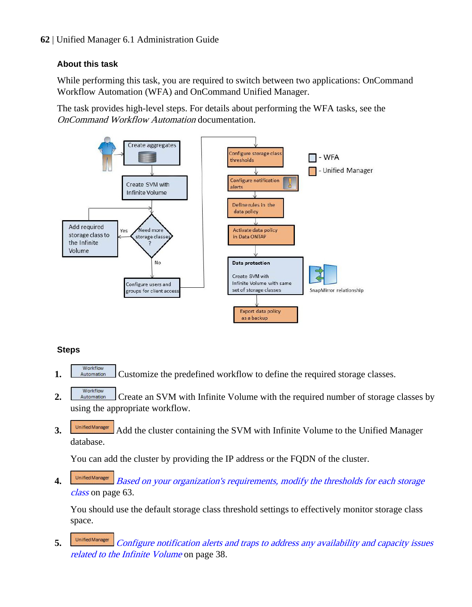# **About this task**

While performing this task, you are required to switch between two applications: OnCommand Workflow Automation (WFA) and OnCommand Unified Manager.

The task provides high-level steps. For details about performing the WFA tasks, see the OnCommand Workflow Automation documentation.



# **Steps**

- **1.** Norkflow Customize the predefined workflow to define the required storage classes.
- Workflow 2. **Automation** Create an SVM with Infinite Volume with the required number of storage classes by using the appropriate workflow.
- **3. Add** the cluster containing the SVM with Infinite Volume to the Unified Manager database.

You can add the cluster by providing the IP address or the FQDN of the cluster.

4. **[Based on your organization's requirements, modify the thresholds for each storage](#page-62-0)** [class](#page-62-0) on page 63.

You should use the default storage class threshold settings to effectively monitor storage class space.

5. **Unified Manager** [Configure notification alerts and traps to address any availability and capacity issues](#page-37-0) [related to the Infinite Volume](#page-37-0) on page 38.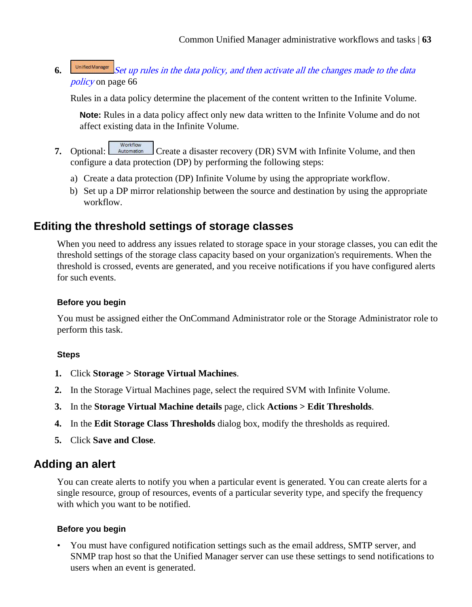<span id="page-62-0"></span>**6. [Set up rules in the data policy, and then activate all the changes made to the data](#page-65-0)** [policy](#page-65-0) on page 66

Rules in a data policy determine the placement of the content written to the Infinite Volume.

**Note:** Rules in a data policy affect only new data written to the Infinite Volume and do not affect existing data in the Infinite Volume.

- Workflow **7.** Optional: **Automation** Create a disaster recovery (DR) SVM with Infinite Volume, and then configure a data protection (DP) by performing the following steps:
	- a) Create a data protection (DP) Infinite Volume by using the appropriate workflow.
	- b) Set up a DP mirror relationship between the source and destination by using the appropriate workflow.

# **Editing the threshold settings of storage classes**

When you need to address any issues related to storage space in your storage classes, you can edit the threshold settings of the storage class capacity based on your organization's requirements. When the threshold is crossed, events are generated, and you receive notifications if you have configured alerts for such events.

# **Before you begin**

You must be assigned either the OnCommand Administrator role or the Storage Administrator role to perform this task.

# **Steps**

- **1.** Click **Storage > Storage Virtual Machines**.
- **2.** In the Storage Virtual Machines page, select the required SVM with Infinite Volume.
- **3.** In the **Storage Virtual Machine details** page, click **Actions > Edit Thresholds**.
- **4.** In the **Edit Storage Class Thresholds** dialog box, modify the thresholds as required.
- **5.** Click **Save and Close**.

# **Adding an alert**

You can create alerts to notify you when a particular event is generated. You can create alerts for a single resource, group of resources, events of a particular severity type, and specify the frequency with which you want to be notified.

# **Before you begin**

• You must have configured notification settings such as the email address, SMTP server, and SNMP trap host so that the Unified Manager server can use these settings to send notifications to users when an event is generated.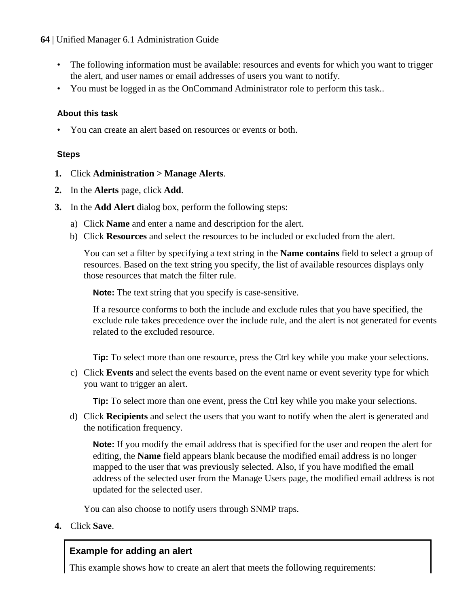- The following information must be available: resources and events for which you want to trigger the alert, and user names or email addresses of users you want to notify.
- You must be logged in as the OnCommand Administrator role to perform this task..

# **About this task**

• You can create an alert based on resources or events or both.

# **Steps**

- **1.** Click **Administration > Manage Alerts**.
- **2.** In the **Alerts** page, click **Add**.
- **3.** In the **Add Alert** dialog box, perform the following steps:
	- a) Click **Name** and enter a name and description for the alert.
	- b) Click **Resources** and select the resources to be included or excluded from the alert.

You can set a filter by specifying a text string in the **Name contains** field to select a group of resources. Based on the text string you specify, the list of available resources displays only those resources that match the filter rule.

**Note:** The text string that you specify is case-sensitive.

If a resource conforms to both the include and exclude rules that you have specified, the exclude rule takes precedence over the include rule, and the alert is not generated for events related to the excluded resource.

**Tip:** To select more than one resource, press the Ctrl key while you make your selections.

c) Click **Events** and select the events based on the event name or event severity type for which you want to trigger an alert.

**Tip:** To select more than one event, press the Ctrl key while you make your selections.

d) Click **Recipients** and select the users that you want to notify when the alert is generated and the notification frequency.

**Note:** If you modify the email address that is specified for the user and reopen the alert for editing, the **Name** field appears blank because the modified email address is no longer mapped to the user that was previously selected. Also, if you have modified the email address of the selected user from the Manage Users page, the modified email address is not updated for the selected user.

You can also choose to notify users through SNMP traps.

**4.** Click **Save**.

# **Example for adding an alert**

This example shows how to create an alert that meets the following requirements: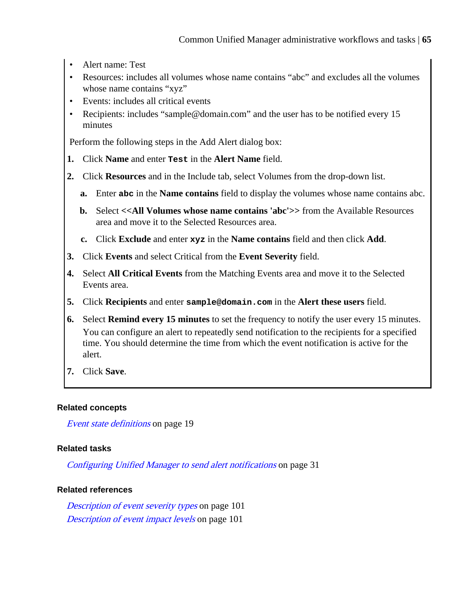- Alert name: Test
- Resources: includes all volumes whose name contains "abc" and excludes all the volumes whose name contains "xyz"
- Events: includes all critical events
- Recipients: includes "sample@domain.com" and the user has to be notified every 15 minutes

Perform the following steps in the Add Alert dialog box:

- **1.** Click **Name** and enter **Test** in the **Alert Name** field.
- **2.** Click **Resources** and in the Include tab, select Volumes from the drop-down list.
	- **a.** Enter **abc** in the **Name contains** field to display the volumes whose name contains abc.
	- **b.** Select **<<All Volumes whose name contains 'abc'>>** from the Available Resources area and move it to the Selected Resources area.
	- **c.** Click **Exclude** and enter **xyz** in the **Name contains** field and then click **Add**.
- **3.** Click **Events** and select Critical from the **Event Severity** field.
- **4.** Select **All Critical Events** from the Matching Events area and move it to the Selected Events area.
- **5.** Click **Recipients** and enter **sample@domain.com** in the **Alert these users** field.
- **6.** Select **Remind every 15 minutes** to set the frequency to notify the user every 15 minutes. You can configure an alert to repeatedly send notification to the recipients for a specified time. You should determine the time from which the event notification is active for the alert.
- **7.** Click **Save**.

#### **Related concepts**

[Event state definitions](#page-18-0) on page 19

# **Related tasks**

[Configuring Unified Manager to send alert notifications](#page-30-0) on page 31

#### **Related references**

[Description of event severity types](#page-100-0) on page 101 [Description of event impact levels](#page-100-0) on page 101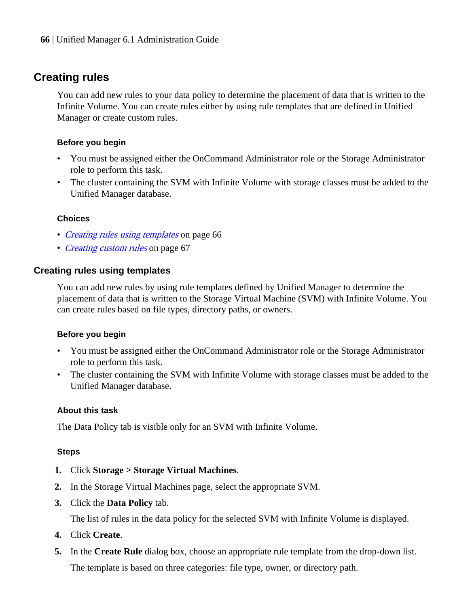# <span id="page-65-0"></span>**Creating rules**

You can add new rules to your data policy to determine the placement of data that is written to the Infinite Volume. You can create rules either by using rule templates that are defined in Unified Manager or create custom rules.

# **Before you begin**

- You must be assigned either the OnCommand Administrator role or the Storage Administrator role to perform this task.
- The cluster containing the SVM with Infinite Volume with storage classes must be added to the Unified Manager database.

# **Choices**

- Creating rules using templates on page 66
- [Creating custom rules](#page-66-0) on page 67

# **Creating rules using templates**

You can add new rules by using rule templates defined by Unified Manager to determine the placement of data that is written to the Storage Virtual Machine (SVM) with Infinite Volume. You can create rules based on file types, directory paths, or owners.

# **Before you begin**

- You must be assigned either the OnCommand Administrator role or the Storage Administrator role to perform this task.
- The cluster containing the SVM with Infinite Volume with storage classes must be added to the Unified Manager database.

# **About this task**

The Data Policy tab is visible only for an SVM with Infinite Volume.

# **Steps**

- **1.** Click **Storage > Storage Virtual Machines**.
- **2.** In the Storage Virtual Machines page, select the appropriate SVM.
- **3.** Click the **Data Policy** tab.

The list of rules in the data policy for the selected SVM with Infinite Volume is displayed.

- **4.** Click **Create**.
- **5.** In the **Create Rule** dialog box, choose an appropriate rule template from the drop-down list. The template is based on three categories: file type, owner, or directory path.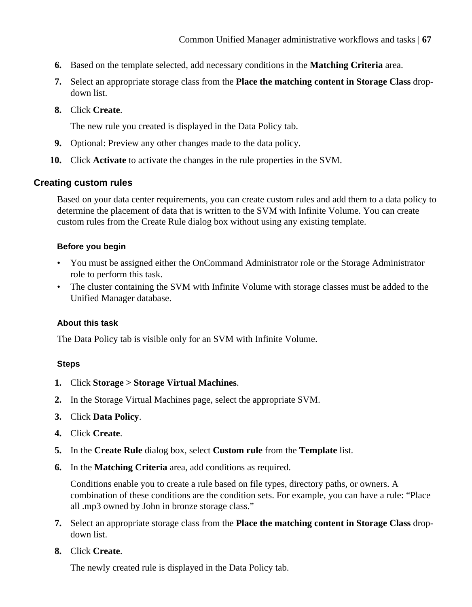- <span id="page-66-0"></span>**6.** Based on the template selected, add necessary conditions in the **Matching Criteria** area.
- **7.** Select an appropriate storage class from the **Place the matching content in Storage Class** dropdown list.
- **8.** Click **Create**.

The new rule you created is displayed in the Data Policy tab.

- **9.** Optional: Preview any other changes made to the data policy.
- **10.** Click **Activate** to activate the changes in the rule properties in the SVM.

# **Creating custom rules**

Based on your data center requirements, you can create custom rules and add them to a data policy to determine the placement of data that is written to the SVM with Infinite Volume. You can create custom rules from the Create Rule dialog box without using any existing template.

# **Before you begin**

- You must be assigned either the OnCommand Administrator role or the Storage Administrator role to perform this task.
- The cluster containing the SVM with Infinite Volume with storage classes must be added to the Unified Manager database.

# **About this task**

The Data Policy tab is visible only for an SVM with Infinite Volume.

# **Steps**

- **1.** Click **Storage > Storage Virtual Machines**.
- **2.** In the Storage Virtual Machines page, select the appropriate SVM.
- **3.** Click **Data Policy**.
- **4.** Click **Create**.
- **5.** In the **Create Rule** dialog box, select **Custom rule** from the **Template** list.
- **6.** In the **Matching Criteria** area, add conditions as required.

Conditions enable you to create a rule based on file types, directory paths, or owners. A combination of these conditions are the condition sets. For example, you can have a rule: "Place all .mp3 owned by John in bronze storage class."

- **7.** Select an appropriate storage class from the **Place the matching content in Storage Class** dropdown list.
- **8.** Click **Create**.

The newly created rule is displayed in the Data Policy tab.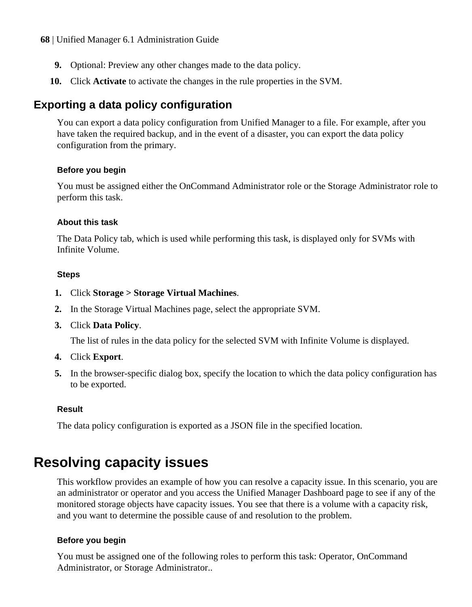- **9.** Optional: Preview any other changes made to the data policy.
- **10.** Click **Activate** to activate the changes in the rule properties in the SVM.

# **Exporting a data policy configuration**

You can export a data policy configuration from Unified Manager to a file. For example, after you have taken the required backup, and in the event of a disaster, you can export the data policy configuration from the primary.

#### **Before you begin**

You must be assigned either the OnCommand Administrator role or the Storage Administrator role to perform this task.

#### **About this task**

The Data Policy tab, which is used while performing this task, is displayed only for SVMs with Infinite Volume.

#### **Steps**

- **1.** Click **Storage > Storage Virtual Machines**.
- **2.** In the Storage Virtual Machines page, select the appropriate SVM.
- **3.** Click **Data Policy**.

The list of rules in the data policy for the selected SVM with Infinite Volume is displayed.

- **4.** Click **Export**.
- **5.** In the browser-specific dialog box, specify the location to which the data policy configuration has to be exported.

# **Result**

The data policy configuration is exported as a JSON file in the specified location.

# **Resolving capacity issues**

This workflow provides an example of how you can resolve a capacity issue. In this scenario, you are an administrator or operator and you access the Unified Manager Dashboard page to see if any of the monitored storage objects have capacity issues. You see that there is a volume with a capacity risk, and you want to determine the possible cause of and resolution to the problem.

# **Before you begin**

You must be assigned one of the following roles to perform this task: Operator, OnCommand Administrator, or Storage Administrator..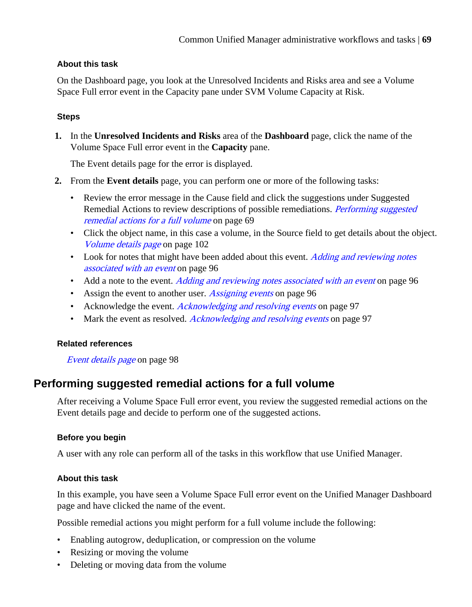# **About this task**

On the Dashboard page, you look at the Unresolved Incidents and Risks area and see a Volume Space Full error event in the Capacity pane under SVM Volume Capacity at Risk.

# **Steps**

**1.** In the **Unresolved Incidents and Risks** area of the **Dashboard** page, click the name of the Volume Space Full error event in the **Capacity** pane.

The Event details page for the error is displayed.

- **2.** From the **Event details** page, you can perform one or more of the following tasks:
	- Review the error message in the Cause field and click the suggestions under Suggested Remedial Actions to review descriptions of possible remediations. *Performing suggested* remedial actions for a full volume on page 69
	- Click the object name, in this case a volume, in the Source field to get details about the object. [Volume details page](#page-101-0) on page 102
	- Look for notes that might have been added about this event. *[Adding and reviewing notes](#page-95-0)* [associated with an event](#page-95-0) on page 96
	- Add a note to the event. [Adding and reviewing notes associated with an event](#page-95-0) on page 96
	- Assign the event to another user. *[Assigning events](#page-95-0)* on page 96
	- Acknowledge the event. [Acknowledging and resolving events](#page-96-0) on page 97
	- Mark the event as resolved. *[Acknowledging and resolving events](#page-96-0)* on page 97

# **Related references**

[Event details page](#page-97-0) on page 98

# **Performing suggested remedial actions for a full volume**

After receiving a Volume Space Full error event, you review the suggested remedial actions on the Event details page and decide to perform one of the suggested actions.

# **Before you begin**

A user with any role can perform all of the tasks in this workflow that use Unified Manager.

# **About this task**

In this example, you have seen a Volume Space Full error event on the Unified Manager Dashboard page and have clicked the name of the event.

Possible remedial actions you might perform for a full volume include the following:

- Enabling autogrow, deduplication, or compression on the volume
- Resizing or moving the volume
- Deleting or moving data from the volume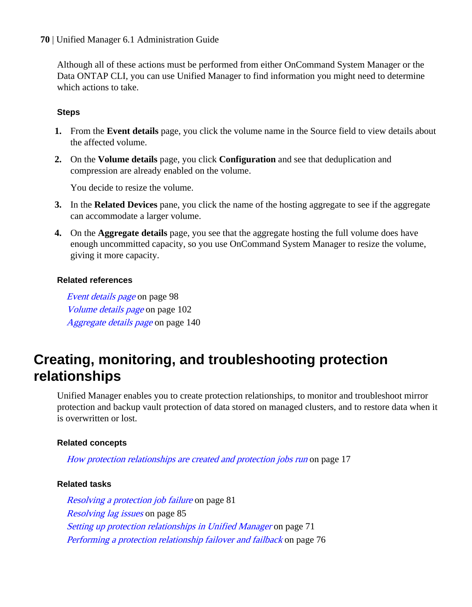Although all of these actions must be performed from either OnCommand System Manager or the Data ONTAP CLI, you can use Unified Manager to find information you might need to determine which actions to take.

# **Steps**

- **1.** From the **Event details** page, you click the volume name in the Source field to view details about the affected volume.
- **2.** On the **Volume details** page, you click **Configuration** and see that deduplication and compression are already enabled on the volume.

You decide to resize the volume.

- **3.** In the **Related Devices** pane, you click the name of the hosting aggregate to see if the aggregate can accommodate a larger volume.
- **4.** On the **Aggregate details** page, you see that the aggregate hosting the full volume does have enough uncommitted capacity, so you use OnCommand System Manager to resize the volume, giving it more capacity.

#### **Related references**

[Event details page](#page-97-0) on page 98 [Volume details page](#page-101-0) on page 102 [Aggregate details page](#page-139-0) on page 140

# **Creating, monitoring, and troubleshooting protection relationships**

Unified Manager enables you to create protection relationships, to monitor and troubleshoot mirror protection and backup vault protection of data stored on managed clusters, and to restore data when it is overwritten or lost.

# **Related concepts**

[How protection relationships are created and protection jobs run](#page-16-0) on page 17

# **Related tasks**

[Resolving a protection job failure](#page-80-0) on page 81 [Resolving lag issues](#page-84-0) on page 85 [Setting up protection relationships in Unified Manager](#page-70-0) on page 71 [Performing a protection relationship failover and failback](#page-75-0) on page 76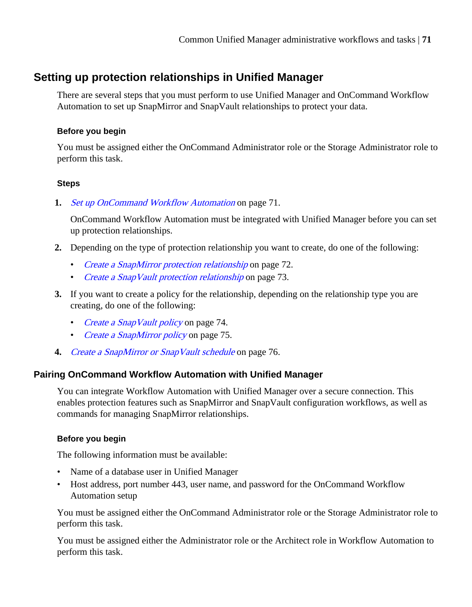# <span id="page-70-0"></span>**Setting up protection relationships in Unified Manager**

There are several steps that you must perform to use Unified Manager and OnCommand Workflow Automation to set up SnapMirror and SnapVault relationships to protect your data.

# **Before you begin**

You must be assigned either the OnCommand Administrator role or the Storage Administrator role to perform this task.

# **Steps**

**1.** Set up OnCommand Workflow Automation on page 71.

OnCommand Workflow Automation must be integrated with Unified Manager before you can set up protection relationships.

- **2.** Depending on the type of protection relationship you want to create, do one of the following:
	- [Create a SnapMirror protection relationship](#page-71-0) on page 72.
	- [Create a SnapVault protection relationship](#page-72-0) on page 73.
- **3.** If you want to create a policy for the relationship, depending on the relationship type you are creating, do one of the following:
	- Create a Snap Vault policy on page 74.
	- [Create a SnapMirror policy](#page-74-0) on page 75.
- **4.** [Create a SnapMirror or SnapVault schedule](#page-75-0) on page 76.

# **Pairing OnCommand Workflow Automation with Unified Manager**

You can integrate Workflow Automation with Unified Manager over a secure connection. This enables protection features such as SnapMirror and SnapVault configuration workflows, as well as commands for managing SnapMirror relationships.

# **Before you begin**

The following information must be available:

- Name of a database user in Unified Manager
- Host address, port number 443, user name, and password for the OnCommand Workflow Automation setup

You must be assigned either the OnCommand Administrator role or the Storage Administrator role to perform this task.

You must be assigned either the Administrator role or the Architect role in Workflow Automation to perform this task.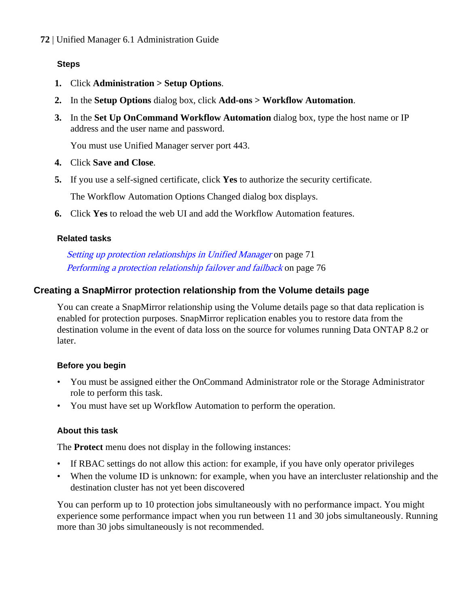# <span id="page-71-0"></span>**Steps**

- **1.** Click **Administration > Setup Options**.
- **2.** In the **Setup Options** dialog box, click **Add-ons > Workflow Automation**.
- **3.** In the **Set Up OnCommand Workflow Automation** dialog box, type the host name or IP address and the user name and password.

You must use Unified Manager server port 443.

- **4.** Click **Save and Close**.
- **5.** If you use a self-signed certificate, click **Yes** to authorize the security certificate.

The Workflow Automation Options Changed dialog box displays.

**6.** Click **Yes** to reload the web UI and add the Workflow Automation features.

#### **Related tasks**

[Setting up protection relationships in Unified Manager](#page-70-0) on page 71 [Performing a protection relationship failover and failback](#page-75-0) on page 76

# **Creating a SnapMirror protection relationship from the Volume details page**

You can create a SnapMirror relationship using the Volume details page so that data replication is enabled for protection purposes. SnapMirror replication enables you to restore data from the destination volume in the event of data loss on the source for volumes running Data ONTAP 8.2 or later.

# **Before you begin**

- You must be assigned either the OnCommand Administrator role or the Storage Administrator role to perform this task.
- You must have set up Workflow Automation to perform the operation.

# **About this task**

The **Protect** menu does not display in the following instances:

- If RBAC settings do not allow this action: for example, if you have only operator privileges
- When the volume ID is unknown: for example, when you have an intercluster relationship and the destination cluster has not yet been discovered

You can perform up to 10 protection jobs simultaneously with no performance impact. You might experience some performance impact when you run between 11 and 30 jobs simultaneously. Running more than 30 jobs simultaneously is not recommended.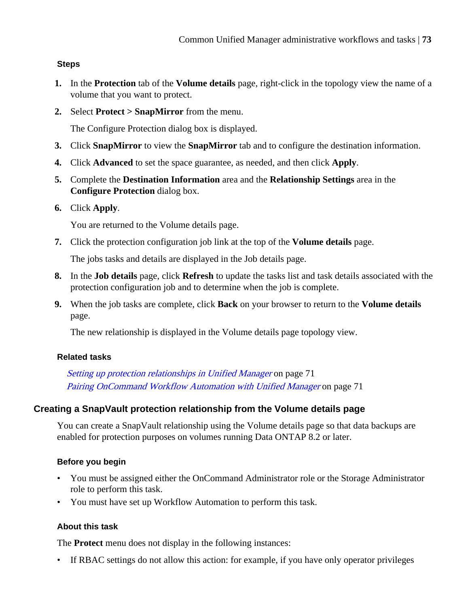# **Steps**

- **1.** In the **Protection** tab of the **Volume details** page, right-click in the topology view the name of a volume that you want to protect.
- **2.** Select **Protect > SnapMirror** from the menu.

The Configure Protection dialog box is displayed.

- **3.** Click **SnapMirror** to view the **SnapMirror** tab and to configure the destination information.
- **4.** Click **Advanced** to set the space guarantee, as needed, and then click **Apply**.
- **5.** Complete the **Destination Information** area and the **Relationship Settings** area in the **Configure Protection** dialog box.
- **6.** Click **Apply**.

You are returned to the Volume details page.

**7.** Click the protection configuration job link at the top of the **Volume details** page.

The jobs tasks and details are displayed in the Job details page.

- **8.** In the **Job details** page, click **Refresh** to update the tasks list and task details associated with the protection configuration job and to determine when the job is complete.
- **9.** When the job tasks are complete, click **Back** on your browser to return to the **Volume details** page.

The new relationship is displayed in the Volume details page topology view.

# **Related tasks**

[Setting up protection relationships in Unified Manager](#page-70-0) on page 71 [Pairing OnCommand Workflow Automation with Unified Manager](#page-70-0) on page 71

# **Creating a SnapVault protection relationship from the Volume details page**

You can create a SnapVault relationship using the Volume details page so that data backups are enabled for protection purposes on volumes running Data ONTAP 8.2 or later.

# **Before you begin**

- You must be assigned either the OnCommand Administrator role or the Storage Administrator role to perform this task.
- You must have set up Workflow Automation to perform this task.

# **About this task**

The **Protect** menu does not display in the following instances:

• If RBAC settings do not allow this action: for example, if you have only operator privileges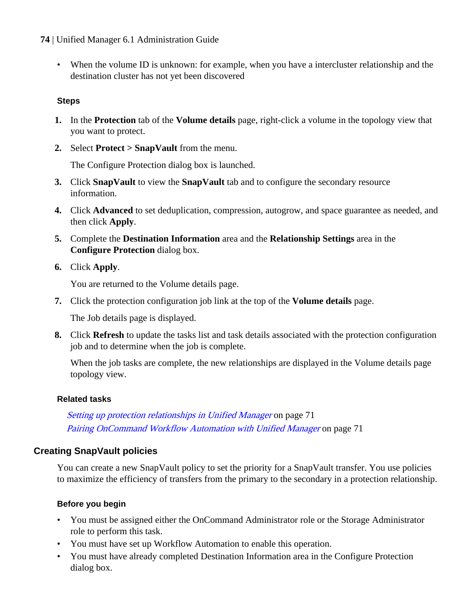• When the volume ID is unknown: for example, when you have a intercluster relationship and the destination cluster has not yet been discovered

# **Steps**

- **1.** In the **Protection** tab of the **Volume details** page, right-click a volume in the topology view that you want to protect.
- **2.** Select **Protect > SnapVault** from the menu.

The Configure Protection dialog box is launched.

- **3.** Click **SnapVault** to view the **SnapVault** tab and to configure the secondary resource information.
- **4.** Click **Advanced** to set deduplication, compression, autogrow, and space guarantee as needed, and then click **Apply**.
- **5.** Complete the **Destination Information** area and the **Relationship Settings** area in the **Configure Protection** dialog box.
- **6.** Click **Apply**.

You are returned to the Volume details page.

**7.** Click the protection configuration job link at the top of the **Volume details** page.

The Job details page is displayed.

**8.** Click **Refresh** to update the tasks list and task details associated with the protection configuration job and to determine when the job is complete.

When the job tasks are complete, the new relationships are displayed in the Volume details page topology view.

# **Related tasks**

[Setting up protection relationships in Unified Manager](#page-70-0) on page 71 [Pairing OnCommand Workflow Automation with Unified Manager](#page-70-0) on page 71

# **Creating SnapVault policies**

You can create a new SnapVault policy to set the priority for a SnapVault transfer. You use policies to maximize the efficiency of transfers from the primary to the secondary in a protection relationship.

# **Before you begin**

- You must be assigned either the OnCommand Administrator role or the Storage Administrator role to perform this task.
- You must have set up Workflow Automation to enable this operation.
- You must have already completed Destination Information area in the Configure Protection dialog box.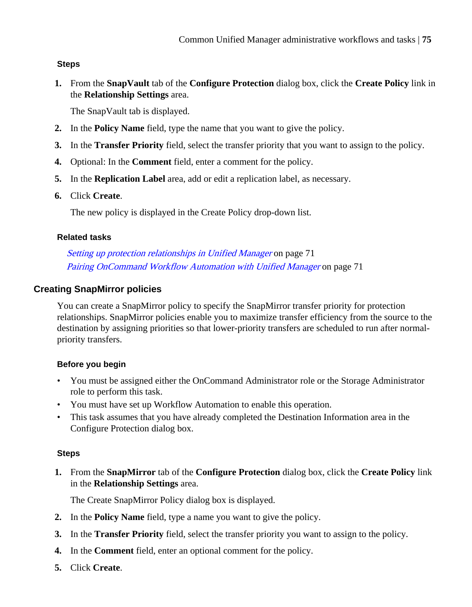# **Steps**

**1.** From the **SnapVault** tab of the **Configure Protection** dialog box, click the **Create Policy** link in the **Relationship Settings** area.

The SnapVault tab is displayed.

- **2.** In the **Policy Name** field, type the name that you want to give the policy.
- **3.** In the **Transfer Priority** field, select the transfer priority that you want to assign to the policy.
- **4.** Optional: In the **Comment** field, enter a comment for the policy.
- **5.** In the **Replication Label** area, add or edit a replication label, as necessary.
- **6.** Click **Create**.

The new policy is displayed in the Create Policy drop-down list.

# **Related tasks**

[Setting up protection relationships in Unified Manager](#page-70-0) on page 71 [Pairing OnCommand Workflow Automation with Unified Manager](#page-70-0) on page 71

# **Creating SnapMirror policies**

You can create a SnapMirror policy to specify the SnapMirror transfer priority for protection relationships. SnapMirror policies enable you to maximize transfer efficiency from the source to the destination by assigning priorities so that lower-priority transfers are scheduled to run after normalpriority transfers.

# **Before you begin**

- You must be assigned either the OnCommand Administrator role or the Storage Administrator role to perform this task.
- You must have set up Workflow Automation to enable this operation.
- This task assumes that you have already completed the Destination Information area in the Configure Protection dialog box.

# **Steps**

**1.** From the **SnapMirror** tab of the **Configure Protection** dialog box, click the **Create Policy** link in the **Relationship Settings** area.

The Create SnapMirror Policy dialog box is displayed.

- **2.** In the **Policy Name** field, type a name you want to give the policy.
- **3.** In the **Transfer Priority** field, select the transfer priority you want to assign to the policy.
- **4.** In the **Comment** field, enter an optional comment for the policy.
- **5.** Click **Create**.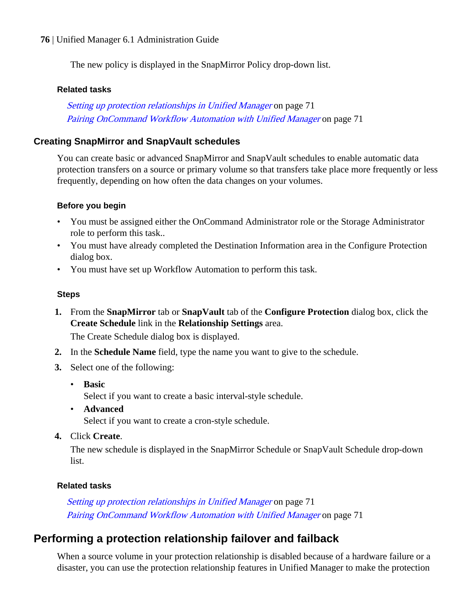<span id="page-75-0"></span>The new policy is displayed in the SnapMirror Policy drop-down list.

#### **Related tasks**

[Setting up protection relationships in Unified Manager](#page-70-0) on page 71 [Pairing OnCommand Workflow Automation with Unified Manager](#page-70-0) on page 71

# **Creating SnapMirror and SnapVault schedules**

You can create basic or advanced SnapMirror and SnapVault schedules to enable automatic data protection transfers on a source or primary volume so that transfers take place more frequently or less frequently, depending on how often the data changes on your volumes.

#### **Before you begin**

- You must be assigned either the OnCommand Administrator role or the Storage Administrator role to perform this task..
- You must have already completed the Destination Information area in the Configure Protection dialog box.
- You must have set up Workflow Automation to perform this task.

#### **Steps**

**1.** From the **SnapMirror** tab or **SnapVault** tab of the **Configure Protection** dialog box, click the **Create Schedule** link in the **Relationship Settings** area.

The Create Schedule dialog box is displayed.

- **2.** In the **Schedule Name** field, type the name you want to give to the schedule.
- **3.** Select one of the following:
	- **Basic**

Select if you want to create a basic interval-style schedule.

- **Advanced** Select if you want to create a cron-style schedule.
- **4.** Click **Create**.

The new schedule is displayed in the SnapMirror Schedule or SnapVault Schedule drop-down list.

# **Related tasks**

[Setting up protection relationships in Unified Manager](#page-70-0) on page 71 [Pairing OnCommand Workflow Automation with Unified Manager](#page-70-0) on page 71

# **Performing a protection relationship failover and failback**

When a source volume in your protection relationship is disabled because of a hardware failure or a disaster, you can use the protection relationship features in Unified Manager to make the protection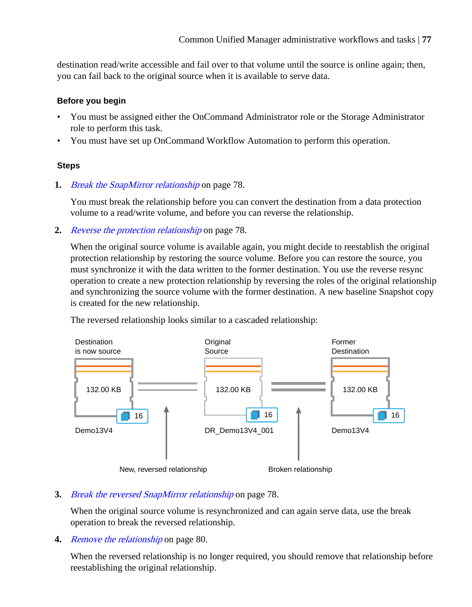destination read/write accessible and fail over to that volume until the source is online again; then, you can fail back to the original source when it is available to serve data.

# **Before you begin**

- You must be assigned either the OnCommand Administrator role or the Storage Administrator role to perform this task.
- You must have set up OnCommand Workflow Automation to perform this operation.

# **Steps**

**1.** [Break the SnapMirror relationship](#page-77-0) on page 78.

You must break the relationship before you can convert the destination from a data protection volume to a read/write volume, and before you can reverse the relationship.

**2.** [Reverse the protection relationship](#page-77-0) on page 78.

When the original source volume is available again, you might decide to reestablish the original protection relationship by restoring the source volume. Before you can restore the source, you must synchronize it with the data written to the former destination. You use the reverse resync operation to create a new protection relationship by reversing the roles of the original relationship and synchronizing the source volume with the former destination. A new baseline Snapshot copy is created for the new relationship.

The reversed relationship looks similar to a cascaded relationship:



# **3.** [Break the reversed SnapMirror relationship](#page-77-0) on page 78.

When the original source volume is resynchronized and can again serve data, use the break operation to break the reversed relationship.

**4.** [Remove the relationship](#page-79-0) on page 80.

When the reversed relationship is no longer required, you should remove that relationship before reestablishing the original relationship.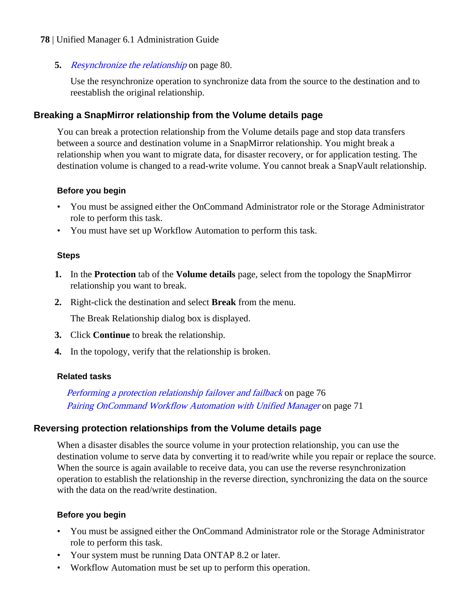### <span id="page-77-0"></span>**5.** [Resynchronize the relationship](#page-79-0) on page 80.

Use the resynchronize operation to synchronize data from the source to the destination and to reestablish the original relationship.

# **Breaking a SnapMirror relationship from the Volume details page**

You can break a protection relationship from the Volume details page and stop data transfers between a source and destination volume in a SnapMirror relationship. You might break a relationship when you want to migrate data, for disaster recovery, or for application testing. The destination volume is changed to a read-write volume. You cannot break a SnapVault relationship.

# **Before you begin**

- You must be assigned either the OnCommand Administrator role or the Storage Administrator role to perform this task.
- You must have set up Workflow Automation to perform this task.

#### **Steps**

- **1.** In the **Protection** tab of the **Volume details** page, select from the topology the SnapMirror relationship you want to break.
- **2.** Right-click the destination and select **Break** from the menu.

The Break Relationship dialog box is displayed.

- **3.** Click **Continue** to break the relationship.
- **4.** In the topology, verify that the relationship is broken.

#### **Related tasks**

[Performing a protection relationship failover and failback](#page-75-0) on page 76 [Pairing OnCommand Workflow Automation with Unified Manager](#page-70-0) on page 71

# **Reversing protection relationships from the Volume details page**

When a disaster disables the source volume in your protection relationship, you can use the destination volume to serve data by converting it to read/write while you repair or replace the source. When the source is again available to receive data, you can use the reverse resynchronization operation to establish the relationship in the reverse direction, synchronizing the data on the source with the data on the read/write destination.

# **Before you begin**

- You must be assigned either the OnCommand Administrator role or the Storage Administrator role to perform this task.
- Your system must be running Data ONTAP 8.2 or later.
- Workflow Automation must be set up to perform this operation.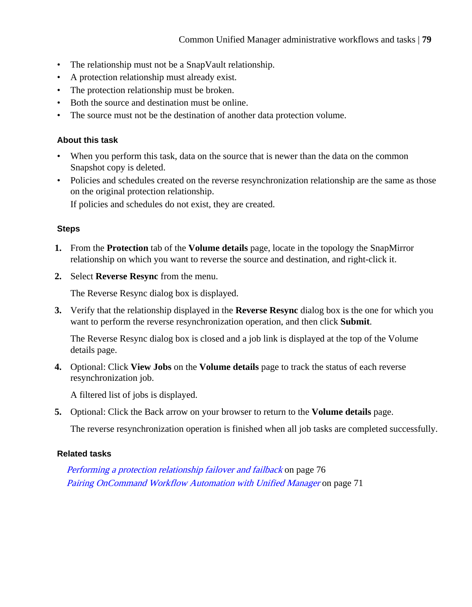- The relationship must not be a SnapVault relationship.
- A protection relationship must already exist.
- The protection relationship must be broken.
- Both the source and destination must be online.
- The source must not be the destination of another data protection volume.

# **About this task**

- When you perform this task, data on the source that is newer than the data on the common Snapshot copy is deleted.
- Policies and schedules created on the reverse resynchronization relationship are the same as those on the original protection relationship.

If policies and schedules do not exist, they are created.

# **Steps**

- **1.** From the **Protection** tab of the **Volume details** page, locate in the topology the SnapMirror relationship on which you want to reverse the source and destination, and right-click it.
- **2.** Select **Reverse Resync** from the menu.

The Reverse Resync dialog box is displayed.

**3.** Verify that the relationship displayed in the **Reverse Resync** dialog box is the one for which you want to perform the reverse resynchronization operation, and then click **Submit**.

The Reverse Resync dialog box is closed and a job link is displayed at the top of the Volume details page.

**4.** Optional: Click **View Jobs** on the **Volume details** page to track the status of each reverse resynchronization job.

A filtered list of jobs is displayed.

**5.** Optional: Click the Back arrow on your browser to return to the **Volume details** page.

The reverse resynchronization operation is finished when all job tasks are completed successfully.

# **Related tasks**

[Performing a protection relationship failover and failback](#page-75-0) on page 76 [Pairing OnCommand Workflow Automation with Unified Manager](#page-70-0) on page 71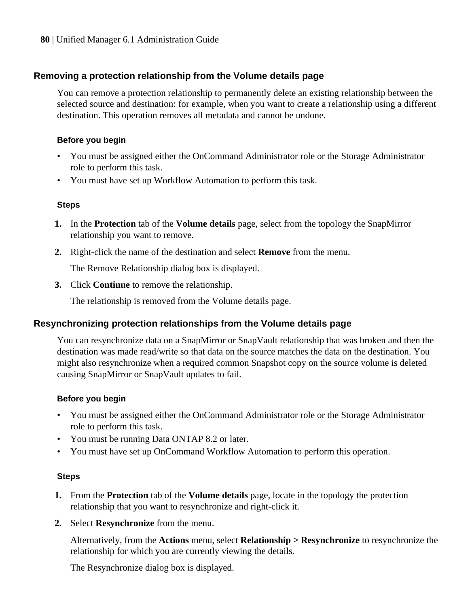# <span id="page-79-0"></span>**Removing a protection relationship from the Volume details page**

You can remove a protection relationship to permanently delete an existing relationship between the selected source and destination: for example, when you want to create a relationship using a different destination. This operation removes all metadata and cannot be undone.

### **Before you begin**

- You must be assigned either the OnCommand Administrator role or the Storage Administrator role to perform this task.
- You must have set up Workflow Automation to perform this task.

#### **Steps**

- **1.** In the **Protection** tab of the **Volume details** page, select from the topology the SnapMirror relationship you want to remove.
- **2.** Right-click the name of the destination and select **Remove** from the menu.

The Remove Relationship dialog box is displayed.

**3.** Click **Continue** to remove the relationship.

The relationship is removed from the Volume details page.

# **Resynchronizing protection relationships from the Volume details page**

You can resynchronize data on a SnapMirror or SnapVault relationship that was broken and then the destination was made read/write so that data on the source matches the data on the destination. You might also resynchronize when a required common Snapshot copy on the source volume is deleted causing SnapMirror or SnapVault updates to fail.

#### **Before you begin**

- You must be assigned either the OnCommand Administrator role or the Storage Administrator role to perform this task.
- You must be running Data ONTAP 8.2 or later.
- You must have set up OnCommand Workflow Automation to perform this operation.

#### **Steps**

- **1.** From the **Protection** tab of the **Volume details** page, locate in the topology the protection relationship that you want to resynchronize and right-click it.
- **2.** Select **Resynchronize** from the menu.

Alternatively, from the **Actions** menu, select **Relationship > Resynchronize** to resynchronize the relationship for which you are currently viewing the details.

The Resynchronize dialog box is displayed.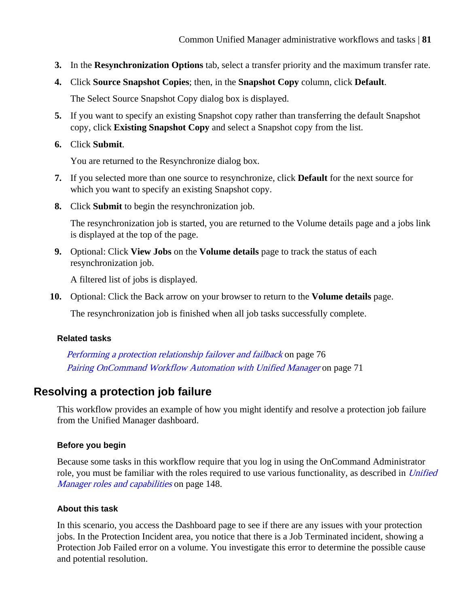- **3.** In the **Resynchronization Options** tab, select a transfer priority and the maximum transfer rate.
- **4.** Click **Source Snapshot Copies**; then, in the **Snapshot Copy** column, click **Default**.

The Select Source Snapshot Copy dialog box is displayed.

- **5.** If you want to specify an existing Snapshot copy rather than transferring the default Snapshot copy, click **Existing Snapshot Copy** and select a Snapshot copy from the list.
- **6.** Click **Submit**.

You are returned to the Resynchronize dialog box.

- **7.** If you selected more than one source to resynchronize, click **Default** for the next source for which you want to specify an existing Snapshot copy.
- **8.** Click **Submit** to begin the resynchronization job.

The resynchronization job is started, you are returned to the Volume details page and a jobs link is displayed at the top of the page.

**9.** Optional: Click **View Jobs** on the **Volume details** page to track the status of each resynchronization job.

A filtered list of jobs is displayed.

**10.** Optional: Click the Back arrow on your browser to return to the **Volume details** page.

The resynchronization job is finished when all job tasks successfully complete.

#### **Related tasks**

[Performing a protection relationship failover and failback](#page-75-0) on page 76 [Pairing OnCommand Workflow Automation with Unified Manager](#page-70-0) on page 71

# **Resolving a protection job failure**

This workflow provides an example of how you might identify and resolve a protection job failure from the Unified Manager dashboard.

# **Before you begin**

Because some tasks in this workflow require that you log in using the OnCommand Administrator role, you must be familiar with the roles required to use various functionality, as described in [Unified](#page-147-0) [Manager roles and capabilities](#page-147-0) on page 148.

# **About this task**

In this scenario, you access the Dashboard page to see if there are any issues with your protection jobs. In the Protection Incident area, you notice that there is a Job Terminated incident, showing a Protection Job Failed error on a volume. You investigate this error to determine the possible cause and potential resolution.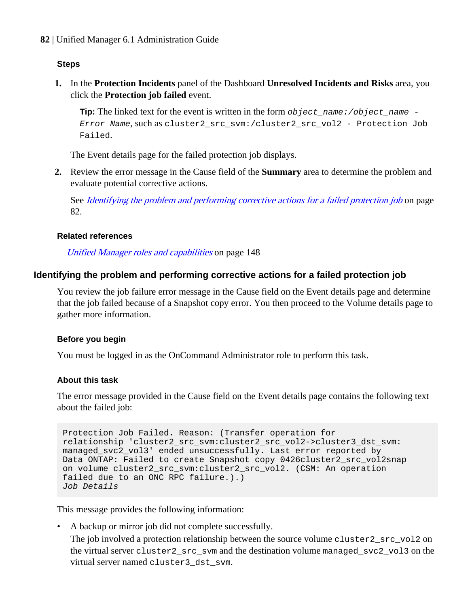# **Steps**

**1.** In the **Protection Incidents** panel of the Dashboard **Unresolved Incidents and Risks** area, you click the **Protection job failed** event.

**Tip:** The linked text for the event is written in the form  $object$  name:/object\_name -Error Name, such as cluster2\_src\_svm:/cluster2\_src\_vol2 - Protection Job Failed.

The Event details page for the failed protection job displays.

**2.** Review the error message in the Cause field of the **Summary** area to determine the problem and evaluate potential corrective actions.

See Identifying the problem and performing corrective actions for a failed protection job on page 82.

#### **Related references**

[Unified Manager roles and capabilities](#page-147-0) on page 148

# **Identifying the problem and performing corrective actions for a failed protection job**

You review the job failure error message in the Cause field on the Event details page and determine that the job failed because of a Snapshot copy error. You then proceed to the Volume details page to gather more information.

#### **Before you begin**

You must be logged in as the OnCommand Administrator role to perform this task.

### **About this task**

The error message provided in the Cause field on the Event details page contains the following text about the failed job:

```
Protection Job Failed. Reason: (Transfer operation for 
relationship 'cluster2_src_svm:cluster2_src_vol2->cluster3_dst_svm:
managed svc2 vol3' ended unsuccessfully. Last error reported by
Data ONTAP: Failed to create Snapshot copy 0426cluster2_src_vol2snap
on volume cluster2_src_svm:cluster2_src_vol2. (CSM: An operation 
failed due to an ONC RPC failure.).) 
Job Details
```
This message provides the following information:

- A backup or mirror job did not complete successfully.
	- The job involved a protection relationship between the source volume cluster  $2$ \_src\_vol2 on the virtual server cluster2\_src\_svm and the destination volume managed\_svc2\_vol3 on the virtual server named cluster3\_dst\_svm.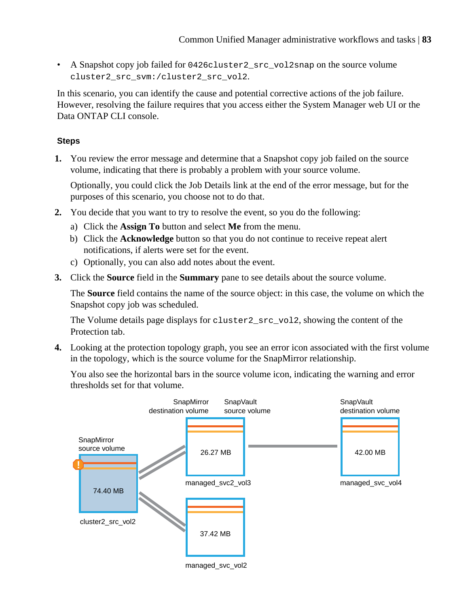• A Snapshot copy job failed for 0426cluster2\_src\_vol2snap on the source volume cluster2\_src\_svm:/cluster2\_src\_vol2.

In this scenario, you can identify the cause and potential corrective actions of the job failure. However, resolving the failure requires that you access either the System Manager web UI or the Data ONTAP CLI console.

# **Steps**

**1.** You review the error message and determine that a Snapshot copy job failed on the source volume, indicating that there is probably a problem with your source volume.

Optionally, you could click the Job Details link at the end of the error message, but for the purposes of this scenario, you choose not to do that.

- **2.** You decide that you want to try to resolve the event, so you do the following:
	- a) Click the **Assign To** button and select **Me** from the menu.
	- b) Click the **Acknowledge** button so that you do not continue to receive repeat alert notifications, if alerts were set for the event.
	- c) Optionally, you can also add notes about the event.
- **3.** Click the **Source** field in the **Summary** pane to see details about the source volume.

The **Source** field contains the name of the source object: in this case, the volume on which the Snapshot copy job was scheduled.

The Volume details page displays for cluster2\_src\_vol2, showing the content of the Protection tab.

**4.** Looking at the protection topology graph, you see an error icon associated with the first volume in the topology, which is the source volume for the SnapMirror relationship.

You also see the horizontal bars in the source volume icon, indicating the warning and error thresholds set for that volume.



managed\_svc\_vol2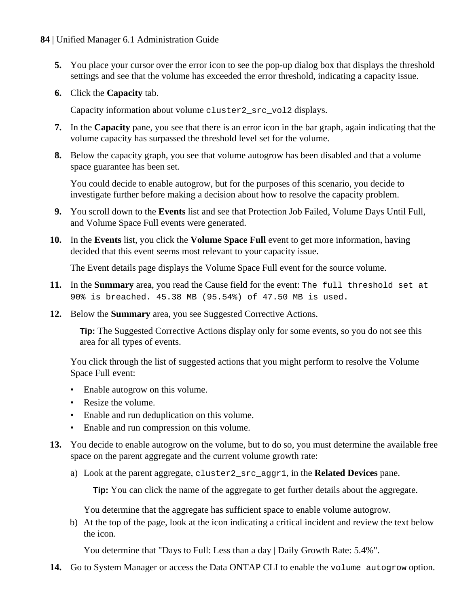- **5.** You place your cursor over the error icon to see the pop-up dialog box that displays the threshold settings and see that the volume has exceeded the error threshold, indicating a capacity issue.
- **6.** Click the **Capacity** tab.

Capacity information about volume cluster2\_src\_vol2 displays.

- **7.** In the **Capacity** pane, you see that there is an error icon in the bar graph, again indicating that the volume capacity has surpassed the threshold level set for the volume.
- **8.** Below the capacity graph, you see that volume autogrow has been disabled and that a volume space guarantee has been set.

You could decide to enable autogrow, but for the purposes of this scenario, you decide to investigate further before making a decision about how to resolve the capacity problem.

- **9.** You scroll down to the **Events** list and see that Protection Job Failed, Volume Days Until Full, and Volume Space Full events were generated.
- **10.** In the **Events** list, you click the **Volume Space Full** event to get more information, having decided that this event seems most relevant to your capacity issue.

The Event details page displays the Volume Space Full event for the source volume.

- **11.** In the **Summary** area, you read the Cause field for the event: The full threshold set at 90% is breached. 45.38 MB (95.54%) of 47.50 MB is used.
- **12.** Below the **Summary** area, you see Suggested Corrective Actions.

**Tip:** The Suggested Corrective Actions display only for some events, so you do not see this area for all types of events.

You click through the list of suggested actions that you might perform to resolve the Volume Space Full event:

- Enable autogrow on this volume.
- Resize the volume.
- Enable and run deduplication on this volume.
- Enable and run compression on this volume.
- **13.** You decide to enable autogrow on the volume, but to do so, you must determine the available free space on the parent aggregate and the current volume growth rate:
	- a) Look at the parent aggregate, cluster2\_src\_aggr1, in the **Related Devices** pane.

**Tip:** You can click the name of the aggregate to get further details about the aggregate.

You determine that the aggregate has sufficient space to enable volume autogrow.

b) At the top of the page, look at the icon indicating a critical incident and review the text below the icon.

You determine that "Days to Full: Less than a day | Daily Growth Rate: 5.4%".

**14.** Go to System Manager or access the Data ONTAP CLI to enable the volume autogrow option.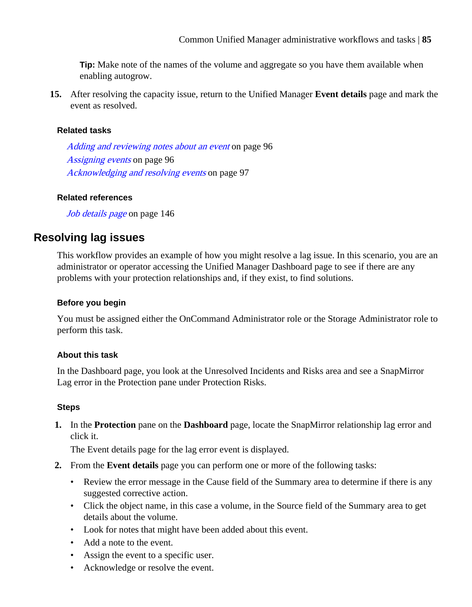**Tip:** Make note of the names of the volume and aggregate so you have them available when enabling autogrow.

**15.** After resolving the capacity issue, return to the Unified Manager **Event details** page and mark the event as resolved.

### **Related tasks**

[Adding and reviewing notes about an event](#page-95-0) on page 96 [Assigning events](#page-95-0) on page 96 [Acknowledging and resolving events](#page-96-0) on page 97

#### **Related references**

[Job details page](#page-145-0) on page 146

# **Resolving lag issues**

This workflow provides an example of how you might resolve a lag issue. In this scenario, you are an administrator or operator accessing the Unified Manager Dashboard page to see if there are any problems with your protection relationships and, if they exist, to find solutions.

### **Before you begin**

You must be assigned either the OnCommand Administrator role or the Storage Administrator role to perform this task.

# **About this task**

In the Dashboard page, you look at the Unresolved Incidents and Risks area and see a SnapMirror Lag error in the Protection pane under Protection Risks.

#### **Steps**

**1.** In the **Protection** pane on the **Dashboard** page, locate the SnapMirror relationship lag error and click it.

The Event details page for the lag error event is displayed.

- **2.** From the **Event details** page you can perform one or more of the following tasks:
	- Review the error message in the Cause field of the Summary area to determine if there is any suggested corrective action.
	- Click the object name, in this case a volume, in the Source field of the Summary area to get details about the volume.
	- Look for notes that might have been added about this event.
	- Add a note to the event.
	- Assign the event to a specific user.
	- Acknowledge or resolve the event.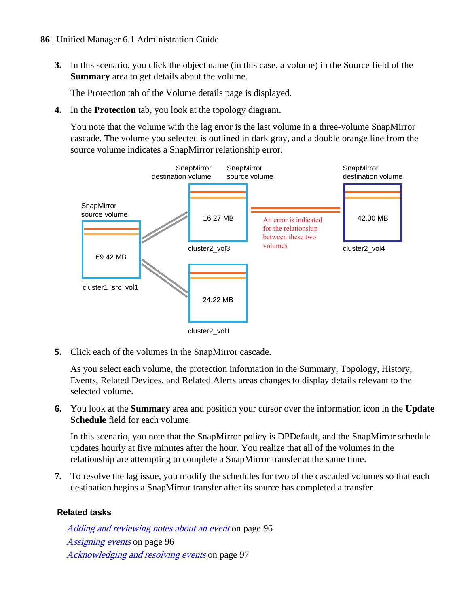- **86** | Unified Manager 6.1 Administration Guide
	- **3.** In this scenario, you click the object name (in this case, a volume) in the Source field of the **Summary** area to get details about the volume.

The Protection tab of the Volume details page is displayed.

**4.** In the **Protection** tab, you look at the topology diagram.

You note that the volume with the lag error is the last volume in a three-volume SnapMirror cascade. The volume you selected is outlined in dark gray, and a double orange line from the source volume indicates a SnapMirror relationship error.



**5.** Click each of the volumes in the SnapMirror cascade.

As you select each volume, the protection information in the Summary, Topology, History, Events, Related Devices, and Related Alerts areas changes to display details relevant to the selected volume.

**6.** You look at the **Summary** area and position your cursor over the information icon in the **Update Schedule** field for each volume.

In this scenario, you note that the SnapMirror policy is DPDefault, and the SnapMirror schedule updates hourly at five minutes after the hour. You realize that all of the volumes in the relationship are attempting to complete a SnapMirror transfer at the same time.

**7.** To resolve the lag issue, you modify the schedules for two of the cascaded volumes so that each destination begins a SnapMirror transfer after its source has completed a transfer.

# **Related tasks**

[Adding and reviewing notes about an event](#page-95-0) on page 96 [Assigning events](#page-95-0) on page 96 [Acknowledging and resolving events](#page-96-0) on page 97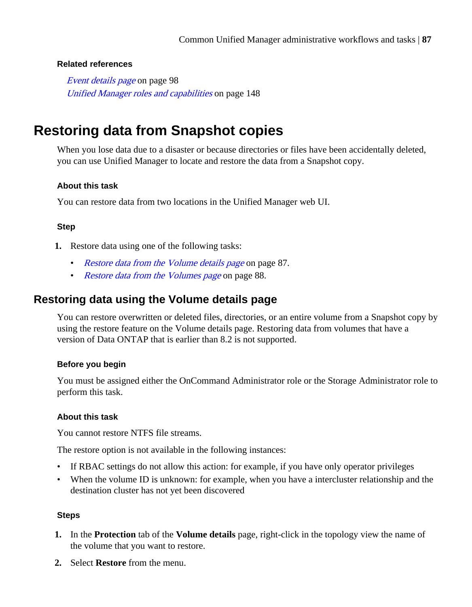### **Related references**

[Event details page](#page-97-0) on page 98 [Unified Manager roles and capabilities](#page-147-0) on page 148

# **Restoring data from Snapshot copies**

When you lose data due to a disaster or because directories or files have been accidentally deleted, you can use Unified Manager to locate and restore the data from a Snapshot copy.

#### **About this task**

You can restore data from two locations in the Unified Manager web UI.

# **Step**

- **1.** Restore data using one of the following tasks:
	- Restore data from the Volume details page on page 87.
	- [Restore data from the Volumes page](#page-87-0) on page 88.

# **Restoring data using the Volume details page**

You can restore overwritten or deleted files, directories, or an entire volume from a Snapshot copy by using the restore feature on the Volume details page. Restoring data from volumes that have a version of Data ONTAP that is earlier than 8.2 is not supported.

#### **Before you begin**

You must be assigned either the OnCommand Administrator role or the Storage Administrator role to perform this task.

# **About this task**

You cannot restore NTFS file streams.

The restore option is not available in the following instances:

- If RBAC settings do not allow this action: for example, if you have only operator privileges
- When the volume ID is unknown: for example, when you have a intercluster relationship and the destination cluster has not yet been discovered

#### **Steps**

- **1.** In the **Protection** tab of the **Volume details** page, right-click in the topology view the name of the volume that you want to restore.
- **2.** Select **Restore** from the menu.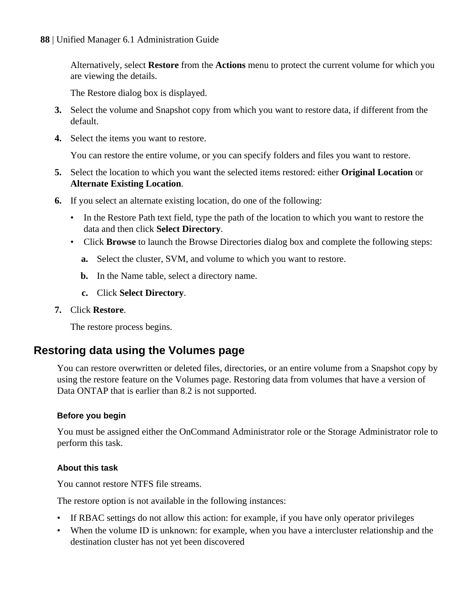<span id="page-87-0"></span>Alternatively, select **Restore** from the **Actions** menu to protect the current volume for which you are viewing the details.

The Restore dialog box is displayed.

- **3.** Select the volume and Snapshot copy from which you want to restore data, if different from the default.
- **4.** Select the items you want to restore.

You can restore the entire volume, or you can specify folders and files you want to restore.

- **5.** Select the location to which you want the selected items restored: either **Original Location** or **Alternate Existing Location**.
- **6.** If you select an alternate existing location, do one of the following:
	- In the Restore Path text field, type the path of the location to which you want to restore the data and then click **Select Directory**.
	- Click **Browse** to launch the Browse Directories dialog box and complete the following steps:
		- **a.** Select the cluster, SVM, and volume to which you want to restore.
		- **b.** In the Name table, select a directory name.
		- **c.** Click **Select Directory**.
- **7.** Click **Restore**.

The restore process begins.

# **Restoring data using the Volumes page**

You can restore overwritten or deleted files, directories, or an entire volume from a Snapshot copy by using the restore feature on the Volumes page. Restoring data from volumes that have a version of Data ONTAP that is earlier than 8.2 is not supported.

# **Before you begin**

You must be assigned either the OnCommand Administrator role or the Storage Administrator role to perform this task.

# **About this task**

You cannot restore NTFS file streams.

The restore option is not available in the following instances:

- If RBAC settings do not allow this action: for example, if you have only operator privileges
- When the volume ID is unknown: for example, when you have a intercluster relationship and the destination cluster has not yet been discovered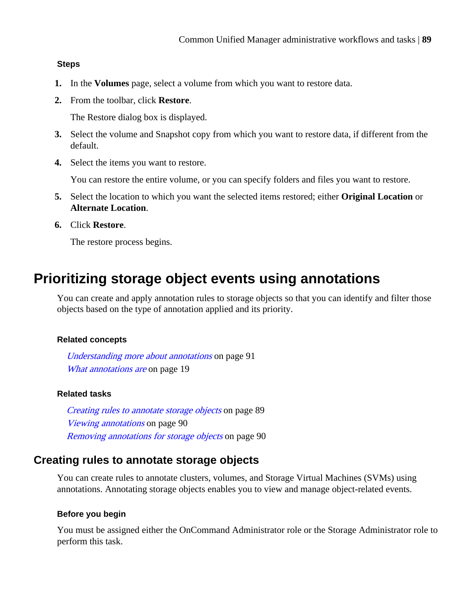#### **Steps**

- **1.** In the **Volumes** page, select a volume from which you want to restore data.
- **2.** From the toolbar, click **Restore**.

The Restore dialog box is displayed.

- **3.** Select the volume and Snapshot copy from which you want to restore data, if different from the default.
- **4.** Select the items you want to restore.

You can restore the entire volume, or you can specify folders and files you want to restore.

- **5.** Select the location to which you want the selected items restored; either **Original Location** or **Alternate Location**.
- **6.** Click **Restore**.

The restore process begins.

# **Prioritizing storage object events using annotations**

You can create and apply annotation rules to storage objects so that you can identify and filter those objects based on the type of annotation applied and its priority.

#### **Related concepts**

[Understanding more about annotations](#page-90-0) on page 91 [What annotations are](#page-18-0) on page 19

#### **Related tasks**

Creating rules to annotate storage objects on page 89 [Viewing annotations](#page-89-0) on page 90 [Removing annotations for storage objects](#page-89-0) on page 90

# **Creating rules to annotate storage objects**

You can create rules to annotate clusters, volumes, and Storage Virtual Machines (SVMs) using annotations. Annotating storage objects enables you to view and manage object-related events.

#### **Before you begin**

You must be assigned either the OnCommand Administrator role or the Storage Administrator role to perform this task.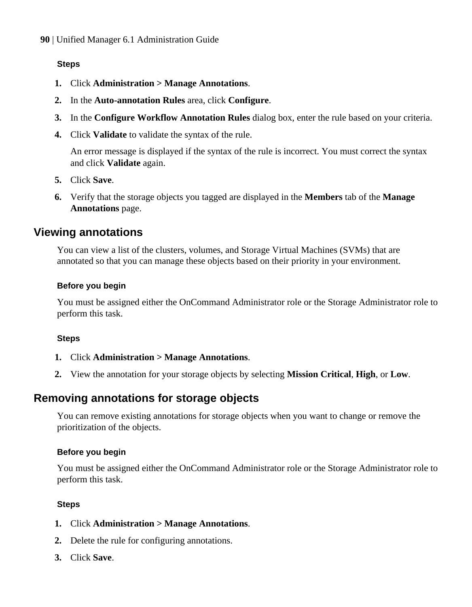# <span id="page-89-0"></span>**Steps**

- **1.** Click **Administration > Manage Annotations**.
- **2.** In the **Auto-annotation Rules** area, click **Configure**.
- **3.** In the **Configure Workflow Annotation Rules** dialog box, enter the rule based on your criteria.
- **4.** Click **Validate** to validate the syntax of the rule.

An error message is displayed if the syntax of the rule is incorrect. You must correct the syntax and click **Validate** again.

- **5.** Click **Save**.
- **6.** Verify that the storage objects you tagged are displayed in the **Members** tab of the **Manage Annotations** page.

# **Viewing annotations**

You can view a list of the clusters, volumes, and Storage Virtual Machines (SVMs) that are annotated so that you can manage these objects based on their priority in your environment.

#### **Before you begin**

You must be assigned either the OnCommand Administrator role or the Storage Administrator role to perform this task.

#### **Steps**

- **1.** Click **Administration > Manage Annotations**.
- **2.** View the annotation for your storage objects by selecting **Mission Critical**, **High**, or **Low**.

# **Removing annotations for storage objects**

You can remove existing annotations for storage objects when you want to change or remove the prioritization of the objects.

#### **Before you begin**

You must be assigned either the OnCommand Administrator role or the Storage Administrator role to perform this task.

# **Steps**

- **1.** Click **Administration > Manage Annotations**.
- **2.** Delete the rule for configuring annotations.
- **3.** Click **Save**.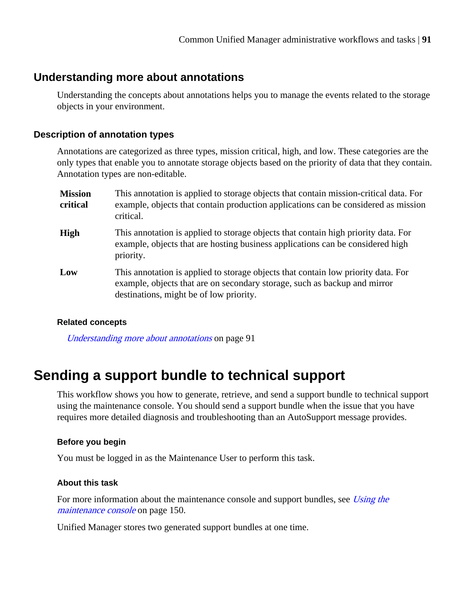# <span id="page-90-0"></span>**Understanding more about annotations**

Understanding the concepts about annotations helps you to manage the events related to the storage objects in your environment.

# **Description of annotation types**

Annotations are categorized as three types, mission critical, high, and low. These categories are the only types that enable you to annotate storage objects based on the priority of data that they contain. Annotation types are non-editable.

| <b>Mission</b><br>critical | This annotation is applied to storage objects that contain mission-critical data. For<br>example, objects that contain production applications can be considered as mission<br>critical.                  |
|----------------------------|-----------------------------------------------------------------------------------------------------------------------------------------------------------------------------------------------------------|
| <b>High</b>                | This annotation is applied to storage objects that contain high priority data. For<br>example, objects that are hosting business applications can be considered high<br>priority.                         |
| Low                        | This annotation is applied to storage objects that contain low priority data. For<br>example, objects that are on secondary storage, such as backup and mirror<br>destinations, might be of low priority. |

# **Related concepts**

Understanding more about annotations on page 91

# **Sending a support bundle to technical support**

This workflow shows you how to generate, retrieve, and send a support bundle to technical support using the maintenance console. You should send a support bundle when the issue that you have requires more detailed diagnosis and troubleshooting than an AutoSupport message provides.

# **Before you begin**

You must be logged in as the Maintenance User to perform this task.

#### **About this task**

For more information about the maintenance console and support bundles, see [Using the](#page-149-0) [maintenance console](#page-149-0) on page 150.

Unified Manager stores two generated support bundles at one time.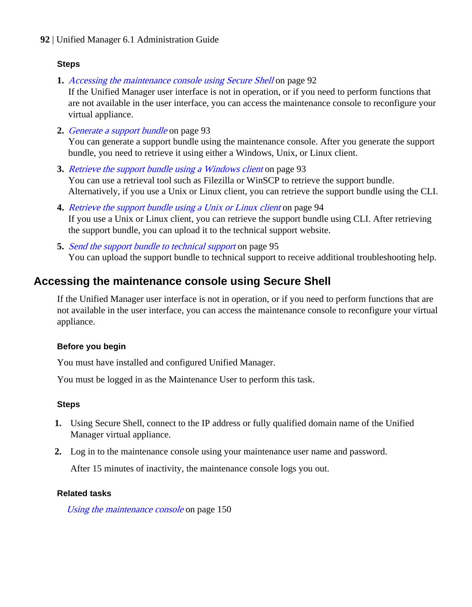# **Steps**

**1.** Accessing the maintenance console using Secure Shell on page 92

If the Unified Manager user interface is not in operation, or if you need to perform functions that are not available in the user interface, you can access the maintenance console to reconfigure your virtual appliance.

- **2.** [Generate a support bundle](#page-92-0) on page 93 You can generate a support bundle using the maintenance console. After you generate the support bundle, you need to retrieve it using either a Windows, Unix, or Linux client.
- **3.** [Retrieve the support bundle using a Windows client](#page-92-0) on page 93 You can use a retrieval tool such as Filezilla or WinSCP to retrieve the support bundle. Alternatively, if you use a Unix or Linux client, you can retrieve the support bundle using the CLI.
- **4.** [Retrieve the support bundle using a Unix or Linux client](#page-93-0) on page 94 If you use a Unix or Linux client, you can retrieve the support bundle using CLI. After retrieving the support bundle, you can upload it to the technical support website.
- **5.** [Send the support bundle to technical support](#page-94-0) on page 95 You can upload the support bundle to technical support to receive additional troubleshooting help.

# **Accessing the maintenance console using Secure Shell**

If the Unified Manager user interface is not in operation, or if you need to perform functions that are not available in the user interface, you can access the maintenance console to reconfigure your virtual appliance.

# **Before you begin**

You must have installed and configured Unified Manager.

You must be logged in as the Maintenance User to perform this task.

# **Steps**

- **1.** Using Secure Shell, connect to the IP address or fully qualified domain name of the Unified Manager virtual appliance.
- **2.** Log in to the maintenance console using your maintenance user name and password.

After 15 minutes of inactivity, the maintenance console logs you out.

# **Related tasks**

[Using the maintenance console](#page-149-0) on page 150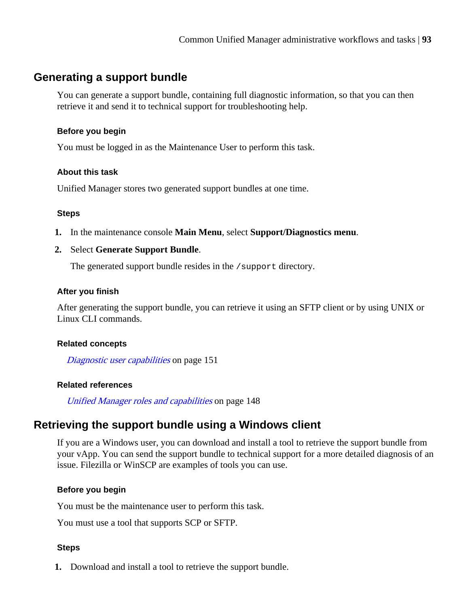# <span id="page-92-0"></span>**Generating a support bundle**

You can generate a support bundle, containing full diagnostic information, so that you can then retrieve it and send it to technical support for troubleshooting help.

### **Before you begin**

You must be logged in as the Maintenance User to perform this task.

#### **About this task**

Unified Manager stores two generated support bundles at one time.

#### **Steps**

- **1.** In the maintenance console **Main Menu**, select **Support/Diagnostics menu**.
- **2.** Select **Generate Support Bundle**.

The generated support bundle resides in the /support directory.

#### **After you finish**

After generating the support bundle, you can retrieve it using an SFTP client or by using UNIX or Linux CLI commands.

#### **Related concepts**

[Diagnostic user capabilities](#page-150-0) on page 151

# **Related references**

[Unified Manager roles and capabilities](#page-147-0) on page 148

# **Retrieving the support bundle using a Windows client**

If you are a Windows user, you can download and install a tool to retrieve the support bundle from your vApp. You can send the support bundle to technical support for a more detailed diagnosis of an issue. Filezilla or WinSCP are examples of tools you can use.

# **Before you begin**

You must be the maintenance user to perform this task.

You must use a tool that supports SCP or SFTP.

#### **Steps**

**1.** Download and install a tool to retrieve the support bundle.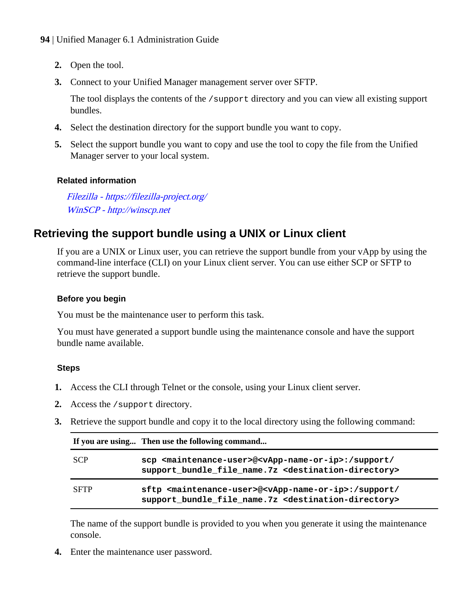- <span id="page-93-0"></span>**2.** Open the tool.
- **3.** Connect to your Unified Manager management server over SFTP.

The tool displays the contents of the /support directory and you can view all existing support bundles.

- **4.** Select the destination directory for the support bundle you want to copy.
- **5.** Select the support bundle you want to copy and use the tool to copy the file from the Unified Manager server to your local system.

#### **Related information**

[Filezilla - https://filezilla-project.org/](https://filezilla-project.org/) [WinSCP - http://winscp.net](http://winscp.net)

# **Retrieving the support bundle using a UNIX or Linux client**

If you are a UNIX or Linux user, you can retrieve the support bundle from your vApp by using the command-line interface (CLI) on your Linux client server. You can use either SCP or SFTP to retrieve the support bundle.

#### **Before you begin**

You must be the maintenance user to perform this task.

You must have generated a support bundle using the maintenance console and have the support bundle name available.

#### **Steps**

- **1.** Access the CLI through Telnet or the console, using your Linux client server.
- **2.** Access the /support directory.
- **3.** Retrieve the support bundle and copy it to the local directory using the following command:

|             | If you are using Then use the following command                                                                                                                          |
|-------------|--------------------------------------------------------------------------------------------------------------------------------------------------------------------------|
| <b>SCP</b>  | scp <maintenance-user>@<vapp-name-or-ip>:/support/<br/>support bundle file name. 7z <destination-directory></destination-directory></vapp-name-or-ip></maintenance-user> |
| <b>SFTP</b> | sftp <maintenance-user>@<vapp-name-or-ip>:/support/<br/>support bundle file name. 7z &lt; destination-directory&gt;</vapp-name-or-ip></maintenance-user>                 |

The name of the support bundle is provided to you when you generate it using the maintenance console.

**4.** Enter the maintenance user password.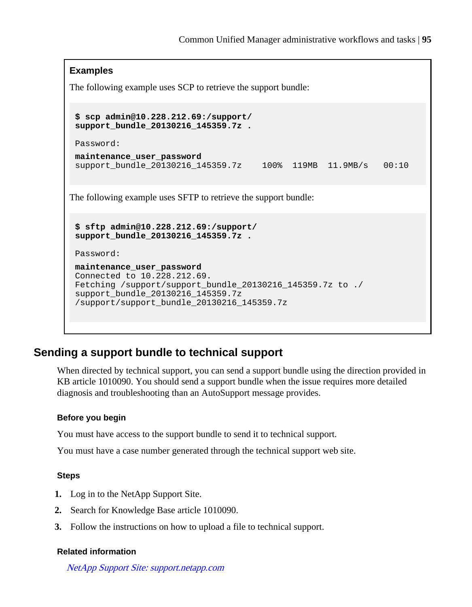### <span id="page-94-0"></span>**Examples**

The following example uses SCP to retrieve the support bundle:

```
$ scp admin@10.228.212.69:/support/
support_bundle_20130216_145359.7z .
```
Password:

```
maintenance_user_password
support_bundle_20130216_145359.7z 100% 119MB 11.9MB/s 00:10
```
The following example uses SFTP to retrieve the support bundle:

```
$ sftp admin@10.228.212.69:/support/
support_bundle_20130216_145359.7z .
```
Password:

```
maintenance_user_password
Connected to 10.228.212.69.
Fetching /support/support_bundle_20130216_145359.7z to ./
support_bundle_20130216_145359.7z
/support/support_bundle_20130216_145359.7z
```
# **Sending a support bundle to technical support**

When directed by technical support, you can send a support bundle using the direction provided in KB article 1010090. You should send a support bundle when the issue requires more detailed diagnosis and troubleshooting than an AutoSupport message provides.

### **Before you begin**

You must have access to the support bundle to send it to technical support.

You must have a case number generated through the technical support web site.

#### **Steps**

- **1.** Log in to the NetApp Support Site.
- **2.** Search for Knowledge Base article 1010090.
- **3.** Follow the instructions on how to upload a file to technical support.

#### **Related information**

[NetApp Support Site: support.netapp.com](http://support.netapp.com/)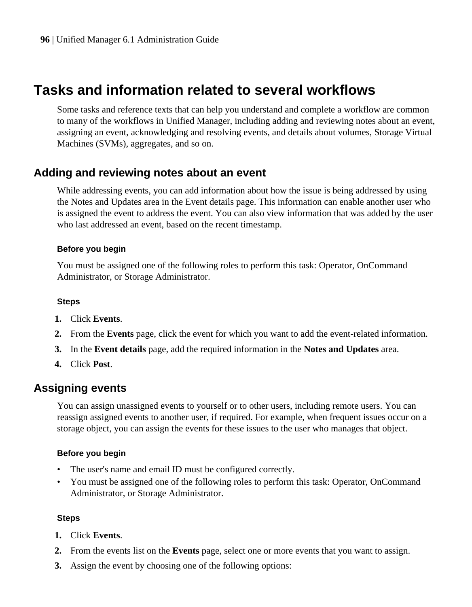# <span id="page-95-0"></span>**Tasks and information related to several workflows**

Some tasks and reference texts that can help you understand and complete a workflow are common to many of the workflows in Unified Manager, including adding and reviewing notes about an event, assigning an event, acknowledging and resolving events, and details about volumes, Storage Virtual Machines (SVMs), aggregates, and so on.

# **Adding and reviewing notes about an event**

While addressing events, you can add information about how the issue is being addressed by using the Notes and Updates area in the Event details page. This information can enable another user who is assigned the event to address the event. You can also view information that was added by the user who last addressed an event, based on the recent timestamp.

#### **Before you begin**

You must be assigned one of the following roles to perform this task: Operator, OnCommand Administrator, or Storage Administrator.

#### **Steps**

- **1.** Click **Events**.
- **2.** From the **Events** page, click the event for which you want to add the event-related information.
- **3.** In the **Event details** page, add the required information in the **Notes and Updates** area.
- **4.** Click **Post**.

# **Assigning events**

You can assign unassigned events to yourself or to other users, including remote users. You can reassign assigned events to another user, if required. For example, when frequent issues occur on a storage object, you can assign the events for these issues to the user who manages that object.

# **Before you begin**

- The user's name and email ID must be configured correctly.
- You must be assigned one of the following roles to perform this task: Operator, OnCommand Administrator, or Storage Administrator.

#### **Steps**

- **1.** Click **Events**.
- **2.** From the events list on the **Events** page, select one or more events that you want to assign.
- **3.** Assign the event by choosing one of the following options: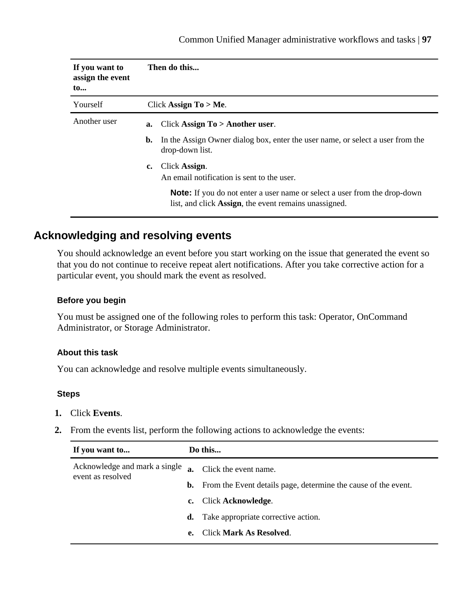<span id="page-96-0"></span>

| If you want to<br>assign the event<br>$\mathbf{to}$ | Then do this                                                                                                                              |
|-----------------------------------------------------|-------------------------------------------------------------------------------------------------------------------------------------------|
| Yourself                                            | Click Assign To $>$ Me.                                                                                                                   |
| Another user                                        | Click Assign $To > Another user$ .<br>a.                                                                                                  |
|                                                     | In the Assign Owner dialog box, enter the user name, or select a user from the<br>b.<br>drop-down list.                                   |
|                                                     | Click Assign.<br>c.<br>An email notification is sent to the user.                                                                         |
|                                                     | <b>Note:</b> If you do not enter a user name or select a user from the drop-down<br>list, and click Assign, the event remains unassigned. |

# **Acknowledging and resolving events**

You should acknowledge an event before you start working on the issue that generated the event so that you do not continue to receive repeat alert notifications. After you take corrective action for a particular event, you should mark the event as resolved.

#### **Before you begin**

You must be assigned one of the following roles to perform this task: Operator, OnCommand Administrator, or Storage Administrator.

#### **About this task**

You can acknowledge and resolve multiple events simultaneously.

#### **Steps**

- **1.** Click **Events**.
- **2.** From the events list, perform the following actions to acknowledge the events:

| If you want to                                     | Do this     |                                                                          |
|----------------------------------------------------|-------------|--------------------------------------------------------------------------|
| Acknowledge and mark a single<br>event as resolved |             | Click the event name.                                                    |
|                                                    |             | <b>b.</b> From the Event details page, determine the cause of the event. |
|                                                    | $c_{\cdot}$ | Click Acknowledge.                                                       |
|                                                    |             | <b>d.</b> Take appropriate corrective action.                            |
|                                                    | e.          | Click Mark As Resolved.                                                  |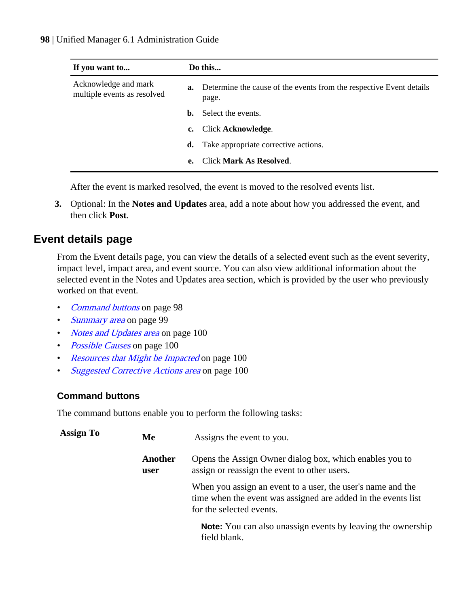<span id="page-97-0"></span>

| If you want to                                      |    | Do this                                                                                |  |  |
|-----------------------------------------------------|----|----------------------------------------------------------------------------------------|--|--|
| Acknowledge and mark<br>multiple events as resolved |    | <b>a.</b> Determine the cause of the events from the respective Event details<br>page. |  |  |
|                                                     | b. | Select the events.                                                                     |  |  |
|                                                     | c. | Click Acknowledge.                                                                     |  |  |
|                                                     | d. | Take appropriate corrective actions.                                                   |  |  |
|                                                     | e. | <b>Click Mark As Resolved.</b>                                                         |  |  |

After the event is marked resolved, the event is moved to the resolved events list.

**3.** Optional: In the **Notes and Updates** area, add a note about how you addressed the event, and then click **Post**.

# **Event details page**

From the Event details page, you can view the details of a selected event such as the event severity, impact level, impact area, and event source. You can also view additional information about the selected event in the Notes and Updates area section, which is provided by the user who previously worked on that event.

- Command buttons on page 98
- [Summary area](#page-98-0) on page 99
- *[Notes and Updates area](#page-99-0)* on page 100
- *[Possible Causes](#page-99-0)* on page 100
- [Resources that Might be Impacted](#page-99-0) on page 100
- [Suggested Corrective Actions area](#page-99-0) on page 100

# **Command buttons**

The command buttons enable you to perform the following tasks:

| <b>Assign To</b> | Me              | Assigns the event to you.                                                                                                                                |  |
|------------------|-----------------|----------------------------------------------------------------------------------------------------------------------------------------------------------|--|
|                  | Another<br>user | Opens the Assign Owner dialog box, which enables you to<br>assign or reassign the event to other users.                                                  |  |
|                  |                 | When you assign an event to a user, the user's name and the<br>time when the event was assigned are added in the events list<br>for the selected events. |  |
|                  |                 | <b>Note:</b> You can also unassign events by leaving the ownership<br>field blank.                                                                       |  |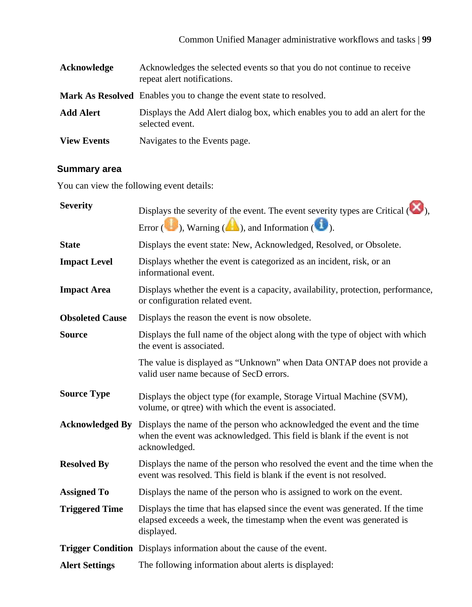<span id="page-98-0"></span>

| Acknowledge        | Acknowledges the selected events so that you do not continue to receive<br>repeat alert notifications. |
|--------------------|--------------------------------------------------------------------------------------------------------|
|                    | <b>Mark As Resolved</b> Enables you to change the event state to resolved.                             |
| <b>Add Alert</b>   | Displays the Add Alert dialog box, which enables you to add an alert for the<br>selected event.        |
| <b>View Events</b> | Navigates to the Events page.                                                                          |

# **Summary area**

You can view the following event details:

| <b>Severity</b>        | Displays the severity of the event. The event severity types are Critical $(\bullet)$ ,                                                                              |
|------------------------|----------------------------------------------------------------------------------------------------------------------------------------------------------------------|
|                        | Error $(\bullet)$ , Warning $(\bullet)$ , and Information $(\bullet)$ .                                                                                              |
| <b>State</b>           | Displays the event state: New, Acknowledged, Resolved, or Obsolete.                                                                                                  |
| <b>Impact Level</b>    | Displays whether the event is categorized as an incident, risk, or an<br>informational event.                                                                        |
| <b>Impact Area</b>     | Displays whether the event is a capacity, availability, protection, performance,<br>or configuration related event.                                                  |
| <b>Obsoleted Cause</b> | Displays the reason the event is now obsolete.                                                                                                                       |
| <b>Source</b>          | Displays the full name of the object along with the type of object with which<br>the event is associated.                                                            |
|                        | The value is displayed as "Unknown" when Data ONTAP does not provide a<br>valid user name because of SecD errors.                                                    |
| <b>Source Type</b>     | Displays the object type (for example, Storage Virtual Machine (SVM),<br>volume, or qtree) with which the event is associated.                                       |
| <b>Acknowledged By</b> | Displays the name of the person who acknowledged the event and the time<br>when the event was acknowledged. This field is blank if the event is not<br>acknowledged. |
| <b>Resolved By</b>     | Displays the name of the person who resolved the event and the time when the<br>event was resolved. This field is blank if the event is not resolved.                |
| <b>Assigned To</b>     | Displays the name of the person who is assigned to work on the event.                                                                                                |
| <b>Triggered Time</b>  | Displays the time that has elapsed since the event was generated. If the time<br>elapsed exceeds a week, the timestamp when the event was generated is<br>displayed. |
|                        | Trigger Condition Displays information about the cause of the event.                                                                                                 |
| <b>Alert Settings</b>  | The following information about alerts is displayed:                                                                                                                 |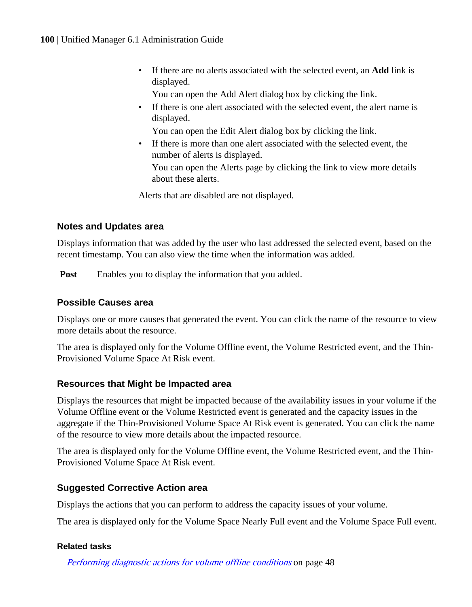- <span id="page-99-0"></span>• If there are no alerts associated with the selected event, an **Add** link is displayed.
	- You can open the Add Alert dialog box by clicking the link.
- If there is one alert associated with the selected event, the alert name is displayed.

You can open the Edit Alert dialog box by clicking the link.

• If there is more than one alert associated with the selected event, the number of alerts is displayed.

You can open the Alerts page by clicking the link to view more details about these alerts.

Alerts that are disabled are not displayed.

# **Notes and Updates area**

Displays information that was added by the user who last addressed the selected event, based on the recent timestamp. You can also view the time when the information was added.

**Post** Enables you to display the information that you added.

# **Possible Causes area**

Displays one or more causes that generated the event. You can click the name of the resource to view more details about the resource.

The area is displayed only for the Volume Offline event, the Volume Restricted event, and the Thin-Provisioned Volume Space At Risk event.

# **Resources that Might be Impacted area**

Displays the resources that might be impacted because of the availability issues in your volume if the Volume Offline event or the Volume Restricted event is generated and the capacity issues in the aggregate if the Thin-Provisioned Volume Space At Risk event is generated. You can click the name of the resource to view more details about the impacted resource.

The area is displayed only for the Volume Offline event, the Volume Restricted event, and the Thin-Provisioned Volume Space At Risk event.

# **Suggested Corrective Action area**

Displays the actions that you can perform to address the capacity issues of your volume.

The area is displayed only for the Volume Space Nearly Full event and the Volume Space Full event.

# **Related tasks**

[Performing diagnostic actions for volume offline conditions](#page-47-0) on page 48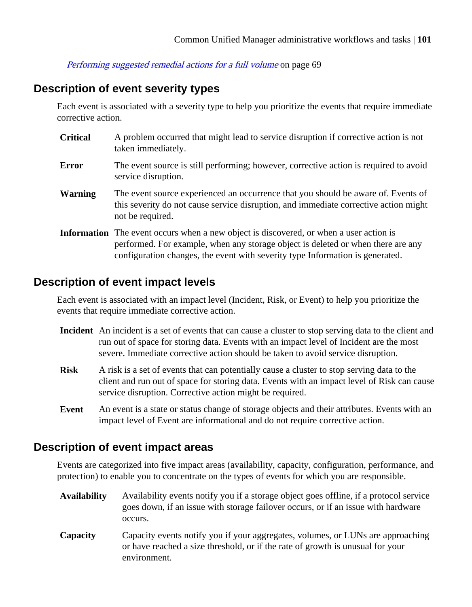[Performing suggested remedial actions for a full volume](#page-68-0) on page 69

# **Description of event severity types**

Each event is associated with a severity type to help you prioritize the events that require immediate corrective action.

- **Critical** A problem occurred that might lead to service disruption if corrective action is not taken immediately. **Error** The event source is still performing; however, corrective action is required to avoid service disruption. **Warning** The event source experienced an occurrence that you should be aware of. Events of this severity do not cause service disruption, and immediate corrective action might
- **Information** The event occurs when a new object is discovered, or when a user action is performed. For example, when any storage object is deleted or when there are any configuration changes, the event with severity type Information is generated.

# **Description of event impact levels**

not be required.

Each event is associated with an impact level (Incident, Risk, or Event) to help you prioritize the events that require immediate corrective action.

- **Incident** An incident is a set of events that can cause a cluster to stop serving data to the client and run out of space for storing data. Events with an impact level of Incident are the most severe. Immediate corrective action should be taken to avoid service disruption.
- **Risk** A risk is a set of events that can potentially cause a cluster to stop serving data to the client and run out of space for storing data. Events with an impact level of Risk can cause service disruption. Corrective action might be required.
- **Event** An event is a state or status change of storage objects and their attributes. Events with an impact level of Event are informational and do not require corrective action.

# **Description of event impact areas**

Events are categorized into five impact areas (availability, capacity, configuration, performance, and protection) to enable you to concentrate on the types of events for which you are responsible.

- **Availability** Availability events notify you if a storage object goes offline, if a protocol service goes down, if an issue with storage failover occurs, or if an issue with hardware occurs.
- **Capacity** Capacity events notify you if your aggregates, volumes, or LUNs are approaching or have reached a size threshold, or if the rate of growth is unusual for your environment.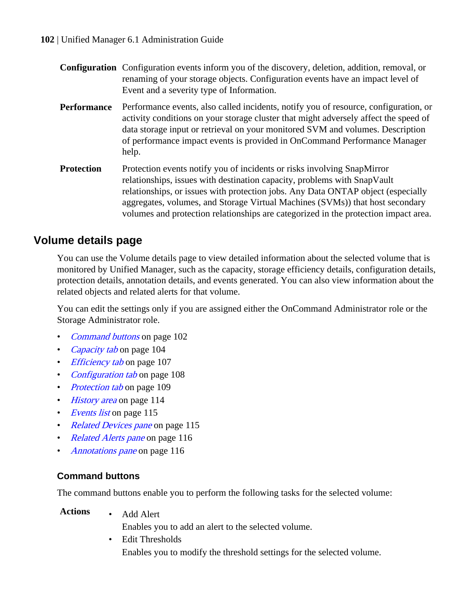| <b>Configuration</b> Configuration events inform you of the discovery, deletion, addition, removal, or |
|--------------------------------------------------------------------------------------------------------|
| renaming of your storage objects. Configuration events have an impact level of                         |
| Event and a severity type of Information.                                                              |

- **Performance** Performance events, also called incidents, notify you of resource, configuration, or activity conditions on your storage cluster that might adversely affect the speed of data storage input or retrieval on your monitored SVM and volumes. Description of performance impact events is provided in OnCommand Performance Manager help.
- **Protection** Protection events notify you of incidents or risks involving SnapMirror relationships, issues with destination capacity, problems with SnapVault relationships, or issues with protection jobs. Any Data ONTAP object (especially aggregates, volumes, and Storage Virtual Machines (SVMs)) that host secondary volumes and protection relationships are categorized in the protection impact area.

# **Volume details page**

You can use the Volume details page to view detailed information about the selected volume that is monitored by Unified Manager, such as the capacity, storage efficiency details, configuration details, protection details, annotation details, and events generated. You can also view information about the related objects and related alerts for that volume.

You can edit the settings only if you are assigned either the OnCommand Administrator role or the Storage Administrator role.

- *Command buttons* on page 102
- [Capacity tab](#page-103-0) on page 104
- *[Efficiency tab](#page-106-0)* on page 107
- [Configuration tab](#page-107-0) on page 108
- [Protection tab](#page-108-0) on page 109
- [History area](#page-113-0) on page 114
- *[Events list](#page-114-0)* on page 115
- [Related Devices pane](#page-114-0) on page 115
- [Related Alerts pane](#page-115-0) on page 116
- [Annotations pane](#page-115-0) on page 116

# **Command buttons**

The command buttons enable you to perform the following tasks for the selected volume:

**Actions** • Add Alert

Enables you to add an alert to the selected volume.

• Edit Thresholds Enables you to modify the threshold settings for the selected volume.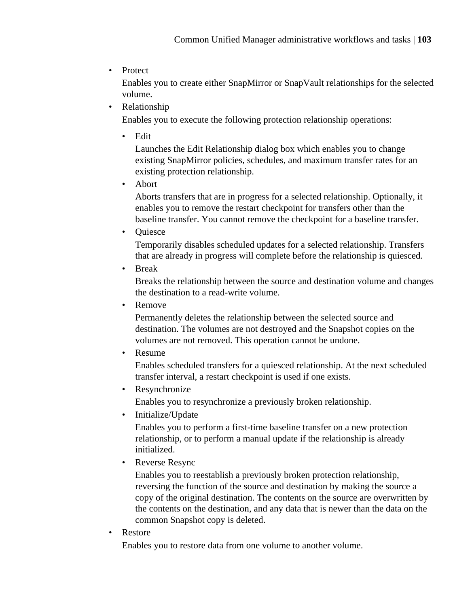• Protect

Enables you to create either SnapMirror or SnapVault relationships for the selected volume.

• Relationship

Enables you to execute the following protection relationship operations:

• Edit

Launches the Edit Relationship dialog box which enables you to change existing SnapMirror policies, schedules, and maximum transfer rates for an existing protection relationship.

• Abort

Aborts transfers that are in progress for a selected relationship. Optionally, it enables you to remove the restart checkpoint for transfers other than the baseline transfer. You cannot remove the checkpoint for a baseline transfer.

• Quiesce

Temporarily disables scheduled updates for a selected relationship. Transfers that are already in progress will complete before the relationship is quiesced.

• Break

Breaks the relationship between the source and destination volume and changes the destination to a read-write volume.

• Remove

Permanently deletes the relationship between the selected source and destination. The volumes are not destroyed and the Snapshot copies on the volumes are not removed. This operation cannot be undone.

• Resume

Enables scheduled transfers for a quiesced relationship. At the next scheduled transfer interval, a restart checkpoint is used if one exists.

• Resynchronize

Enables you to resynchronize a previously broken relationship.

• Initialize/Update

Enables you to perform a first-time baseline transfer on a new protection relationship, or to perform a manual update if the relationship is already initialized.

• Reverse Resync

Enables you to reestablish a previously broken protection relationship, reversing the function of the source and destination by making the source a copy of the original destination. The contents on the source are overwritten by the contents on the destination, and any data that is newer than the data on the common Snapshot copy is deleted.

• Restore

Enables you to restore data from one volume to another volume.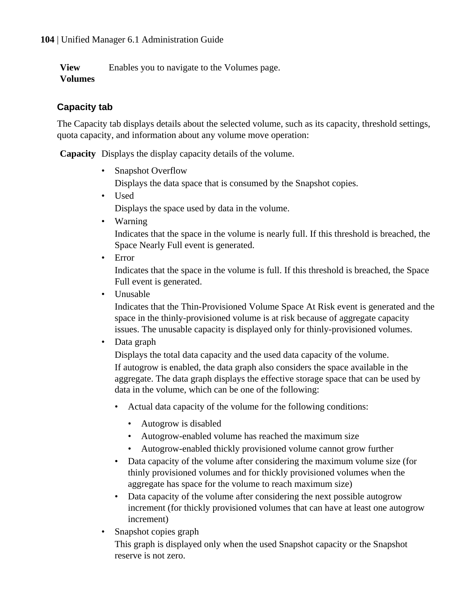<span id="page-103-0"></span>**View Volumes** Enables you to navigate to the Volumes page.

# **Capacity tab**

The Capacity tab displays details about the selected volume, such as its capacity, threshold settings, quota capacity, and information about any volume move operation:

**Capacity** Displays the display capacity details of the volume.

• Snapshot Overflow

Displays the data space that is consumed by the Snapshot copies.

• Used

Displays the space used by data in the volume.

• Warning

Indicates that the space in the volume is nearly full. If this threshold is breached, the Space Nearly Full event is generated.

• Error

Indicates that the space in the volume is full. If this threshold is breached, the Space Full event is generated.

• Unusable

Indicates that the Thin-Provisioned Volume Space At Risk event is generated and the space in the thinly-provisioned volume is at risk because of aggregate capacity issues. The unusable capacity is displayed only for thinly-provisioned volumes.

• Data graph

Displays the total data capacity and the used data capacity of the volume. If autogrow is enabled, the data graph also considers the space available in the aggregate. The data graph displays the effective storage space that can be used by data in the volume, which can be one of the following:

- Actual data capacity of the volume for the following conditions:
	- Autogrow is disabled
	- Autogrow-enabled volume has reached the maximum size
	- Autogrow-enabled thickly provisioned volume cannot grow further
- Data capacity of the volume after considering the maximum volume size (for thinly provisioned volumes and for thickly provisioned volumes when the aggregate has space for the volume to reach maximum size)
- Data capacity of the volume after considering the next possible autogrow increment (for thickly provisioned volumes that can have at least one autogrow increment)
- Snapshot copies graph

This graph is displayed only when the used Snapshot capacity or the Snapshot reserve is not zero.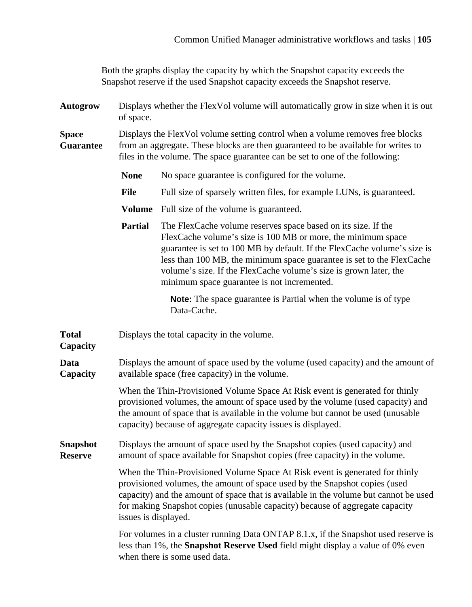Both the graphs display the capacity by which the Snapshot capacity exceeds the Snapshot reserve if the used Snapshot capacity exceeds the Snapshot reserve.

**Autogrow** Displays whether the FlexVol volume will automatically grow in size when it is out of space.

**Space Guarantee** Displays the FlexVol volume setting control when a volume removes free blocks from an aggregate. These blocks are then guaranteed to be available for writes to files in the volume. The space guarantee can be set to one of the following:

- None No space guarantee is configured for the volume.
- File Full size of sparsely written files, for example LUNs, is guaranteed.
- **Volume** Full size of the volume is guaranteed.
- **Partial** The FlexCache volume reserves space based on its size. If the FlexCache volume's size is 100 MB or more, the minimum space guarantee is set to 100 MB by default. If the FlexCache volume's size is less than 100 MB, the minimum space guarantee is set to the FlexCache volume's size. If the FlexCache volume's size is grown later, the minimum space guarantee is not incremented.

**Note:** The space guarantee is Partial when the volume is of type Data-Cache.

**Total** Displays the total capacity in the volume.

**Capacity**

**Data Capacity** Displays the amount of space used by the volume (used capacity) and the amount of available space (free capacity) in the volume.

> When the Thin-Provisioned Volume Space At Risk event is generated for thinly provisioned volumes, the amount of space used by the volume (used capacity) and the amount of space that is available in the volume but cannot be used (unusable capacity) because of aggregate capacity issues is displayed.

**Snapshot Reserve** Displays the amount of space used by the Snapshot copies (used capacity) and amount of space available for Snapshot copies (free capacity) in the volume.

> When the Thin-Provisioned Volume Space At Risk event is generated for thinly provisioned volumes, the amount of space used by the Snapshot copies (used capacity) and the amount of space that is available in the volume but cannot be used for making Snapshot copies (unusable capacity) because of aggregate capacity issues is displayed.

> For volumes in a cluster running Data ONTAP 8.1.x, if the Snapshot used reserve is less than 1%, the **Snapshot Reserve Used** field might display a value of 0% even when there is some used data.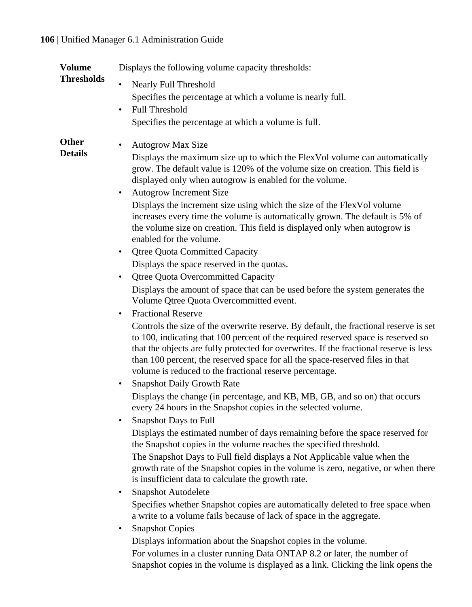| <b>Volume</b>                  | Displays the following volume capacity thresholds:                                                                                                                                                                                                                                                                                                                                                               |
|--------------------------------|------------------------------------------------------------------------------------------------------------------------------------------------------------------------------------------------------------------------------------------------------------------------------------------------------------------------------------------------------------------------------------------------------------------|
| <b>Thresholds</b>              | Nearly Full Threshold                                                                                                                                                                                                                                                                                                                                                                                            |
|                                | Specifies the percentage at which a volume is nearly full.                                                                                                                                                                                                                                                                                                                                                       |
|                                | <b>Full Threshold</b><br>$\bullet$                                                                                                                                                                                                                                                                                                                                                                               |
|                                | Specifies the percentage at which a volume is full.                                                                                                                                                                                                                                                                                                                                                              |
| <b>Other</b><br><b>Details</b> | Autogrow Max Size                                                                                                                                                                                                                                                                                                                                                                                                |
|                                | Displays the maximum size up to which the FlexVol volume can automatically<br>grow. The default value is 120% of the volume size on creation. This field is<br>displayed only when autogrow is enabled for the volume.                                                                                                                                                                                           |
|                                | Autogrow Increment Size<br>٠                                                                                                                                                                                                                                                                                                                                                                                     |
|                                | Displays the increment size using which the size of the FlexVol volume<br>increases every time the volume is automatically grown. The default is 5% of<br>the volume size on creation. This field is displayed only when autogrow is<br>enabled for the volume.                                                                                                                                                  |
|                                | <b>Qtree Quota Committed Capacity</b><br>٠                                                                                                                                                                                                                                                                                                                                                                       |
|                                | Displays the space reserved in the quotas.                                                                                                                                                                                                                                                                                                                                                                       |
|                                | <b>Qtree Quota Overcommitted Capacity</b><br>٠                                                                                                                                                                                                                                                                                                                                                                   |
|                                | Displays the amount of space that can be used before the system generates the<br>Volume Qtree Quota Overcommitted event.                                                                                                                                                                                                                                                                                         |
|                                | <b>Fractional Reserve</b><br>$\bullet$                                                                                                                                                                                                                                                                                                                                                                           |
|                                | Controls the size of the overwrite reserve. By default, the fractional reserve is set<br>to 100, indicating that 100 percent of the required reserved space is reserved so<br>that the objects are fully protected for overwrites. If the fractional reserve is less<br>than 100 percent, the reserved space for all the space-reserved files in that<br>volume is reduced to the fractional reserve percentage. |
|                                | <b>Snapshot Daily Growth Rate</b><br>٠                                                                                                                                                                                                                                                                                                                                                                           |
|                                | Displays the change (in percentage, and KB, MB, GB, and so on) that occurs<br>every 24 hours in the Snapshot copies in the selected volume.                                                                                                                                                                                                                                                                      |
|                                | <b>Snapshot Days to Full</b><br>٠                                                                                                                                                                                                                                                                                                                                                                                |
|                                | Displays the estimated number of days remaining before the space reserved for<br>the Snapshot copies in the volume reaches the specified threshold.                                                                                                                                                                                                                                                              |
|                                | The Snapshot Days to Full field displays a Not Applicable value when the<br>growth rate of the Snapshot copies in the volume is zero, negative, or when there<br>is insufficient data to calculate the growth rate.                                                                                                                                                                                              |
|                                | Snapshot Autodelete                                                                                                                                                                                                                                                                                                                                                                                              |
|                                | Specifies whether Snapshot copies are automatically deleted to free space when<br>a write to a volume fails because of lack of space in the aggregate.                                                                                                                                                                                                                                                           |
|                                | <b>Snapshot Copies</b><br>٠                                                                                                                                                                                                                                                                                                                                                                                      |
|                                | Displays information about the Snapshot copies in the volume.                                                                                                                                                                                                                                                                                                                                                    |
|                                | For volumes in a cluster running Data ONTAP 8.2 or later, the number of                                                                                                                                                                                                                                                                                                                                          |

Snapshot copies in the volume is displayed as a link. Clicking the link opens the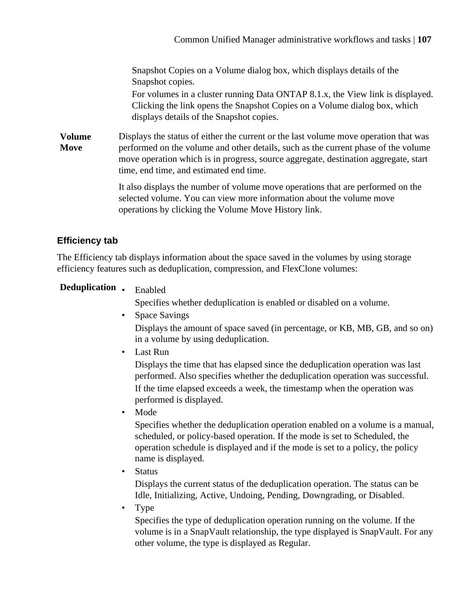Snapshot Copies on a Volume dialog box, which displays details of the Snapshot copies. For volumes in a cluster running Data ONTAP 8.1.x, the View link is displayed. Clicking the link opens the Snapshot Copies on a Volume dialog box, which displays details of the Snapshot copies.

<span id="page-106-0"></span>**Volume Move** Displays the status of either the current or the last volume move operation that was performed on the volume and other details, such as the current phase of the volume move operation which is in progress, source aggregate, destination aggregate, start time, end time, and estimated end time.

> It also displays the number of volume move operations that are performed on the selected volume. You can view more information about the volume move operations by clicking the Volume Move History link.

# **Efficiency tab**

The Efficiency tab displays information about the space saved in the volumes by using storage efficiency features such as deduplication, compression, and FlexClone volumes:

# **Deduplication** • Enabled

Specifies whether deduplication is enabled or disabled on a volume.

- Space Savings Displays the amount of space saved (in percentage, or KB, MB, GB, and so on) in a volume by using deduplication.
	- Last Run

Displays the time that has elapsed since the deduplication operation was last performed. Also specifies whether the deduplication operation was successful. If the time elapsed exceeds a week, the timestamp when the operation was performed is displayed.

• Mode

Specifies whether the deduplication operation enabled on a volume is a manual, scheduled, or policy-based operation. If the mode is set to Scheduled, the operation schedule is displayed and if the mode is set to a policy, the policy name is displayed.

• Status

Displays the current status of the deduplication operation. The status can be Idle, Initializing, Active, Undoing, Pending, Downgrading, or Disabled.

• Type

Specifies the type of deduplication operation running on the volume. If the volume is in a SnapVault relationship, the type displayed is SnapVault. For any other volume, the type is displayed as Regular.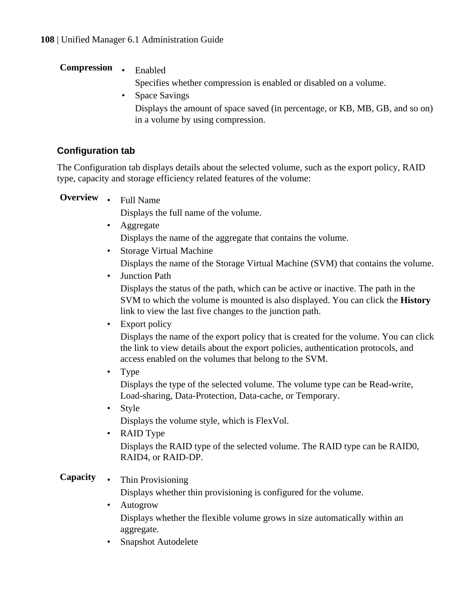# <span id="page-107-0"></span>**Compression** • Enabled

Specifies whether compression is enabled or disabled on a volume.

• Space Savings Displays the amount of space saved (in percentage, or KB, MB, GB, and so on) in a volume by using compression.

# **Configuration tab**

The Configuration tab displays details about the selected volume, such as the export policy, RAID type, capacity and storage efficiency related features of the volume:

**Overview** • Full Name

Displays the full name of the volume.

- Aggregate Displays the name of the aggregate that contains the volume.
- Storage Virtual Machine
	- Displays the name of the Storage Virtual Machine (SVM) that contains the volume.
- Junction Path

Displays the status of the path, which can be active or inactive. The path in the SVM to which the volume is mounted is also displayed. You can click the **History** link to view the last five changes to the junction path.

• Export policy

Displays the name of the export policy that is created for the volume. You can click the link to view details about the export policies, authentication protocols, and access enabled on the volumes that belong to the SVM.

• Type

Displays the type of the selected volume. The volume type can be Read-write, Load-sharing, Data-Protection, Data-cache, or Temporary.

• Style

Displays the volume style, which is FlexVol.

• RAID Type Displays the RAID type of the selected volume. The RAID type can be RAID0, RAID4, or RAID-DP.

# **Capacity** • Thin Provisioning

Displays whether thin provisioning is configured for the volume.

- Autogrow Displays whether the flexible volume grows in size automatically within an aggregate.
- Snapshot Autodelete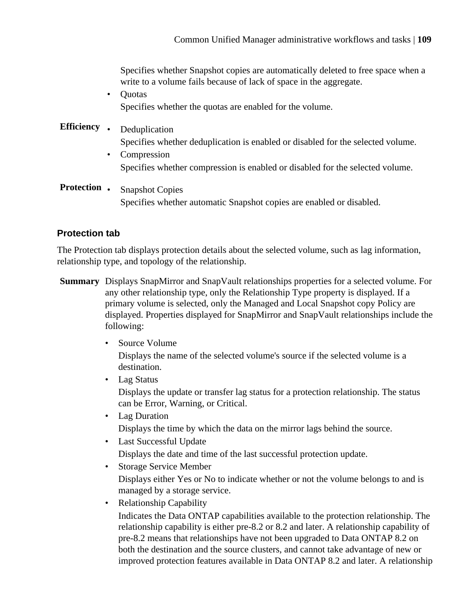Specifies whether Snapshot copies are automatically deleted to free space when a write to a volume fails because of lack of space in the aggregate.

• Quotas Specifies whether the quotas are enabled for the volume.

# **Efficiency** • Deduplication

Specifies whether deduplication is enabled or disabled for the selected volume.

- Compression Specifies whether compression is enabled or disabled for the selected volume.
- **Protection** Snapshot Copies Specifies whether automatic Snapshot copies are enabled or disabled.

#### **Protection tab**

The Protection tab displays protection details about the selected volume, such as lag information, relationship type, and topology of the relationship.

- **Summary** Displays SnapMirror and SnapVault relationships properties for a selected volume. For any other relationship type, only the Relationship Type property is displayed. If a primary volume is selected, only the Managed and Local Snapshot copy Policy are displayed. Properties displayed for SnapMirror and SnapVault relationships include the following:
	- Source Volume Displays the name of the selected volume's source if the selected volume is a destination.
	- Lag Status Displays the update or transfer lag status for a protection relationship. The status can be Error, Warning, or Critical.
	- Lag Duration Displays the time by which the data on the mirror lags behind the source.
	- Last Successful Update Displays the date and time of the last successful protection update.
	- Storage Service Member

Displays either Yes or No to indicate whether or not the volume belongs to and is managed by a storage service.

• Relationship Capability

Indicates the Data ONTAP capabilities available to the protection relationship. The relationship capability is either pre-8.2 or 8.2 and later. A relationship capability of pre-8.2 means that relationships have not been upgraded to Data ONTAP 8.2 on both the destination and the source clusters, and cannot take advantage of new or improved protection features available in Data ONTAP 8.2 and later. A relationship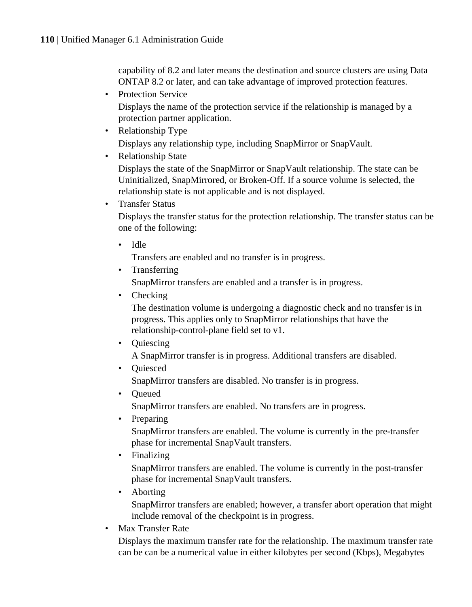capability of 8.2 and later means the destination and source clusters are using Data ONTAP 8.2 or later, and can take advantage of improved protection features.

• Protection Service

Displays the name of the protection service if the relationship is managed by a protection partner application.

- Relationship Type Displays any relationship type, including SnapMirror or SnapVault.
- Relationship State

Displays the state of the SnapMirror or SnapVault relationship. The state can be Uninitialized, SnapMirrored, or Broken-Off. If a source volume is selected, the relationship state is not applicable and is not displayed.

• Transfer Status

Displays the transfer status for the protection relationship. The transfer status can be one of the following:

• Idle

Transfers are enabled and no transfer is in progress.

• Transferring

SnapMirror transfers are enabled and a transfer is in progress.

• Checking

The destination volume is undergoing a diagnostic check and no transfer is in progress. This applies only to SnapMirror relationships that have the relationship-control-plane field set to v1.

• Quiescing

A SnapMirror transfer is in progress. Additional transfers are disabled.

• Quiesced

SnapMirror transfers are disabled. No transfer is in progress.

• Queued

SnapMirror transfers are enabled. No transfers are in progress.

• Preparing

SnapMirror transfers are enabled. The volume is currently in the pre-transfer phase for incremental SnapVault transfers.

• Finalizing

SnapMirror transfers are enabled. The volume is currently in the post-transfer phase for incremental SnapVault transfers.

- Aborting SnapMirror transfers are enabled; however, a transfer abort operation that might include removal of the checkpoint is in progress.
- Max Transfer Rate

Displays the maximum transfer rate for the relationship. The maximum transfer rate can be can be a numerical value in either kilobytes per second (Kbps), Megabytes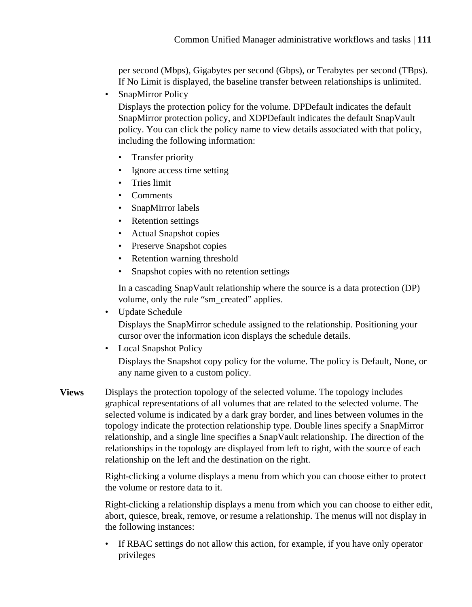per second (Mbps), Gigabytes per second (Gbps), or Terabytes per second (TBps). If No Limit is displayed, the baseline transfer between relationships is unlimited.

• SnapMirror Policy

Displays the protection policy for the volume. DPDefault indicates the default SnapMirror protection policy, and XDPDefault indicates the default SnapVault policy. You can click the policy name to view details associated with that policy, including the following information:

- Transfer priority
- Ignore access time setting
- Tries limit
- Comments
- SnapMirror labels
- Retention settings
- Actual Snapshot copies
- Preserve Snapshot copies
- Retention warning threshold
- Snapshot copies with no retention settings

In a cascading SnapVault relationship where the source is a data protection (DP) volume, only the rule "sm\_created" applies.

• Update Schedule

Displays the SnapMirror schedule assigned to the relationship. Positioning your cursor over the information icon displays the schedule details.

• Local Snapshot Policy

Displays the Snapshot copy policy for the volume. The policy is Default, None, or any name given to a custom policy.

**Views** Displays the protection topology of the selected volume. The topology includes graphical representations of all volumes that are related to the selected volume. The selected volume is indicated by a dark gray border, and lines between volumes in the topology indicate the protection relationship type. Double lines specify a SnapMirror relationship, and a single line specifies a SnapVault relationship. The direction of the relationships in the topology are displayed from left to right, with the source of each relationship on the left and the destination on the right.

> Right-clicking a volume displays a menu from which you can choose either to protect the volume or restore data to it.

Right-clicking a relationship displays a menu from which you can choose to either edit, abort, quiesce, break, remove, or resume a relationship. The menus will not display in the following instances:

If RBAC settings do not allow this action, for example, if you have only operator privileges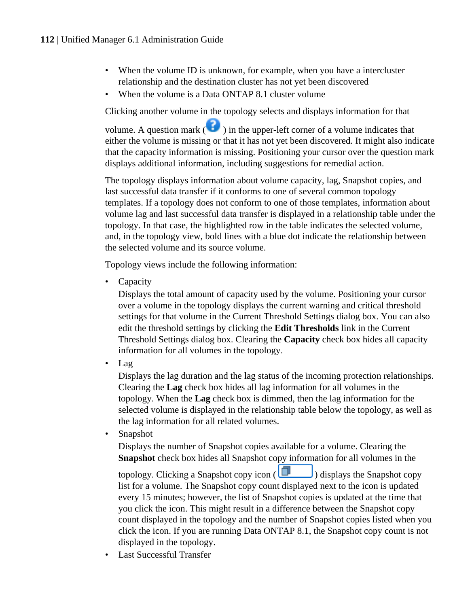- When the volume ID is unknown, for example, when you have a intercluster relationship and the destination cluster has not yet been discovered
- When the volume is a Data ONTAP 8.1 cluster volume

Clicking another volume in the topology selects and displays information for that

volume. A question mark  $($   $\bullet)$  in the upper-left corner of a volume indicates that either the volume is missing or that it has not yet been discovered. It might also indicate that the capacity information is missing. Positioning your cursor over the question mark displays additional information, including suggestions for remedial action.

The topology displays information about volume capacity, lag, Snapshot copies, and last successful data transfer if it conforms to one of several common topology templates. If a topology does not conform to one of those templates, information about volume lag and last successful data transfer is displayed in a relationship table under the topology. In that case, the highlighted row in the table indicates the selected volume, and, in the topology view, bold lines with a blue dot indicate the relationship between the selected volume and its source volume.

Topology views include the following information:

**Capacity** 

Displays the total amount of capacity used by the volume. Positioning your cursor over a volume in the topology displays the current warning and critical threshold settings for that volume in the Current Threshold Settings dialog box. You can also edit the threshold settings by clicking the **Edit Thresholds** link in the Current Threshold Settings dialog box. Clearing the **Capacity** check box hides all capacity information for all volumes in the topology.

• Lag

Displays the lag duration and the lag status of the incoming protection relationships. Clearing the **Lag** check box hides all lag information for all volumes in the topology. When the **Lag** check box is dimmed, then the lag information for the selected volume is displayed in the relationship table below the topology, as well as the lag information for all related volumes.

• Snapshot

Displays the number of Snapshot copies available for a volume. Clearing the **Snapshot** check box hides all Snapshot copy information for all volumes in the

topology. Clicking a Snapshot copy icon  $\left(\Box\Box\right)$  displays the Snapshot copy list for a volume. The Snapshot copy count displayed next to the icon is updated every 15 minutes; however, the list of Snapshot copies is updated at the time that you click the icon. This might result in a difference between the Snapshot copy count displayed in the topology and the number of Snapshot copies listed when you click the icon. If you are running Data ONTAP 8.1, the Snapshot copy count is not displayed in the topology.

**Last Successful Transfer**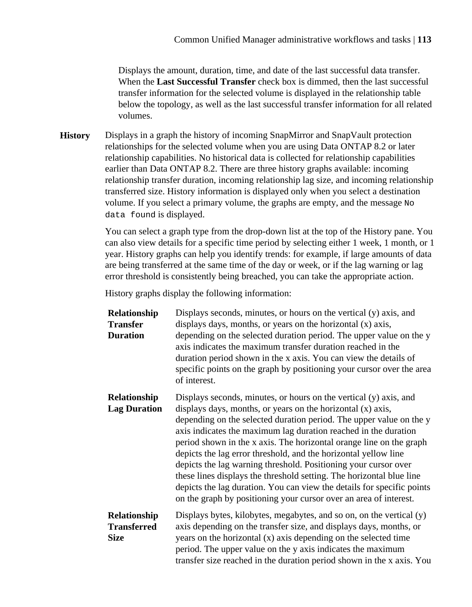Displays the amount, duration, time, and date of the last successful data transfer. When the **Last Successful Transfer** check box is dimmed, then the last successful transfer information for the selected volume is displayed in the relationship table below the topology, as well as the last successful transfer information for all related volumes.

**History** Displays in a graph the history of incoming SnapMirror and SnapVault protection relationships for the selected volume when you are using Data ONTAP 8.2 or later relationship capabilities. No historical data is collected for relationship capabilities earlier than Data ONTAP 8.2. There are three history graphs available: incoming relationship transfer duration, incoming relationship lag size, and incoming relationship transferred size. History information is displayed only when you select a destination volume. If you select a primary volume, the graphs are empty, and the message No data found is displayed.

> You can select a graph type from the drop-down list at the top of the History pane. You can also view details for a specific time period by selecting either 1 week, 1 month, or 1 year. History graphs can help you identify trends: for example, if large amounts of data are being transferred at the same time of the day or week, or if the lag warning or lag error threshold is consistently being breached, you can take the appropriate action.

History graphs display the following information:

| Relationship<br><b>Transfer</b><br><b>Duration</b> | Displays seconds, minutes, or hours on the vertical (y) axis, and<br>displays days, months, or years on the horizontal (x) axis,<br>depending on the selected duration period. The upper value on the y<br>axis indicates the maximum transfer duration reached in the<br>duration period shown in the x axis. You can view the details of<br>specific points on the graph by positioning your cursor over the area<br>of interest.                                                                                                                                                                                                                                                                            |
|----------------------------------------------------|----------------------------------------------------------------------------------------------------------------------------------------------------------------------------------------------------------------------------------------------------------------------------------------------------------------------------------------------------------------------------------------------------------------------------------------------------------------------------------------------------------------------------------------------------------------------------------------------------------------------------------------------------------------------------------------------------------------|
| Relationship<br><b>Lag Duration</b>                | Displays seconds, minutes, or hours on the vertical (y) axis, and<br>displays days, months, or years on the horizontal (x) axis,<br>depending on the selected duration period. The upper value on the y<br>axis indicates the maximum lag duration reached in the duration<br>period shown in the x axis. The horizontal orange line on the graph<br>depicts the lag error threshold, and the horizontal yellow line<br>depicts the lag warning threshold. Positioning your cursor over<br>these lines displays the threshold setting. The horizontal blue line<br>depicts the lag duration. You can view the details for specific points<br>on the graph by positioning your cursor over an area of interest. |
| Relationship<br><b>Transferred</b><br><b>Size</b>  | Displays bytes, kilobytes, megabytes, and so on, on the vertical (y)<br>axis depending on the transfer size, and displays days, months, or<br>years on the horizontal (x) axis depending on the selected time<br>period. The upper value on the y axis indicates the maximum<br>transfer size reached in the duration period shown in the x axis. You                                                                                                                                                                                                                                                                                                                                                          |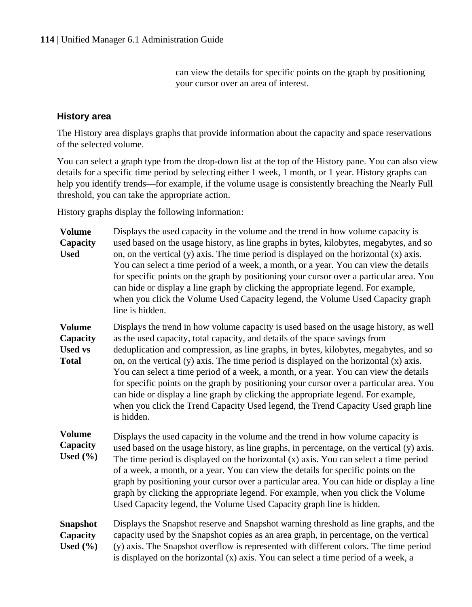can view the details for specific points on the graph by positioning your cursor over an area of interest.

#### **History area**

The History area displays graphs that provide information about the capacity and space reservations of the selected volume.

You can select a graph type from the drop-down list at the top of the History pane. You can also view details for a specific time period by selecting either 1 week, 1 month, or 1 year. History graphs can help you identify trends—for example, if the volume usage is consistently breaching the Nearly Full threshold, you can take the appropriate action.

History graphs display the following information:

| <b>Volume</b><br>Capacity<br><b>Used</b>                    | Displays the used capacity in the volume and the trend in how volume capacity is<br>used based on the usage history, as line graphs in bytes, kilobytes, megabytes, and so<br>on, on the vertical $(y)$ axis. The time period is displayed on the horizontal $(x)$ axis.<br>You can select a time period of a week, a month, or a year. You can view the details<br>for specific points on the graph by positioning your cursor over a particular area. You<br>can hide or display a line graph by clicking the appropriate legend. For example,<br>when you click the Volume Used Capacity legend, the Volume Used Capacity graph<br>line is hidden.                                                                                  |
|-------------------------------------------------------------|----------------------------------------------------------------------------------------------------------------------------------------------------------------------------------------------------------------------------------------------------------------------------------------------------------------------------------------------------------------------------------------------------------------------------------------------------------------------------------------------------------------------------------------------------------------------------------------------------------------------------------------------------------------------------------------------------------------------------------------|
| <b>Volume</b><br>Capacity<br><b>Used vs</b><br><b>Total</b> | Displays the trend in how volume capacity is used based on the usage history, as well<br>as the used capacity, total capacity, and details of the space savings from<br>deduplication and compression, as line graphs, in bytes, kilobytes, megabytes, and so<br>on, on the vertical $(y)$ axis. The time period is displayed on the horizontal $(x)$ axis.<br>You can select a time period of a week, a month, or a year. You can view the details<br>for specific points on the graph by positioning your cursor over a particular area. You<br>can hide or display a line graph by clicking the appropriate legend. For example,<br>when you click the Trend Capacity Used legend, the Trend Capacity Used graph line<br>is hidden. |
| <b>Volume</b><br>Capacity<br>Used $(\% )$                   | Displays the used capacity in the volume and the trend in how volume capacity is<br>used based on the usage history, as line graphs, in percentage, on the vertical (y) axis.<br>The time period is displayed on the horizontal $(x)$ axis. You can select a time period<br>of a week, a month, or a year. You can view the details for specific points on the<br>graph by positioning your cursor over a particular area. You can hide or display a line<br>graph by clicking the appropriate legend. For example, when you click the Volume<br>Used Capacity legend, the Volume Used Capacity graph line is hidden.                                                                                                                  |
| <b>Snapshot</b><br>Capacity<br>Used $(\% )$                 | Displays the Snapshot reserve and Snapshot warning threshold as line graphs, and the<br>capacity used by the Snapshot copies as an area graph, in percentage, on the vertical<br>(y) axis. The Snapshot overflow is represented with different colors. The time period<br>is displayed on the horizontal (x) axis. You can select a time period of a week, a                                                                                                                                                                                                                                                                                                                                                                           |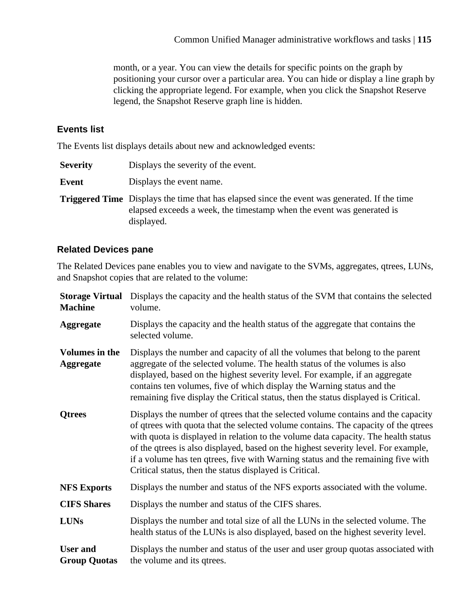month, or a year. You can view the details for specific points on the graph by positioning your cursor over a particular area. You can hide or display a line graph by clicking the appropriate legend. For example, when you click the Snapshot Reserve legend, the Snapshot Reserve graph line is hidden.

## **Events list**

The Events list displays details about new and acknowledged events:

- **Severity** Displays the severity of the event.
- **Event** Displays the event name.
- **Triggered Time** Displays the time that has elapsed since the event was generated. If the time elapsed exceeds a week, the timestamp when the event was generated is displayed.

## **Related Devices pane**

The Related Devices pane enables you to view and navigate to the SVMs, aggregates, qtrees, LUNs, and Snapshot copies that are related to the volume:

| <b>Storage Virtual</b><br><b>Machine</b>  | Displays the capacity and the health status of the SVM that contains the selected<br>volume.                                                                                                                                                                                                                                                                                                                                                                                                      |
|-------------------------------------------|---------------------------------------------------------------------------------------------------------------------------------------------------------------------------------------------------------------------------------------------------------------------------------------------------------------------------------------------------------------------------------------------------------------------------------------------------------------------------------------------------|
| <b>Aggregate</b>                          | Displays the capacity and the health status of the aggregate that contains the<br>selected volume.                                                                                                                                                                                                                                                                                                                                                                                                |
| <b>Volumes in the</b><br><b>Aggregate</b> | Displays the number and capacity of all the volumes that belong to the parent<br>aggregate of the selected volume. The health status of the volumes is also<br>displayed, based on the highest severity level. For example, if an aggregate<br>contains ten volumes, five of which display the Warning status and the<br>remaining five display the Critical status, then the status displayed is Critical.                                                                                       |
| <b>Qtrees</b>                             | Displays the number of qtrees that the selected volume contains and the capacity<br>of qtrees with quota that the selected volume contains. The capacity of the qtrees<br>with quota is displayed in relation to the volume data capacity. The health status<br>of the qtrees is also displayed, based on the highest severity level. For example,<br>if a volume has ten qtrees, five with Warning status and the remaining five with<br>Critical status, then the status displayed is Critical. |
| <b>NFS Exports</b>                        | Displays the number and status of the NFS exports associated with the volume.                                                                                                                                                                                                                                                                                                                                                                                                                     |
| <b>CIFS Shares</b>                        | Displays the number and status of the CIFS shares.                                                                                                                                                                                                                                                                                                                                                                                                                                                |
| <b>LUNs</b>                               | Displays the number and total size of all the LUNs in the selected volume. The<br>health status of the LUNs is also displayed, based on the highest severity level.                                                                                                                                                                                                                                                                                                                               |
| <b>User and</b><br><b>Group Quotas</b>    | Displays the number and status of the user and user group quotas associated with<br>the volume and its qtrees.                                                                                                                                                                                                                                                                                                                                                                                    |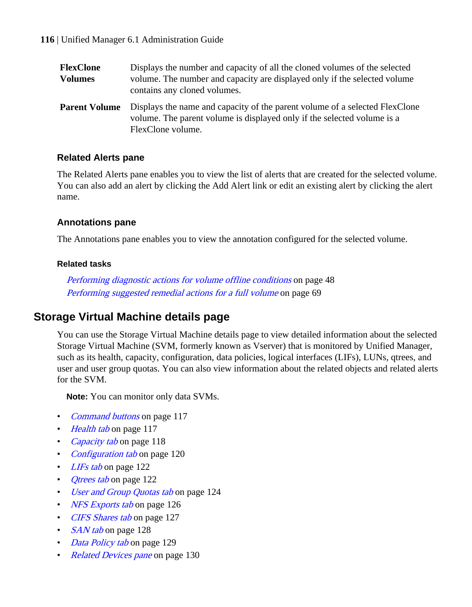| FlexClone            | Displays the number and capacity of all the cloned volumes of the selected                                                                                                  |
|----------------------|-----------------------------------------------------------------------------------------------------------------------------------------------------------------------------|
| Volumes              | volume. The number and capacity are displayed only if the selected volume<br>contains any cloned volumes.                                                                   |
| <b>Parent Volume</b> | Displays the name and capacity of the parent volume of a selected FlexClone<br>volume. The parent volume is displayed only if the selected volume is a<br>FlexClone volume. |

#### **Related Alerts pane**

The Related Alerts pane enables you to view the list of alerts that are created for the selected volume. You can also add an alert by clicking the Add Alert link or edit an existing alert by clicking the alert name.

#### **Annotations pane**

The Annotations pane enables you to view the annotation configured for the selected volume.

#### **Related tasks**

[Performing diagnostic actions for volume offline conditions](#page-47-0) on page 48 [Performing suggested remedial actions for a full volume](#page-68-0) on page 69

# **Storage Virtual Machine details page**

You can use the Storage Virtual Machine details page to view detailed information about the selected Storage Virtual Machine (SVM, formerly known as Vserver) that is monitored by Unified Manager, such as its health, capacity, configuration, data policies, logical interfaces (LIFs), LUNs, qtrees, and user and user group quotas. You can also view information about the related objects and related alerts for the SVM.

**Note:** You can monitor only data SVMs.

- *[Command buttons](#page-116-0)* on page 117
- [Health tab](#page-116-0) on page 117
- [Capacity tab](#page-117-0) on page 118
- [Configuration tab](#page-119-0) on page 120
- [LIFs tab](#page-121-0) on page 122
- *[Qtrees tab](#page-121-0)* on page 122
- [User and Group Quotas tab](#page-123-0) on page 124
- [NFS Exports tab](#page-125-0) on page 126
- [CIFS Shares tab](#page-126-0) on page 127
- [SAN tab](#page-127-0) on page 128
- [Data Policy tab](#page-128-0) on page 129
- [Related Devices pane](#page-129-0) on page 130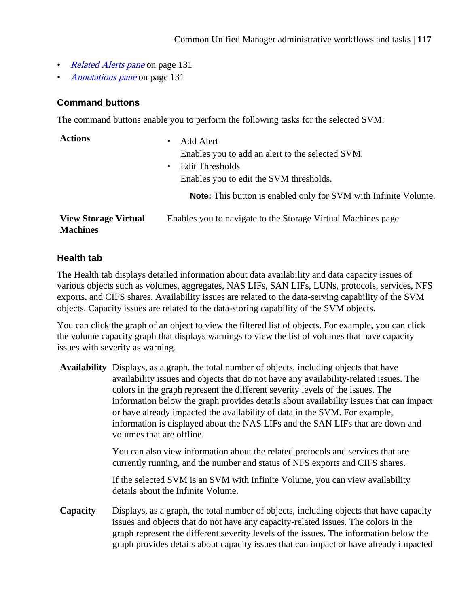- <span id="page-116-0"></span>• [Related Alerts pane](#page-130-0) on page 131
- [Annotations pane](#page-130-0) on page 131

#### **Command buttons**

The command buttons enable you to perform the following tasks for the selected SVM:

| <b>Actions</b>                                 | Add Alert<br>٠<br>Enables you to add an alert to the selected SVM.<br><b>Edit Thresholds</b><br>٠<br>Enables you to edit the SVM thresholds. |
|------------------------------------------------|----------------------------------------------------------------------------------------------------------------------------------------------|
|                                                | <b>Note:</b> This button is enabled only for SVM with Infinite Volume.                                                                       |
| <b>View Storage Virtual</b><br><b>Machines</b> | Enables you to navigate to the Storage Virtual Machines page.                                                                                |

#### **Health tab**

The Health tab displays detailed information about data availability and data capacity issues of various objects such as volumes, aggregates, NAS LIFs, SAN LIFs, LUNs, protocols, services, NFS exports, and CIFS shares. Availability issues are related to the data-serving capability of the SVM objects. Capacity issues are related to the data-storing capability of the SVM objects.

You can click the graph of an object to view the filtered list of objects. For example, you can click the volume capacity graph that displays warnings to view the list of volumes that have capacity issues with severity as warning.

**Availability** Displays, as a graph, the total number of objects, including objects that have availability issues and objects that do not have any availability-related issues. The colors in the graph represent the different severity levels of the issues. The information below the graph provides details about availability issues that can impact or have already impacted the availability of data in the SVM. For example, information is displayed about the NAS LIFs and the SAN LIFs that are down and volumes that are offline.

> You can also view information about the related protocols and services that are currently running, and the number and status of NFS exports and CIFS shares.

> If the selected SVM is an SVM with Infinite Volume, you can view availability details about the Infinite Volume.

**Capacity** Displays, as a graph, the total number of objects, including objects that have capacity issues and objects that do not have any capacity-related issues. The colors in the graph represent the different severity levels of the issues. The information below the graph provides details about capacity issues that can impact or have already impacted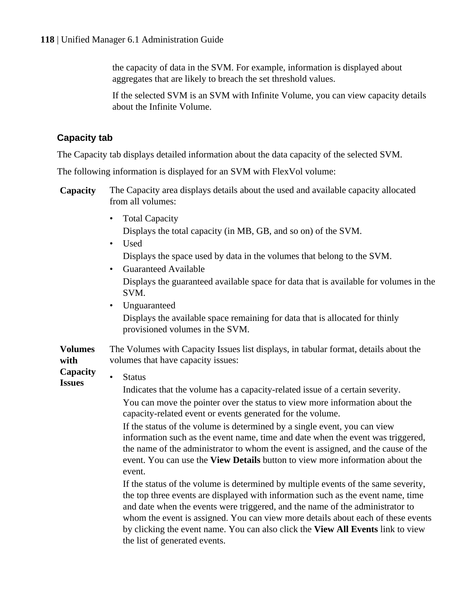<span id="page-117-0"></span>the capacity of data in the SVM. For example, information is displayed about aggregates that are likely to breach the set threshold values.

If the selected SVM is an SVM with Infinite Volume, you can view capacity details about the Infinite Volume.

# **Capacity tab**

The Capacity tab displays detailed information about the data capacity of the selected SVM.

The following information is displayed for an SVM with FlexVol volume:

- **Capacity** The Capacity area displays details about the used and available capacity allocated from all volumes:
	- Total Capacity Displays the total capacity (in MB, GB, and so on) of the SVM.
	- Used Displays the space used by data in the volumes that belong to the SVM.
	- Guaranteed Available Displays the guaranteed available space for data that is available for volumes in the SVM.
	- Unguaranteed Displays the available space remaining for data that is allocated for thinly provisioned volumes in the SVM.

#### **Volumes with** The Volumes with Capacity Issues list displays, in tabular format, details about the volumes that have capacity issues:

**Capacity Issues** • Status

Indicates that the volume has a capacity-related issue of a certain severity. You can move the pointer over the status to view more information about the capacity-related event or events generated for the volume.

If the status of the volume is determined by a single event, you can view information such as the event name, time and date when the event was triggered, the name of the administrator to whom the event is assigned, and the cause of the event. You can use the **View Details** button to view more information about the event.

If the status of the volume is determined by multiple events of the same severity, the top three events are displayed with information such as the event name, time and date when the events were triggered, and the name of the administrator to whom the event is assigned. You can view more details about each of these events by clicking the event name. You can also click the **View All Events** link to view the list of generated events.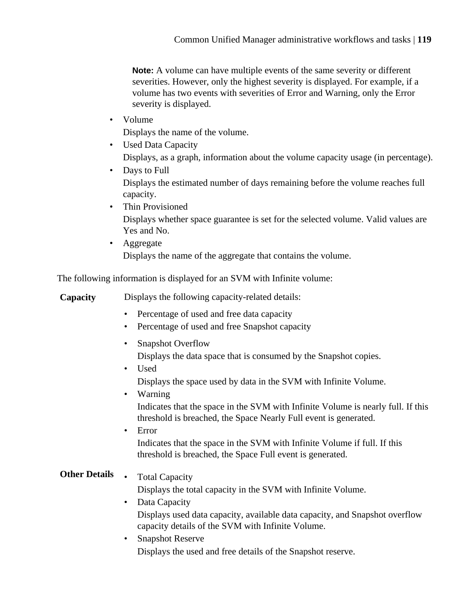**Note:** A volume can have multiple events of the same severity or different severities. However, only the highest severity is displayed. For example, if a volume has two events with severities of Error and Warning, only the Error severity is displayed.

• Volume

Displays the name of the volume.

- Used Data Capacity Displays, as a graph, information about the volume capacity usage (in percentage).
- Days to Full Displays the estimated number of days remaining before the volume reaches full capacity.
- Thin Provisioned Displays whether space guarantee is set for the selected volume. Valid values are Yes and No.
- Aggregate Displays the name of the aggregate that contains the volume.

The following information is displayed for an SVM with Infinite volume:

**Capacity** Displays the following capacity-related details:

- Percentage of used and free data capacity
- Percentage of used and free Snapshot capacity
- Snapshot Overflow
	- Displays the data space that is consumed by the Snapshot copies.
- Used Displays the space used by data in the SVM with Infinite Volume.
- Warning Indicates that the space in the SVM with Infinite Volume is nearly full. If this threshold is breached, the Space Nearly Full event is generated.
- Error Indicates that the space in the SVM with Infinite Volume if full. If this threshold is breached, the Space Full event is generated.

# **Other Details • Total Capacity**

Displays the total capacity in the SVM with Infinite Volume.

• Data Capacity

Displays used data capacity, available data capacity, and Snapshot overflow capacity details of the SVM with Infinite Volume.

• Snapshot Reserve

Displays the used and free details of the Snapshot reserve.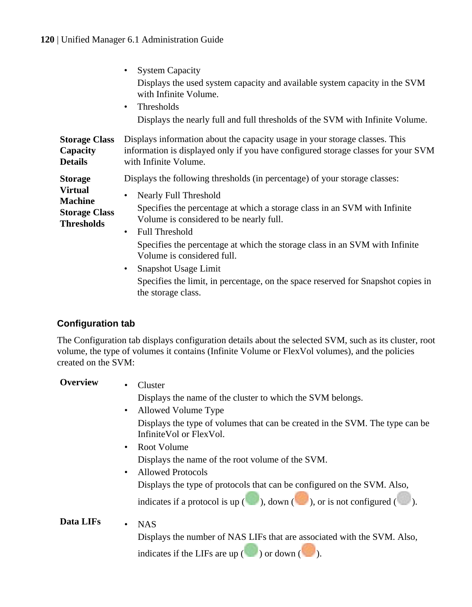<span id="page-119-0"></span>

|                                                                                                 | <b>System Capacity</b>                                                                                                                                                                                                                                                                                                                                                                                                               |
|-------------------------------------------------------------------------------------------------|--------------------------------------------------------------------------------------------------------------------------------------------------------------------------------------------------------------------------------------------------------------------------------------------------------------------------------------------------------------------------------------------------------------------------------------|
|                                                                                                 | Displays the used system capacity and available system capacity in the SVM<br>with Infinite Volume.                                                                                                                                                                                                                                                                                                                                  |
|                                                                                                 | Thresholds<br>$\bullet$                                                                                                                                                                                                                                                                                                                                                                                                              |
|                                                                                                 | Displays the nearly full and full thresholds of the SVM with Infinite Volume.                                                                                                                                                                                                                                                                                                                                                        |
| <b>Storage Class</b><br>Capacity<br><b>Details</b>                                              | Displays information about the capacity usage in your storage classes. This<br>information is displayed only if you have configured storage classes for your SVM<br>with Infinite Volume.                                                                                                                                                                                                                                            |
| <b>Storage</b><br><b>Virtual</b><br><b>Machine</b><br><b>Storage Class</b><br><b>Thresholds</b> | Displays the following thresholds (in percentage) of your storage classes:                                                                                                                                                                                                                                                                                                                                                           |
|                                                                                                 | Nearly Full Threshold<br>Specifies the percentage at which a storage class in an SVM with Infinite<br>Volume is considered to be nearly full.<br><b>Full Threshold</b><br>$\bullet$<br>Specifies the percentage at which the storage class in an SVM with Infinite<br>Volume is considered full.<br>• Snapshot Usage Limit<br>Specifies the limit, in percentage, on the space reserved for Snapshot copies in<br>the storage class. |

#### **Configuration tab**

The Configuration tab displays configuration details about the selected SVM, such as its cluster, root volume, the type of volumes it contains (Infinite Volume or FlexVol volumes), and the policies created on the SVM:

**Overview** • Cluster Displays the name of the cluster to which the SVM belongs. • Allowed Volume Type Displays the type of volumes that can be created in the SVM. The type can be InfiniteVol or FlexVol. • Root Volume Displays the name of the root volume of the SVM. • Allowed Protocols Displays the type of protocols that can be configured on the SVM. Also, indicates if a protocol is up  $(\bullet)$ , down  $(\bullet)$ , or is not configured  $(\bullet)$ . **Data LIFs** • NAS Displays the number of NAS LIFs that are associated with the SVM. Also, indicates if the LIFs are up  $(\Box)$  or down  $(\Box)$ .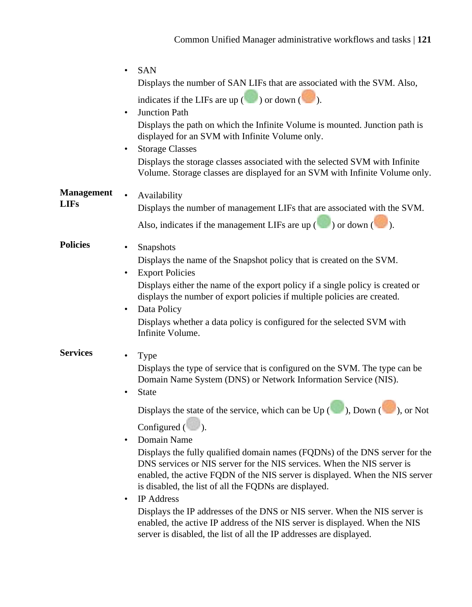|                   | <b>SAN</b><br>$\bullet$                                                                                                                                                                                                                                                                         |
|-------------------|-------------------------------------------------------------------------------------------------------------------------------------------------------------------------------------------------------------------------------------------------------------------------------------------------|
|                   | Displays the number of SAN LIFs that are associated with the SVM. Also,                                                                                                                                                                                                                         |
|                   | indicates if the LIFs are up $(\Box)$ or down $(\Box)$ .                                                                                                                                                                                                                                        |
|                   | Junction Path<br>٠                                                                                                                                                                                                                                                                              |
|                   | Displays the path on which the Infinite Volume is mounted. Junction path is<br>displayed for an SVM with Infinite Volume only.                                                                                                                                                                  |
|                   | <b>Storage Classes</b><br>٠                                                                                                                                                                                                                                                                     |
|                   | Displays the storage classes associated with the selected SVM with Infinite<br>Volume. Storage classes are displayed for an SVM with Infinite Volume only.                                                                                                                                      |
| <b>Management</b> | $\bullet$<br>Availability                                                                                                                                                                                                                                                                       |
| <b>LIFs</b>       | Displays the number of management LIFs that are associated with the SVM.                                                                                                                                                                                                                        |
|                   | Also, indicates if the management LIFs are up $($ $)$ or down $($ $)$ .                                                                                                                                                                                                                         |
| <b>Policies</b>   | Snapshots<br>٠                                                                                                                                                                                                                                                                                  |
|                   | Displays the name of the Snapshot policy that is created on the SVM.                                                                                                                                                                                                                            |
|                   | <b>Export Policies</b><br>٠                                                                                                                                                                                                                                                                     |
|                   | Displays either the name of the export policy if a single policy is created or<br>displays the number of export policies if multiple policies are created.<br>Data Policy<br>٠                                                                                                                  |
|                   | Displays whether a data policy is configured for the selected SVM with<br>Infinite Volume.                                                                                                                                                                                                      |
| <b>Services</b>   | Type<br>٠                                                                                                                                                                                                                                                                                       |
|                   | Displays the type of service that is configured on the SVM. The type can be<br>Domain Name System (DNS) or Network Information Service (NIS).<br><b>State</b><br>$\bullet$                                                                                                                      |
|                   | Displays the state of the service, which can be $Up$ ( $\Box$ ), Down ( $\Box$ ), or Not                                                                                                                                                                                                        |
|                   | Configured $(\Box)$ .                                                                                                                                                                                                                                                                           |
|                   | Domain Name<br>٠                                                                                                                                                                                                                                                                                |
|                   | Displays the fully qualified domain names (FQDNs) of the DNS server for the<br>DNS services or NIS server for the NIS services. When the NIS server is<br>enabled, the active FQDN of the NIS server is displayed. When the NIS server<br>is disabled, the list of all the FQDNs are displayed. |
|                   | <b>IP</b> Address<br>$\bullet$                                                                                                                                                                                                                                                                  |
|                   | Displays the IP addresses of the DNS or NIS server. When the NIS server is<br>enabled, the active IP address of the NIS server is displayed. When the NIS<br>server is disabled, the list of all the IP addresses are displayed.                                                                |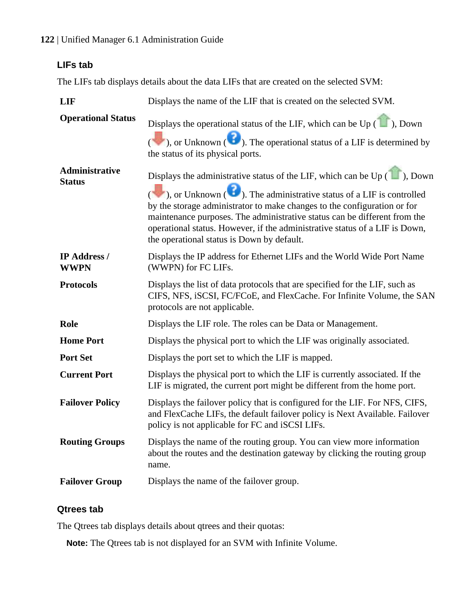#### <span id="page-121-0"></span>**122** | Unified Manager 6.1 Administration Guide

# **LIFs tab**

The LIFs tab displays details about the data LIFs that are created on the selected SVM:

| <b>LIF</b>                      | Displays the name of the LIF that is created on the selected SVM.                                                                                                                                                                                                                                                                                                                                                                                                                                                                                                        |
|---------------------------------|--------------------------------------------------------------------------------------------------------------------------------------------------------------------------------------------------------------------------------------------------------------------------------------------------------------------------------------------------------------------------------------------------------------------------------------------------------------------------------------------------------------------------------------------------------------------------|
| <b>Operational Status</b>       | Displays the operational status of the LIF, which can be Up ( $\Box$ ), Down<br>$\left(\begin{array}{c}\bullet\bullet\end{array}\right)$ , or Unknown $\left(\begin{array}{c}\bullet\bullet\end{array}\right)$ . The operational status of a LIF is determined by<br>the status of its physical ports.                                                                                                                                                                                                                                                                   |
| Administrative<br><b>Status</b> | Displays the administrative status of the LIF, which can be Up $(\blacksquare)$ , Down<br>$\left(\begin{array}{c}\bullet\bullet\bullet\end{array}\right)$ , or Unknown $\left(\begin{array}{c}\bullet\bullet\end{array}\right)$ . The administrative status of a LIF is controlled<br>by the storage administrator to make changes to the configuration or for<br>maintenance purposes. The administrative status can be different from the<br>operational status. However, if the administrative status of a LIF is Down,<br>the operational status is Down by default. |
| IP Address /<br><b>WWPN</b>     | Displays the IP address for Ethernet LIFs and the World Wide Port Name<br>(WWPN) for FC LIFs.                                                                                                                                                                                                                                                                                                                                                                                                                                                                            |
| <b>Protocols</b>                | Displays the list of data protocols that are specified for the LIF, such as<br>CIFS, NFS, iSCSI, FC/FCoE, and FlexCache. For Infinite Volume, the SAN<br>protocols are not applicable.                                                                                                                                                                                                                                                                                                                                                                                   |
| Role                            | Displays the LIF role. The roles can be Data or Management.                                                                                                                                                                                                                                                                                                                                                                                                                                                                                                              |
| <b>Home Port</b>                | Displays the physical port to which the LIF was originally associated.                                                                                                                                                                                                                                                                                                                                                                                                                                                                                                   |
| <b>Port Set</b>                 | Displays the port set to which the LIF is mapped.                                                                                                                                                                                                                                                                                                                                                                                                                                                                                                                        |
| <b>Current Port</b>             | Displays the physical port to which the LIF is currently associated. If the<br>LIF is migrated, the current port might be different from the home port.                                                                                                                                                                                                                                                                                                                                                                                                                  |
| <b>Failover Policy</b>          | Displays the failover policy that is configured for the LIF. For NFS, CIFS,<br>and FlexCache LIFs, the default failover policy is Next Available. Failover<br>policy is not applicable for FC and iSCSI LIFs.                                                                                                                                                                                                                                                                                                                                                            |
| <b>Routing Groups</b>           | Displays the name of the routing group. You can view more information<br>about the routes and the destination gateway by clicking the routing group<br>name.                                                                                                                                                                                                                                                                                                                                                                                                             |
| <b>Failover Group</b>           | Displays the name of the failover group.                                                                                                                                                                                                                                                                                                                                                                                                                                                                                                                                 |

# **Qtrees tab**

The Qtrees tab displays details about qtrees and their quotas:

**Note:** The Qtrees tab is not displayed for an SVM with Infinite Volume.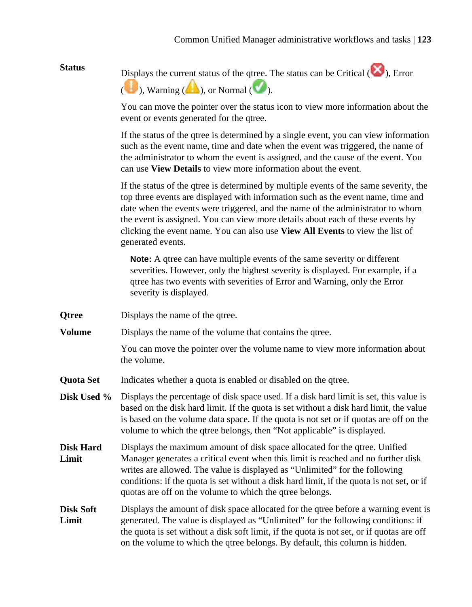Status Displays the current status of the qtree. The status can be Critical ( $\blacktriangleright$ ), Error  $(\bullet)$ , Warning  $(\bullet)$ , or Normal  $(\bullet)$ .

> You can move the pointer over the status icon to view more information about the event or events generated for the qtree.

> If the status of the qtree is determined by a single event, you can view information such as the event name, time and date when the event was triggered, the name of the administrator to whom the event is assigned, and the cause of the event. You can use **View Details** to view more information about the event.

> If the status of the qtree is determined by multiple events of the same severity, the top three events are displayed with information such as the event name, time and date when the events were triggered, and the name of the administrator to whom the event is assigned. You can view more details about each of these events by clicking the event name. You can also use **View All Events** to view the list of generated events.

**Note:** A qtree can have multiple events of the same severity or different severities. However, only the highest severity is displayed. For example, if a qtree has two events with severities of Error and Warning, only the Error severity is displayed.

- **Qtree** Displays the name of the qtree.
- **Volume** Displays the name of the volume that contains the gtree.

You can move the pointer over the volume name to view more information about the volume.

- **Quota Set** Indicates whether a quota is enabled or disabled on the qtree.
- **Disk Used %** Displays the percentage of disk space used. If a disk hard limit is set, this value is based on the disk hard limit. If the quota is set without a disk hard limit, the value is based on the volume data space. If the quota is not set or if quotas are off on the volume to which the qtree belongs, then "Not applicable" is displayed.
- **Disk Hard Limit** Displays the maximum amount of disk space allocated for the qtree. Unified Manager generates a critical event when this limit is reached and no further disk writes are allowed. The value is displayed as "Unlimited" for the following conditions: if the quota is set without a disk hard limit, if the quota is not set, or if quotas are off on the volume to which the qtree belongs.
- **Disk Soft Limit** Displays the amount of disk space allocated for the qtree before a warning event is generated. The value is displayed as "Unlimited" for the following conditions: if the quota is set without a disk soft limit, if the quota is not set, or if quotas are off on the volume to which the qtree belongs. By default, this column is hidden.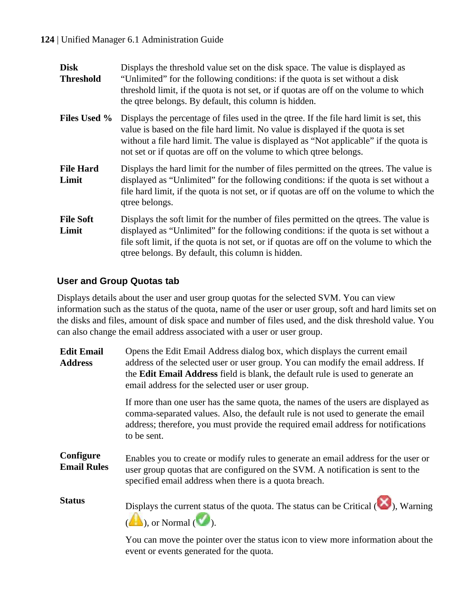<span id="page-123-0"></span>

| <b>Disk</b><br><b>Threshold</b> | Displays the threshold value set on the disk space. The value is displayed as<br>"Unlimited" for the following conditions: if the quota is set without a disk<br>threshold limit, if the quota is not set, or if quotas are off on the volume to which<br>the qtree belongs. By default, this column is hidden.                           |
|---------------------------------|-------------------------------------------------------------------------------------------------------------------------------------------------------------------------------------------------------------------------------------------------------------------------------------------------------------------------------------------|
| <b>Files Used %</b>             | Displays the percentage of files used in the give. If the file hard limit is set, this<br>value is based on the file hard limit. No value is displayed if the quota is set<br>without a file hard limit. The value is displayed as "Not applicable" if the quota is<br>not set or if quotas are off on the volume to which qtree belongs. |
| <b>File Hard</b><br>Limit       | Displays the hard limit for the number of files permitted on the gives. The value is<br>displayed as "Unlimited" for the following conditions: if the quota is set without a<br>file hard limit, if the quota is not set, or if quotas are off on the volume to which the<br>qtree belongs.                                               |
| <b>File Soft</b><br>Limit       | Displays the soft limit for the number of files permitted on the given. The value is<br>displayed as "Unlimited" for the following conditions: if the quota is set without a<br>file soft limit, if the quota is not set, or if quotas are off on the volume to which the<br>qtree belongs. By default, this column is hidden.            |

## **User and Group Quotas tab**

Displays details about the user and user group quotas for the selected SVM. You can view information such as the status of the quota, name of the user or user group, soft and hard limits set on the disks and files, amount of disk space and number of files used, and the disk threshold value. You can also change the email address associated with a user or user group.

| <b>Edit Email</b><br><b>Address</b> | Opens the Edit Email Address dialog box, which displays the current email<br>address of the selected user or user group. You can modify the email address. If<br>the Edit Email Address field is blank, the default rule is used to generate an<br>email address for the selected user or user group. |
|-------------------------------------|-------------------------------------------------------------------------------------------------------------------------------------------------------------------------------------------------------------------------------------------------------------------------------------------------------|
|                                     | If more than one user has the same quota, the names of the users are displayed as<br>comma-separated values. Also, the default rule is not used to generate the email<br>address; therefore, you must provide the required email address for notifications<br>to be sent.                             |
| Configure<br><b>Email Rules</b>     | Enables you to create or modify rules to generate an email address for the user or<br>user group quotas that are configured on the SVM. A notification is sent to the<br>specified email address when there is a quota breach.                                                                        |
| <b>Status</b>                       | Displays the current status of the quota. The status can be Critical $(X)$ , Warning<br>$(\blacktriangle)$ , or Normal $(\blacktriangleright)$ .                                                                                                                                                      |
|                                     | Vari and discrept the destated accoute states to a state discount of the most of such that the                                                                                                                                                                                                        |

You can move the pointer over the status icon to view more information about the event or events generated for the quota.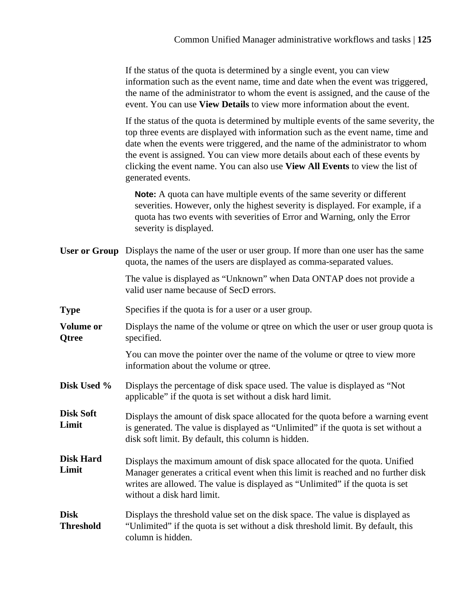If the status of the quota is determined by a single event, you can view information such as the event name, time and date when the event was triggered, the name of the administrator to whom the event is assigned, and the cause of the event. You can use **View Details** to view more information about the event.

If the status of the quota is determined by multiple events of the same severity, the top three events are displayed with information such as the event name, time and date when the events were triggered, and the name of the administrator to whom the event is assigned. You can view more details about each of these events by clicking the event name. You can also use **View All Events** to view the list of generated events.

**Note:** A quota can have multiple events of the same severity or different severities. However, only the highest severity is displayed. For example, if a quota has two events with severities of Error and Warning, only the Error severity is displayed.

**User or Group** Displays the name of the user or user group. If more than one user has the same quota, the names of the users are displayed as comma-separated values.

> The value is displayed as "Unknown" when Data ONTAP does not provide a valid user name because of SecD errors.

- **Type** Specifies if the quota is for a user or a user group.
- **Volume or Qtree** Displays the name of the volume or qtree on which the user or user group quota is specified.

You can move the pointer over the name of the volume or qtree to view more information about the volume or qtree.

- **Disk Used %** Displays the percentage of disk space used. The value is displayed as "Not applicable" if the quota is set without a disk hard limit.
- **Disk Soft Limit** Displays the amount of disk space allocated for the quota before a warning event is generated. The value is displayed as "Unlimited" if the quota is set without a disk soft limit. By default, this column is hidden.
- **Disk Hard Limit** Displays the maximum amount of disk space allocated for the quota. Unified Manager generates a critical event when this limit is reached and no further disk writes are allowed. The value is displayed as "Unlimited" if the quota is set without a disk hard limit.
- **Disk Threshold** Displays the threshold value set on the disk space. The value is displayed as "Unlimited" if the quota is set without a disk threshold limit. By default, this column is hidden.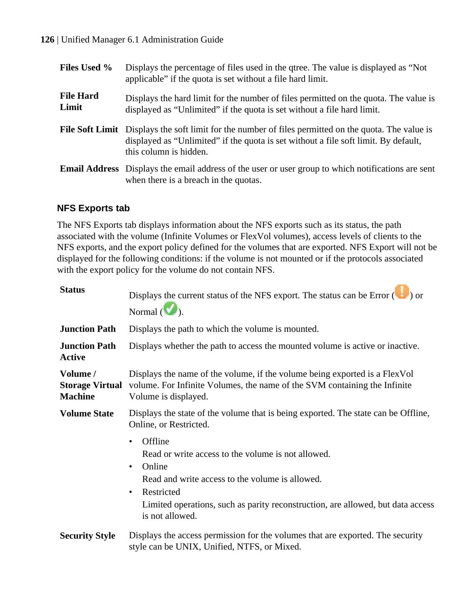#### <span id="page-125-0"></span>**126** | Unified Manager 6.1 Administration Guide

| <b>Files Used %</b>       | Displays the percentage of files used in the gives. The value is displayed as "Not<br>applicable" if the quota is set without a file hard limit.                                                                             |
|---------------------------|------------------------------------------------------------------------------------------------------------------------------------------------------------------------------------------------------------------------------|
| <b>File Hard</b><br>Limit | Displays the hard limit for the number of files permitted on the quota. The value is<br>displayed as "Unlimited" if the quota is set without a file hard limit.                                                              |
|                           | <b>File Soft Limit</b> Displays the soft limit for the number of files permitted on the quota. The value is<br>displayed as "Unlimited" if the quota is set without a file soft limit. By default,<br>this column is hidden. |
|                           | <b>Email Address</b> Displays the email address of the user or user group to which notifications are sent<br>when there is a breach in the quotas.                                                                           |

#### **NFS Exports tab**

The NFS Exports tab displays information about the NFS exports such as its status, the path associated with the volume (Infinite Volumes or FlexVol volumes), access levels of clients to the NFS exports, and the export policy defined for the volumes that are exported. NFS Export will not be displayed for the following conditions: if the volume is not mounted or if the protocols associated with the export policy for the volume do not contain NFS.

| <b>Status</b>                                        | Displays the current status of the NFS export. The status can be Error $(\Box)$ or                                                                                                                                                                            |
|------------------------------------------------------|---------------------------------------------------------------------------------------------------------------------------------------------------------------------------------------------------------------------------------------------------------------|
|                                                      | Normal $(\blacksquare)$ .                                                                                                                                                                                                                                     |
| <b>Junction Path</b>                                 | Displays the path to which the volume is mounted.                                                                                                                                                                                                             |
| <b>Junction Path</b><br>Active                       | Displays whether the path to access the mounted volume is active or inactive.                                                                                                                                                                                 |
| Volume /<br><b>Storage Virtual</b><br><b>Machine</b> | Displays the name of the volume, if the volume being exported is a FlexVol<br>volume. For Infinite Volumes, the name of the SVM containing the Infinite<br>Volume is displayed.                                                                               |
| <b>Volume State</b>                                  | Displays the state of the volume that is being exported. The state can be Offline,<br>Online, or Restricted.                                                                                                                                                  |
|                                                      | Offline<br>٠<br>Read or write access to the volume is not allowed.<br>Online<br>٠<br>Read and write access to the volume is allowed.<br>Restricted<br>٠<br>Limited operations, such as parity reconstruction, are allowed, but data access<br>is not allowed. |
| <b>Security Style</b>                                | Displays the access permission for the volumes that are exported. The security<br>style can be UNIX, Unified, NTFS, or Mixed.                                                                                                                                 |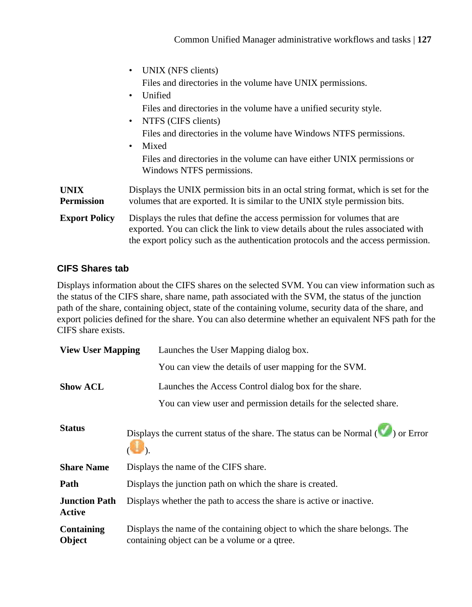<span id="page-126-0"></span>

|                                  | UNIX (NFS clients)<br>٠                                                                                                                                                                                                                            |
|----------------------------------|----------------------------------------------------------------------------------------------------------------------------------------------------------------------------------------------------------------------------------------------------|
|                                  | Files and directories in the volume have UNIX permissions.                                                                                                                                                                                         |
|                                  | Unified<br>٠                                                                                                                                                                                                                                       |
|                                  | Files and directories in the volume have a unified security style.                                                                                                                                                                                 |
|                                  | NTFS (CIFS clients)<br>$\bullet$                                                                                                                                                                                                                   |
|                                  | Files and directories in the volume have Windows NTFS permissions.                                                                                                                                                                                 |
|                                  | Mixed<br>٠                                                                                                                                                                                                                                         |
|                                  | Files and directories in the volume can have either UNIX permissions or<br>Windows NTFS permissions.                                                                                                                                               |
| <b>UNIX</b><br><b>Permission</b> | Displays the UNIX permission bits in an octal string format, which is set for the<br>volumes that are exported. It is similar to the UNIX style permission bits.                                                                                   |
| <b>Export Policy</b>             | Displays the rules that define the access permission for volumes that are<br>exported. You can click the link to view details about the rules associated with<br>the export policy such as the authentication protocols and the access permission. |

## **CIFS Shares tab**

Displays information about the CIFS shares on the selected SVM. You can view information such as the status of the CIFS share, share name, path associated with the SVM, the status of the junction path of the share, containing object, state of the containing volume, security data of the share, and export policies defined for the share. You can also determine whether an equivalent NFS path for the CIFS share exists.

| <b>View User Mapping</b>       | Launches the User Mapping dialog box.                                                                                       |
|--------------------------------|-----------------------------------------------------------------------------------------------------------------------------|
|                                | You can view the details of user mapping for the SVM.                                                                       |
| <b>Show ACL</b>                | Launches the Access Control dialog box for the share.                                                                       |
|                                | You can view user and permission details for the selected share.                                                            |
| <b>Status</b>                  | Displays the current status of the share. The status can be Normal $(\bullet \bullet)$ or Error                             |
| <b>Share Name</b>              | Displays the name of the CIFS share.                                                                                        |
| Path                           | Displays the junction path on which the share is created.                                                                   |
| <b>Junction Path</b><br>Active | Displays whether the path to access the share is active or inactive.                                                        |
| Containing<br>Object           | Displays the name of the containing object to which the share belongs. The<br>containing object can be a volume or a qtree. |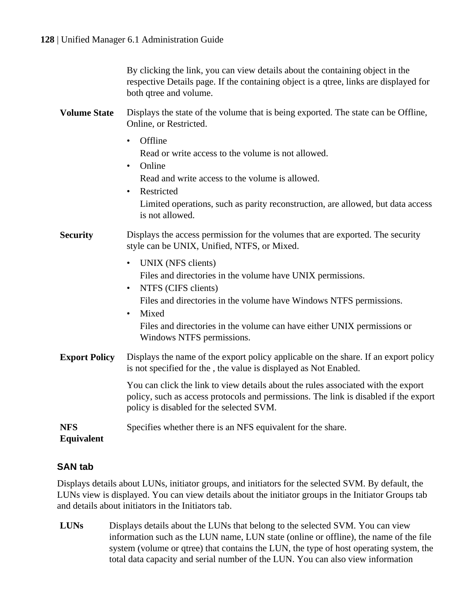By clicking the link, you can view details about the containing object in the respective Details page. If the containing object is a qtree, links are displayed for both qtree and volume.

- <span id="page-127-0"></span>**Volume State** Displays the state of the volume that is being exported. The state can be Offline, Online, or Restricted.
	- Offline

Read or write access to the volume is not allowed.

• Online Read and write access to the volume is allowed.

• Restricted Limited operations, such as parity reconstruction, are allowed, but data access is not allowed.

**Security** Displays the access permission for the volumes that are exported. The security style can be UNIX, Unified, NTFS, or Mixed.

- UNIX (NFS clients) Files and directories in the volume have UNIX permissions.
- NTFS (CIFS clients) Files and directories in the volume have Windows NTFS permissions. • Mixed Files and directories in the volume can have either UNIX permissions or Windows NTFS permissions.
- **Export Policy** Displays the name of the export policy applicable on the share. If an export policy is not specified for the , the value is displayed as Not Enabled.

You can click the link to view details about the rules associated with the export policy, such as access protocols and permissions. The link is disabled if the export policy is disabled for the selected SVM.

**NFS** Specifies whether there is an NFS equivalent for the share.

#### **Equivalent**

#### **SAN tab**

Displays details about LUNs, initiator groups, and initiators for the selected SVM. By default, the LUNs view is displayed. You can view details about the initiator groups in the Initiator Groups tab and details about initiators in the Initiators tab.

**LUNs** Displays details about the LUNs that belong to the selected SVM. You can view information such as the LUN name, LUN state (online or offline), the name of the file system (volume or qtree) that contains the LUN, the type of host operating system, the total data capacity and serial number of the LUN. You can also view information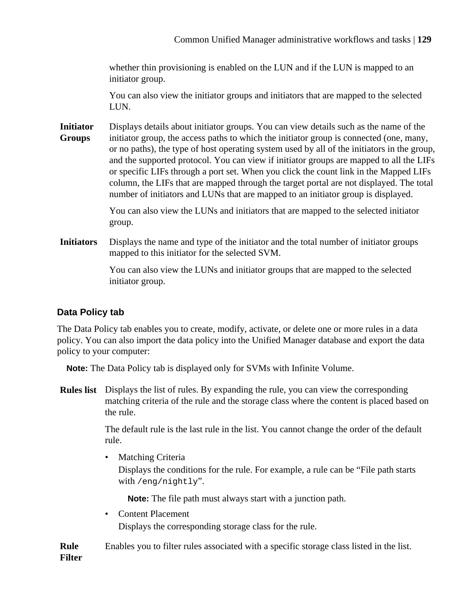<span id="page-128-0"></span>whether thin provisioning is enabled on the LUN and if the LUN is mapped to an initiator group.

You can also view the initiator groups and initiators that are mapped to the selected LUN.

**Initiator Groups** Displays details about initiator groups. You can view details such as the name of the initiator group, the access paths to which the initiator group is connected (one, many, or no paths), the type of host operating system used by all of the initiators in the group, and the supported protocol. You can view if initiator groups are mapped to all the LIFs or specific LIFs through a port set. When you click the count link in the Mapped LIFs column, the LIFs that are mapped through the target portal are not displayed. The total number of initiators and LUNs that are mapped to an initiator group is displayed.

> You can also view the LUNs and initiators that are mapped to the selected initiator group.

**Initiators** Displays the name and type of the initiator and the total number of initiator groups mapped to this initiator for the selected SVM.

> You can also view the LUNs and initiator groups that are mapped to the selected initiator group.

# **Data Policy tab**

The Data Policy tab enables you to create, modify, activate, or delete one or more rules in a data policy. You can also import the data policy into the Unified Manager database and export the data policy to your computer:

**Note:** The Data Policy tab is displayed only for SVMs with Infinite Volume.

**Rules list** Displays the list of rules. By expanding the rule, you can view the corresponding matching criteria of the rule and the storage class where the content is placed based on the rule.

> The default rule is the last rule in the list. You cannot change the order of the default rule.

• Matching Criteria

Displays the conditions for the rule. For example, a rule can be "File path starts with /eng/nightly".

**Note:** The file path must always start with a junction path.

• Content Placement

Displays the corresponding storage class for the rule.

**Rule Filter** Enables you to filter rules associated with a specific storage class listed in the list.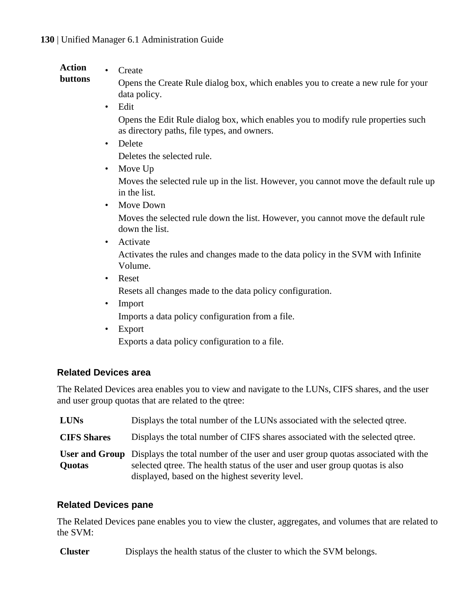#### <span id="page-129-0"></span>**Action** • Create

**buttons**

Opens the Create Rule dialog box, which enables you to create a new rule for your data policy.

• Edit

Opens the Edit Rule dialog box, which enables you to modify rule properties such as directory paths, file types, and owners.

• Delete

Deletes the selected rule.

• Move Up

Moves the selected rule up in the list. However, you cannot move the default rule up in the list.

• Move Down

Moves the selected rule down the list. However, you cannot move the default rule down the list.

• Activate

Activates the rules and changes made to the data policy in the SVM with Infinite Volume.

• Reset

Resets all changes made to the data policy configuration.

- Import Imports a data policy configuration from a file.
- Export

Exports a data policy configuration to a file.

# **Related Devices area**

The Related Devices area enables you to view and navigate to the LUNs, CIFS shares, and the user and user group quotas that are related to the qtree:

| <b>LUNs</b>        | Displays the total number of the LUNs associated with the selected qtree.                                                                                                                                                               |
|--------------------|-----------------------------------------------------------------------------------------------------------------------------------------------------------------------------------------------------------------------------------------|
| <b>CIFS Shares</b> | Displays the total number of CIFS shares associated with the selected qtree.                                                                                                                                                            |
| <b>Ouotas</b>      | <b>User and Group</b> Displays the total number of the user and user group quotas associated with the<br>selected gives. The health status of the user and user group quotas is also<br>displayed, based on the highest severity level. |

#### **Related Devices pane**

The Related Devices pane enables you to view the cluster, aggregates, and volumes that are related to the SVM:

**Cluster** Displays the health status of the cluster to which the SVM belongs.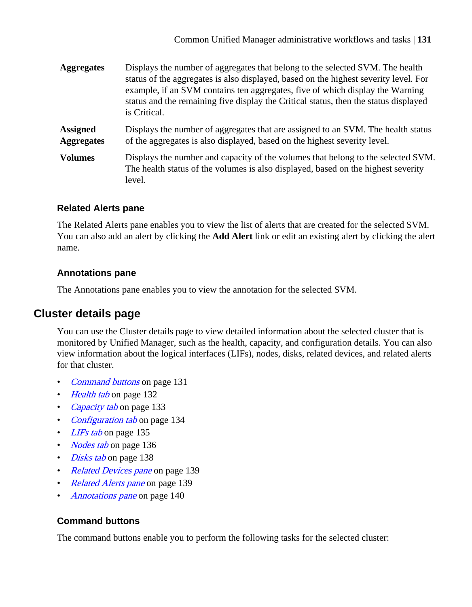<span id="page-130-0"></span>

| <b>Aggregates</b>                    | Displays the number of aggregates that belong to the selected SVM. The health<br>status of the aggregates is also displayed, based on the highest severity level. For<br>example, if an SVM contains ten aggregates, five of which display the Warning<br>status and the remaining five display the Critical status, then the status displayed<br>is Critical. |
|--------------------------------------|----------------------------------------------------------------------------------------------------------------------------------------------------------------------------------------------------------------------------------------------------------------------------------------------------------------------------------------------------------------|
| <b>Assigned</b><br><b>Aggregates</b> | Displays the number of aggregates that are assigned to an SVM. The health status<br>of the aggregates is also displayed, based on the highest severity level.                                                                                                                                                                                                  |
| <b>Volumes</b>                       | Displays the number and capacity of the volumes that belong to the selected SVM.<br>The health status of the volumes is also displayed, based on the highest severity<br>level.                                                                                                                                                                                |

#### **Related Alerts pane**

The Related Alerts pane enables you to view the list of alerts that are created for the selected SVM. You can also add an alert by clicking the **Add Alert** link or edit an existing alert by clicking the alert name.

# **Annotations pane**

The Annotations pane enables you to view the annotation for the selected SVM.

# **Cluster details page**

You can use the Cluster details page to view detailed information about the selected cluster that is monitored by Unified Manager, such as the health, capacity, and configuration details. You can also view information about the logical interfaces (LIFs), nodes, disks, related devices, and related alerts for that cluster.

- Command buttons on page 131
- [Health tab](#page-131-0) on page 132
- [Capacity tab](#page-132-0) on page 133
- [Configuration tab](#page-133-0) on page 134
- [LIFs tab](#page-134-0) on page 135
- *[Nodes tab](#page-135-0)* on page 136
- *[Disks tab](#page-137-0)* on page 138
- [Related Devices pane](#page-138-0) on page 139
- [Related Alerts pane](#page-138-0) on page 139
- [Annotations pane](#page-139-0) on page 140

# **Command buttons**

The command buttons enable you to perform the following tasks for the selected cluster: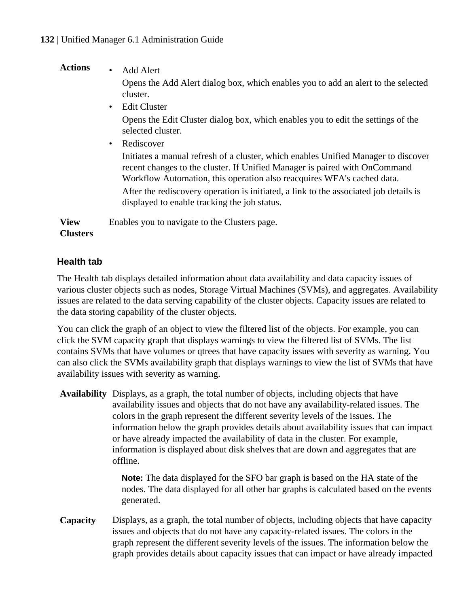# <span id="page-131-0"></span>**Actions** • Add Alert

Opens the Add Alert dialog box, which enables you to add an alert to the selected cluster.

- Edit Cluster Opens the Edit Cluster dialog box, which enables you to edit the settings of the selected cluster.
- Rediscover

Initiates a manual refresh of a cluster, which enables Unified Manager to discover recent changes to the cluster. If Unified Manager is paired with OnCommand Workflow Automation, this operation also reacquires WFA's cached data. After the rediscovery operation is initiated, a link to the associated job details is displayed to enable tracking the job status.

**View Clusters** Enables you to navigate to the Clusters page.

# **Health tab**

The Health tab displays detailed information about data availability and data capacity issues of various cluster objects such as nodes, Storage Virtual Machines (SVMs), and aggregates. Availability issues are related to the data serving capability of the cluster objects. Capacity issues are related to the data storing capability of the cluster objects.

You can click the graph of an object to view the filtered list of the objects. For example, you can click the SVM capacity graph that displays warnings to view the filtered list of SVMs. The list contains SVMs that have volumes or qtrees that have capacity issues with severity as warning. You can also click the SVMs availability graph that displays warnings to view the list of SVMs that have availability issues with severity as warning.

**Availability** Displays, as a graph, the total number of objects, including objects that have availability issues and objects that do not have any availability-related issues. The colors in the graph represent the different severity levels of the issues. The information below the graph provides details about availability issues that can impact or have already impacted the availability of data in the cluster. For example, information is displayed about disk shelves that are down and aggregates that are offline.

> **Note:** The data displayed for the SFO bar graph is based on the HA state of the nodes. The data displayed for all other bar graphs is calculated based on the events generated.

**Capacity** Displays, as a graph, the total number of objects, including objects that have capacity issues and objects that do not have any capacity-related issues. The colors in the graph represent the different severity levels of the issues. The information below the graph provides details about capacity issues that can impact or have already impacted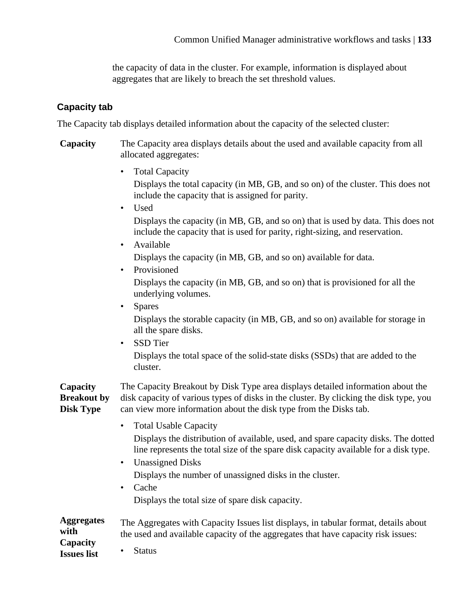the capacity of data in the cluster. For example, information is displayed about aggregates that are likely to breach the set threshold values.

## <span id="page-132-0"></span>**Capacity tab**

The Capacity tab displays detailed information about the capacity of the selected cluster:

- **Capacity** The Capacity area displays details about the used and available capacity from all allocated aggregates:
	- Total Capacity Displays the total capacity (in MB, GB, and so on) of the cluster. This does not include the capacity that is assigned for parity.
		- Used Displays the capacity (in MB, GB, and so on) that is used by data. This does not include the capacity that is used for parity, right-sizing, and reservation.
		- Available Displays the capacity (in MB, GB, and so on) available for data.
		- Provisioned

Displays the capacity (in MB, GB, and so on) that is provisioned for all the underlying volumes.

• Spares

Displays the storable capacity (in MB, GB, and so on) available for storage in all the spare disks.

• SSD Tier

Displays the total space of the solid-state disks (SSDs) that are added to the cluster.

**Capacity Breakout by Disk Type** The Capacity Breakout by Disk Type area displays detailed information about the disk capacity of various types of disks in the cluster. By clicking the disk type, you can view more information about the disk type from the Disks tab.

• Total Usable Capacity

Displays the distribution of available, used, and spare capacity disks. The dotted line represents the total size of the spare disk capacity available for a disk type.

- Unassigned Disks Displays the number of unassigned disks in the cluster.
- Cache Displays the total size of spare disk capacity.

**Aggregates with Capacity** The Aggregates with Capacity Issues list displays, in tabular format, details about the used and available capacity of the aggregates that have capacity risk issues:

**Issues list**

**Status**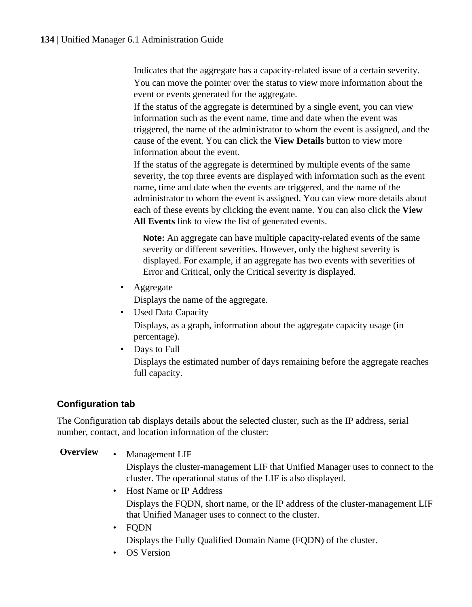<span id="page-133-0"></span>Indicates that the aggregate has a capacity-related issue of a certain severity. You can move the pointer over the status to view more information about the event or events generated for the aggregate.

If the status of the aggregate is determined by a single event, you can view information such as the event name, time and date when the event was triggered, the name of the administrator to whom the event is assigned, and the cause of the event. You can click the **View Details** button to view more information about the event.

If the status of the aggregate is determined by multiple events of the same severity, the top three events are displayed with information such as the event name, time and date when the events are triggered, and the name of the administrator to whom the event is assigned. You can view more details about each of these events by clicking the event name. You can also click the **View All Events** link to view the list of generated events.

**Note:** An aggregate can have multiple capacity-related events of the same severity or different severities. However, only the highest severity is displayed. For example, if an aggregate has two events with severities of Error and Critical, only the Critical severity is displayed.

• Aggregate

Displays the name of the aggregate.

• Used Data Capacity

Displays, as a graph, information about the aggregate capacity usage (in percentage).

• Days to Full

Displays the estimated number of days remaining before the aggregate reaches full capacity.

# **Configuration tab**

The Configuration tab displays details about the selected cluster, such as the IP address, serial number, contact, and location information of the cluster:

**Overview** • Management LIF

Displays the cluster-management LIF that Unified Manager uses to connect to the cluster. The operational status of the LIF is also displayed.

- Host Name or IP Address Displays the FQDN, short name, or the IP address of the cluster-management LIF that Unified Manager uses to connect to the cluster.
- FODN Displays the Fully Qualified Domain Name (FQDN) of the cluster.
- OS Version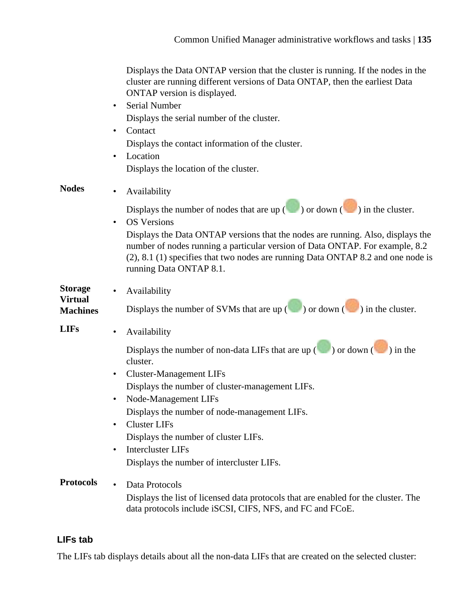<span id="page-134-0"></span>

|                                                     | Displays the Data ONTAP version that the cluster is running. If the nodes in the<br>cluster are running different versions of Data ONTAP, then the earliest Data<br>ONTAP version is displayed.<br>Serial Number<br>$\bullet$<br>Displays the serial number of the cluster.<br>Contact<br>$\bullet$<br>Displays the contact information of the cluster.<br>Location                                                                                             |
|-----------------------------------------------------|-----------------------------------------------------------------------------------------------------------------------------------------------------------------------------------------------------------------------------------------------------------------------------------------------------------------------------------------------------------------------------------------------------------------------------------------------------------------|
|                                                     | Displays the location of the cluster.                                                                                                                                                                                                                                                                                                                                                                                                                           |
| <b>Nodes</b>                                        | Availability<br>Displays the number of nodes that are up $(\bullet)$ or down $(\bullet)$ in the cluster.<br><b>OS</b> Versions<br>$\bullet$<br>Displays the Data ONTAP versions that the nodes are running. Also, displays the<br>number of nodes running a particular version of Data ONTAP. For example, 8.2<br>$(2)$ , 8.1 $(1)$ specifies that two nodes are running Data ONTAP 8.2 and one node is<br>running Data ONTAP 8.1.                              |
| <b>Storage</b><br><b>Virtual</b><br><b>Machines</b> | Availability<br>Displays the number of SVMs that are up $(\bullet)$ or down $(\bullet)$ in the cluster.                                                                                                                                                                                                                                                                                                                                                         |
| <b>LIFs</b>                                         | Availability<br>$\bullet$<br>Displays the number of non-data LIFs that are up $(\bullet)$ or down $(\bullet)$ in the<br>cluster.<br><b>Cluster-Management LIFs</b><br>$\bullet$<br>Displays the number of cluster-management LIFs.<br>Node-Management LIFs<br>Displays the number of node-management LIFs.<br><b>Cluster LIFs</b><br>Displays the number of cluster LIFs.<br><b>Intercluster LIFs</b><br>$\bullet$<br>Displays the number of intercluster LIFs. |
| <b>Protocols</b>                                    | Data Protocols<br>$\bullet$<br>Displays the list of licensed data protocols that are enabled for the cluster. The<br>data protocols include iSCSI, CIFS, NFS, and FC and FCoE.                                                                                                                                                                                                                                                                                  |

# **LIFs tab**

The LIFs tab displays details about all the non-data LIFs that are created on the selected cluster: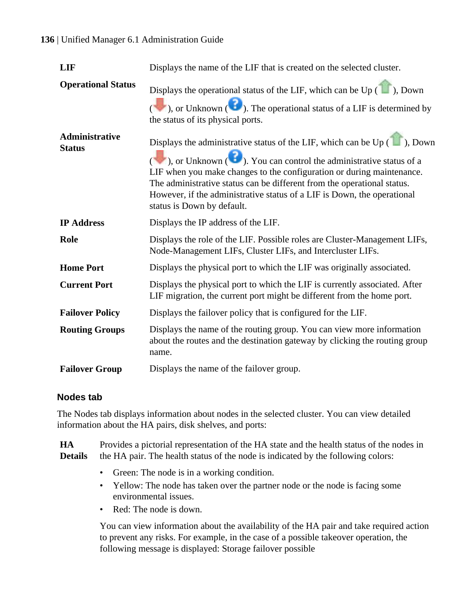#### <span id="page-135-0"></span>**136** | Unified Manager 6.1 Administration Guide

| <b>LIF</b>                             | Displays the name of the LIF that is created on the selected cluster.                                                                                                                                                                                                                                                                                                                                                                                                                                                                       |
|----------------------------------------|---------------------------------------------------------------------------------------------------------------------------------------------------------------------------------------------------------------------------------------------------------------------------------------------------------------------------------------------------------------------------------------------------------------------------------------------------------------------------------------------------------------------------------------------|
| <b>Operational Status</b>              | Displays the operational status of the LIF, which can be Up $($ $\blacksquare$ ), Down<br>$\left(\begin{array}{c}\n\bullet \\ \bullet\n\end{array}\right)$ , or Unknown $\left(\begin{array}{c}\bullet \\ \bullet\n\end{array}\right)$ . The operational status of a LIF is determined by<br>the status of its physical ports.                                                                                                                                                                                                              |
| <b>Administrative</b><br><b>Status</b> | Displays the administrative status of the LIF, which can be $Up(\Box)$ , Down<br>$\left(\begin{array}{c}\n\bullet \\ \bullet\n\end{array}\right)$ , or Unknown $\left(\begin{array}{c}\bullet \\ \bullet\n\end{array}\right)$ . You can control the administrative status of a<br>LIF when you make changes to the configuration or during maintenance.<br>The administrative status can be different from the operational status.<br>However, if the administrative status of a LIF is Down, the operational<br>status is Down by default. |
| <b>IP Address</b>                      | Displays the IP address of the LIF.                                                                                                                                                                                                                                                                                                                                                                                                                                                                                                         |
| Role                                   | Displays the role of the LIF. Possible roles are Cluster-Management LIFs,<br>Node-Management LIFs, Cluster LIFs, and Intercluster LIFs.                                                                                                                                                                                                                                                                                                                                                                                                     |
| <b>Home Port</b>                       | Displays the physical port to which the LIF was originally associated.                                                                                                                                                                                                                                                                                                                                                                                                                                                                      |
| <b>Current Port</b>                    | Displays the physical port to which the LIF is currently associated. After<br>LIF migration, the current port might be different from the home port.                                                                                                                                                                                                                                                                                                                                                                                        |
| <b>Failover Policy</b>                 | Displays the failover policy that is configured for the LIF.                                                                                                                                                                                                                                                                                                                                                                                                                                                                                |
| <b>Routing Groups</b>                  | Displays the name of the routing group. You can view more information<br>about the routes and the destination gateway by clicking the routing group<br>name.                                                                                                                                                                                                                                                                                                                                                                                |
| <b>Failover Group</b>                  | Displays the name of the failover group.                                                                                                                                                                                                                                                                                                                                                                                                                                                                                                    |

#### **Nodes tab**

The Nodes tab displays information about nodes in the selected cluster. You can view detailed information about the HA pairs, disk shelves, and ports:

**HA Details** Provides a pictorial representation of the HA state and the health status of the nodes in the HA pair. The health status of the node is indicated by the following colors:

- Green: The node is in a working condition.
- Yellow: The node has taken over the partner node or the node is facing some environmental issues.
- Red: The node is down.

You can view information about the availability of the HA pair and take required action to prevent any risks. For example, in the case of a possible takeover operation, the following message is displayed: Storage failover possible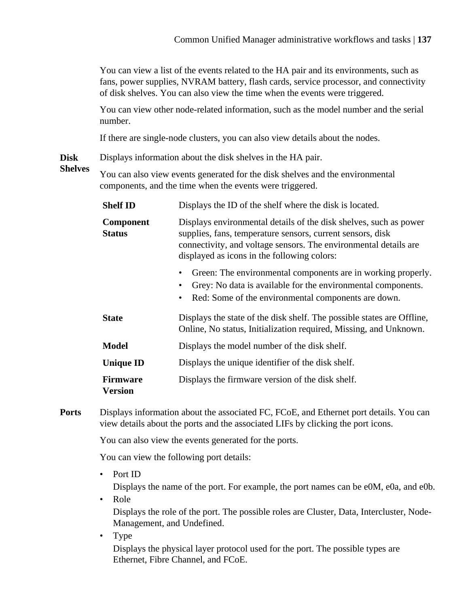You can view a list of the events related to the HA pair and its environments, such as fans, power supplies, NVRAM battery, flash cards, service processor, and connectivity of disk shelves. You can also view the time when the events were triggered.

You can view other node-related information, such as the model number and the serial number.

If there are single-node clusters, you can also view details about the nodes.

**Disk** Displays information about the disk shelves in the HA pair.

**Shelves** You can also view events generated for the disk shelves and the environmental components, and the time when the events were triggered.

| <b>Shelf ID</b>                   | Displays the ID of the shelf where the disk is located.                                                                                                                                                                                            |
|-----------------------------------|----------------------------------------------------------------------------------------------------------------------------------------------------------------------------------------------------------------------------------------------------|
| <b>Component</b><br><b>Status</b> | Displays environmental details of the disk shelves, such as power<br>supplies, fans, temperature sensors, current sensors, disk<br>connectivity, and voltage sensors. The environmental details are<br>displayed as icons in the following colors: |
|                                   | Green: The environmental components are in working properly.<br>Grey: No data is available for the environmental components.<br>Red: Some of the environmental components are down.<br>٠                                                           |
| <b>State</b>                      | Displays the state of the disk shelf. The possible states are Offline,<br>Online, No status, Initialization required, Missing, and Unknown.                                                                                                        |
| <b>Model</b>                      | Displays the model number of the disk shelf.                                                                                                                                                                                                       |
| <b>Unique ID</b>                  | Displays the unique identifier of the disk shelf.                                                                                                                                                                                                  |
| <b>Firmware</b><br><b>Version</b> | Displays the firmware version of the disk shelf.                                                                                                                                                                                                   |

**Ports** Displays information about the associated FC, FCoE, and Ethernet port details. You can view details about the ports and the associated LIFs by clicking the port icons.

You can also view the events generated for the ports.

You can view the following port details:

• Port ID

Displays the name of the port. For example, the port names can be e0M, e0a, and e0b.

- Role Displays the role of the port. The possible roles are Cluster, Data, Intercluster, Node-Management, and Undefined.
- Type

Displays the physical layer protocol used for the port. The possible types are Ethernet, Fibre Channel, and FCoE.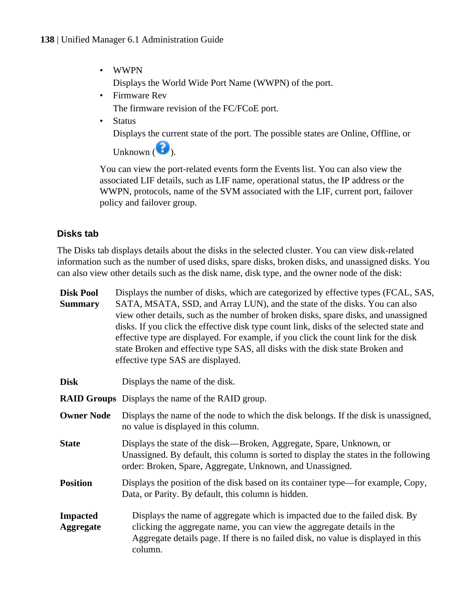<span id="page-137-0"></span>• WWPN

Displays the World Wide Port Name (WWPN) of the port.

• Firmware Rev

The firmware revision of the FC/FCoE port.

**Status** 

Displays the current state of the port. The possible states are Online, Offline, or

Unknown  $\left( \bullet \right)$ .

You can view the port-related events form the Events list. You can also view the associated LIF details, such as LIF name, operational status, the IP address or the WWPN, protocols, name of the SVM associated with the LIF, current port, failover policy and failover group.

# **Disks tab**

The Disks tab displays details about the disks in the selected cluster. You can view disk-related information such as the number of used disks, spare disks, broken disks, and unassigned disks. You can also view other details such as the disk name, disk type, and the owner node of the disk:

| <b>Disk Pool</b><br><b>Summary</b>  | Displays the number of disks, which are categorized by effective types (FCAL, SAS,<br>SATA, MSATA, SSD, and Array LUN), and the state of the disks. You can also<br>view other details, such as the number of broken disks, spare disks, and unassigned<br>disks. If you click the effective disk type count link, disks of the selected state and<br>effective type are displayed. For example, if you click the count link for the disk<br>state Broken and effective type SAS, all disks with the disk state Broken and<br>effective type SAS are displayed. |
|-------------------------------------|-----------------------------------------------------------------------------------------------------------------------------------------------------------------------------------------------------------------------------------------------------------------------------------------------------------------------------------------------------------------------------------------------------------------------------------------------------------------------------------------------------------------------------------------------------------------|
| <b>Disk</b>                         | Displays the name of the disk.                                                                                                                                                                                                                                                                                                                                                                                                                                                                                                                                  |
|                                     | <b>RAID Groups</b> Displays the name of the RAID group.                                                                                                                                                                                                                                                                                                                                                                                                                                                                                                         |
| <b>Owner Node</b>                   | Displays the name of the node to which the disk belongs. If the disk is unassigned,<br>no value is displayed in this column.                                                                                                                                                                                                                                                                                                                                                                                                                                    |
| <b>State</b>                        | Displays the state of the disk—Broken, Aggregate, Spare, Unknown, or<br>Unassigned. By default, this column is sorted to display the states in the following<br>order: Broken, Spare, Aggregate, Unknown, and Unassigned.                                                                                                                                                                                                                                                                                                                                       |
| <b>Position</b>                     | Displays the position of the disk based on its container type—for example, Copy,<br>Data, or Parity. By default, this column is hidden.                                                                                                                                                                                                                                                                                                                                                                                                                         |
| <b>Impacted</b><br><b>Aggregate</b> | Displays the name of aggregate which is impacted due to the failed disk. By<br>clicking the aggregate name, you can view the aggregate details in the<br>Aggregate details page. If there is no failed disk, no value is displayed in this<br>column.                                                                                                                                                                                                                                                                                                           |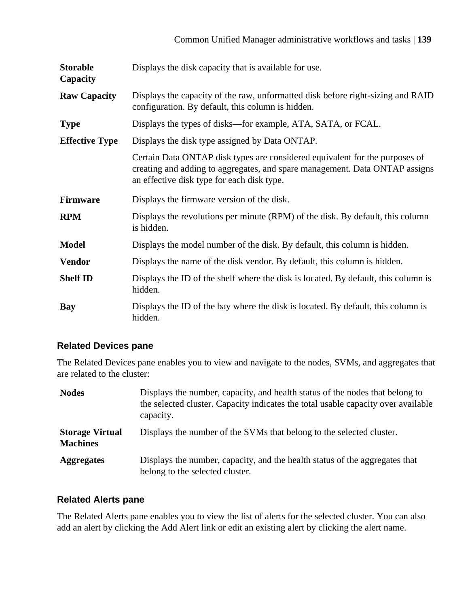<span id="page-138-0"></span>

| <b>Storable</b><br>Capacity | Displays the disk capacity that is available for use.                                                                                                                                                    |
|-----------------------------|----------------------------------------------------------------------------------------------------------------------------------------------------------------------------------------------------------|
| <b>Raw Capacity</b>         | Displays the capacity of the raw, unformatted disk before right-sizing and RAID<br>configuration. By default, this column is hidden.                                                                     |
| <b>Type</b>                 | Displays the types of disks—for example, ATA, SATA, or FCAL.                                                                                                                                             |
| <b>Effective Type</b>       | Displays the disk type assigned by Data ONTAP.                                                                                                                                                           |
|                             | Certain Data ONTAP disk types are considered equivalent for the purposes of<br>creating and adding to aggregates, and spare management. Data ONTAP assigns<br>an effective disk type for each disk type. |
|                             |                                                                                                                                                                                                          |
| <b>Firmware</b>             | Displays the firmware version of the disk.                                                                                                                                                               |
| <b>RPM</b>                  | Displays the revolutions per minute (RPM) of the disk. By default, this column<br>is hidden.                                                                                                             |
| <b>Model</b>                | Displays the model number of the disk. By default, this column is hidden.                                                                                                                                |
| <b>Vendor</b>               | Displays the name of the disk vendor. By default, this column is hidden.                                                                                                                                 |
| <b>Shelf ID</b>             | Displays the ID of the shelf where the disk is located. By default, this column is<br>hidden.                                                                                                            |

## **Related Devices pane**

The Related Devices pane enables you to view and navigate to the nodes, SVMs, and aggregates that are related to the cluster:

| <b>Nodes</b>                              | Displays the number, capacity, and health status of the nodes that belong to<br>the selected cluster. Capacity indicates the total usable capacity over available<br>capacity. |
|-------------------------------------------|--------------------------------------------------------------------------------------------------------------------------------------------------------------------------------|
| <b>Storage Virtual</b><br><b>Machines</b> | Displays the number of the SVMs that belong to the selected cluster.                                                                                                           |
| <b>Aggregates</b>                         | Displays the number, capacity, and the health status of the aggregates that<br>belong to the selected cluster.                                                                 |

## **Related Alerts pane**

The Related Alerts pane enables you to view the list of alerts for the selected cluster. You can also add an alert by clicking the Add Alert link or edit an existing alert by clicking the alert name.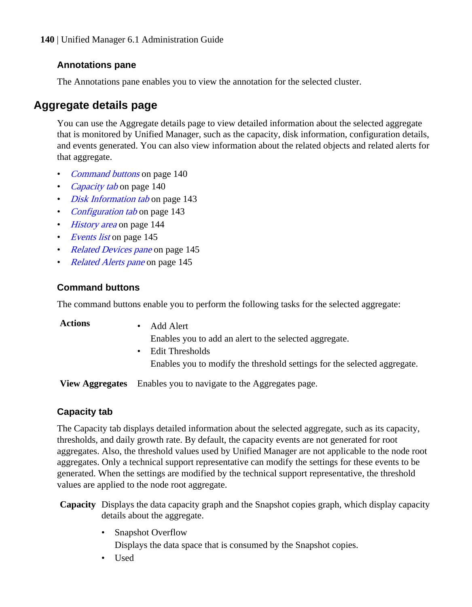<span id="page-139-0"></span>**140** | Unified Manager 6.1 Administration Guide

#### **Annotations pane**

The Annotations pane enables you to view the annotation for the selected cluster.

# **Aggregate details page**

You can use the Aggregate details page to view detailed information about the selected aggregate that is monitored by Unified Manager, such as the capacity, disk information, configuration details, and events generated. You can also view information about the related objects and related alerts for that aggregate.

- *Command buttons* on page 140
- Capacity tab on page 140
- *[Disk Information tab](#page-142-0)* on page 143
- [Configuration tab](#page-142-0) on page 143
- *[History area](#page-143-0)* on page 144
- *[Events list](#page-144-0)* on page 145
- [Related Devices pane](#page-144-0) on page 145
- [Related Alerts pane](#page-144-0) on page 145

#### **Command buttons**

The command buttons enable you to perform the following tasks for the selected aggregate:

**Actions** • Add Alert

Enables you to add an alert to the selected aggregate.

• Edit Thresholds Enables you to modify the threshold settings for the selected aggregate.

**View Aggregates** Enables you to navigate to the Aggregates page.

#### **Capacity tab**

The Capacity tab displays detailed information about the selected aggregate, such as its capacity, thresholds, and daily growth rate. By default, the capacity events are not generated for root aggregates. Also, the threshold values used by Unified Manager are not applicable to the node root aggregates. Only a technical support representative can modify the settings for these events to be generated. When the settings are modified by the technical support representative, the threshold values are applied to the node root aggregate.

- **Capacity** Displays the data capacity graph and the Snapshot copies graph, which display capacity details about the aggregate.
	- Snapshot Overflow

Displays the data space that is consumed by the Snapshot copies.

• Used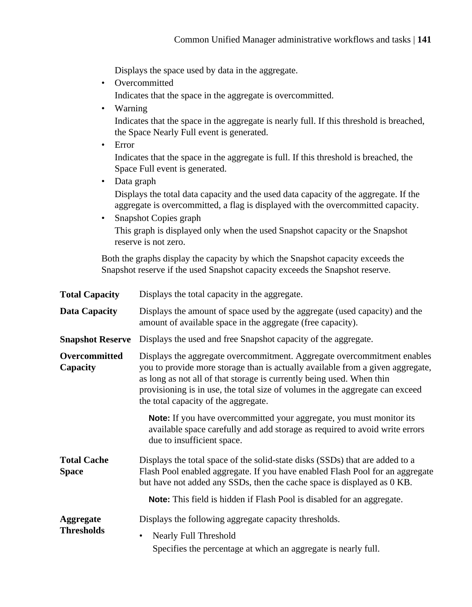Displays the space used by data in the aggregate.

• Overcommitted

Indicates that the space in the aggregate is overcommitted.

• Warning

Indicates that the space in the aggregate is nearly full. If this threshold is breached, the Space Nearly Full event is generated.

• Error

Indicates that the space in the aggregate is full. If this threshold is breached, the Space Full event is generated.

• Data graph

Displays the total data capacity and the used data capacity of the aggregate. If the aggregate is overcommitted, a flag is displayed with the overcommitted capacity.

• Snapshot Copies graph This graph is displayed only when the used Snapshot capacity or the Snapshot reserve is not zero.

Both the graphs display the capacity by which the Snapshot capacity exceeds the Snapshot reserve if the used Snapshot capacity exceeds the Snapshot reserve.

| <b>Total Capacity</b>              | Displays the total capacity in the aggregate.                                                                                                                                                                                                                                                                                                               |
|------------------------------------|-------------------------------------------------------------------------------------------------------------------------------------------------------------------------------------------------------------------------------------------------------------------------------------------------------------------------------------------------------------|
| <b>Data Capacity</b>               | Displays the amount of space used by the aggregate (used capacity) and the<br>amount of available space in the aggregate (free capacity).                                                                                                                                                                                                                   |
| <b>Snapshot Reserve</b>            | Displays the used and free Snapshot capacity of the aggregate.                                                                                                                                                                                                                                                                                              |
| Overcommitted<br>Capacity          | Displays the aggregate overcommitment. Aggregate overcommitment enables<br>you to provide more storage than is actually available from a given aggregate,<br>as long as not all of that storage is currently being used. When thin<br>provisioning is in use, the total size of volumes in the aggregate can exceed<br>the total capacity of the aggregate. |
|                                    | <b>Note:</b> If you have overcommitted your aggregate, you must monitor its<br>available space carefully and add storage as required to avoid write errors<br>due to insufficient space.                                                                                                                                                                    |
| <b>Total Cache</b><br><b>Space</b> | Displays the total space of the solid-state disks (SSDs) that are added to a<br>Flash Pool enabled aggregate. If you have enabled Flash Pool for an aggregate<br>but have not added any SSDs, then the cache space is displayed as 0 KB.                                                                                                                    |
|                                    | <b>Note:</b> This field is hidden if Flash Pool is disabled for an aggregate.                                                                                                                                                                                                                                                                               |
| Aggregate                          | Displays the following aggregate capacity thresholds.                                                                                                                                                                                                                                                                                                       |
| <b>Thresholds</b>                  | Nearly Full Threshold<br>$\bullet$                                                                                                                                                                                                                                                                                                                          |
|                                    | Specifies the percentage at which an aggregate is nearly full.                                                                                                                                                                                                                                                                                              |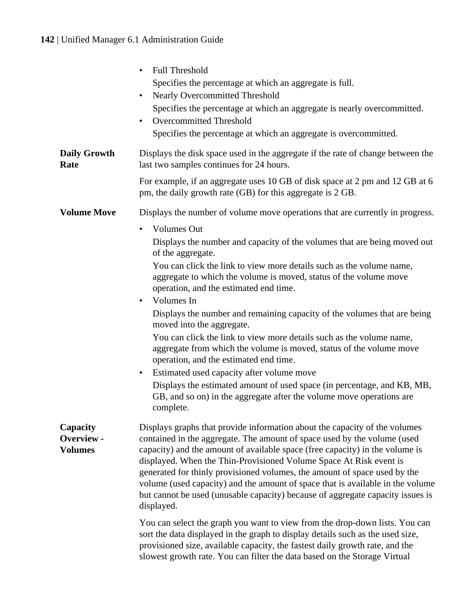# **142** | Unified Manager 6.1 Administration Guide

|                                          | Full Threshold<br>Specifies the percentage at which an aggregate is full.<br>Nearly Overcommitted Threshold<br>Specifies the percentage at which an aggregate is nearly overcommitted.<br>Overcommitted Threshold<br>Specifies the percentage at which an aggregate is overcommitted.                                                                                                                                                                                                                                                                                                                                                                                                                                                                                                                                  |
|------------------------------------------|------------------------------------------------------------------------------------------------------------------------------------------------------------------------------------------------------------------------------------------------------------------------------------------------------------------------------------------------------------------------------------------------------------------------------------------------------------------------------------------------------------------------------------------------------------------------------------------------------------------------------------------------------------------------------------------------------------------------------------------------------------------------------------------------------------------------|
| <b>Daily Growth</b><br>Rate              | Displays the disk space used in the aggregate if the rate of change between the<br>last two samples continues for 24 hours.                                                                                                                                                                                                                                                                                                                                                                                                                                                                                                                                                                                                                                                                                            |
|                                          | For example, if an aggregate uses 10 GB of disk space at 2 pm and 12 GB at 6<br>pm, the daily growth rate (GB) for this aggregate is 2 GB.                                                                                                                                                                                                                                                                                                                                                                                                                                                                                                                                                                                                                                                                             |
| <b>Volume Move</b>                       | Displays the number of volume move operations that are currently in progress.<br><b>Volumes Out</b>                                                                                                                                                                                                                                                                                                                                                                                                                                                                                                                                                                                                                                                                                                                    |
|                                          | Displays the number and capacity of the volumes that are being moved out<br>of the aggregate.<br>You can click the link to view more details such as the volume name,<br>aggregate to which the volume is moved, status of the volume move<br>operation, and the estimated end time.<br>Volumes In<br>Displays the number and remaining capacity of the volumes that are being<br>moved into the aggregate.<br>You can click the link to view more details such as the volume name,<br>aggregate from which the volume is moved, status of the volume move<br>operation, and the estimated end time.<br>Estimated used capacity after volume move<br>٠<br>Displays the estimated amount of used space (in percentage, and KB, MB,<br>GB, and so on) in the aggregate after the volume move operations are<br>complete. |
| Capacity<br>Overview -<br><b>Volumes</b> | Displays graphs that provide information about the capacity of the volumes<br>contained in the aggregate. The amount of space used by the volume (used<br>capacity) and the amount of available space (free capacity) in the volume is<br>displayed. When the Thin-Provisioned Volume Space At Risk event is<br>generated for thinly provisioned volumes, the amount of space used by the<br>volume (used capacity) and the amount of space that is available in the volume<br>but cannot be used (unusable capacity) because of aggregate capacity issues is<br>displayed.                                                                                                                                                                                                                                            |
|                                          | You can select the graph you want to view from the drop-down lists. You can<br>sort the data displayed in the graph to display details such as the used size,<br>provisioned size, available capacity, the fastest daily growth rate, and the<br>slowest growth rate. You can filter the data based on the Storage Virtual                                                                                                                                                                                                                                                                                                                                                                                                                                                                                             |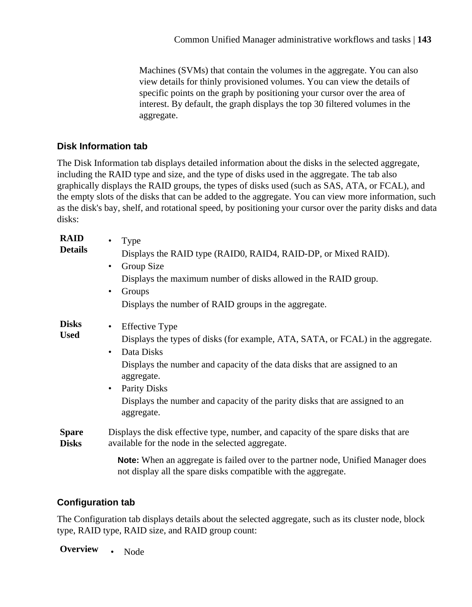Machines (SVMs) that contain the volumes in the aggregate. You can also view details for thinly provisioned volumes. You can view the details of specific points on the graph by positioning your cursor over the area of interest. By default, the graph displays the top 30 filtered volumes in the aggregate.

### <span id="page-142-0"></span>**Disk Information tab**

The Disk Information tab displays detailed information about the disks in the selected aggregate, including the RAID type and size, and the type of disks used in the aggregate. The tab also graphically displays the RAID groups, the types of disks used (such as SAS, ATA, or FCAL), and the empty slots of the disks that can be added to the aggregate. You can view more information, such as the disk's bay, shelf, and rotational speed, by positioning your cursor over the parity disks and data disks:

| <b>RAID</b>                  | Type                                                                                                                                                      |
|------------------------------|-----------------------------------------------------------------------------------------------------------------------------------------------------------|
| <b>Details</b>               | Displays the RAID type (RAID0, RAID4, RAID-DP, or Mixed RAID).                                                                                            |
|                              | Group Size<br>٠                                                                                                                                           |
|                              | Displays the maximum number of disks allowed in the RAID group.                                                                                           |
|                              | Groups<br>٠                                                                                                                                               |
|                              | Displays the number of RAID groups in the aggregate.                                                                                                      |
| <b>Disks</b><br><b>Used</b>  | Effective Type<br>٠                                                                                                                                       |
|                              | Displays the types of disks (for example, ATA, SATA, or FCAL) in the aggregate.                                                                           |
|                              | Data Disks<br>٠                                                                                                                                           |
|                              | Displays the number and capacity of the data disks that are assigned to an<br>aggregate.                                                                  |
|                              | <b>Parity Disks</b><br>$\bullet$                                                                                                                          |
|                              | Displays the number and capacity of the parity disks that are assigned to an<br>aggregate.                                                                |
| <b>Spare</b><br><b>Disks</b> | Displays the disk effective type, number, and capacity of the spare disks that are<br>available for the node in the selected aggregate.                   |
|                              | <b>Note:</b> When an aggregate is failed over to the partner node, Unified Manager does<br>not display all the spare disks compatible with the aggregate. |

#### **Configuration tab**

The Configuration tab displays details about the selected aggregate, such as its cluster node, block type, RAID type, RAID size, and RAID group count:

**Overview** • Node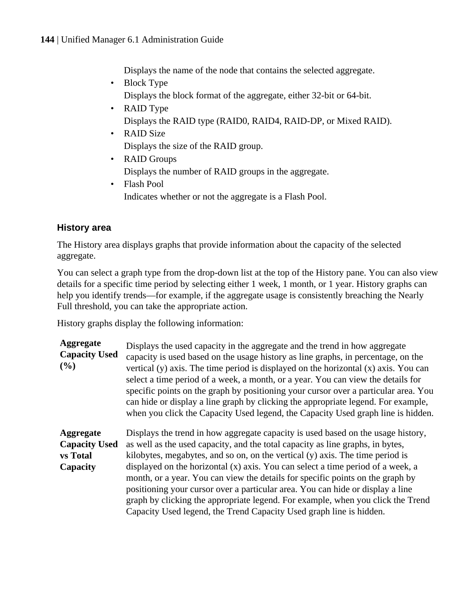Displays the name of the node that contains the selected aggregate.

- <span id="page-143-0"></span>• Block Type Displays the block format of the aggregate, either 32-bit or 64-bit.
- RAID Type Displays the RAID type (RAID0, RAID4, RAID-DP, or Mixed RAID).
- RAID Size Displays the size of the RAID group.
- RAID Groups Displays the number of RAID groups in the aggregate.
- Flash Pool Indicates whether or not the aggregate is a Flash Pool.

# **History area**

The History area displays graphs that provide information about the capacity of the selected aggregate.

You can select a graph type from the drop-down list at the top of the History pane. You can also view details for a specific time period by selecting either 1 week, 1 month, or 1 year. History graphs can help you identify trends—for example, if the aggregate usage is consistently breaching the Nearly Full threshold, you can take the appropriate action.

History graphs display the following information:

| Aggregate<br><b>Capacity Used</b><br>(%)                         | Displays the used capacity in the aggregate and the trend in how aggregate<br>capacity is used based on the usage history as line graphs, in percentage, on the<br>vertical (y) axis. The time period is displayed on the horizontal $(x)$ axis. You can<br>select a time period of a week, a month, or a year. You can view the details for<br>specific points on the graph by positioning your cursor over a particular area. You<br>can hide or display a line graph by clicking the appropriate legend. For example,<br>when you click the Capacity Used legend, the Capacity Used graph line is hidden.                                                         |
|------------------------------------------------------------------|----------------------------------------------------------------------------------------------------------------------------------------------------------------------------------------------------------------------------------------------------------------------------------------------------------------------------------------------------------------------------------------------------------------------------------------------------------------------------------------------------------------------------------------------------------------------------------------------------------------------------------------------------------------------|
| Aggregate<br><b>Capacity Used</b><br><b>vs</b> Total<br>Capacity | Displays the trend in how aggregate capacity is used based on the usage history,<br>as well as the used capacity, and the total capacity as line graphs, in bytes,<br>kilobytes, megabytes, and so on, on the vertical (y) axis. The time period is<br>displayed on the horizontal (x) axis. You can select a time period of a week, a<br>month, or a year. You can view the details for specific points on the graph by<br>positioning your cursor over a particular area. You can hide or display a line<br>graph by clicking the appropriate legend. For example, when you click the Trend<br>Capacity Used legend, the Trend Capacity Used graph line is hidden. |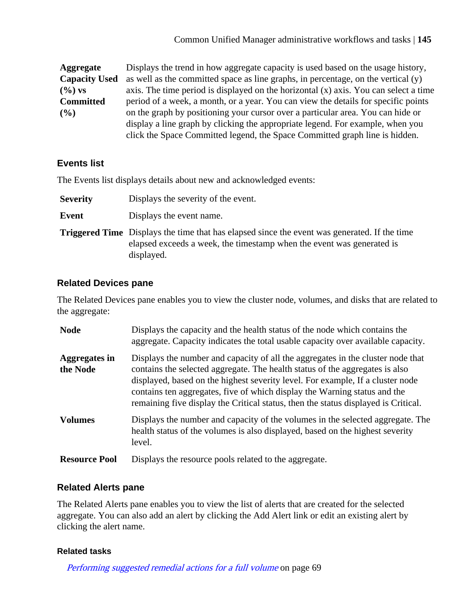**Aggregate Capacity Used (%) vs Committed (%)** Displays the trend in how aggregate capacity is used based on the usage history, as well as the committed space as line graphs, in percentage, on the vertical (y) axis. The time period is displayed on the horizontal  $(x)$  axis. You can select a time period of a week, a month, or a year. You can view the details for specific points on the graph by positioning your cursor over a particular area. You can hide or display a line graph by clicking the appropriate legend. For example, when you click the Space Committed legend, the Space Committed graph line is hidden.

## **Events list**

The Events list displays details about new and acknowledged events:

**Severity** Displays the severity of the event.

**Event** Displays the event name.

**Triggered Time** Displays the time that has elapsed since the event was generated. If the time elapsed exceeds a week, the timestamp when the event was generated is displayed.

### **Related Devices pane**

The Related Devices pane enables you to view the cluster node, volumes, and disks that are related to the aggregate:

| <b>Node</b>               | Displays the capacity and the health status of the node which contains the<br>aggregate. Capacity indicates the total usable capacity over available capacity.                                                                                                                                                                                                                                                       |
|---------------------------|----------------------------------------------------------------------------------------------------------------------------------------------------------------------------------------------------------------------------------------------------------------------------------------------------------------------------------------------------------------------------------------------------------------------|
| Aggregates in<br>the Node | Displays the number and capacity of all the aggregates in the cluster node that<br>contains the selected aggregate. The health status of the aggregates is also<br>displayed, based on the highest severity level. For example, If a cluster node<br>contains ten aggregates, five of which display the Warning status and the<br>remaining five display the Critical status, then the status displayed is Critical. |
| <b>Volumes</b>            | Displays the number and capacity of the volumes in the selected aggregate. The<br>health status of the volumes is also displayed, based on the highest severity<br>level.                                                                                                                                                                                                                                            |
| <b>Resource Pool</b>      | Displays the resource pools related to the aggregate.                                                                                                                                                                                                                                                                                                                                                                |

### **Related Alerts pane**

The Related Alerts pane enables you to view the list of alerts that are created for the selected aggregate. You can also add an alert by clicking the Add Alert link or edit an existing alert by clicking the alert name.

### **Related tasks**

[Performing suggested remedial actions for a full volume](#page-68-0) on page 69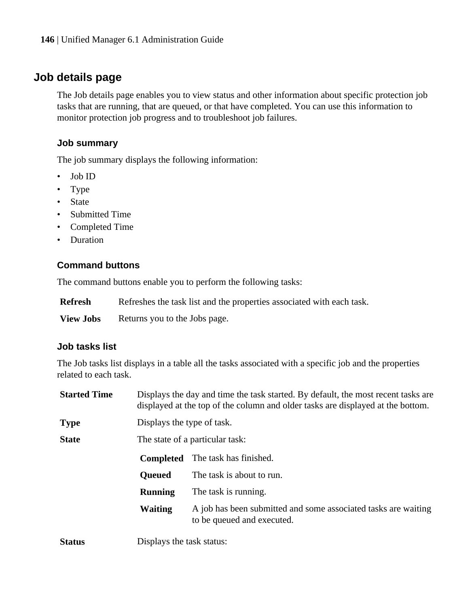## <span id="page-145-0"></span>**Job details page**

The Job details page enables you to view status and other information about specific protection job tasks that are running, that are queued, or that have completed. You can use this information to monitor protection job progress and to troubleshoot job failures.

### **Job summary**

The job summary displays the following information:

- Job ID
- Type
- State
- Submitted Time
- Completed Time
- Duration

### **Command buttons**

The command buttons enable you to perform the following tasks:

**View Jobs** Returns you to the Jobs page.

### **Job tasks list**

The Job tasks list displays in a table all the tasks associated with a specific job and the properties related to each task.

| <b>Started Time</b> | Displays the day and time the task started. By default, the most recent tasks are<br>displayed at the top of the column and older tasks are displayed at the bottom. |                                                                                              |  |
|---------------------|----------------------------------------------------------------------------------------------------------------------------------------------------------------------|----------------------------------------------------------------------------------------------|--|
| <b>Type</b>         | Displays the type of task.                                                                                                                                           |                                                                                              |  |
| <b>State</b>        |                                                                                                                                                                      | The state of a particular task:                                                              |  |
|                     | <b>Completed</b>                                                                                                                                                     | The task has finished.                                                                       |  |
|                     | <b>Oueued</b>                                                                                                                                                        | The task is about to run.                                                                    |  |
|                     | <b>Running</b>                                                                                                                                                       | The task is running.                                                                         |  |
|                     | <b>Waiting</b>                                                                                                                                                       | A job has been submitted and some associated tasks are waiting<br>to be queued and executed. |  |
| <b>Status</b>       | Displays the task status:                                                                                                                                            |                                                                                              |  |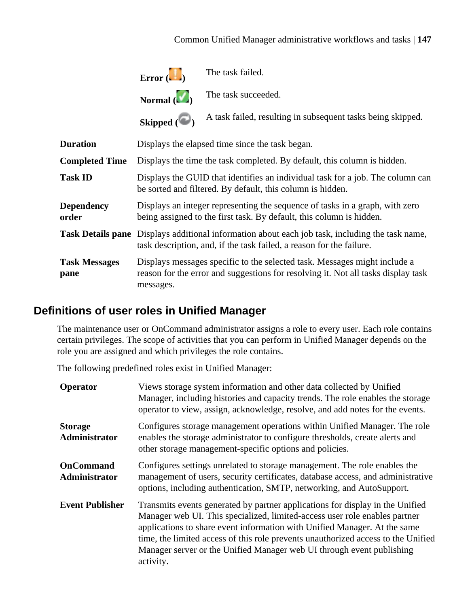

The task failed.

**Normal ( )**

The task succeeded.

Skipped  $(\bullet)$ A task failed, resulting in subsequent tasks being skipped.

<span id="page-146-0"></span>

| <b>Duration</b>              | Displays the elapsed time since the task began.                                                                                                                                |
|------------------------------|--------------------------------------------------------------------------------------------------------------------------------------------------------------------------------|
| <b>Completed Time</b>        | Displays the time the task completed. By default, this column is hidden.                                                                                                       |
| <b>Task ID</b>               | Displays the GUID that identifies an individual task for a job. The column can<br>be sorted and filtered. By default, this column is hidden.                                   |
| <b>Dependency</b><br>order   | Displays an integer representing the sequence of tasks in a graph, with zero<br>being assigned to the first task. By default, this column is hidden.                           |
|                              | <b>Task Details pane</b> Displays additional information about each job task, including the task name,<br>task description, and, if the task failed, a reason for the failure. |
| <b>Task Messages</b><br>pane | Displays messages specific to the selected task. Messages might include a<br>reason for the error and suggestions for resolving it. Not all tasks display task<br>messages.    |

## **Definitions of user roles in Unified Manager**

The maintenance user or OnCommand administrator assigns a role to every user. Each role contains certain privileges. The scope of activities that you can perform in Unified Manager depends on the role you are assigned and which privileges the role contains.

The following predefined roles exist in Unified Manager:

| <b>Operator</b>                 | Views storage system information and other data collected by Unified<br>Manager, including histories and capacity trends. The role enables the storage<br>operator to view, assign, acknowledge, resolve, and add notes for the events.                                                                                                                                                                             |
|---------------------------------|---------------------------------------------------------------------------------------------------------------------------------------------------------------------------------------------------------------------------------------------------------------------------------------------------------------------------------------------------------------------------------------------------------------------|
| <b>Storage</b><br>Administrator | Configures storage management operations within Unified Manager. The role<br>enables the storage administrator to configure thresholds, create alerts and<br>other storage management-specific options and policies.                                                                                                                                                                                                |
| OnCommand<br>Administrator      | Configures settings unrelated to storage management. The role enables the<br>management of users, security certificates, database access, and administrative<br>options, including authentication, SMTP, networking, and AutoSupport.                                                                                                                                                                               |
| <b>Event Publisher</b>          | Transmits events generated by partner applications for display in the Unified<br>Manager web UI. This specialized, limited-access user role enables partner<br>applications to share event information with Unified Manager. At the same<br>time, the limited access of this role prevents unauthorized access to the Unified<br>Manager server or the Unified Manager web UI through event publishing<br>activity. |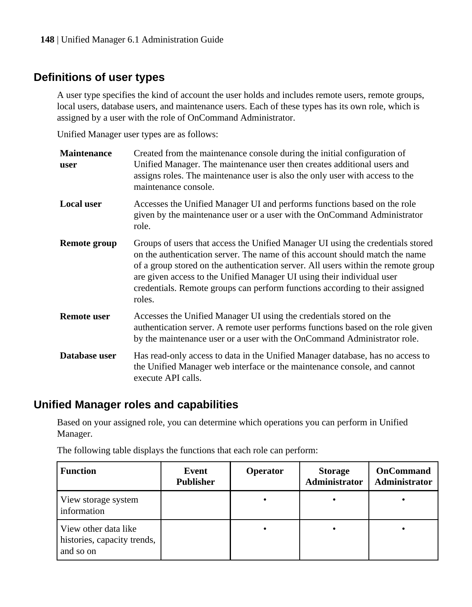## <span id="page-147-0"></span>**Definitions of user types**

A user type specifies the kind of account the user holds and includes remote users, remote groups, local users, database users, and maintenance users. Each of these types has its own role, which is assigned by a user with the role of OnCommand Administrator.

Unified Manager user types are as follows:

| <b>Maintenance</b><br>user | Created from the maintenance console during the initial configuration of<br>Unified Manager. The maintenance user then creates additional users and<br>assigns roles. The maintenance user is also the only user with access to the<br>maintenance console.                                                                                                                                                              |
|----------------------------|--------------------------------------------------------------------------------------------------------------------------------------------------------------------------------------------------------------------------------------------------------------------------------------------------------------------------------------------------------------------------------------------------------------------------|
| <b>Local user</b>          | Accesses the Unified Manager UI and performs functions based on the role<br>given by the maintenance user or a user with the OnCommand Administrator<br>role.                                                                                                                                                                                                                                                            |
| Remote group               | Groups of users that access the Unified Manager UI using the credentials stored<br>on the authentication server. The name of this account should match the name<br>of a group stored on the authentication server. All users within the remote group<br>are given access to the Unified Manager UI using their individual user<br>credentials. Remote groups can perform functions according to their assigned<br>roles. |
| Remote user                | Accesses the Unified Manager UI using the credentials stored on the<br>authentication server. A remote user performs functions based on the role given<br>by the maintenance user or a user with the OnCommand Administrator role.                                                                                                                                                                                       |
| Database user              | Has read-only access to data in the Unified Manager database, has no access to<br>the Unified Manager web interface or the maintenance console, and cannot<br>execute API calls.                                                                                                                                                                                                                                         |

## **Unified Manager roles and capabilities**

Based on your assigned role, you can determine which operations you can perform in Unified Manager.

| <b>Function</b>                                                  | Event<br><b>Publisher</b> | <b>Operator</b> | <b>Storage</b><br><b>Administrator</b> | OnCommand<br>Administrator |
|------------------------------------------------------------------|---------------------------|-----------------|----------------------------------------|----------------------------|
| View storage system<br>information                               |                           |                 |                                        |                            |
| View other data like<br>histories, capacity trends,<br>and so on |                           |                 |                                        |                            |

The following table displays the functions that each role can perform: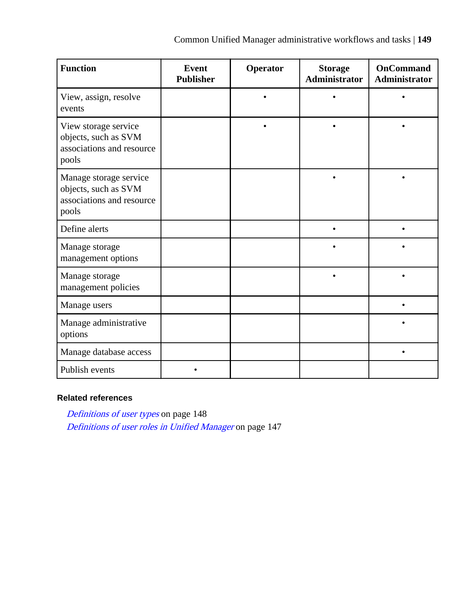| <b>Function</b>                                                                      | Event<br><b>Publisher</b> | Operator | <b>Storage</b><br>Administrator | <b>OnCommand</b><br>Administrator |
|--------------------------------------------------------------------------------------|---------------------------|----------|---------------------------------|-----------------------------------|
| View, assign, resolve<br>events                                                      |                           |          |                                 |                                   |
| View storage service<br>objects, such as SVM<br>associations and resource<br>pools   |                           |          |                                 |                                   |
| Manage storage service<br>objects, such as SVM<br>associations and resource<br>pools |                           |          |                                 |                                   |
| Define alerts                                                                        |                           |          |                                 |                                   |
| Manage storage<br>management options                                                 |                           |          |                                 |                                   |
| Manage storage<br>management policies                                                |                           |          |                                 |                                   |
| Manage users                                                                         |                           |          |                                 |                                   |
| Manage administrative<br>options                                                     |                           |          |                                 |                                   |
| Manage database access                                                               |                           |          |                                 |                                   |
| Publish events                                                                       |                           |          |                                 |                                   |

### **Related references**

[Definitions of user types](#page-147-0) on page 148 [Definitions of user roles in Unified Manager](#page-146-0) on page 147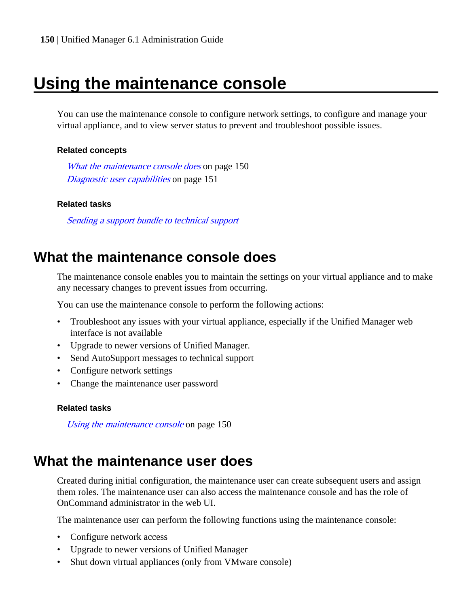# <span id="page-149-0"></span>**Using the maintenance console**

You can use the maintenance console to configure network settings, to configure and manage your virtual appliance, and to view server status to prevent and troubleshoot possible issues.

### **Related concepts**

What the maintenance console does on page 150 [Diagnostic user capabilities](#page-150-0) on page 151

### **Related tasks**

Sending a support bundle to technical support

## **What the maintenance console does**

The maintenance console enables you to maintain the settings on your virtual appliance and to make any necessary changes to prevent issues from occurring.

You can use the maintenance console to perform the following actions:

- Troubleshoot any issues with your virtual appliance, especially if the Unified Manager web interface is not available
- Upgrade to newer versions of Unified Manager.
- Send AutoSupport messages to technical support
- Configure network settings
- Change the maintenance user password

### **Related tasks**

Using the maintenance console on page 150

## **What the maintenance user does**

Created during initial configuration, the maintenance user can create subsequent users and assign them roles. The maintenance user can also access the maintenance console and has the role of OnCommand administrator in the web UI.

The maintenance user can perform the following functions using the maintenance console:

- Configure network access
- Upgrade to newer versions of Unified Manager
- Shut down virtual appliances (only from VMware console)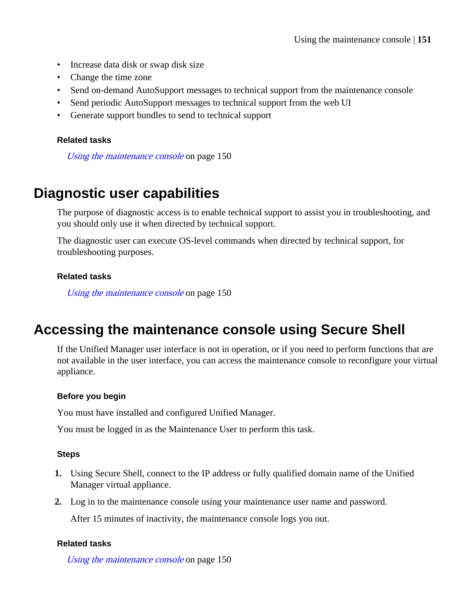- <span id="page-150-0"></span>• Increase data disk or swap disk size
- Change the time zone
- Send on-demand AutoSupport messages to technical support from the maintenance console
- Send periodic AutoSupport messages to technical support from the web UI
- Generate support bundles to send to technical support

### **Related tasks**

[Using the maintenance console](#page-149-0) on page 150

## **Diagnostic user capabilities**

The purpose of diagnostic access is to enable technical support to assist you in troubleshooting, and you should only use it when directed by technical support.

The diagnostic user can execute OS-level commands when directed by technical support, for troubleshooting purposes.

### **Related tasks**

[Using the maintenance console](#page-149-0) on page 150

## **Accessing the maintenance console using Secure Shell**

If the Unified Manager user interface is not in operation, or if you need to perform functions that are not available in the user interface, you can access the maintenance console to reconfigure your virtual appliance.

### **Before you begin**

You must have installed and configured Unified Manager.

You must be logged in as the Maintenance User to perform this task.

### **Steps**

- **1.** Using Secure Shell, connect to the IP address or fully qualified domain name of the Unified Manager virtual appliance.
- **2.** Log in to the maintenance console using your maintenance user name and password.

After 15 minutes of inactivity, the maintenance console logs you out.

### **Related tasks**

[Using the maintenance console](#page-149-0) on page 150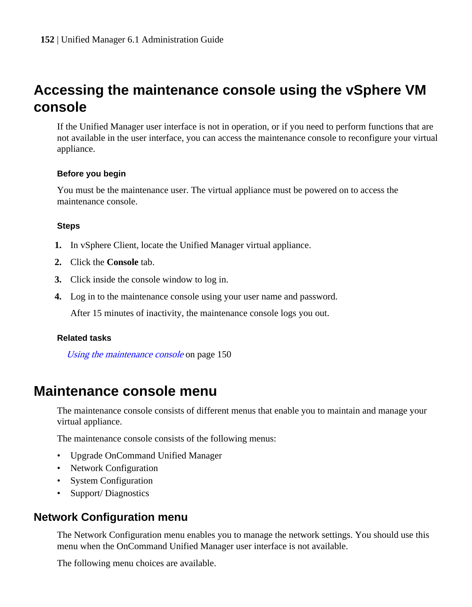# <span id="page-151-0"></span>**Accessing the maintenance console using the vSphere VM console**

If the Unified Manager user interface is not in operation, or if you need to perform functions that are not available in the user interface, you can access the maintenance console to reconfigure your virtual appliance.

### **Before you begin**

You must be the maintenance user. The virtual appliance must be powered on to access the maintenance console.

### **Steps**

- **1.** In vSphere Client, locate the Unified Manager virtual appliance.
- **2.** Click the **Console** tab.
- **3.** Click inside the console window to log in.
- **4.** Log in to the maintenance console using your user name and password.

After 15 minutes of inactivity, the maintenance console logs you out.

### **Related tasks**

[Using the maintenance console](#page-149-0) on page 150

## **Maintenance console menu**

The maintenance console consists of different menus that enable you to maintain and manage your virtual appliance.

The maintenance console consists of the following menus:

- Upgrade OnCommand Unified Manager
- Network Configuration
- System Configuration
- Support/Diagnostics

## **Network Configuration menu**

The Network Configuration menu enables you to manage the network settings. You should use this menu when the OnCommand Unified Manager user interface is not available.

The following menu choices are available.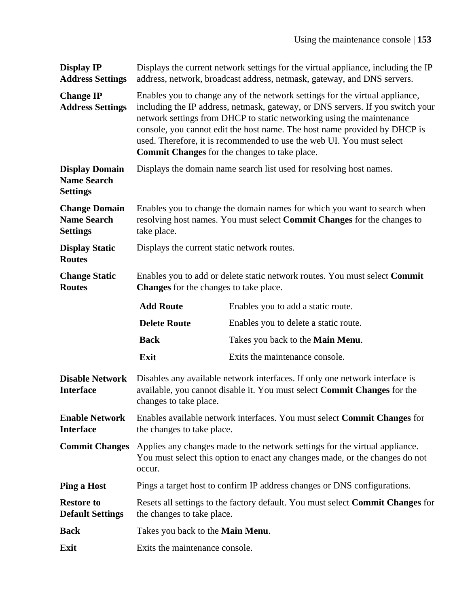| <b>Display IP</b><br><b>Address Settings</b>                   | Displays the current network settings for the virtual appliance, including the IP<br>address, network, broadcast address, netmask, gateway, and DNS servers.                                                                                                                                                                                                                                                                                   |                                                                          |  |
|----------------------------------------------------------------|------------------------------------------------------------------------------------------------------------------------------------------------------------------------------------------------------------------------------------------------------------------------------------------------------------------------------------------------------------------------------------------------------------------------------------------------|--------------------------------------------------------------------------|--|
| <b>Change IP</b><br><b>Address Settings</b>                    | Enables you to change any of the network settings for the virtual appliance,<br>including the IP address, netmask, gateway, or DNS servers. If you switch your<br>network settings from DHCP to static networking using the maintenance<br>console, you cannot edit the host name. The host name provided by DHCP is<br>used. Therefore, it is recommended to use the web UI. You must select<br>Commit Changes for the changes to take place. |                                                                          |  |
| <b>Display Domain</b><br><b>Name Search</b><br><b>Settings</b> |                                                                                                                                                                                                                                                                                                                                                                                                                                                | Displays the domain name search list used for resolving host names.      |  |
| <b>Change Domain</b><br><b>Name Search</b><br><b>Settings</b>  | Enables you to change the domain names for which you want to search when<br>resolving host names. You must select Commit Changes for the changes to<br>take place.                                                                                                                                                                                                                                                                             |                                                                          |  |
| <b>Display Static</b><br><b>Routes</b>                         | Displays the current static network routes.                                                                                                                                                                                                                                                                                                                                                                                                    |                                                                          |  |
| <b>Change Static</b><br><b>Routes</b>                          | Enables you to add or delete static network routes. You must select Commit<br>Changes for the changes to take place.                                                                                                                                                                                                                                                                                                                           |                                                                          |  |
|                                                                | <b>Add Route</b>                                                                                                                                                                                                                                                                                                                                                                                                                               | Enables you to add a static route.                                       |  |
|                                                                | <b>Delete Route</b>                                                                                                                                                                                                                                                                                                                                                                                                                            | Enables you to delete a static route.                                    |  |
|                                                                | <b>Back</b>                                                                                                                                                                                                                                                                                                                                                                                                                                    | Takes you back to the <b>Main Menu</b> .                                 |  |
|                                                                | Exit                                                                                                                                                                                                                                                                                                                                                                                                                                           | Exits the maintenance console.                                           |  |
| <b>Disable Network</b><br><b>Interface</b>                     | Disables any available network interfaces. If only one network interface is<br>available, you cannot disable it. You must select Commit Changes for the<br>changes to take place.                                                                                                                                                                                                                                                              |                                                                          |  |
| <b>Enable Network</b><br><b>Interface</b>                      | Enables available network interfaces. You must select Commit Changes for<br>the changes to take place.                                                                                                                                                                                                                                                                                                                                         |                                                                          |  |
| <b>Commit Changes</b>                                          | Applies any changes made to the network settings for the virtual appliance.<br>You must select this option to enact any changes made, or the changes do not<br>occur.                                                                                                                                                                                                                                                                          |                                                                          |  |
| <b>Ping a Host</b>                                             |                                                                                                                                                                                                                                                                                                                                                                                                                                                | Pings a target host to confirm IP address changes or DNS configurations. |  |
| <b>Restore to</b><br><b>Default Settings</b>                   | Resets all settings to the factory default. You must select Commit Changes for<br>the changes to take place.                                                                                                                                                                                                                                                                                                                                   |                                                                          |  |
| Back                                                           | Takes you back to the Main Menu.                                                                                                                                                                                                                                                                                                                                                                                                               |                                                                          |  |
| Exit                                                           | Exits the maintenance console.                                                                                                                                                                                                                                                                                                                                                                                                                 |                                                                          |  |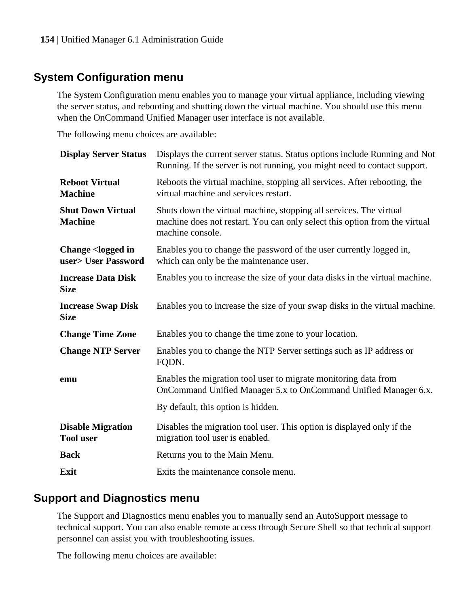## <span id="page-153-0"></span>**System Configuration menu**

The System Configuration menu enables you to manage your virtual appliance, including viewing the server status, and rebooting and shutting down the virtual machine. You should use this menu when the OnCommand Unified Manager user interface is not available.

The following menu choices are available:

| Displays the current server status. Status options include Running and Not<br>Running. If the server is not running, you might need to contact support.              |
|----------------------------------------------------------------------------------------------------------------------------------------------------------------------|
| Reboots the virtual machine, stopping all services. After rebooting, the<br>virtual machine and services restart.                                                    |
| Shuts down the virtual machine, stopping all services. The virtual<br>machine does not restart. You can only select this option from the virtual<br>machine console. |
| Enables you to change the password of the user currently logged in,<br>which can only be the maintenance user.                                                       |
| Enables you to increase the size of your data disks in the virtual machine.                                                                                          |
| Enables you to increase the size of your swap disks in the virtual machine.                                                                                          |
| Enables you to change the time zone to your location.                                                                                                                |
| Enables you to change the NTP Server settings such as IP address or<br>FQDN.                                                                                         |
| Enables the migration tool user to migrate monitoring data from<br>OnCommand Unified Manager 5.x to OnCommand Unified Manager 6.x.                                   |
| By default, this option is hidden.                                                                                                                                   |
| Disables the migration tool user. This option is displayed only if the<br>migration tool user is enabled.                                                            |
| Returns you to the Main Menu.                                                                                                                                        |
| Exits the maintenance console menu.                                                                                                                                  |
|                                                                                                                                                                      |

## **Support and Diagnostics menu**

The Support and Diagnostics menu enables you to manually send an AutoSupport message to technical support. You can also enable remote access through Secure Shell so that technical support personnel can assist you with troubleshooting issues.

The following menu choices are available: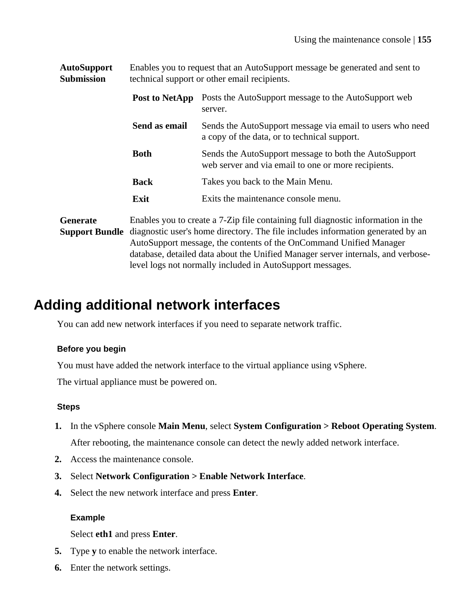**AutoSupport Submission** Enables you to request that an AutoSupport message be generated and sent to technical support or other email recipients.

| Post to NetApp | Posts the AutoSupport message to the AutoSupport web<br>server.                                              |
|----------------|--------------------------------------------------------------------------------------------------------------|
| Send as email  | Sends the AutoSupport message via email to users who need<br>a copy of the data, or to technical support.    |
| <b>Both</b>    | Sends the AutoSupport message to both the AutoSupport<br>web server and via email to one or more recipients. |
| <b>Back</b>    | Takes you back to the Main Menu.                                                                             |
| Exit           | Exits the maintenance console menu.                                                                          |

**Generate Support Bundle** diagnostic user's home directory. The file includes information generated by an Enables you to create a 7-Zip file containing full diagnostic information in the AutoSupport message, the contents of the OnCommand Unified Manager database, detailed data about the Unified Manager server internals, and verboselevel logs not normally included in AutoSupport messages.

# **Adding additional network interfaces**

You can add new network interfaces if you need to separate network traffic.

### **Before you begin**

You must have added the network interface to the virtual appliance using vSphere.

The virtual appliance must be powered on.

### **Steps**

- **1.** In the vSphere console **Main Menu**, select **System Configuration > Reboot Operating System**. After rebooting, the maintenance console can detect the newly added network interface.
- **2.** Access the maintenance console.
- **3.** Select **Network Configuration > Enable Network Interface**.
- **4.** Select the new network interface and press **Enter**.

### **Example**

Select **eth1** and press **Enter**.

- **5.** Type **y** to enable the network interface.
- **6.** Enter the network settings.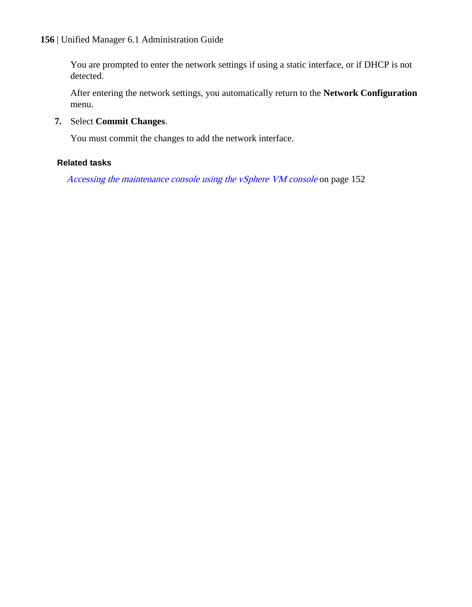You are prompted to enter the network settings if using a static interface, or if DHCP is not detected.

After entering the network settings, you automatically return to the **Network Configuration** menu.

**7.** Select **Commit Changes**.

You must commit the changes to add the network interface.

### **Related tasks**

[Accessing the maintenance console using the vSphere VM console](#page-151-0) on page 152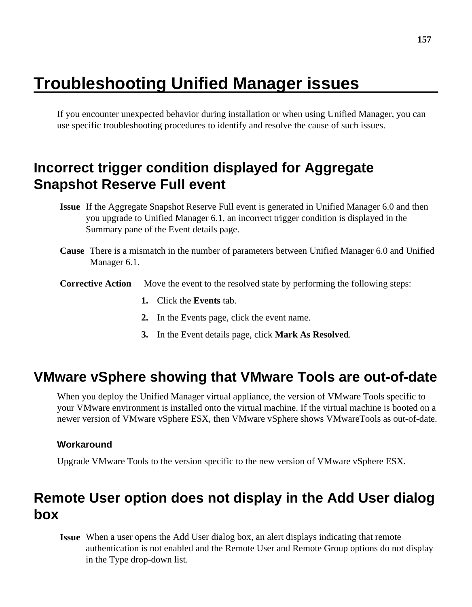# <span id="page-156-0"></span>**Troubleshooting Unified Manager issues**

If you encounter unexpected behavior during installation or when using Unified Manager, you can use specific troubleshooting procedures to identify and resolve the cause of such issues.

# **Incorrect trigger condition displayed for Aggregate Snapshot Reserve Full event**

- **Issue** If the Aggregate Snapshot Reserve Full event is generated in Unified Manager 6.0 and then you upgrade to Unified Manager 6.1, an incorrect trigger condition is displayed in the Summary pane of the Event details page.
- **Cause** There is a mismatch in the number of parameters between Unified Manager 6.0 and Unified Manager 6.1.
- **Corrective Action** Move the event to the resolved state by performing the following steps:
	- **1.** Click the **Events** tab.
	- **2.** In the Events page, click the event name.
	- **3.** In the Event details page, click **Mark As Resolved**.

## **VMware vSphere showing that VMware Tools are out-of-date**

When you deploy the Unified Manager virtual appliance, the version of VMware Tools specific to your VMware environment is installed onto the virtual machine. If the virtual machine is booted on a newer version of VMware vSphere ESX, then VMware vSphere shows VMwareTools as out-of-date.

### **Workaround**

Upgrade VMware Tools to the version specific to the new version of VMware vSphere ESX.

# **Remote User option does not display in the Add User dialog box**

**Issue** When a user opens the Add User dialog box, an alert displays indicating that remote authentication is not enabled and the Remote User and Remote Group options do not display in the Type drop-down list.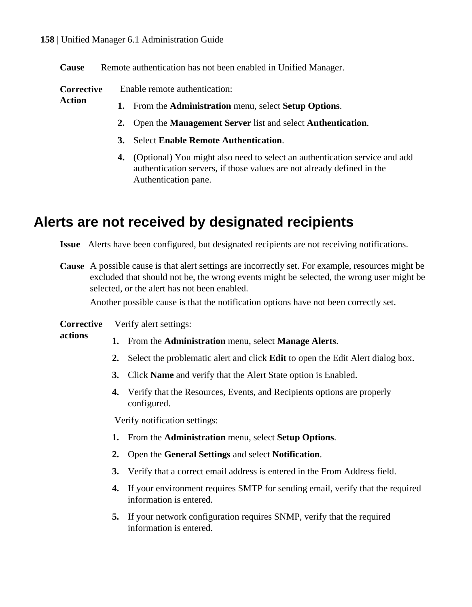**Action**

**actions**

<span id="page-157-0"></span>**Cause** Remote authentication has not been enabled in Unified Manager.

**Corrective** Enable remote authentication:

- **1.** From the **Administration** menu, select **Setup Options**.
	- **2.** Open the **Management Server** list and select **Authentication**.
	- **3.** Select **Enable Remote Authentication**.
	- **4.** (Optional) You might also need to select an authentication service and add authentication servers, if those values are not already defined in the Authentication pane.

# **Alerts are not received by designated recipients**

**Issue** Alerts have been configured, but designated recipients are not receiving notifications.

**Cause** A possible cause is that alert settings are incorrectly set. For example, resources might be excluded that should not be, the wrong events might be selected, the wrong user might be selected, or the alert has not been enabled.

Another possible cause is that the notification options have not been correctly set.

#### **Corrective** Verify alert settings:

- **1.** From the **Administration** menu, select **Manage Alerts**.
- **2.** Select the problematic alert and click **Edit** to open the Edit Alert dialog box.
- **3.** Click **Name** and verify that the Alert State option is Enabled.
- **4.** Verify that the Resources, Events, and Recipients options are properly configured.

Verify notification settings:

- **1.** From the **Administration** menu, select **Setup Options**.
- **2.** Open the **General Settings** and select **Notification**.
- **3.** Verify that a correct email address is entered in the From Address field.
- **4.** If your environment requires SMTP for sending email, verify that the required information is entered.
- **5.** If your network configuration requires SNMP, verify that the required information is entered.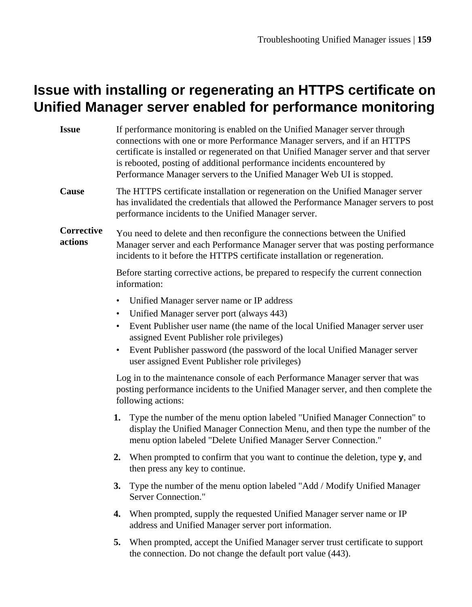# <span id="page-158-0"></span>**Issue with installing or regenerating an HTTPS certificate on Unified Manager server enabled for performance monitoring**

| <b>Issue</b>          | If performance monitoring is enabled on the Unified Manager server through<br>connections with one or more Performance Manager servers, and if an HTTPS<br>certificate is installed or regenerated on that Unified Manager server and that server<br>is rebooted, posting of additional performance incidents encountered by<br>Performance Manager servers to the Unified Manager Web UI is stopped. |
|-----------------------|-------------------------------------------------------------------------------------------------------------------------------------------------------------------------------------------------------------------------------------------------------------------------------------------------------------------------------------------------------------------------------------------------------|
| Cause                 | The HTTPS certificate installation or regeneration on the Unified Manager server<br>has invalidated the credentials that allowed the Performance Manager servers to post<br>performance incidents to the Unified Manager server.                                                                                                                                                                      |
| Corrective<br>actions | You need to delete and then reconfigure the connections between the Unified<br>Manager server and each Performance Manager server that was posting performance<br>incidents to it before the HTTPS certificate installation or regeneration.                                                                                                                                                          |
|                       | Before starting corrective actions, be prepared to respecify the current connection<br>information:                                                                                                                                                                                                                                                                                                   |
|                       | Unified Manager server name or IP address<br>$\bullet$<br>Unified Manager server port (always 443)<br>$\bullet$<br>Event Publisher user name (the name of the local Unified Manager server user<br>$\bullet$<br>assigned Event Publisher role privileges)<br>Event Publisher password (the password of the local Unified Manager server<br>user assigned Event Publisher role privileges)             |
|                       | Log in to the maintenance console of each Performance Manager server that was<br>posting performance incidents to the Unified Manager server, and then complete the<br>following actions:                                                                                                                                                                                                             |
|                       | Type the number of the menu option labeled "Unified Manager Connection" to<br>1.<br>display the Unified Manager Connection Menu, and then type the number of the<br>menu option labeled "Delete Unified Manager Server Connection."                                                                                                                                                                   |
|                       | 2. When prompted to confirm that you want to continue the deletion, type $\mathbf{y}$ , and<br>then press any key to continue.                                                                                                                                                                                                                                                                        |
|                       | 3.<br>Type the number of the menu option labeled "Add / Modify Unified Manager<br>Server Connection."                                                                                                                                                                                                                                                                                                 |
|                       | When prompted, supply the requested Unified Manager server name or IP<br>4.<br>address and Unified Manager server port information.                                                                                                                                                                                                                                                                   |
|                       | 5.<br>When prompted, accept the Unified Manager server trust certificate to support<br>the connection. Do not change the default port value (443).                                                                                                                                                                                                                                                    |
|                       |                                                                                                                                                                                                                                                                                                                                                                                                       |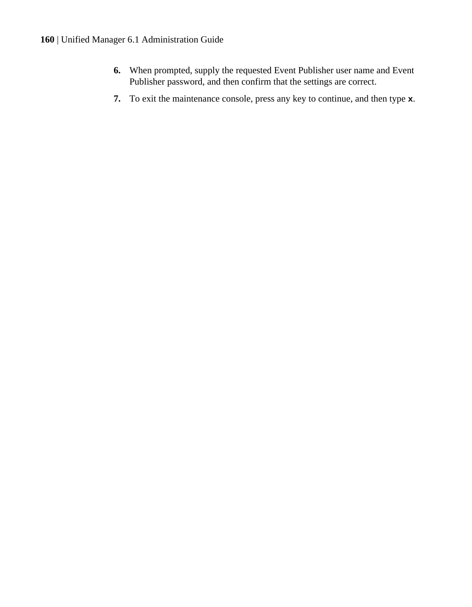- **6.** When prompted, supply the requested Event Publisher user name and Event Publisher password, and then confirm that the settings are correct.
- **7.** To exit the maintenance console, press any key to continue, and then type **x**.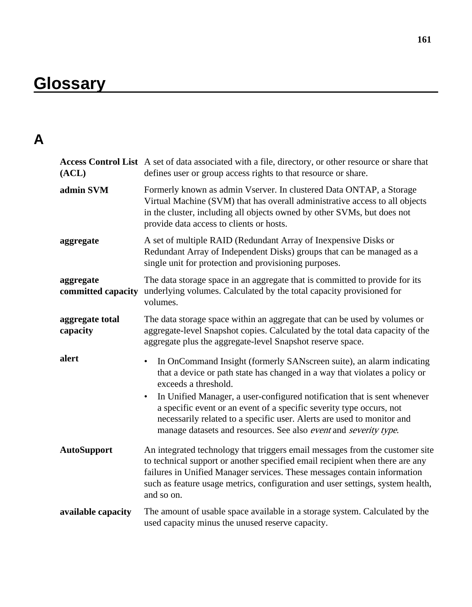# **Glossary**

# **A**

| (ACL)                       | Access Control List A set of data associated with a file, directory, or other resource or share that<br>defines user or group access rights to that resource or share.                                                                                                                                                                                                                                                                                                                                 |
|-----------------------------|--------------------------------------------------------------------------------------------------------------------------------------------------------------------------------------------------------------------------------------------------------------------------------------------------------------------------------------------------------------------------------------------------------------------------------------------------------------------------------------------------------|
| admin SVM                   | Formerly known as admin Vserver. In clustered Data ONTAP, a Storage<br>Virtual Machine (SVM) that has overall administrative access to all objects<br>in the cluster, including all objects owned by other SVMs, but does not<br>provide data access to clients or hosts.                                                                                                                                                                                                                              |
| aggregate                   | A set of multiple RAID (Redundant Array of Inexpensive Disks or<br>Redundant Array of Independent Disks) groups that can be managed as a<br>single unit for protection and provisioning purposes.                                                                                                                                                                                                                                                                                                      |
| aggregate                   | The data storage space in an aggregate that is committed to provide for its<br>committed capacity underlying volumes. Calculated by the total capacity provisioned for<br>volumes.                                                                                                                                                                                                                                                                                                                     |
| aggregate total<br>capacity | The data storage space within an aggregate that can be used by volumes or<br>aggregate-level Snapshot copies. Calculated by the total data capacity of the<br>aggregate plus the aggregate-level Snapshot reserve space.                                                                                                                                                                                                                                                                               |
| alert                       | In OnCommand Insight (formerly SANscreen suite), an alarm indicating<br>$\bullet$<br>that a device or path state has changed in a way that violates a policy or<br>exceeds a threshold.<br>In Unified Manager, a user-configured notification that is sent whenever<br>$\bullet$<br>a specific event or an event of a specific severity type occurs, not<br>necessarily related to a specific user. Alerts are used to monitor and<br>manage datasets and resources. See also event and severity type. |
| <b>AutoSupport</b>          | An integrated technology that triggers email messages from the customer site<br>to technical support or another specified email recipient when there are any<br>failures in Unified Manager services. These messages contain information<br>such as feature usage metrics, configuration and user settings, system health,<br>and so on.                                                                                                                                                               |
| available capacity          | The amount of usable space available in a storage system. Calculated by the<br>used capacity minus the unused reserve capacity.                                                                                                                                                                                                                                                                                                                                                                        |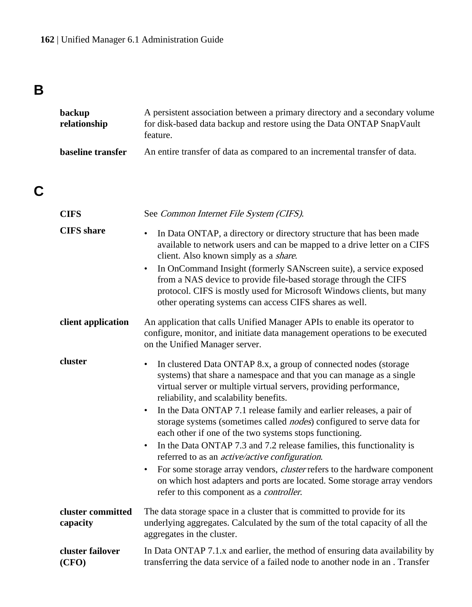# **B**

| backup<br>relationship | A persistent association between a primary directory and a secondary volume<br>for disk-based data backup and restore using the Data ONTAP SnapVault<br>feature. |
|------------------------|------------------------------------------------------------------------------------------------------------------------------------------------------------------|
| baseline transfer      | An entire transfer of data as compared to an incremental transfer of data.                                                                                       |

# **C**

| <b>CIFS</b>                   | See Common Internet File System (CIFS).                                                                                                                                                                                                                                                                                                                                                                                                                                                                                                                                                                                                                                                                                                                                                                                                                               |
|-------------------------------|-----------------------------------------------------------------------------------------------------------------------------------------------------------------------------------------------------------------------------------------------------------------------------------------------------------------------------------------------------------------------------------------------------------------------------------------------------------------------------------------------------------------------------------------------------------------------------------------------------------------------------------------------------------------------------------------------------------------------------------------------------------------------------------------------------------------------------------------------------------------------|
| <b>CIFS</b> share             | In Data ONTAP, a directory or directory structure that has been made<br>$\bullet$<br>available to network users and can be mapped to a drive letter on a CIFS<br>client. Also known simply as a share.<br>In OnCommand Insight (formerly SANscreen suite), a service exposed<br>$\bullet$<br>from a NAS device to provide file-based storage through the CIFS<br>protocol. CIFS is mostly used for Microsoft Windows clients, but many<br>other operating systems can access CIFS shares as well.                                                                                                                                                                                                                                                                                                                                                                     |
| client application            | An application that calls Unified Manager APIs to enable its operator to<br>configure, monitor, and initiate data management operations to be executed<br>on the Unified Manager server.                                                                                                                                                                                                                                                                                                                                                                                                                                                                                                                                                                                                                                                                              |
| cluster                       | In clustered Data ONTAP 8.x, a group of connected nodes (storage<br>٠<br>systems) that share a namespace and that you can manage as a single<br>virtual server or multiple virtual servers, providing performance,<br>reliability, and scalability benefits.<br>In the Data ONTAP 7.1 release family and earlier releases, a pair of<br>$\bullet$<br>storage systems (sometimes called <i>nodes</i> ) configured to serve data for<br>each other if one of the two systems stops functioning.<br>In the Data ONTAP 7.3 and 7.2 release families, this functionality is<br>$\bullet$<br>referred to as an <i>active/active configuration</i> .<br>For some storage array vendors, <i>cluster</i> refers to the hardware component<br>$\bullet$<br>on which host adapters and ports are located. Some storage array vendors<br>refer to this component as a controller. |
| cluster committed<br>capacity | The data storage space in a cluster that is committed to provide for its<br>underlying aggregates. Calculated by the sum of the total capacity of all the<br>aggregates in the cluster.                                                                                                                                                                                                                                                                                                                                                                                                                                                                                                                                                                                                                                                                               |
| cluster failover<br>(CFO)     | In Data ONTAP 7.1.x and earlier, the method of ensuring data availability by<br>transferring the data service of a failed node to another node in an . Transfer                                                                                                                                                                                                                                                                                                                                                                                                                                                                                                                                                                                                                                                                                                       |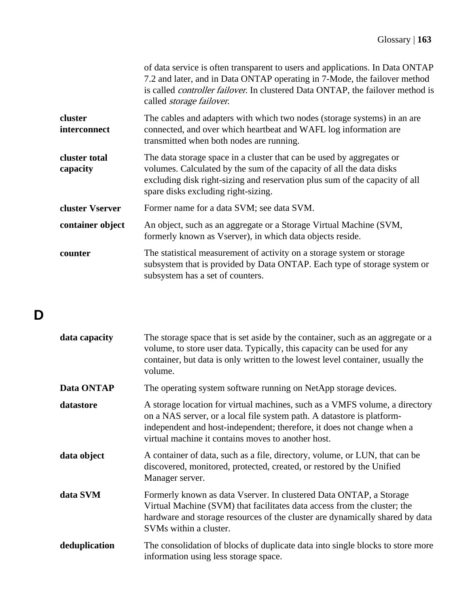|                                | of data service is often transparent to users and applications. In Data ONTAP<br>7.2 and later, and in Data ONTAP operating in 7-Mode, the failover method<br>is called <i>controller failover</i> . In clustered Data ONTAP, the failover method is<br>called <i>storage failover</i> . |
|--------------------------------|------------------------------------------------------------------------------------------------------------------------------------------------------------------------------------------------------------------------------------------------------------------------------------------|
| cluster<br><i>interconnect</i> | The cables and adapters with which two nodes (storage systems) in an are<br>connected, and over which heartbeat and WAFL log information are<br>transmitted when both nodes are running.                                                                                                 |
| cluster total<br>capacity      | The data storage space in a cluster that can be used by aggregates or<br>volumes. Calculated by the sum of the capacity of all the data disks<br>excluding disk right-sizing and reservation plus sum of the capacity of all<br>spare disks excluding right-sizing.                      |
| cluster Vserver                | Former name for a data SVM; see data SVM.                                                                                                                                                                                                                                                |
| container object               | An object, such as an aggregate or a Storage Virtual Machine (SVM,<br>formerly known as Vserver), in which data objects reside.                                                                                                                                                          |
| counter                        | The statistical measurement of activity on a storage system or storage<br>subsystem that is provided by Data ONTAP. Each type of storage system or<br>subsystem has a set of counters.                                                                                                   |

# **D**

| data capacity | The storage space that is set aside by the container, such as an aggregate or a<br>volume, to store user data. Typically, this capacity can be used for any<br>container, but data is only written to the lowest level container, usually the<br>volume.                              |
|---------------|---------------------------------------------------------------------------------------------------------------------------------------------------------------------------------------------------------------------------------------------------------------------------------------|
| Data ONTAP    | The operating system software running on NetApp storage devices.                                                                                                                                                                                                                      |
| datastore     | A storage location for virtual machines, such as a VMFS volume, a directory<br>on a NAS server, or a local file system path. A datastore is platform-<br>independent and host-independent; therefore, it does not change when a<br>virtual machine it contains moves to another host. |
| data object   | A container of data, such as a file, directory, volume, or LUN, that can be<br>discovered, monitored, protected, created, or restored by the Unified<br>Manager server.                                                                                                               |
| data SVM      | Formerly known as data Vserver. In clustered Data ONTAP, a Storage<br>Virtual Machine (SVM) that facilitates data access from the cluster; the<br>hardware and storage resources of the cluster are dynamically shared by data<br>SVMs within a cluster.                              |
| deduplication | The consolidation of blocks of duplicate data into single blocks to store more<br>information using less storage space.                                                                                                                                                               |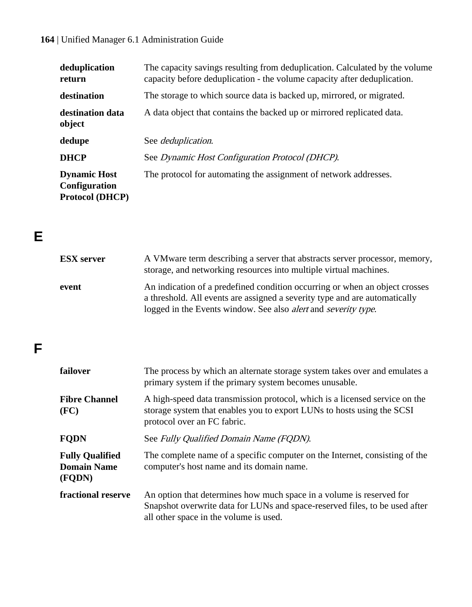| deduplication<br>return                                        | The capacity savings resulting from deduplication. Calculated by the volume<br>capacity before deduplication - the volume capacity after deduplication. |
|----------------------------------------------------------------|---------------------------------------------------------------------------------------------------------------------------------------------------------|
| destination                                                    | The storage to which source data is backed up, mirrored, or migrated.                                                                                   |
| destination data<br>object                                     | A data object that contains the backed up or mirrored replicated data.                                                                                  |
| dedupe                                                         | See <i>deduplication</i> .                                                                                                                              |
| <b>DHCP</b>                                                    | See Dynamic Host Configuration Protocol (DHCP).                                                                                                         |
| <b>Dynamic Host</b><br>Configuration<br><b>Protocol (DHCP)</b> | The protocol for automating the assignment of network addresses.                                                                                        |

# **E**

| <b>ESX</b> server | A VMware term describing a server that abstracts server processor, memory,<br>storage, and networking resources into multiple virtual machines.                                                                                            |
|-------------------|--------------------------------------------------------------------------------------------------------------------------------------------------------------------------------------------------------------------------------------------|
| event             | An indication of a predefined condition occurring or when an object crosses<br>a threshold. All events are assigned a severity type and are automatically<br>logged in the Events window. See also <i>alert</i> and <i>severity type</i> . |

# **F**

| failover                                               | The process by which an alternate storage system takes over and emulates a<br>primary system if the primary system becomes unusable.                                                          |
|--------------------------------------------------------|-----------------------------------------------------------------------------------------------------------------------------------------------------------------------------------------------|
| <b>Fibre Channel</b><br>(FC)                           | A high-speed data transmission protocol, which is a licensed service on the<br>storage system that enables you to export LUNs to hosts using the SCSI<br>protocol over an FC fabric.          |
| <b>FQDN</b>                                            | See Fully Oualified Domain Name (FODN).                                                                                                                                                       |
| <b>Fully Qualified</b><br><b>Domain Name</b><br>(FODN) | The complete name of a specific computer on the Internet, consisting of the<br>computer's host name and its domain name.                                                                      |
| fractional reserve                                     | An option that determines how much space in a volume is reserved for<br>Snapshot overwrite data for LUNs and space-reserved files, to be used after<br>all other space in the volume is used. |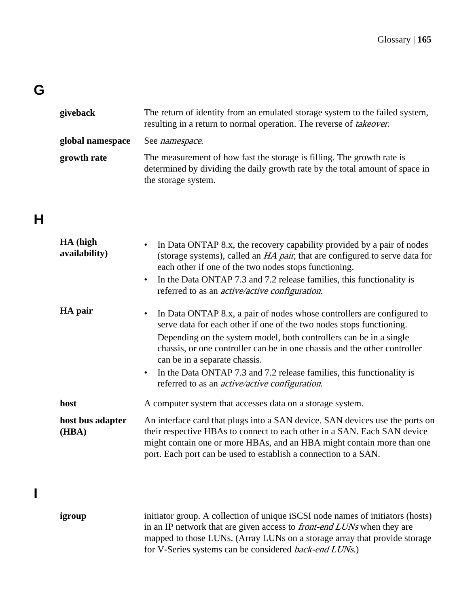# **G**

| giveback         | The return of identity from an emulated storage system to the failed system,<br>resulting in a return to normal operation. The reverse of <i>takeover</i> .                   |
|------------------|-------------------------------------------------------------------------------------------------------------------------------------------------------------------------------|
| global namespace | See <i>namespace</i> .                                                                                                                                                        |
| growth rate      | The measurement of how fast the storage is filling. The growth rate is<br>determined by dividing the daily growth rate by the total amount of space in<br>the storage system. |

# **H**

**I**

| HA (high<br>availability) | In Data ONTAP 8.x, the recovery capability provided by a pair of nodes<br>(storage systems), called an <i>HA pair</i> , that are configured to serve data for<br>each other if one of the two nodes stops functioning.<br>In the Data ONTAP 7.3 and 7.2 release families, this functionality is<br>$\bullet$<br>referred to as an <i>active/active configuration</i> .                                                                                                                          |
|---------------------------|-------------------------------------------------------------------------------------------------------------------------------------------------------------------------------------------------------------------------------------------------------------------------------------------------------------------------------------------------------------------------------------------------------------------------------------------------------------------------------------------------|
| HA pair                   | In Data ONTAP 8.x, a pair of nodes whose controllers are configured to<br>$\bullet$<br>serve data for each other if one of the two nodes stops functioning.<br>Depending on the system model, both controllers can be in a single<br>chassis, or one controller can be in one chassis and the other controller<br>can be in a separate chassis.<br>In the Data ONTAP 7.3 and 7.2 release families, this functionality is<br>$\bullet$<br>referred to as an <i>active/active configuration</i> . |
| host                      | A computer system that accesses data on a storage system.                                                                                                                                                                                                                                                                                                                                                                                                                                       |
| host bus adapter<br>(HBA) | An interface card that plugs into a SAN device. SAN devices use the ports on<br>their respective HBAs to connect to each other in a SAN. Each SAN device<br>might contain one or more HBAs, and an HBA might contain more than one<br>port. Each port can be used to establish a connection to a SAN.                                                                                                                                                                                           |
| igroup                    | initiator group. A collection of unique iSCSI node names of initiators (hosts)<br>in an IP network that are given access to front-end LUNs when they are<br>mapped to those LUNs. (Array LUNs on a storage array that provide storage<br>for V-Series systems can be considered back-end LUNs.)                                                                                                                                                                                                 |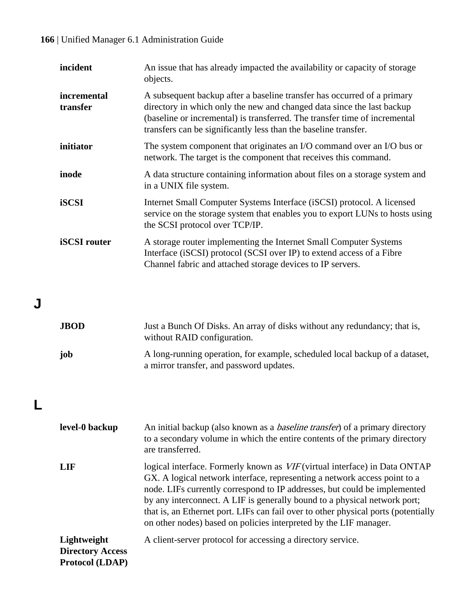| incident                | An issue that has already impacted the availability or capacity of storage<br>objects.                                                                                                                                                                                                             |
|-------------------------|----------------------------------------------------------------------------------------------------------------------------------------------------------------------------------------------------------------------------------------------------------------------------------------------------|
| incremental<br>transfer | A subsequent backup after a baseline transfer has occurred of a primary<br>directory in which only the new and changed data since the last backup<br>(baseline or incremental) is transferred. The transfer time of incremental<br>transfers can be significantly less than the baseline transfer. |
| initiator               | The system component that originates an I/O command over an I/O bus or<br>network. The target is the component that receives this command.                                                                                                                                                         |
| inode                   | A data structure containing information about files on a storage system and<br>in a UNIX file system.                                                                                                                                                                                              |
| iSCSI                   | Internet Small Computer Systems Interface (iSCSI) protocol. A licensed<br>service on the storage system that enables you to export LUNs to hosts using<br>the SCSI protocol over TCP/IP.                                                                                                           |
| <b>iSCSI</b> router     | A storage router implementing the Internet Small Computer Systems<br>Interface (iSCSI) protocol (SCSI over IP) to extend access of a Fibre<br>Channel fabric and attached storage devices to IP servers.                                                                                           |

# **J**

| <b>JBOD</b> | Just a Bunch Of Disks. An array of disks without any redundancy; that is,<br>without RAID configuration.                |
|-------------|-------------------------------------------------------------------------------------------------------------------------|
| iob         | A long-running operation, for example, scheduled local backup of a dataset,<br>a mirror transfer, and password updates. |

# **L**

| level-0 backup                                                   | An initial backup (also known as a <i>baseline transfer</i> ) of a primary directory<br>to a secondary volume in which the entire contents of the primary directory<br>are transferred.                                                                                                                                                                                                                                                                                      |
|------------------------------------------------------------------|------------------------------------------------------------------------------------------------------------------------------------------------------------------------------------------------------------------------------------------------------------------------------------------------------------------------------------------------------------------------------------------------------------------------------------------------------------------------------|
| LIF                                                              | logical interface. Formerly known as VIF (virtual interface) in Data ONTAP<br>GX. A logical network interface, representing a network access point to a<br>node. LIFs currently correspond to IP addresses, but could be implemented<br>by any interconnect. A LIF is generally bound to a physical network port;<br>that is, an Ethernet port. LIFs can fail over to other physical ports (potentially<br>on other nodes) based on policies interpreted by the LIF manager. |
| Lightweight<br><b>Directory Access</b><br><b>Protocol</b> (LDAP) | A client-server protocol for accessing a directory service.                                                                                                                                                                                                                                                                                                                                                                                                                  |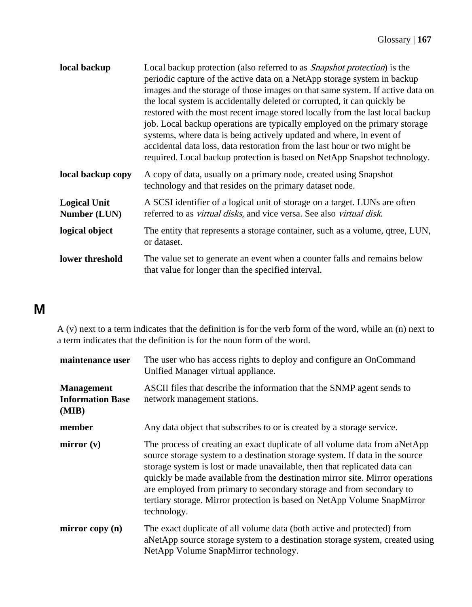| local backup                        | Local backup protection (also referred to as <i>Snapshot protection</i> ) is the<br>periodic capture of the active data on a NetApp storage system in backup<br>images and the storage of those images on that same system. If active data on<br>the local system is accidentally deleted or corrupted, it can quickly be<br>restored with the most recent image stored locally from the last local backup<br>job. Local backup operations are typically employed on the primary storage<br>systems, where data is being actively updated and where, in event of<br>accidental data loss, data restoration from the last hour or two might be<br>required. Local backup protection is based on NetApp Snapshot technology. |
|-------------------------------------|----------------------------------------------------------------------------------------------------------------------------------------------------------------------------------------------------------------------------------------------------------------------------------------------------------------------------------------------------------------------------------------------------------------------------------------------------------------------------------------------------------------------------------------------------------------------------------------------------------------------------------------------------------------------------------------------------------------------------|
| local backup copy                   | A copy of data, usually on a primary node, created using Snapshot<br>technology and that resides on the primary dataset node.                                                                                                                                                                                                                                                                                                                                                                                                                                                                                                                                                                                              |
| <b>Logical Unit</b><br>Number (LUN) | A SCSI identifier of a logical unit of storage on a target. LUNs are often<br>referred to as virtual disks, and vice versa. See also virtual disk.                                                                                                                                                                                                                                                                                                                                                                                                                                                                                                                                                                         |
| logical object                      | The entity that represents a storage container, such as a volume, qtree, LUN,<br>or dataset.                                                                                                                                                                                                                                                                                                                                                                                                                                                                                                                                                                                                                               |
| lower threshold                     | The value set to generate an event when a counter falls and remains below<br>that value for longer than the specified interval.                                                                                                                                                                                                                                                                                                                                                                                                                                                                                                                                                                                            |

# **M**

A (v) next to a term indicates that the definition is for the verb form of the word, while an (n) next to a term indicates that the definition is for the noun form of the word.

| maintenance user                                      | The user who has access rights to deploy and configure an OnCommand<br>Unified Manager virtual appliance.                                                                                                                                                                                                                                                                                                                                                                                   |
|-------------------------------------------------------|---------------------------------------------------------------------------------------------------------------------------------------------------------------------------------------------------------------------------------------------------------------------------------------------------------------------------------------------------------------------------------------------------------------------------------------------------------------------------------------------|
| <b>Management</b><br><b>Information Base</b><br>(MIB) | ASCII files that describe the information that the SNMP agent sends to<br>network management stations.                                                                                                                                                                                                                                                                                                                                                                                      |
| member                                                | Any data object that subscribes to or is created by a storage service.                                                                                                                                                                                                                                                                                                                                                                                                                      |
| mirror(v)                                             | The process of creating an exact duplicate of all volume data from aNetApp<br>source storage system to a destination storage system. If data in the source<br>storage system is lost or made unavailable, then that replicated data can<br>quickly be made available from the destination mirror site. Mirror operations<br>are employed from primary to secondary storage and from secondary to<br>tertiary storage. Mirror protection is based on NetApp Volume SnapMirror<br>technology. |
| mirror copy $(n)$                                     | The exact duplicate of all volume data (both active and protected) from<br>aNetApp source storage system to a destination storage system, created using<br>NetApp Volume SnapMirror technology.                                                                                                                                                                                                                                                                                             |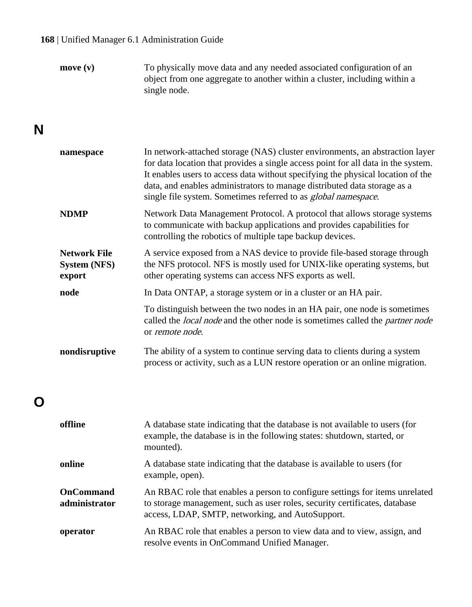| move (v) | To physically move data and any needed associated configuration of an     |
|----------|---------------------------------------------------------------------------|
|          | object from one aggregate to another within a cluster, including within a |
|          | single node.                                                              |

## **N**

| namespace                                            | In network-attached storage (NAS) cluster environments, an abstraction layer<br>for data location that provides a single access point for all data in the system.<br>It enables users to access data without specifying the physical location of the<br>data, and enables administrators to manage distributed data storage as a<br>single file system. Sometimes referred to as <i>global namespace</i> . |
|------------------------------------------------------|------------------------------------------------------------------------------------------------------------------------------------------------------------------------------------------------------------------------------------------------------------------------------------------------------------------------------------------------------------------------------------------------------------|
| <b>NDMP</b>                                          | Network Data Management Protocol. A protocol that allows storage systems<br>to communicate with backup applications and provides capabilities for<br>controlling the robotics of multiple tape backup devices.                                                                                                                                                                                             |
| <b>Network File</b><br><b>System (NFS)</b><br>export | A service exposed from a NAS device to provide file-based storage through<br>the NFS protocol. NFS is mostly used for UNIX-like operating systems, but<br>other operating systems can access NFS exports as well.                                                                                                                                                                                          |
| node                                                 | In Data ONTAP, a storage system or in a cluster or an HA pair.                                                                                                                                                                                                                                                                                                                                             |
|                                                      | To distinguish between the two nodes in an HA pair, one node is sometimes<br>called the <i>local node</i> and the other node is sometimes called the <i>partner node</i><br>or <i>remote node</i> .                                                                                                                                                                                                        |
| nondisruptive                                        | The ability of a system to continue serving data to clients during a system<br>process or activity, such as a LUN restore operation or an online migration.                                                                                                                                                                                                                                                |

## **O**

| offline                    | A database state indicating that the database is not available to users (for<br>example, the database is in the following states: shutdown, started, or<br>mounted).                                           |
|----------------------------|----------------------------------------------------------------------------------------------------------------------------------------------------------------------------------------------------------------|
| online                     | A database state indicating that the database is available to users (for<br>example, open).                                                                                                                    |
| OnCommand<br>administrator | An RBAC role that enables a person to configure settings for items unrelated<br>to storage management, such as user roles, security certificates, database<br>access, LDAP, SMTP, networking, and AutoSupport. |
| operator                   | An RBAC role that enables a person to view data and to view, assign, and<br>resolve events in OnCommand Unified Manager.                                                                                       |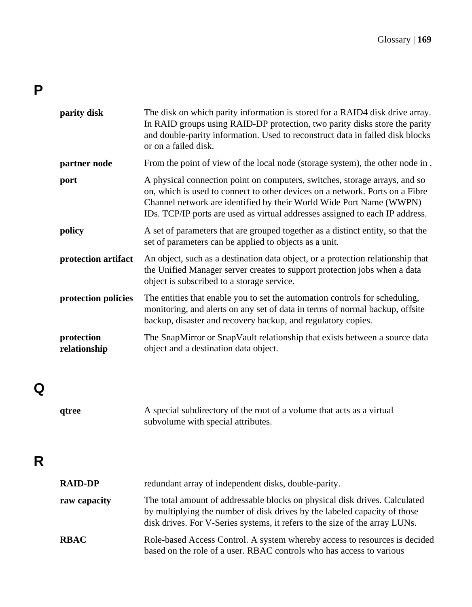# **P**

| parity disk                | The disk on which parity information is stored for a RAID4 disk drive array.<br>In RAID groups using RAID-DP protection, two parity disks store the parity<br>and double-parity information. Used to reconstruct data in failed disk blocks<br>or on a failed disk.                                               |
|----------------------------|-------------------------------------------------------------------------------------------------------------------------------------------------------------------------------------------------------------------------------------------------------------------------------------------------------------------|
| partner node               | From the point of view of the local node (storage system), the other node in.                                                                                                                                                                                                                                     |
| port                       | A physical connection point on computers, switches, storage arrays, and so<br>on, which is used to connect to other devices on a network. Ports on a Fibre<br>Channel network are identified by their World Wide Port Name (WWPN)<br>IDs. TCP/IP ports are used as virtual addresses assigned to each IP address. |
| policy                     | A set of parameters that are grouped together as a distinct entity, so that the<br>set of parameters can be applied to objects as a unit.                                                                                                                                                                         |
| protection artifact        | An object, such as a destination data object, or a protection relationship that<br>the Unified Manager server creates to support protection jobs when a data<br>object is subscribed to a storage service.                                                                                                        |
| protection policies        | The entities that enable you to set the automation controls for scheduling,<br>monitoring, and alerts on any set of data in terms of normal backup, offsite<br>backup, disaster and recovery backup, and regulatory copies.                                                                                       |
| protection<br>relationship | The SnapMirror or SnapVault relationship that exists between a source data<br>object and a destination data object.                                                                                                                                                                                               |
|                            |                                                                                                                                                                                                                                                                                                                   |

# **Q**

| qtree | A special subdirectory of the root of a volume that acts as a virtual |
|-------|-----------------------------------------------------------------------|
|       | subvolume with special attributes.                                    |

# **R**

| <b>RAID-DP</b> | redundant array of independent disks, double-parity.                                                                                                                                                                                   |
|----------------|----------------------------------------------------------------------------------------------------------------------------------------------------------------------------------------------------------------------------------------|
| raw capacity   | The total amount of addressable blocks on physical disk drives. Calculated<br>by multiplying the number of disk drives by the labeled capacity of those<br>disk drives. For V-Series systems, it refers to the size of the array LUNs. |
| <b>RBAC</b>    | Role-based Access Control. A system whereby access to resources is decided<br>based on the role of a user. RBAC controls who has access to various                                                                                     |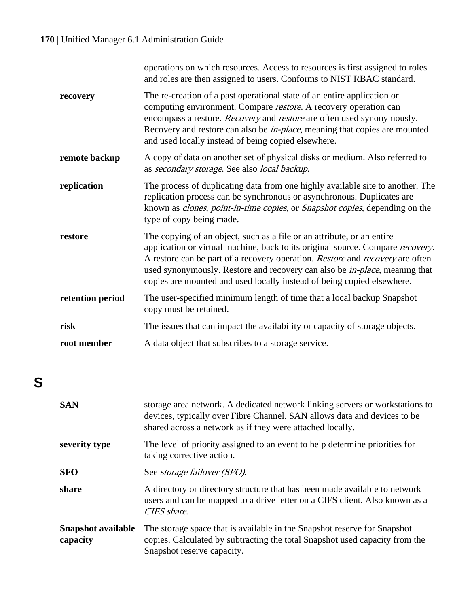|                  | operations on which resources. Access to resources is first assigned to roles<br>and roles are then assigned to users. Conforms to NIST RBAC standard.                                                                                                                                                                                                                                                    |
|------------------|-----------------------------------------------------------------------------------------------------------------------------------------------------------------------------------------------------------------------------------------------------------------------------------------------------------------------------------------------------------------------------------------------------------|
| recovery         | The re-creation of a past operational state of an entire application or<br>computing environment. Compare restore. A recovery operation can<br>encompass a restore. Recovery and restore are often used synonymously.<br>Recovery and restore can also be <i>in-place</i> , meaning that copies are mounted<br>and used locally instead of being copied elsewhere.                                        |
| remote backup    | A copy of data on another set of physical disks or medium. Also referred to<br>as secondary storage. See also local backup.                                                                                                                                                                                                                                                                               |
| replication      | The process of duplicating data from one highly available site to another. The<br>replication process can be synchronous or asynchronous. Duplicates are<br>known as <i>clones, point-in-time copies</i> , or <i>Snapshot copies</i> , depending on the<br>type of copy being made.                                                                                                                       |
| restore          | The copying of an object, such as a file or an attribute, or an entire<br>application or virtual machine, back to its original source. Compare recovery.<br>A restore can be part of a recovery operation. Restore and recovery are often<br>used synonymously. Restore and recovery can also be <i>in-place</i> , meaning that<br>copies are mounted and used locally instead of being copied elsewhere. |
| retention period | The user-specified minimum length of time that a local backup Snapshot<br>copy must be retained.                                                                                                                                                                                                                                                                                                          |
| risk             | The issues that can impact the availability or capacity of storage objects.                                                                                                                                                                                                                                                                                                                               |
| root member      | A data object that subscribes to a storage service.                                                                                                                                                                                                                                                                                                                                                       |

# **S**

| <b>SAN</b>                            | storage area network. A dedicated network linking servers or workstations to<br>devices, typically over Fibre Channel. SAN allows data and devices to be<br>shared across a network as if they were attached locally. |
|---------------------------------------|-----------------------------------------------------------------------------------------------------------------------------------------------------------------------------------------------------------------------|
| severity type                         | The level of priority assigned to an event to help determine priorities for<br>taking corrective action.                                                                                                              |
| <b>SFO</b>                            | See <i>storage failover (SFO)</i> .                                                                                                                                                                                   |
| share                                 | A directory or directory structure that has been made available to network<br>users and can be mapped to a drive letter on a CIFS client. Also known as a<br>CIFS share.                                              |
| <b>Snapshot available</b><br>capacity | The storage space that is available in the Snapshot reserve for Snapshot<br>copies. Calculated by subtracting the total Snapshot used capacity from the<br>Snapshot reserve capacity.                                 |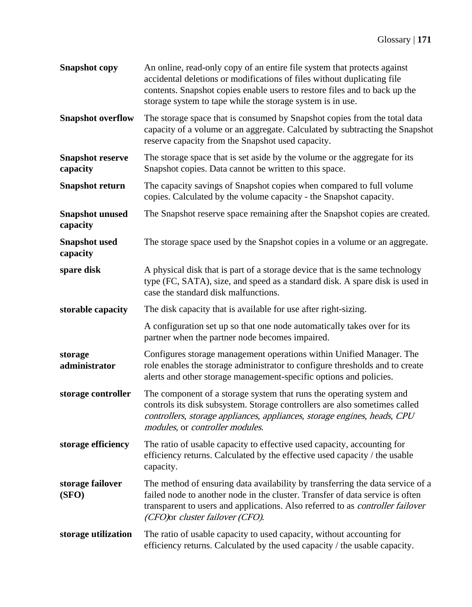| <b>Snapshot</b> copy                | An online, read-only copy of an entire file system that protects against<br>accidental deletions or modifications of files without duplicating file<br>contents. Snapshot copies enable users to restore files and to back up the<br>storage system to tape while the storage system is in use. |
|-------------------------------------|-------------------------------------------------------------------------------------------------------------------------------------------------------------------------------------------------------------------------------------------------------------------------------------------------|
| <b>Snapshot overflow</b>            | The storage space that is consumed by Snapshot copies from the total data<br>capacity of a volume or an aggregate. Calculated by subtracting the Snapshot<br>reserve capacity from the Snapshot used capacity.                                                                                  |
| <b>Snapshot reserve</b><br>capacity | The storage space that is set aside by the volume or the aggregate for its<br>Snapshot copies. Data cannot be written to this space.                                                                                                                                                            |
| <b>Snapshot return</b>              | The capacity savings of Snapshot copies when compared to full volume<br>copies. Calculated by the volume capacity - the Snapshot capacity.                                                                                                                                                      |
| <b>Snapshot unused</b><br>capacity  | The Snapshot reserve space remaining after the Snapshot copies are created.                                                                                                                                                                                                                     |
| <b>Snapshot</b> used<br>capacity    | The storage space used by the Snapshot copies in a volume or an aggregate.                                                                                                                                                                                                                      |
| spare disk                          | A physical disk that is part of a storage device that is the same technology<br>type (FC, SATA), size, and speed as a standard disk. A spare disk is used in<br>case the standard disk malfunctions.                                                                                            |
| storable capacity                   | The disk capacity that is available for use after right-sizing.                                                                                                                                                                                                                                 |
|                                     | A configuration set up so that one node automatically takes over for its<br>partner when the partner node becomes impaired.                                                                                                                                                                     |
| storage<br>administrator            | Configures storage management operations within Unified Manager. The<br>role enables the storage administrator to configure thresholds and to create<br>alerts and other storage management-specific options and policies.                                                                      |
| storage controller                  | The component of a storage system that runs the operating system and<br>controls its disk subsystem. Storage controllers are also sometimes called<br>controllers, storage appliances, appliances, storage engines, heads, CPU<br>modules, or controller modules.                               |
| storage efficiency                  | The ratio of usable capacity to effective used capacity, accounting for<br>efficiency returns. Calculated by the effective used capacity / the usable<br>capacity.                                                                                                                              |
| storage failover<br>(SFO)           | The method of ensuring data availability by transferring the data service of a<br>failed node to another node in the cluster. Transfer of data service is often<br>transparent to users and applications. Also referred to as controller failover<br>(CFO)or cluster failover (CFO).            |
| storage utilization                 | The ratio of usable capacity to used capacity, without accounting for<br>efficiency returns. Calculated by the used capacity / the usable capacity.                                                                                                                                             |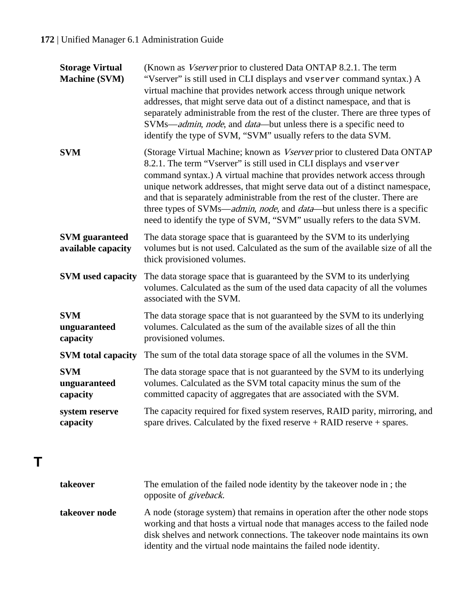| <b>Storage Virtual</b><br><b>Machine (SVM)</b> | (Known as Vserver prior to clustered Data ONTAP 8.2.1. The term<br>"Vserver" is still used in CLI displays and vserver command syntax.) A<br>virtual machine that provides network access through unique network<br>addresses, that might serve data out of a distinct namespace, and that is<br>separately administrable from the rest of the cluster. There are three types of<br>SVMs—admin, node, and data—but unless there is a specific need to<br>identify the type of SVM, "SVM" usually refers to the data SVM.                          |
|------------------------------------------------|---------------------------------------------------------------------------------------------------------------------------------------------------------------------------------------------------------------------------------------------------------------------------------------------------------------------------------------------------------------------------------------------------------------------------------------------------------------------------------------------------------------------------------------------------|
| <b>SVM</b>                                     | (Storage Virtual Machine; known as Vserver prior to clustered Data ONTAP<br>8.2.1. The term "Vserver" is still used in CLI displays and vserver<br>command syntax.) A virtual machine that provides network access through<br>unique network addresses, that might serve data out of a distinct namespace,<br>and that is separately administrable from the rest of the cluster. There are<br>three types of SVMs—admin, node, and data—but unless there is a specific<br>need to identify the type of SVM, "SVM" usually refers to the data SVM. |
| <b>SVM</b> guaranteed<br>available capacity    | The data storage space that is guaranteed by the SVM to its underlying<br>volumes but is not used. Calculated as the sum of the available size of all the<br>thick provisioned volumes.                                                                                                                                                                                                                                                                                                                                                           |
| <b>SVM</b> used capacity                       | The data storage space that is guaranteed by the SVM to its underlying<br>volumes. Calculated as the sum of the used data capacity of all the volumes<br>associated with the SVM.                                                                                                                                                                                                                                                                                                                                                                 |
| <b>SVM</b><br>unguaranteed<br>capacity         | The data storage space that is not guaranteed by the SVM to its underlying<br>volumes. Calculated as the sum of the available sizes of all the thin<br>provisioned volumes.                                                                                                                                                                                                                                                                                                                                                                       |
| <b>SVM</b> total capacity                      | The sum of the total data storage space of all the volumes in the SVM.                                                                                                                                                                                                                                                                                                                                                                                                                                                                            |
| <b>SVM</b><br>unguaranteed<br>capacity         | The data storage space that is not guaranteed by the SVM to its underlying<br>volumes. Calculated as the SVM total capacity minus the sum of the<br>committed capacity of aggregates that are associated with the SVM.                                                                                                                                                                                                                                                                                                                            |
| system reserve<br>capacity                     | The capacity required for fixed system reserves, RAID parity, mirroring, and<br>spare drives. Calculated by the fixed reserve $+$ RAID reserve $+$ spares.                                                                                                                                                                                                                                                                                                                                                                                        |

**T**

| takeover      | The emulation of the failed node identity by the takeover node in; the<br>opposite of <i>giveback</i> .                                                                                                                                                                                                        |
|---------------|----------------------------------------------------------------------------------------------------------------------------------------------------------------------------------------------------------------------------------------------------------------------------------------------------------------|
| takeover node | A node (storage system) that remains in operation after the other node stops<br>working and that hosts a virtual node that manages access to the failed node<br>disk shelves and network connections. The takeover node maintains its own<br>identity and the virtual node maintains the failed node identity. |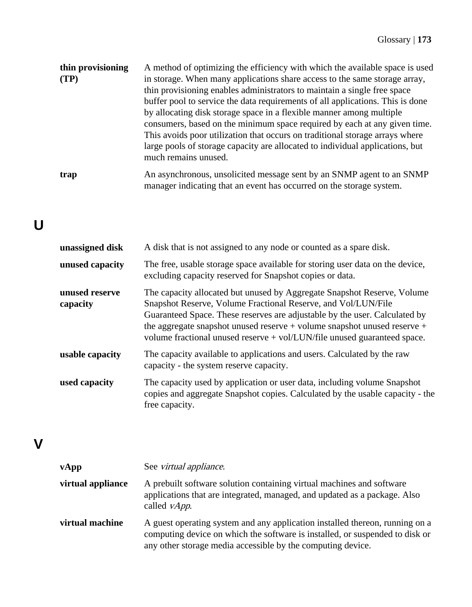| thin provisioning | A method of optimizing the efficiency with which the available space is used   |
|-------------------|--------------------------------------------------------------------------------|
| (TP)              | in storage. When many applications share access to the same storage array,     |
|                   | thin provisioning enables administrators to maintain a single free space       |
|                   | buffer pool to service the data requirements of all applications. This is done |
|                   | by allocating disk storage space in a flexible manner among multiple           |
|                   | consumers, based on the minimum space required by each at any given time.      |
|                   | This avoids poor utilization that occurs on traditional storage arrays where   |
|                   | large pools of storage capacity are allocated to individual applications, but  |
|                   | much remains unused.                                                           |
| trap              | An asynchronous, unsolicited message sent by an SNMP agent to an SNMP          |

manager indicating that an event has occurred on the storage system.

# **U**

| unassigned disk            | A disk that is not assigned to any node or counted as a spare disk.                                                                                                                                                                                                                                                                                                                |
|----------------------------|------------------------------------------------------------------------------------------------------------------------------------------------------------------------------------------------------------------------------------------------------------------------------------------------------------------------------------------------------------------------------------|
| unused capacity            | The free, usable storage space available for storing user data on the device,<br>excluding capacity reserved for Snapshot copies or data.                                                                                                                                                                                                                                          |
| unused reserve<br>capacity | The capacity allocated but unused by Aggregate Snapshot Reserve, Volume<br>Snapshot Reserve, Volume Fractional Reserve, and Vol/LUN/File<br>Guaranteed Space. These reserves are adjustable by the user. Calculated by<br>the aggregate snapshot unused reserve $+$ volume snapshot unused reserve $+$<br>volume fractional unused reserve + vol/LUN/file unused guaranteed space. |
| usable capacity            | The capacity available to applications and users. Calculated by the raw<br>capacity - the system reserve capacity.                                                                                                                                                                                                                                                                 |
| used capacity              | The capacity used by application or user data, including volume Snapshot<br>copies and aggregate Snapshot copies. Calculated by the usable capacity - the<br>free capacity.                                                                                                                                                                                                        |

## **V**

| vApp              | See <i>virtual appliance</i> .                                                                                                                                                                                              |
|-------------------|-----------------------------------------------------------------------------------------------------------------------------------------------------------------------------------------------------------------------------|
| virtual appliance | A prebuilt software solution containing virtual machines and software<br>applications that are integrated, managed, and updated as a package. Also<br>called <i>vApp</i> .                                                  |
| virtual machine   | A guest operating system and any application installed thereon, running on a<br>computing device on which the software is installed, or suspended to disk or<br>any other storage media accessible by the computing device. |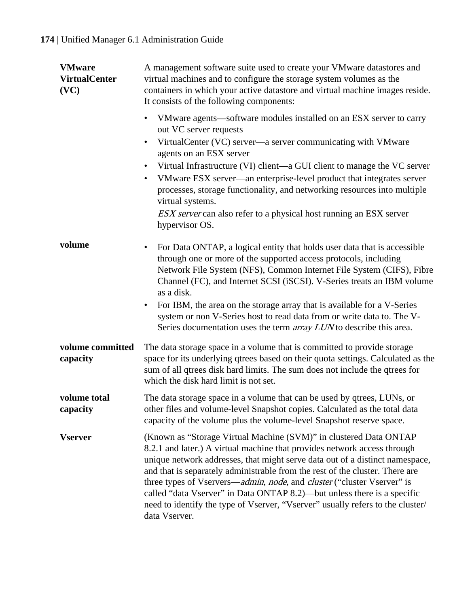| <b>VMware</b><br><b>VirtualCenter</b><br>(VC) | A management software suite used to create your VMware datastores and<br>virtual machines and to configure the storage system volumes as the<br>containers in which your active datastore and virtual machine images reside.<br>It consists of the following components:                                                                                                                                                                                                                                                                                              |
|-----------------------------------------------|-----------------------------------------------------------------------------------------------------------------------------------------------------------------------------------------------------------------------------------------------------------------------------------------------------------------------------------------------------------------------------------------------------------------------------------------------------------------------------------------------------------------------------------------------------------------------|
|                                               | VMware agents—software modules installed on an ESX server to carry<br>٠<br>out VC server requests<br>VirtualCenter (VC) server-a server communicating with VMware<br>٠<br>agents on an ESX server<br>Virtual Infrastructure (VI) client—a GUI client to manage the VC server<br>VMware ESX server—an enterprise-level product that integrates server<br>٠<br>processes, storage functionality, and networking resources into multiple<br>virtual systems.<br><i>ESX server</i> can also refer to a physical host running an ESX server<br>hypervisor OS.              |
| volume                                        | For Data ONTAP, a logical entity that holds user data that is accessible<br>$\bullet$<br>through one or more of the supported access protocols, including<br>Network File System (NFS), Common Internet File System (CIFS), Fibre<br>Channel (FC), and Internet SCSI (iSCSI). V-Series treats an IBM volume<br>as a disk.<br>For IBM, the area on the storage array that is available for a V-Series<br>٠<br>system or non V-Series host to read data from or write data to. The V-<br>Series documentation uses the term <i>array LUN</i> to describe this area.     |
| volume committed<br>capacity                  | The data storage space in a volume that is committed to provide storage<br>space for its underlying qtrees based on their quota settings. Calculated as the<br>sum of all qtrees disk hard limits. The sum does not include the qtrees for<br>which the disk hard limit is not set.                                                                                                                                                                                                                                                                                   |
| volume total<br>capacity                      | The data storage space in a volume that can be used by qtrees, LUNs, or<br>other files and volume-level Snapshot copies. Calculated as the total data<br>capacity of the volume plus the volume-level Snapshot reserve space.                                                                                                                                                                                                                                                                                                                                         |
| <b>Vserver</b>                                | (Known as "Storage Virtual Machine (SVM)" in clustered Data ONTAP<br>8.2.1 and later.) A virtual machine that provides network access through<br>unique network addresses, that might serve data out of a distinct namespace,<br>and that is separately administrable from the rest of the cluster. There are<br>three types of Vservers—admin, node, and cluster ("cluster Vserver" is<br>called "data Vserver" in Data ONTAP 8.2)—but unless there is a specific<br>need to identify the type of Vserver, "Vserver" usually refers to the cluster/<br>data Vserver. |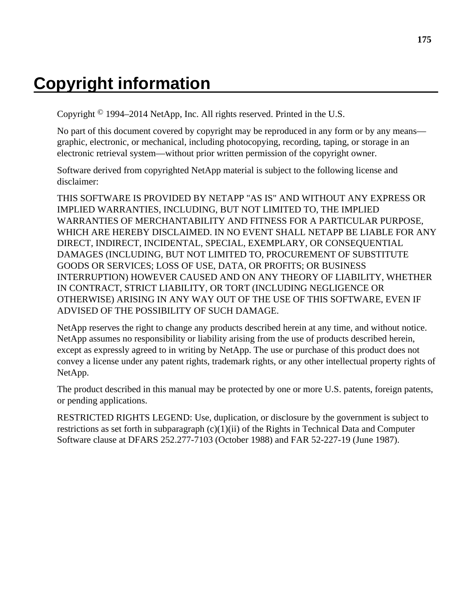# **Copyright information**

Copyright © 1994–2014 NetApp, Inc. All rights reserved. Printed in the U.S.

No part of this document covered by copyright may be reproduced in any form or by any means graphic, electronic, or mechanical, including photocopying, recording, taping, or storage in an electronic retrieval system—without prior written permission of the copyright owner.

Software derived from copyrighted NetApp material is subject to the following license and disclaimer:

THIS SOFTWARE IS PROVIDED BY NETAPP "AS IS" AND WITHOUT ANY EXPRESS OR IMPLIED WARRANTIES, INCLUDING, BUT NOT LIMITED TO, THE IMPLIED WARRANTIES OF MERCHANTABILITY AND FITNESS FOR A PARTICULAR PURPOSE, WHICH ARE HEREBY DISCLAIMED. IN NO EVENT SHALL NETAPP BE LIABLE FOR ANY DIRECT, INDIRECT, INCIDENTAL, SPECIAL, EXEMPLARY, OR CONSEQUENTIAL DAMAGES (INCLUDING, BUT NOT LIMITED TO, PROCUREMENT OF SUBSTITUTE GOODS OR SERVICES; LOSS OF USE, DATA, OR PROFITS; OR BUSINESS INTERRUPTION) HOWEVER CAUSED AND ON ANY THEORY OF LIABILITY, WHETHER IN CONTRACT, STRICT LIABILITY, OR TORT (INCLUDING NEGLIGENCE OR OTHERWISE) ARISING IN ANY WAY OUT OF THE USE OF THIS SOFTWARE, EVEN IF ADVISED OF THE POSSIBILITY OF SUCH DAMAGE.

NetApp reserves the right to change any products described herein at any time, and without notice. NetApp assumes no responsibility or liability arising from the use of products described herein, except as expressly agreed to in writing by NetApp. The use or purchase of this product does not convey a license under any patent rights, trademark rights, or any other intellectual property rights of NetApp.

The product described in this manual may be protected by one or more U.S. patents, foreign patents, or pending applications.

RESTRICTED RIGHTS LEGEND: Use, duplication, or disclosure by the government is subject to restrictions as set forth in subparagraph  $(c)(1)(ii)$  of the Rights in Technical Data and Computer Software clause at DFARS 252.277-7103 (October 1988) and FAR 52-227-19 (June 1987).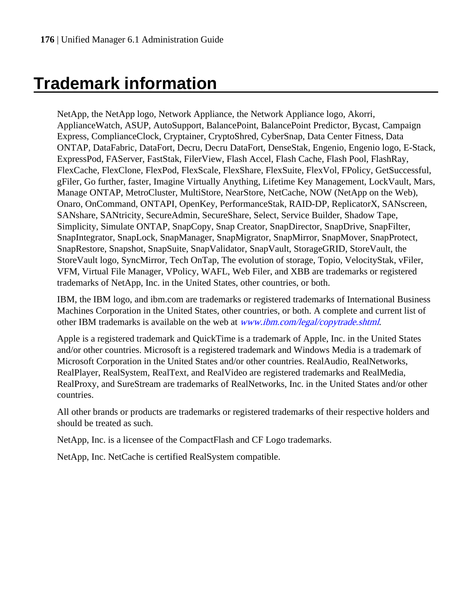# **Trademark information**

NetApp, the NetApp logo, Network Appliance, the Network Appliance logo, Akorri, ApplianceWatch, ASUP, AutoSupport, BalancePoint, BalancePoint Predictor, Bycast, Campaign Express, ComplianceClock, Cryptainer, CryptoShred, CyberSnap, Data Center Fitness, Data ONTAP, DataFabric, DataFort, Decru, Decru DataFort, DenseStak, Engenio, Engenio logo, E-Stack, ExpressPod, FAServer, FastStak, FilerView, Flash Accel, Flash Cache, Flash Pool, FlashRay, FlexCache, FlexClone, FlexPod, FlexScale, FlexShare, FlexSuite, FlexVol, FPolicy, GetSuccessful, gFiler, Go further, faster, Imagine Virtually Anything, Lifetime Key Management, LockVault, Mars, Manage ONTAP, MetroCluster, MultiStore, NearStore, NetCache, NOW (NetApp on the Web), Onaro, OnCommand, ONTAPI, OpenKey, PerformanceStak, RAID-DP, ReplicatorX, SANscreen, SANshare, SANtricity, SecureAdmin, SecureShare, Select, Service Builder, Shadow Tape, Simplicity, Simulate ONTAP, SnapCopy, Snap Creator, SnapDirector, SnapDrive, SnapFilter, SnapIntegrator, SnapLock, SnapManager, SnapMigrator, SnapMirror, SnapMover, SnapProtect, SnapRestore, Snapshot, SnapSuite, SnapValidator, SnapVault, StorageGRID, StoreVault, the StoreVault logo, SyncMirror, Tech OnTap, The evolution of storage, Topio, VelocityStak, vFiler, VFM, Virtual File Manager, VPolicy, WAFL, Web Filer, and XBB are trademarks or registered trademarks of NetApp, Inc. in the United States, other countries, or both.

IBM, the IBM logo, and ibm.com are trademarks or registered trademarks of International Business Machines Corporation in the United States, other countries, or both. A complete and current list of other IBM trademarks is available on the web at *[www.ibm.com/legal/copytrade.shtml](http://www.ibm.com/legal/copytrade.shtml).* 

Apple is a registered trademark and QuickTime is a trademark of Apple, Inc. in the United States and/or other countries. Microsoft is a registered trademark and Windows Media is a trademark of Microsoft Corporation in the United States and/or other countries. RealAudio, RealNetworks, RealPlayer, RealSystem, RealText, and RealVideo are registered trademarks and RealMedia, RealProxy, and SureStream are trademarks of RealNetworks, Inc. in the United States and/or other countries.

All other brands or products are trademarks or registered trademarks of their respective holders and should be treated as such.

NetApp, Inc. is a licensee of the CompactFlash and CF Logo trademarks.

NetApp, Inc. NetCache is certified RealSystem compatible.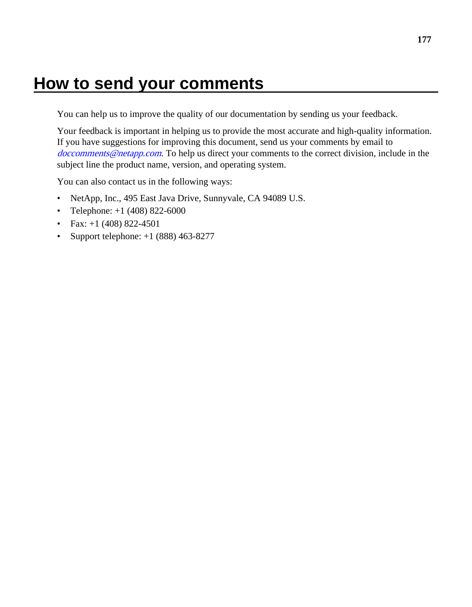# **How to send your comments**

You can help us to improve the quality of our documentation by sending us your feedback.

Your feedback is important in helping us to provide the most accurate and high-quality information. If you have suggestions for improving this document, send us your comments by email to [doccomments@netapp.com](mailto:doccomments@netapp.com). To help us direct your comments to the correct division, include in the subject line the product name, version, and operating system.

You can also contact us in the following ways:

- NetApp, Inc., 495 East Java Drive, Sunnyvale, CA 94089 U.S.
- Telephone:  $+1$  (408) 822-6000
- Fax:  $+1$  (408) 822-4501
- Support telephone:  $+1$  (888) 463-8277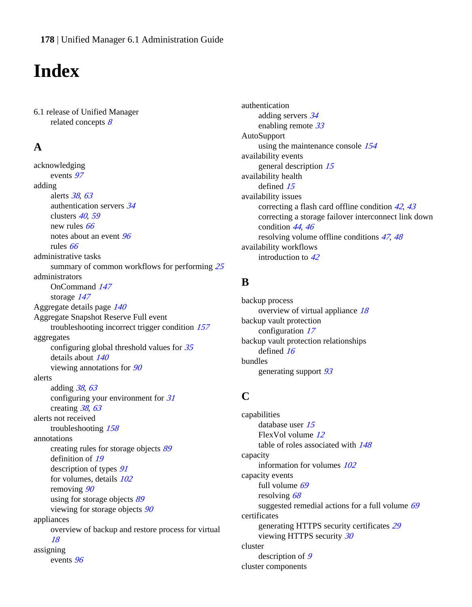# **Index**

6.1 release of Unified Manager related concepts  $8$ 

## **A**

acknowledging events [97](#page-96-0) adding alerts [38](#page-37-0), [63](#page-62-0) authentication servers [34](#page-33-0) clusters [40](#page-39-0), [59](#page-58-0) new rules [66](#page-65-0) notes about an event [96](#page-95-0) rules [66](#page-65-0) administrative tasks summary of common workflows for performing [25](#page-24-0) administrators OnCommand [147](#page-146-0) storage [147](#page-146-0) Aggregate details page [140](#page-139-0) Aggregate Snapshot Reserve Full event troubleshooting incorrect trigger condition [157](#page-156-0) aggregates configuring global threshold values for [35](#page-34-0) details about [140](#page-139-0) viewing annotations for [90](#page-89-0) alerts adding [38](#page-37-0), [63](#page-62-0) configuring your environment for [31](#page-30-0) creating [38](#page-37-0), [63](#page-62-0) alerts not received troubleshooting [158](#page-157-0) annotations creating rules for storage objects [89](#page-88-0) definition of [19](#page-18-0) description of types  $91$ for volumes, details [102](#page-101-0) removing [90](#page-89-0) using for storage objects [89](#page-88-0) viewing for storage objects [90](#page-89-0) appliances overview of backup and restore process for virtual [18](#page-17-0) assigning events [96](#page-95-0)

authentication adding servers [34](#page-33-0) enabling remote [33](#page-32-0) AutoSupport using the maintenance console [154](#page-153-0) availability events general description [15](#page-14-0) availability health defined [15](#page-14-0) availability issues correcting a flash card offline condition [42](#page-41-0), [43](#page-42-0) correcting a storage failover interconnect link down condition [44](#page-43-0), [46](#page-45-0) resolving volume offline conditions [47](#page-46-0), [48](#page-47-0) availability workflows introduction to [42](#page-41-0)

## **B**

backup process overview of virtual appliance [18](#page-17-0) backup vault protection configuration [17](#page-16-0) backup vault protection relationships defined [16](#page-15-0) bundles generating support [93](#page-92-0)

## **C**

capabilities database user [15](#page-14-0) FlexVol volume [12](#page-11-0) table of roles associated with [148](#page-147-0) capacity information for volumes [102](#page-101-0) capacity events full volume [69](#page-68-0) resolving [68](#page-67-0) suggested remedial actions for a full volume  $69$ certificates generating HTTPS security certificates [29](#page-28-0) viewing HTTPS security [30](#page-29-0) cluster description of [9](#page-8-0) cluster components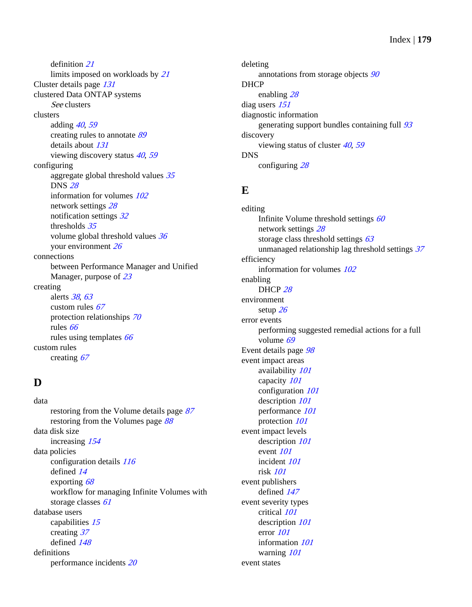definition [21](#page-20-0) limits imposed on workloads by [21](#page-20-0) Cluster details page [131](#page-130-0) clustered Data ONTAP systems See clusters clusters adding [40](#page-39-0), [59](#page-58-0) creating rules to annotate [89](#page-88-0) details about [131](#page-130-0) viewing discovery status [40](#page-39-0), [59](#page-58-0) configuring aggregate global threshold values  $35$ DNS [28](#page-27-0) information for volumes [102](#page-101-0) network settings [28](#page-27-0) notification settings [32](#page-31-0) thresholds [35](#page-34-0) volume global threshold values [36](#page-35-0) your environment [26](#page-25-0) connections between Performance Manager and Unified Manager, purpose of [23](#page-22-0) creating alerts [38](#page-37-0), [63](#page-62-0) custom rules  $67$ protection relationships [70](#page-69-0) rules [66](#page-65-0) rules using templates [66](#page-65-0) custom rules creating [67](#page-66-0)

## **D**

data restoring from the Volume details page [87](#page-86-0) restoring from the Volumes page [88](#page-87-0) data disk size increasing [154](#page-153-0) data policies configuration details [116](#page-115-0) defined [14](#page-13-0) exporting [68](#page-67-0) workflow for managing Infinite Volumes with storage classes [61](#page-60-0) database users capabilities [15](#page-14-0) creating [37](#page-36-0) defined [148](#page-147-0) definitions performance incidents [20](#page-19-0)

deleting annotations from storage objects [90](#page-89-0) DHCP enabling [28](#page-27-0) diag users [151](#page-150-0) diagnostic information generating support bundles containing full [93](#page-92-0) discovery viewing status of cluster  $40, 59$  $40, 59$  $40, 59$ DNS configuring [28](#page-27-0)

## **E**

editing Infinite Volume threshold settings  $60$ network settings [28](#page-27-0) storage class threshold settings  $63$ unmanaged relationship lag threshold settings [37](#page-36-0) efficiency information for volumes [102](#page-101-0) enabling DHCP [28](#page-27-0) environment setup [26](#page-25-0) error events performing suggested remedial actions for a full volume [69](#page-68-0) Event details page [98](#page-97-0) event impact areas availability [101](#page-100-0) capacity [101](#page-100-0) configuration [101](#page-100-0) description [101](#page-100-0) performance [101](#page-100-0) protection [101](#page-100-0) event impact levels description  $101$ event [101](#page-100-0) incident [101](#page-100-0) risk [101](#page-100-0) event publishers defined [147](#page-146-0) event severity types critical [101](#page-100-0) description [101](#page-100-0) error [101](#page-100-0) information [101](#page-100-0) warning [101](#page-100-0) event states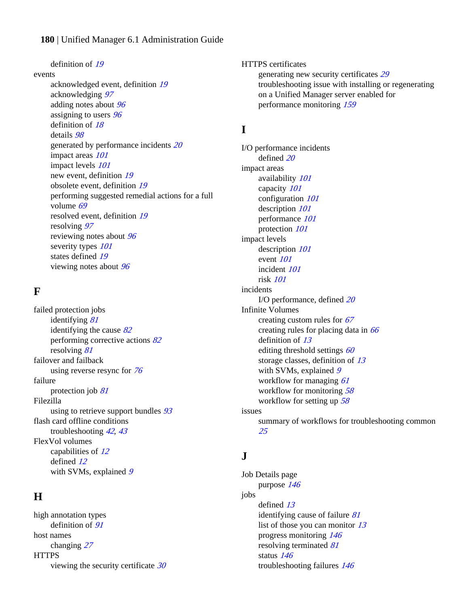definition of [19](#page-18-0) events

acknowledged event, definition [19](#page-18-0) acknowledging [97](#page-96-0) adding notes about [96](#page-95-0) assigning to users  $96$ definition of [18](#page-17-0) details [98](#page-97-0) generated by performance incidents [20](#page-19-0) impact areas  $101$ impact levels  $101$ new event, definition [19](#page-18-0) obsolete event, definition [19](#page-18-0) performing suggested remedial actions for a full volume [69](#page-68-0) resolved event, definition [19](#page-18-0) resolving [97](#page-96-0) reviewing notes about [96](#page-95-0) severity types  $101$ states defined [19](#page-18-0) viewing notes about [96](#page-95-0)

## **F**

failed protection jobs identifying [81](#page-80-0) identifying the cause  $82$ performing corrective actions [82](#page-81-0) resolving [81](#page-80-0) failover and failback using reverse resync for [76](#page-75-0) failure protection job [81](#page-80-0) Filezilla using to retrieve support bundles  $93$ flash card offline conditions troubleshooting [42](#page-41-0), [43](#page-42-0) FlexVol volumes capabilities of [12](#page-11-0) defined [12](#page-11-0) with SVMs, explained [9](#page-8-0)

## **H**

high annotation types definition of  $91$ host names changing [27](#page-26-0) **HTTPS** viewing the security certificate  $30$  HTTPS certificates generating new security certificates [29](#page-28-0) troubleshooting issue with installing or regenerating on a Unified Manager server enabled for performance monitoring [159](#page-158-0)

## **I**

I/O performance incidents defined [20](#page-19-0) impact areas availability [101](#page-100-0) capacity [101](#page-100-0) configuration [101](#page-100-0) description [101](#page-100-0) performance [101](#page-100-0) protection [101](#page-100-0) impact levels description  $101$ event [101](#page-100-0) incident [101](#page-100-0) risk [101](#page-100-0) incidents I/O performance, defined [20](#page-19-0) Infinite Volumes creating custom rules for [67](#page-66-0) creating rules for placing data in  $66$ definition of [13](#page-12-0) editing threshold settings  $60$ storage classes, definition of [13](#page-12-0) with SVMs, explained  $9$ workflow for managing [61](#page-60-0) workflow for monitoring [58](#page-57-0) workflow for setting up [58](#page-57-0) issues summary of workflows for troubleshooting common [25](#page-24-0)

## **J**

Job Details page purpose [146](#page-145-0) jobs defined [13](#page-12-0) identifying cause of failure [81](#page-80-0) list of those you can monitor [13](#page-12-0) progress monitoring [146](#page-145-0) resolving terminated [81](#page-80-0) status [146](#page-145-0) troubleshooting failures [146](#page-145-0)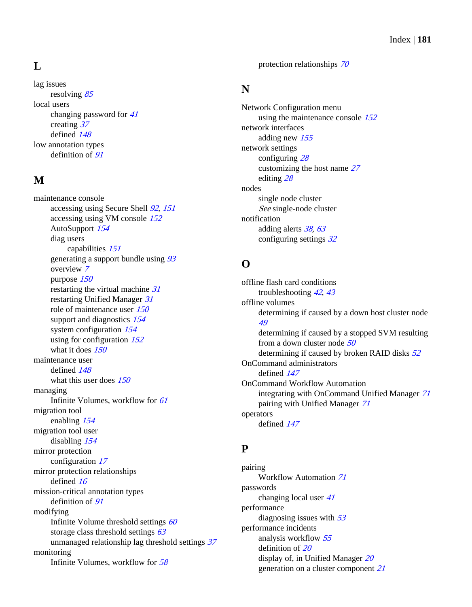# **L**

lag issues resolving [85](#page-84-0) local users changing password for [41](#page-40-0) creating [37](#page-36-0) defined [148](#page-147-0) low annotation types definition of  $91$ 

# **M**

maintenance console accessing using Secure Shell [92](#page-91-0), [151](#page-150-0) accessing using VM console [152](#page-151-0) AutoSupport [154](#page-153-0) diag users capabilities [151](#page-150-0) generating a support bundle using  $93$ overview [7](#page-6-0) purpose [150](#page-149-0) restarting the virtual machine [31](#page-30-0) restarting Unified Manager [31](#page-30-0) role of maintenance user [150](#page-149-0) support and diagnostics [154](#page-153-0) system configuration  $154$ using for configuration  $152$ what it does [150](#page-149-0) maintenance user defined [148](#page-147-0) what this user does  $150$ managing Infinite Volumes, workflow for [61](#page-60-0) migration tool enabling [154](#page-153-0) migration tool user disabling [154](#page-153-0) mirror protection configuration [17](#page-16-0) mirror protection relationships defined [16](#page-15-0) mission-critical annotation types definition of  $91$ modifying Infinite Volume threshold settings  $60$ storage class threshold settings  $63$ unmanaged relationship lag threshold settings [37](#page-36-0) monitoring Infinite Volumes, workflow for [58](#page-57-0)

protection relationships [70](#page-69-0)

# **N**

Network Configuration menu using the maintenance console  $152$ network interfaces adding new [155](#page-154-0) network settings configuring [28](#page-27-0) customizing the host name [27](#page-26-0) editing [28](#page-27-0) nodes single node cluster See [single-node cluster](#page-182-0) notification adding alerts [38](#page-37-0), [63](#page-62-0) configuring settings [32](#page-31-0)

# **O**

offline flash card conditions troubleshooting [42](#page-41-0), [43](#page-42-0) offline volumes determining if caused by a down host cluster node [49](#page-48-0) determining if caused by a stopped SVM resulting from a down cluster node [50](#page-49-0) determining if caused by broken RAID disks  $52$ OnCommand administrators defined [147](#page-146-0) OnCommand Workflow Automation integrating with OnCommand Unified Manager [71](#page-70-0) pairing with Unified Manager [71](#page-70-0) operators defined [147](#page-146-0)

# **P**

pairing Workflow Automation [71](#page-70-0) passwords changing local user [41](#page-40-0) performance diagnosing issues with  $53$ performance incidents analysis workflow [55](#page-54-0) definition of [20](#page-19-0) display of, in Unified Manager [20](#page-19-0) generation on a cluster component [21](#page-20-0)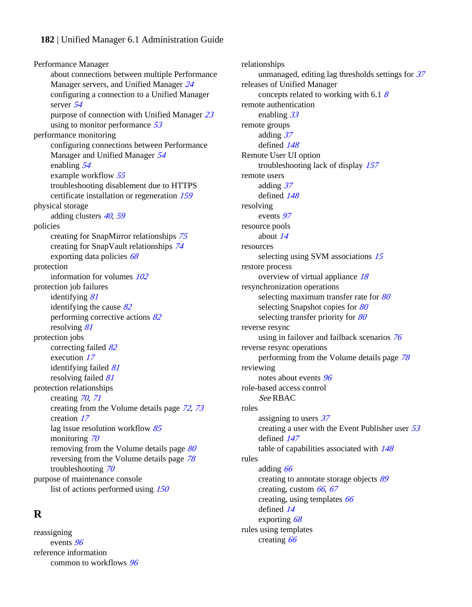#### **182** | Unified Manager 6.1 Administration Guide

Performance Manager about connections between multiple Performance Manager servers, and Unified Manager [24](#page-23-0) configuring a connection to a Unified Manager server [54](#page-53-0) purpose of connection with Unified Manager [23](#page-22-0) using to monitor performance [53](#page-52-0) performance monitoring configuring connections between Performance Manager and Unified Manager [54](#page-53-0) enabling [54](#page-53-0) example workflow [55](#page-54-0) troubleshooting disablement due to HTTPS certificate installation or regeneration [159](#page-158-0) physical storage adding clusters [40](#page-39-0), [59](#page-58-0) policies creating for SnapMirror relationships [75](#page-74-0) creating for SnapVault relationships [74](#page-73-0) exporting data policies [68](#page-67-0) protection information for volumes [102](#page-101-0) protection job failures identifying [81](#page-80-0) identifying the cause  $82$ performing corrective actions [82](#page-81-0) resolving [81](#page-80-0) protection jobs correcting failed [82](#page-81-0) execution [17](#page-16-0) identifying failed [81](#page-80-0) resolving failed [81](#page-80-0) protection relationships creating [70](#page-69-0), [71](#page-70-0) creating from the Volume details page [72](#page-71-0), [73](#page-72-0) creation [17](#page-16-0) lag issue resolution workflow  $85$ monitoring [70](#page-69-0) removing from the Volume details page [80](#page-79-0) reversing from the Volume details page [78](#page-77-0) troubleshooting [70](#page-69-0) purpose of maintenance console list of actions performed using [150](#page-149-0)

## **R**

reassigning events [96](#page-95-0) reference information common to workflows [96](#page-95-0) relationships unmanaged, editing lag thresholds settings for  $37$ releases of Unified Manager concepts related to working with 6.1  $\delta$ remote authentication enabling [33](#page-32-0) remote groups adding [37](#page-36-0) defined [148](#page-147-0) Remote User UI option troubleshooting lack of display [157](#page-156-0) remote users adding [37](#page-36-0) defined [148](#page-147-0) resolving events [97](#page-96-0) resource pools about [14](#page-13-0) resources selecting using SVM associations [15](#page-14-0) restore process overview of virtual appliance [18](#page-17-0) resynchronization operations selecting maximum transfer rate for [80](#page-79-0) selecting Snapshot copies for [80](#page-79-0) selecting transfer priority for [80](#page-79-0) reverse resync using in failover and failback scenarios [76](#page-75-0) reverse resync operations performing from the Volume details page [78](#page-77-0) reviewing notes about events [96](#page-95-0) role-based access control See RBAC roles assigning to users [37](#page-36-0) creating a user with the Event Publisher user [53](#page-52-0) defined [147](#page-146-0) table of capabilities associated with [148](#page-147-0) rules adding [66](#page-65-0) creating to annotate storage objects [89](#page-88-0) creating, custom  $66, 67$  $66, 67$  $66, 67$ creating, using templates  $66$ defined [14](#page-13-0) exporting [68](#page-67-0) rules using templates creating [66](#page-65-0)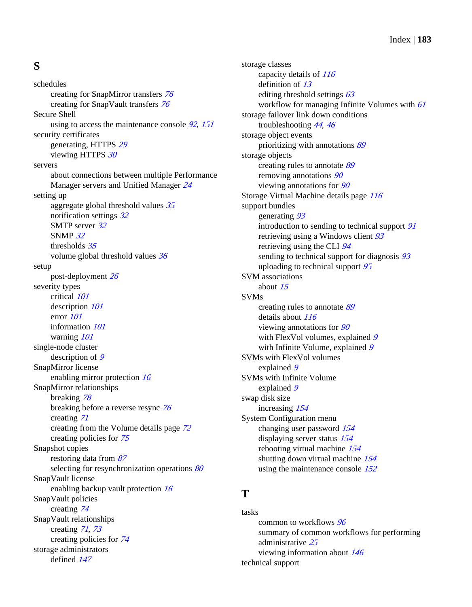# <span id="page-182-0"></span>**S**

schedules creating for SnapMirror transfers [76](#page-75-0) creating for SnapVault transfers [76](#page-75-0) Secure Shell using to access the maintenance console [92](#page-91-0), [151](#page-150-0) security certificates generating, HTTPS [29](#page-28-0) viewing HTTPS [30](#page-29-0) servers about connections between multiple Performance Manager servers and Unified Manager [24](#page-23-0) setting up aggregate global threshold values  $35$ notification settings [32](#page-31-0) SMTP server [32](#page-31-0) SNMP [32](#page-31-0) thresholds [35](#page-34-0) volume global threshold values [36](#page-35-0) setup post-deployment [26](#page-25-0) severity types critical [101](#page-100-0) description  $101$ error [101](#page-100-0) information [101](#page-100-0) warning [101](#page-100-0) single-node cluster description of  $9$ SnapMirror license enabling mirror protection [16](#page-15-0) SnapMirror relationships breaking [78](#page-77-0) breaking before a reverse resync [76](#page-75-0) creating [71](#page-70-0) creating from the Volume details page [72](#page-71-0) creating policies for [75](#page-74-0) Snapshot copies restoring data from [87](#page-86-0) selecting for resynchronization operations [80](#page-79-0) SnapVault license enabling backup vault protection [16](#page-15-0) SnapVault policies creating [74](#page-73-0) SnapVault relationships creating [71](#page-70-0), [73](#page-72-0) creating policies for [74](#page-73-0) storage administrators defined [147](#page-146-0)

storage classes capacity details of [116](#page-115-0) definition of [13](#page-12-0) editing threshold settings  $63$ workflow for managing Infinite Volumes with  $61$ storage failover link down conditions troubleshooting [44](#page-43-0), [46](#page-45-0) storage object events prioritizing with annotations [89](#page-88-0) storage objects creating rules to annotate [89](#page-88-0) removing annotations [90](#page-89-0) viewing annotations for [90](#page-89-0) Storage Virtual Machine details page [116](#page-115-0) support bundles generating [93](#page-92-0) introduction to sending to technical support [91](#page-90-0) retrieving using a Windows client [93](#page-92-0) retrieving using the CLI [94](#page-93-0) sending to technical support for diagnosis  $93$ uploading to technical support  $95$ SVM associations about [15](#page-14-0) SVMs creating rules to annotate [89](#page-88-0) details about  $116$ viewing annotations for  $90$ with FlexVol volumes, explained [9](#page-8-0) with Infinite Volume, explained [9](#page-8-0) SVMs with FlexVol volumes explained [9](#page-8-0) SVMs with Infinite Volume explained [9](#page-8-0) swap disk size increasing [154](#page-153-0) System Configuration menu changing user password [154](#page-153-0) displaying server status [154](#page-153-0) rebooting virtual machine [154](#page-153-0) shutting down virtual machine [154](#page-153-0) using the maintenance console [152](#page-151-0)

#### **T**

tasks common to workflows [96](#page-95-0) summary of common workflows for performing administrative [25](#page-24-0) viewing information about [146](#page-145-0) technical support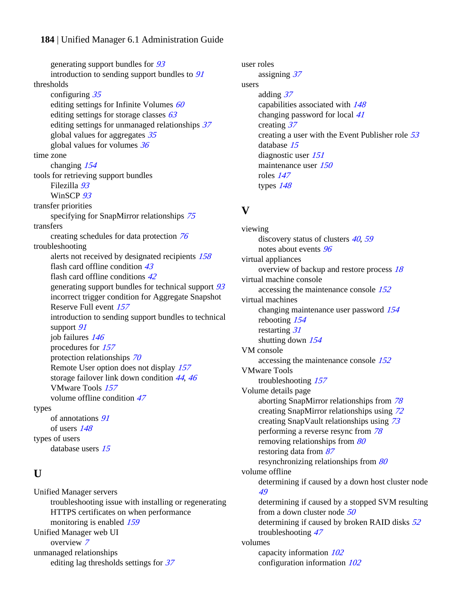#### **184** | Unified Manager 6.1 Administration Guide

generating support bundles for [93](#page-92-0) introduction to sending support bundles to [91](#page-90-0) thresholds configuring [35](#page-34-0) editing settings for Infinite Volumes  $60$ editing settings for storage classes  $63$ editing settings for unmanaged relationships [37](#page-36-0) global values for aggregates [35](#page-34-0) global values for volumes [36](#page-35-0) time zone changing [154](#page-153-0) tools for retrieving support bundles Filezilla [93](#page-92-0) WinSCP [93](#page-92-0) transfer priorities specifying for SnapMirror relationships [75](#page-74-0) transfers creating schedules for data protection [76](#page-75-0) troubleshooting alerts not received by designated recipients [158](#page-157-0) flash card offline condition [43](#page-42-0) flash card offline conditions [42](#page-41-0) generating support bundles for technical support [93](#page-92-0) incorrect trigger condition for Aggregate Snapshot Reserve Full event [157](#page-156-0) introduction to sending support bundles to technical support [91](#page-90-0) job failures [146](#page-145-0) procedures for [157](#page-156-0) protection relationships [70](#page-69-0) Remote User option does not display [157](#page-156-0) storage failover link down condition [44](#page-43-0), [46](#page-45-0) VMware Tools [157](#page-156-0) volume offline condition [47](#page-46-0) types of annotations [91](#page-90-0) of users [148](#page-147-0) types of users database users [15](#page-14-0)

## **U**

Unified Manager servers troubleshooting issue with installing or regenerating HTTPS certificates on when performance monitoring is enabled [159](#page-158-0) Unified Manager web UI overview [7](#page-6-0) unmanaged relationships editing lag thresholds settings for  $37$ 

user roles assigning [37](#page-36-0) users adding [37](#page-36-0) capabilities associated with [148](#page-147-0) changing password for local [41](#page-40-0) creating [37](#page-36-0) creating a user with the Event Publisher role [53](#page-52-0) database [15](#page-14-0) diagnostic user [151](#page-150-0) maintenance user [150](#page-149-0) roles [147](#page-146-0) types [148](#page-147-0)

## **V**

viewing discovery status of clusters [40](#page-39-0), [59](#page-58-0) notes about events [96](#page-95-0) virtual appliances overview of backup and restore process [18](#page-17-0) virtual machine console accessing the maintenance console [152](#page-151-0) virtual machines changing maintenance user password [154](#page-153-0) rebooting [154](#page-153-0) restarting [31](#page-30-0) shutting down  $154$ VM console accessing the maintenance console [152](#page-151-0) VMware Tools troubleshooting [157](#page-156-0) Volume details page aborting SnapMirror relationships from [78](#page-77-0) creating SnapMirror relationships using [72](#page-71-0) creating SnapVault relationships using [73](#page-72-0) performing a reverse resync from [78](#page-77-0) removing relationships from [80](#page-79-0) restoring data from [87](#page-86-0) resynchronizing relationships from [80](#page-79-0) volume offline determining if caused by a down host cluster node [49](#page-48-0) determining if caused by a stopped SVM resulting from a down cluster node [50](#page-49-0) determining if caused by broken RAID disks  $52$ troubleshooting [47](#page-46-0) volumes capacity information [102](#page-101-0) configuration information [102](#page-101-0)